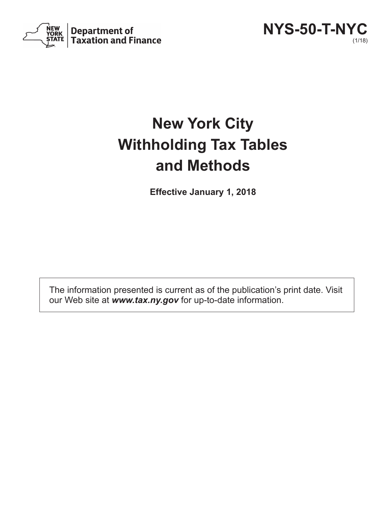

**NYS-50-T-NYC** (1/18)

# **New York City Withholding Tax Tables and Methods**

**Effective January 1, 2018**

The information presented is current as of the publication's print date. Visit our Web site at *www.tax.ny.gov* for up-to-date information.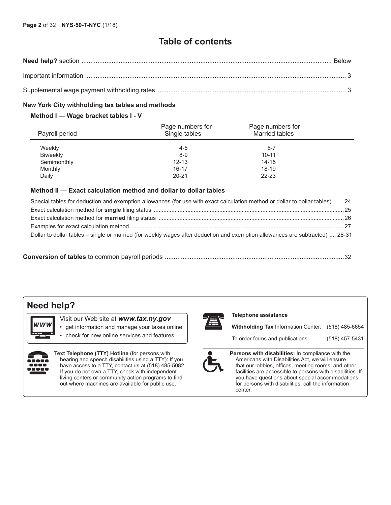### **Table of contents**

#### **New York City withholding tax tables and methods**

#### **Method I — Wage bracket tables I - V**

| Payroll period  | Page numbers for<br>Single tables | Page numbers for<br>Married tables |  |
|-----------------|-----------------------------------|------------------------------------|--|
| Weekly          | $4 - 5$                           | $6 - 7$                            |  |
| <b>Biweekly</b> | $8-9$                             | $10 - 11$                          |  |
| Semimonthly     | $12 - 13$                         | $14 - 15$                          |  |
| Monthly         | $16 - 17$                         | 18-19                              |  |
| Daily           | $20 - 21$                         | $22 - 23$                          |  |

#### **Method II — Exact calculation method and dollar to dollar tables**

| Special tables for deduction and exemption allowances (for use with exact calculation method or dollar to dollar tables)  24  |
|-------------------------------------------------------------------------------------------------------------------------------|
|                                                                                                                               |
|                                                                                                                               |
|                                                                                                                               |
| Dollar to dollar tables – single or married (for weekly wages after deduction and exemption allowances are subtracted)  28-31 |
|                                                                                                                               |

|--|--|

### **Need help?**

w w w

Visit our Web site at *www.tax.ny.gov*

- get information and manage your taxes online
	- check for new online services and features



**Text Telephone (TTY) Hotline** (for persons with hearing and speech disabilities using a TTY): If you have access to a TTY, contact us at (518) 485-5082. If you do not own a TTY, check with independent living centers or community action programs to find out where machines are available for public use.



#### **Telephone assistance**

**Withholding Tax** Information Center: (518) 485-6654

To order forms and publications: (518) 457-5431



**Persons with disabilities:** In compliance with the Americans with Disabilities Act, we will ensure that our lobbies, offices, meeting rooms, and other facilities are accessible to persons with disabilities. If you have questions about special accommodations for persons with disabilities, call the information center.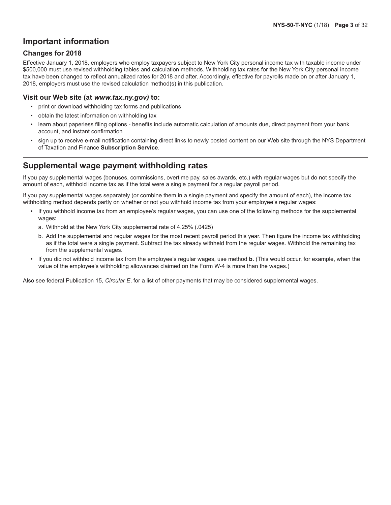### **Important information**

#### **Changes for 2018**

Effective January 1, 2018, employers who employ taxpayers subject to New York City personal income tax with taxable income under \$500,000 must use revised withholding tables and calculation methods. Withholding tax rates for the New York City personal income tax have been changed to reflect annualized rates for 2018 and after. Accordingly, effective for payrolls made on or after January 1, 2018, employers must use the revised calculation method(s) in this publication.

#### **Visit our Web site (at** *www.tax.ny.gov)* **to:**

- print or download withholding tax forms and publications
- obtain the latest information on withholding tax
- learn about paperless filing options benefits include automatic calculation of amounts due, direct payment from your bank account, and instant confirmation
- sign up to receive e-mail notification containing direct links to newly posted content on our Web site through the NYS Department of Taxation and Finance **Subscription Service**.

### **Supplemental wage payment withholding rates**

If you pay supplemental wages (bonuses, commissions, overtime pay, sales awards, etc.) with regular wages but do not specify the amount of each, withhold income tax as if the total were a single payment for a regular payroll period.

If you pay supplemental wages separately (or combine them in a single payment and specify the amount of each), the income tax withholding method depends partly on whether or not you withhold income tax from your employee's regular wages:

- If you withhold income tax from an employee's regular wages, you can use one of the following methods for the supplemental wages:
	- a. Withhold at the New York City supplemental rate of 4.25% (.0425)
	- b. Add the supplemental and regular wages for the most recent payroll period this year. Then figure the income tax withholding as if the total were a single payment. Subtract the tax already withheld from the regular wages. Withhold the remaining tax from the supplemental wages.
- If you did not withhold income tax from the employee's regular wages, use method **b.** (This would occur, for example, when the value of the employee's withholding allowances claimed on the Form W-4 is more than the wages.)

Also see federal Publication 15, *Circular E*, for a list of other payments that may be considered supplemental wages.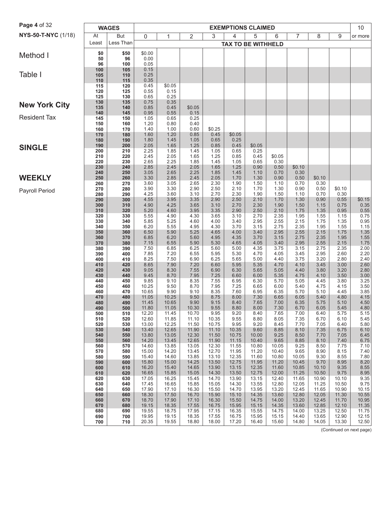| Page 4 of 32         |            | <b>WAGES</b> |                |                |                |                | <b>EXEMPTIONS CLAIMED</b> |                |                |                |                |                | 10                       |
|----------------------|------------|--------------|----------------|----------------|----------------|----------------|---------------------------|----------------|----------------|----------------|----------------|----------------|--------------------------|
| NYS-50-T-NYC (1/18)  | At         | <b>But</b>   | 0              | 1              | $\overline{2}$ | 3              | 4                         | 5              | 6              | 7              | 8              | 9              | or more                  |
|                      | Least      | Less Than    |                |                |                |                | <b>TAX TO BE WITHHELD</b> |                |                |                |                |                |                          |
| Method I             | \$0        | \$50         | \$0.00         |                |                |                |                           |                |                |                |                |                |                          |
|                      | 50<br>96   | 96<br>100    | 0.00<br>0.05   |                |                |                |                           |                |                |                |                |                |                          |
|                      | 100        | 105          | 0.15           |                |                |                |                           |                |                |                |                |                |                          |
| Table I              | 105        | 110          | 0.25           |                |                |                |                           |                |                |                |                |                |                          |
|                      | 110<br>115 | 115<br>120   | 0.35<br>0.45   | \$0.05         |                |                |                           |                |                |                |                |                |                          |
|                      | 120        | 125          | 0.55           | 0.15           |                |                |                           |                |                |                |                |                |                          |
|                      | 125        | 130          | 0.65           | 0.25           |                |                |                           |                |                |                |                |                |                          |
| <b>New York City</b> | 130<br>135 | 135<br>140   | 0.75<br>0.85   | 0.35<br>0.45   | \$0.05         |                |                           |                |                |                |                |                |                          |
|                      | 140        | 145          | 0.95           | 0.55           | 0.15           |                |                           |                |                |                |                |                |                          |
| <b>Resident Tax</b>  | 145        | 150          | 1.05           | 0.65           | 0.25           |                |                           |                |                |                |                |                |                          |
|                      | 150<br>160 | 160<br>170   | 1.20<br>1.40   | 0.80<br>1.00   | 0.40<br>0.60   | \$0.25         |                           |                |                |                |                |                |                          |
|                      | 170        | 180          | 1.60           | 1.20           | 0.85           | 0.45           | \$0.05                    |                |                |                |                |                |                          |
|                      | 180        | 190          | 1.80<br>2.05   | 1.45<br>1.65   | 1.05<br>1.25   | 0.65<br>0.85   | 0.25                      | \$0.05         |                |                |                |                |                          |
| <b>SINGLE</b>        | 190<br>200 | 200<br>210   | 2.25           | 1.85           | 1.45           | 1.05           | 0.45<br>0.65              | 0.25           |                |                |                |                |                          |
|                      | 210        | 220          | 2.45           | 2.05           | 1.65           | 1.25           | 0.85                      | 0.45           | \$0.05         |                |                |                |                          |
|                      | 220<br>230 | 230<br>240   | 2.65<br>2.85   | 2.25<br>2.45   | 1.85<br>2.05   | 1.45<br>1.65   | 1.05<br>1.25              | 0.65<br>0.90   | 0.30<br>0.50   | \$0.10         |                |                |                          |
|                      | 240        | 250          | 3.05           | 2.65           | 2.25           | 1.85           | 1.45                      | 1.10           | 0.70           | 0.30           |                |                |                          |
| <b>WEEKLY</b>        | 250        | 260          | 3.30           | 2.85           | 2.45           | 2.05           | 1.70                      | 1.30           | 0.90           | 0.50           | \$0.10         |                |                          |
|                      | 260<br>270 | 270<br>280   | 3.60<br>3.90   | 3.05<br>3.30   | 2.65<br>2.90   | 2.30<br>2.50   | 1.90<br>2.10              | 1.50<br>1.70   | 1.10<br>1.30   | 0.70<br>0.90   | 0.30<br>0.50   | \$0.10         |                          |
| Payroll Period       | 280        | 290          | 4.25           | 3.60           | 3.10           | 2.70           | 2.30                      | 1.90           | 1.50           | 1.10           | 0.70           | 0.30           |                          |
|                      | 290        | 300          | 4.55           | 3.95           | 3.35           | 2.90           | 2.50                      | 2.10           | 1.70           | 1.30           | 0.90           | 0.55           | \$0.15                   |
|                      | 300<br>310 | 310<br>320   | 4.90<br>5.20   | 4.25<br>4.60   | 3.65<br>3.95   | 3.10<br>3.35   | 2.70<br>2.90              | 2.30<br>2.50   | 1.90<br>2.10   | 1.50<br>1.75   | 1.15<br>1.35   | 0.75<br>0.95   | 0.35<br>0.55             |
|                      | 320        | 330          | 5.55           | 4.90           | 4.30           | 3.65           | 3.10                      | 2.70           | 2.35           | 1.95           | 1.55           | 1.15           | 0.75                     |
|                      | 330        | 340          | 5.85           | 5.25           | 4.60           | 4.00           | 3.40                      | 2.95           | 2.55           | 2.15           | 1.75           | 1.35           | 0.95                     |
|                      | 340<br>350 | 350<br>360   | 6.20<br>6.50   | 5.55<br>5.90   | 4.95<br>5.25   | 4.30<br>4.65   | 3.70<br>4.00              | 3.15<br>3.40   | 2.75<br>2.95   | 2.35<br>2.55   | 1.95<br>2.15   | 1.55<br>1.75   | 1.15<br>1.35             |
|                      | 360        | 370          | 6.85           | 6.20           | 5.60           | 4.95           | 4.35                      | 3.70           | 3.15           | 2.75           | 2.35           | 1.95           | 1.55                     |
|                      | 370        | 380          | 7.15           | 6.55           | 5.90           | 5.30           | 4.65                      | 4.05           | 3.40           | 2.95           | 2.55           | 2.15           | 1.75                     |
|                      | 380<br>390 | 390<br>400   | 7.50<br>7.85   | 6.85<br>7.20   | 6.25<br>6.55   | 5.60<br>5.95   | 5.00<br>5.30              | 4.35<br>4.70   | 3.75<br>4.05   | 3.15<br>3.45   | 2.75<br>2.95   | 2.35<br>2.60   | 2.00<br>2.20             |
|                      | 400        | 410          | 8.25           | 7.50           | 6.90           | 6.25           | 5.65                      | 5.00           | 4.40           | 3.75           | 3.20           | 2.80           | 2.40                     |
|                      | 410        | 420          | 8.65           | 7.90           | 7.20           | 6.60           | 5.95                      | 5.35           | 4.70           | 4.10           | 3.45           | 3.00           | 2.60                     |
|                      | 420<br>430 | 430<br>440   | 9.05<br>9.45   | 8.30<br>8.70   | 7.55<br>7.95   | 6.90<br>7.25   | 6.30<br>6.60              | 5.65<br>6.00   | 5.05<br>5.35   | 4.40<br>4.75   | 3.80<br>4.10   | 3.20<br>3.50   | 2.80<br>3.00             |
|                      | 440        | 450          | 9.85           | 9.10           | 8.35           | 7.55           | 6.95                      | 6.30           | 5.70           | 5.05           | 4.45           | 3.80           | 3.25                     |
|                      | 450        | 460          | 10.25          | 9.50           | 8.70           | 7.95           | 7.25                      | 6.65           | 6.00           | 5.40           | 4.75           | 4.15           | 3.50                     |
|                      | 460<br>470 | 470<br>480   | 10.65<br>11.05 | 9.90<br>10.25  | 9.10<br>9.50   | 8.35<br>8.75   | 7.60<br>8.00              | 6.95<br>7.30   | 6.35<br>6.65   | 5.70<br>6.05   | 5.10<br>5.40   | 4.45<br>4.80   | 3.85<br>4.15             |
|                      | 480        | 490          | 11.45          | 10.65          | 9.90           | 9.15           | 8.40                      | 7.65           | 7.00           | 6.35           | 5.75           | 5.10           | 4.50                     |
|                      | 490        | 500          | 11.80          | 11.05          | 10.30          | 9.55           | 8.80                      | 8.00           | 7.30           | 6.70           | 6.05           | 5.45           | 4.80                     |
|                      | 500<br>510 | 510<br>520   | 12.20<br>12.60 | 11.45<br>11.85 | 10.70<br>11.10 | 9.95<br>10.35  | 9.20<br>9.55              | 8.40<br>8.80   | 7.65<br>8.05   | 7.00<br>7.35   | 6.40<br>6.70   | 5.75<br>6.10   | 5.15<br>5.45             |
|                      | 520        | 530          | 13.00          | 12.25          | 11.50          | 10.75          | 9.95                      | 9.20           | 8.45           | 7.70           | 7.05           | 6.40           | 5.80                     |
|                      | 530        | 540          | 13.40<br>13.80 | 12.65<br>13.05 | 11.90<br>12.30 | 11.10<br>11.50 | 10.35<br>10.75            | 9.60<br>10.00  | 8.85<br>9.25   | 8.10<br>8.50   | 7.35<br>7.70   | 6.75<br>7.05   | 6.10<br>6.45             |
|                      | 540<br>550 | 550<br>560   | 14.20          | 13.45          | 12.65          | 11.90          | 11.15                     | 10.40          | 9.65           | 8.85           | 8.10           | 7.40           | 6.75                     |
|                      | 560        | 570          | 14.60          | 13.85          | 13.05          | 12.30          | 11.55                     | 10.80          | 10.05          | 9.25           | 8.50           | 7.75           | 7.10                     |
|                      | 570<br>580 | 580<br>590   | 15.00<br>15.40 | 14.20<br>14.60 | 13.45<br>13.85 | 12.70<br>13.10 | 11.95<br>12.35            | 11.20<br>11.60 | 10.40<br>10.80 | 9.65<br>10.05  | 8.90<br>9.30   | 8.15<br>8.55   | 7.40<br>7.80             |
|                      | 590        | 600          | 15.80          | 15.00          | 14.25          | 13.50          | 12.75                     | 11.95          | 11.20          | 10.45          | 9.70           | 8.95           | 8.20                     |
|                      | 600        | 610          | 16.20          | 15.40          | 14.65          | 13.90          | 13.15                     | 12.35          | 11.60          | 10.85          | 10.10          | 9.35           | 8.55                     |
|                      | 610<br>620 | 620<br>630   | 16.65<br>17.05 | 15.85<br>16.25 | 15.05<br>15.45 | 14.30<br>14.70 | 13.50<br>13.90            | 12.75<br>13.15 | 12.00<br>12.40 | 11.25<br>11.65 | 10.50<br>10.90 | 9.75<br>10.10  | 8.95<br>9.35             |
|                      | 630        | 640          | 17.45          | 16.65          | 15.85          | 15.05          | 14.30                     | 13.55          | 12.80          | 12.05          | 11.25          | 10.50          | 9.75                     |
|                      | 640        | 650          | 17.90          | 17.10          | 16.30          | 15.50          | 14.70                     | 13.95          | 13.20          | 12.45          | 11.65          | 10.90          | 10.15                    |
|                      | 650<br>660 | 660<br>670   | 18.30<br>18.70 | 17.50<br>17.90 | 16.70<br>17.10 | 15.90<br>16.30 | 15.10<br>15.50            | 14.35<br>14.75 | 13.60<br>14.00 | 12.80<br>13.20 | 12.05<br>12.45 | 11.30<br>11.70 | 10.55<br>10.95           |
|                      | 670        | 680          | 19.15          | 18.35          | 17.55          | 16.75          | 15.95                     | 15.15          | 14.35          | 13.60          | 12.85          | 12.10          | 11.35                    |
|                      | 680        | 690          | 19.55          | 18.75          | 17.95          | 17.15          | 16.35                     | 15.55          | 14.75          | 14.00          | 13.25          | 12.50          | 11.75                    |
|                      | 690<br>700 | 700<br>710   | 19.95<br>20.35 | 19.15<br>19.55 | 18.35<br>18.80 | 17.55<br>18.00 | 16.75<br>17.20            | 15.95<br>16.40 | 15.15<br>15.60 | 14.40          | 13.65<br>14.05 | 12.90<br>13.30 | 12.15<br>12.50           |
|                      |            |              |                |                |                |                |                           |                |                | 14.80          |                |                | (Continued on next page) |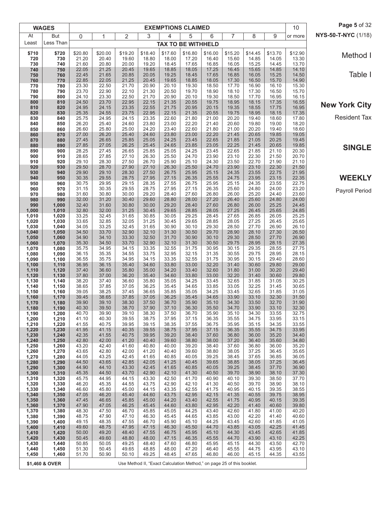|                | <b>WAGES</b>   | <b>EXEMPTIONS CLAIMED</b> |                |                |                |                |                                                                        |                |                |                | 10             | Page 5 of 32   |                      |
|----------------|----------------|---------------------------|----------------|----------------|----------------|----------------|------------------------------------------------------------------------|----------------|----------------|----------------|----------------|----------------|----------------------|
| At             | But            | 0                         | 1              | 2              | 3              | 4              | 5                                                                      | 6              | 7              | 8              | 9              | or more        | NYS-50-T-NYC (1/18)  |
| Least          | Less Than      |                           |                |                |                |                | <b>TAX TO BE WITHHELD</b>                                              |                |                |                |                |                |                      |
| \$710          | \$720          | \$20.80                   | \$20.00        | \$19.20        | \$18.40        | \$17.60        | \$16.80                                                                | \$16.00        | \$15.20        | \$14.45        | \$13.70        | \$12.90        | Method I             |
| 720<br>730     | 730<br>740     | 21.20<br>21.60            | 20.40<br>20.80 | 19.60<br>20.00 | 18.80<br>19.20 | 18.00<br>18.45 | 17.20<br>17.65                                                         | 16.40<br>16.85 | 15.60<br>16.05 | 14.85<br>15.25 | 14.05<br>14.45 | 13.30<br>13.70 |                      |
| 740            | 750            | 22.05                     | 21.25          | 20.45          | 19.65          | 18.85          | 18.05                                                                  | 17.25          | 16.45          | 15.65          | 14.85          | 14.10          |                      |
| 750<br>760     | 760<br>770     | 22.45<br>22.85            | 21.65<br>22.05 | 20.85<br>21.25 | 20.05<br>20.45 | 19.25<br>19.65 | 18.45<br>18.85                                                         | 17.65<br>18.05 | 16.85<br>17.30 | 16.05<br>16.50 | 15.25<br>15.70 | 14.50<br>14.90 | Table I              |
| 770            | 780            | 23.30                     | 22.50          | 21.70          | 20.90          | 20.10          | 19.30                                                                  | 18.50          | 17.70          | 16.90          | 16.10          | 15.30          |                      |
| 780<br>790     | 790<br>800     | 23.70<br>24.10            | 22.90<br>23.30 | 22.10<br>22.50 | 21.30<br>21.70 | 20.50<br>20.90 | 19.70<br>20.10                                                         | 18.90<br>19.30 | 18.10<br>18.50 | 17.30<br>17.70 | 16.50<br>16.95 | 15.70<br>16.15 |                      |
| 800            | 810            | 24.50                     | 23.70          | 22.95          | 22.15          | 21.35          | 20.55                                                                  | 19.75          | 18.95          | 18.15          | 17.35          | 16.55          | <b>New York City</b> |
| 810<br>820     | 820<br>830     | 24.95<br>25.35            | 24.15<br>24.55 | 23.35<br>23.75 | 22.55<br>22.95 | 21.75<br>22.15 | 20.95<br>21.35                                                         | 20.15<br>20.55 | 19.35<br>19.75 | 18.55<br>18.95 | 17.75<br>18.15 | 16.95<br>17.35 |                      |
| 830            | 840            | 25.75                     | 24.95          | 24.15          | 23.35          | 22.60          | 21.80                                                                  | 21.00          | 20.20          | 19.40          | 18.60          | 17.80          | <b>Resident Tax</b>  |
| 840<br>850     | 850<br>860     | 26.20<br>26.60            | 25.40<br>25.80 | 24.60<br>25.00 | 23.80<br>24.20 | 23.00<br>23.40 | 22.20<br>22.60                                                         | 21.40<br>21.80 | 20.60<br>21.00 | 19.80<br>20.20 | 19.00<br>19.40 | 18.20<br>18.60 |                      |
| 860            | 870            | 27.00                     | 26.20          | 25.40          | 24.60          | 23.80          | 23.00                                                                  | 22.20          | 21.45          | 20.65          | 19.85          | 19.05          |                      |
| 870            | 880            | 27.45                     | 26.65          | 25.85          | 25.05          | 24.25          | 23.45                                                                  | 22.65          | 21.85          | 21.05          | 20.25          | 19.45          |                      |
| 880<br>890     | 890<br>900     | 27.85<br>28.25            | 27.05<br>27.45 | 26.25<br>26.65 | 25.45<br>25.85 | 24.65<br>25.05 | 23.85<br>24.25                                                         | 23.05<br>23.45 | 22.25<br>22.65 | 21.45<br>21.85 | 20.65<br>21.10 | 19.85<br>20.30 | <b>SINGLE</b>        |
| 900            | 910            | 28.65                     | 27.85          | 27.10          | 26.30          | 25.50          | 24.70                                                                  | 23.90          | 23.10          | 22.30          | 21.50          | 20.70          |                      |
| 910<br>920     | 920<br>930     | 29.10<br>29.50            | 28.30<br>28.70 | 27.50<br>27.90 | 26.70<br>27.10 | 25.90<br>26.30 | 25.10<br>25.50                                                         | 24.30<br>24.70 | 23.50<br>23.90 | 22.70<br>23.10 | 21.90<br>22.30 | 21.10<br>21.50 |                      |
| 930            | 940            | 29.90                     | 29.10          | 28.30          | 27.50          | 26.75          | 25.95                                                                  | 25.15          | 24.35          | 23.55          | 22.75          | 21.95          |                      |
| 940<br>950     | 950<br>960     | 30.35<br>30.75            | 29.55<br>29.95 | 28.75<br>29.15 | 27.95<br>28.35 | 27.15<br>27.55 | 26.35<br>26.75                                                         | 25.55<br>25.95 | 24.75<br>25.15 | 23.95<br>24.35 | 23.15<br>23.55 | 22.35<br>22.75 | <b>WEEKLY</b>        |
| 960            | 970            | 31.15                     | 30.35          | 29.55          | 28.75          | 27.95          | 27.15                                                                  | 26.35          | 25.60          | 24.80          | 24.00          | 23.20          | Payroll Period       |
| 970            | 980            | 31.60                     | 30.80          | 30.00          | 29.20          | 28.40          | 27.60                                                                  | 26.80          | 26.00          | 25.20          | 24.40          | 23.60          |                      |
| 980<br>990     | 990<br>1,000   | 32.00<br>32.40            | 31.20<br>31.60 | 30.40<br>30.80 | 29.60<br>30.00 | 28.80<br>29.20 | 28.00<br>28.40                                                         | 27.20<br>27.60 | 26.40<br>26.80 | 25.60<br>26.00 | 24.80<br>25.25 | 24.00<br>24.45 |                      |
| 1,000          | 1,010          | 32.80                     | 32.00          | 31.25          | 30.45          | 29.65          | 28.85                                                                  | 28.05          | 27.25          | 26.45          | 25.65          | 24.85          |                      |
| 1,010<br>1,020 | 1,020<br>1,030 | 33.25<br>33.65            | 32.45<br>32.85 | 31.65<br>32.05 | 30.85<br>31.25 | 30.05<br>30.45 | 29.25<br>29.65                                                         | 28.45<br>28.85 | 27.65<br>28.05 | 26.85<br>27.25 | 26.05<br>26.45 | 25.25<br>25.65 |                      |
| 1,030          | 1,040          | 34.05                     | 33.25          | 32.45          | 31.65          | 30.90          | 30.10                                                                  | 29.30          | 28.50          | 27.70          | 26.90          | 26.10          |                      |
| 1,040<br>1,050 | 1,050<br>1,060 | 34.50<br>34.90            | 33.70<br>34.10 | 32.90<br>33.30 | 32.10<br>32.50 | 31.30<br>31.70 | 30.50<br>30.90                                                         | 29.70<br>30.10 | 28.90<br>29.30 | 28.10<br>28.50 | 27.30<br>27.70 | 26.50<br>26.90 |                      |
| 1,060          | 1,070          | 35.30                     | 34.50          | 33.70          | 32.90          | 32.10          | 31.30                                                                  | 30.50          | 29.75          | 28.95          | 28.15          | 27.35          |                      |
| 1,070          | 1,080          | 35.75                     | 34.95          | 34.15<br>34.55 | 33.35          | 32.55<br>32.95 | 31.75<br>32.15                                                         | 30.95<br>31.35 | 30.15<br>30.55 | 29.35<br>29.75 | 28.55<br>28.95 | 27.75          |                      |
| 1,080<br>1,090 | 1,090<br>1,100 | 36.15<br>36.55            | 35.35<br>35.75 | 34.95          | 33.75<br>34.15 | 33.35          | 32.55                                                                  | 31.75          | 30.95          | 30.15          | 29.40          | 28.15<br>28.60 |                      |
| 1,100          | 1,110          | 36.95                     | 36.15          | 35.40          | 34.60          | 33.80          | 33.00                                                                  | 32.20          | 31.40          | 30.60          | 29.80          | 29.00          |                      |
| 1,110<br>1,120 | 1,120<br>1,130 | 37.40<br>37.80            | 36.60<br>37.00 | 35.80<br>36.20 | 35.00<br>35.40 | 34.20<br>34.60 | 33.40<br>33.80                                                         | 32.60<br>33.00 | 31.80<br>32.20 | 31.00<br>31.40 | 30.20<br>30.60 | 29.40<br>29.80 |                      |
| 1,130          | 1,140          | 38.20                     | 37.40          | 36.60          | 35.80          | 35.05          | 34.25                                                                  | 33.45          | 32.65          | 31.85          | 31.05          | 30.25          |                      |
| 1,140<br>1,150 | 1,150<br>1,160 | 38.65<br>39.05            | 37.85<br>38.25 | 37.05<br>37.45 | 36.25<br>36.65 | 35.45<br>35.85 | 34.65<br>35.05                                                         | 33.85<br>34.25 | 33.05<br>33.45 | 32.25<br>32.65 | 31.45<br>31.85 | 30.65<br>31.05 |                      |
| 1,160          | 1,170          | 39.45                     | 38.65          | 37.85          | 37.05          | 36.25          | 35.45                                                                  | 34.65          | 33.90          | 33.10          | 32.30          | 31.50          |                      |
| 1,170          | 1,180          | 39.90                     | 39.10          | 38.30          | 37.50          | 36.70          | 35.90                                                                  | 35.10          | 34.30          | 33.50          | 32.70          | 31.90          |                      |
| 1,180<br>1,190 | 1,190<br>1,200 | 40.30<br>40.70            | 39.50<br>39.90 | 38.70<br>39.10 | 37.90<br>38.30 | 37.10<br>37.50 | 36.30<br>36.70                                                         | 35.50<br>35.90 | 34.70<br>35.10 | 33.90<br>34.30 | 33.10<br>33.55 | 32.30<br>32.75 |                      |
| 1,200          | 1,210          | 41.10                     | 40.30          | 39.55          | 38.75          | 37.95          | 37.15                                                                  | 36.35          | 35.55          | 34.75          | 33.95          | 33.15          |                      |
| 1,210<br>1,220 | 1,220<br>1,230 | 41.55<br>41.95            | 40.75<br>41.15 | 39.95<br>40.35 | 39.15<br>39.55 | 38.35<br>38.75 | 37.55<br>37.95                                                         | 36.75<br>37.15 | 35.95<br>36.35 | 35.15<br>35.55 | 34.35<br>34.75 | 33.55<br>33.95 |                      |
| 1,230          | 1,240          | 42.35                     | 41.55          | 40.75          | 39.95          | 39.20          | 38.40                                                                  | 37.60          | 36.80          | 36.00          | 35.20          | 34.40          |                      |
| 1,240<br>1,250 | 1,250<br>1,260 | 42.80<br>43.20            | 42.00<br>42.40 | 41.20<br>41.60 | 40.40<br>40.80 | 39.60<br>40.00 | 38.80<br>39.20                                                         | 38.00<br>38.40 | 37.20<br>37.60 | 36.40<br>36.80 | 35.60<br>36.00 | 34.80<br>35.20 |                      |
| 1,260          | 1,270          | 43.65                     | 42.80          | 42.00          | 41.20          | 40.40          | 39.60                                                                  | 38.80          | 38.05          | 37.25          | 36.45          | 35.65          |                      |
| 1,270<br>1,280 | 1,280<br>1,290 | 44.05<br>44.50            | 43.25<br>43.65 | 42.45<br>42.85 | 41.65<br>42.05 | 40.85<br>41.25 | 40.05<br>40.45                                                         | 39.25<br>39.65 | 38.45<br>38.85 | 37.65<br>38.05 | 36.85<br>37.25 | 36.05<br>36.45 |                      |
| 1,290          | 1,300          | 44.90                     | 44.10          | 43.30          | 42.45          | 41.65          | 40.85                                                                  | 40.05          | 39.25          | 38.45          | 37.70          | 36.90          |                      |
| 1,300          | 1,310<br>1,320 | 45.35<br>45.75            | 44.50<br>44.95 | 43.70<br>44.15 | 42.90<br>43.30 | 42.10<br>42.50 | 41.30<br>41.70                                                         | 40.50<br>40.90 | 39.70<br>40.10 | 38.90<br>39.30 | 38.10<br>38.50 | 37.30<br>37.70 |                      |
| 1,310<br>1,320 | 1,330          | 46.20                     | 45.35          | 44.55          | 43.75          | 42.90          | 42.10                                                                  | 41.30          | 40.50          | 39.70          | 38.90          | 38.10          |                      |
| 1,330          | 1,340          | 46.60                     | 45.80          | 45.00          | 44.15          | 43.35<br>43.75 | 42.55                                                                  | 41.75<br>42.15 | 40.95          | 40.15          | 39.35          | 38.55          |                      |
| 1,340<br>1,350 | 1,350<br>1,360 | 47.05<br>47.45            | 46.20<br>46.65 | 45.40<br>45.85 | 44.60<br>45.00 | 44.20          | 42.95<br>43.40                                                         | 42.55          | 41.35<br>41.75 | 40.55<br>40.95 | 39.75<br>40.15 | 38.95<br>39.35 |                      |
| 1,360          | 1,370          | 47.90                     | 47.05          | 46.25          | 45.45          | 44.60          | 43.80                                                                  | 42.95          | 42.20          | 41.40          | 40.60          | 39.80          |                      |
| 1,370<br>1,380 | 1,380<br>1,390 | 48.30<br>48.75            | 47.50<br>47.90 | 46.70<br>47.10 | 45.85<br>46.30 | 45.05<br>45.45 | 44.25<br>44.65                                                         | 43.40<br>43.85 | 42.60<br>43.00 | 41.80<br>42.20 | 41.00<br>41.40 | 40.20<br>40.60 |                      |
| 1,390          | 1,400          | 49.15                     | 48.35          | 47.55          | 46.70          | 45.90          | 45.10                                                                  | 44.25          | 43.45          | 42.60          | 41.85          | 41.05          |                      |
| 1,400<br>1,410 | 1,410<br>1,420 | 49.60<br>50.00            | 48.75<br>49.20 | 47.95<br>48.40 | 47.15<br>47.55 | 46.30<br>46.75 | 45.50<br>45.95                                                         | 44.70<br>45.10 | 43.85<br>44.30 | 43.05<br>43.45 | 42.25<br>42.65 | 41.45<br>41.85 |                      |
| 1,420          | 1,430          | 50.45                     | 49.60          | 48.80          | 48.00          | 47.15          | 46.35                                                                  | 45.55          | 44.70          | 43.90          | 43.10          | 42.25          |                      |
| 1,430          | 1,440          | 50.85<br>51.30            | 50.05<br>50.45 | 49.25<br>49.65 | 48.40<br>48.85 | 47.60<br>48.00 | 46.80<br>47.20                                                         | 45.95<br>46.40 | 45.15<br>45.55 | 44.30<br>44.75 | 43.50<br>43.95 | 42.70<br>43.10 |                      |
| 1,440<br>1,450 | 1,450<br>1,460 | 51.70                     | 50.90          | 50.10          | 49.25          | 48.45          | 47.65                                                                  | 46.80          | 46.00          | 45.15          | 44.35          | 43.55          |                      |
|                | \$1,460 & OVER |                           |                |                |                |                | Use Method II, "Exact Calculation Method," on page 25 of this booklet. |                |                |                |                |                |                      |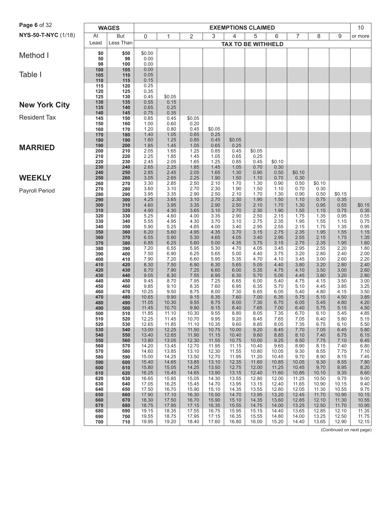| <b>Page 6 of 32</b>  | <b>WAGES</b><br><b>EXEMPTIONS CLAIMED</b> |            |                |                |                |                |                           |                |                |                | 10             |                |                          |
|----------------------|-------------------------------------------|------------|----------------|----------------|----------------|----------------|---------------------------|----------------|----------------|----------------|----------------|----------------|--------------------------|
| NYS-50-T-NYC (1/18)  | At                                        | But        | 0              | $\mathbf{1}$   | 2              | 3              | 4                         | 5              | 6              | 7              | 8              | 9              | or more                  |
|                      | Least                                     | Less Than  |                |                |                |                | <b>TAX TO BE WITHHELD</b> |                |                |                |                |                |                          |
|                      | \$0                                       | \$50       | \$0.00         |                |                |                |                           |                |                |                |                |                |                          |
| Method I             | 50                                        | 98         | 0.00           |                |                |                |                           |                |                |                |                |                |                          |
|                      | 98<br>100                                 | 100<br>105 | 0.00<br>0.00   |                |                |                |                           |                |                |                |                |                |                          |
| Table I              | 105                                       | 110        | 0.05           |                |                |                |                           |                |                |                |                |                |                          |
|                      | 110<br>115                                | 115<br>120 | 0.15<br>0.25   |                |                |                |                           |                |                |                |                |                |                          |
|                      | 120                                       | 125        | 0.35           |                |                |                |                           |                |                |                |                |                |                          |
|                      | 125                                       | 130        | 0.45           | \$0.05         |                |                |                           |                |                |                |                |                |                          |
| <b>New York City</b> | 130<br>135                                | 135<br>140 | 0.55<br>0.65   | 0.15<br>0.25   |                |                |                           |                |                |                |                |                |                          |
| <b>Resident Tax</b>  | 140                                       | 145        | 0.75           | 0.35           |                |                |                           |                |                |                |                |                |                          |
|                      | 145<br>150                                | 150<br>160 | 0.85<br>1.00   | 0.45<br>0.60   | \$0.05<br>0.20 |                |                           |                |                |                |                |                |                          |
|                      | 160                                       | 170        | 1.20           | 0.80           | 0.45           | \$0.05         |                           |                |                |                |                |                |                          |
|                      | 170<br>180                                | 180<br>190 | 1.40<br>1.60   | 1.05<br>1.25   | 0.65<br>0.85   | 0.25<br>0.45   | \$0.05                    |                |                |                |                |                |                          |
| <b>MARRIED</b>       | 190                                       | 200        | 1.85           | 1.45           | 1.05           | 0.65           | 0.25                      |                |                |                |                |                |                          |
|                      | 200                                       | 210        | 2.05           | 1.65           | 1.25           | 0.85           | 0.45                      | \$0.05         |                |                |                |                |                          |
|                      | 210<br>220                                | 220<br>230 | 2.25<br>2.45   | 1.85<br>2.05   | 1.45<br>1.65   | 1.05<br>1.25   | 0.65<br>0.85              | 0.25<br>0.45   | \$0.10         |                |                |                |                          |
|                      | 230                                       | 240        | 2.65           | 2.25           | 1.85           | 1.45           | 1.05                      | 0.70           | 0.30           |                |                |                |                          |
| <b>WEEKLY</b>        | 240<br>250                                | 250<br>260 | 2.85<br>3.05   | 2.45<br>2.65   | 2.05<br>2.25   | 1.65<br>1.90   | 1.30<br>1.50              | 0.90<br>1.10   | 0.50<br>0.70   | \$0.10<br>0.30 |                |                |                          |
|                      | 260                                       | 270        | 3.30           | 2.85           | 2.50           | 2.10           | 1.70                      | 1.30           | 0.90           | 0.50           | \$0.10         |                |                          |
| Payroll Period       | 270<br>280                                | 280<br>290 | 3.60<br>3.95   | 3.10<br>3.35   | 2.70<br>2.90   | 2.30<br>2.50   | 1.90<br>2.10              | 1.50<br>1.70   | 1.10<br>1.30   | 0.70<br>0.90   | 0.30<br>0.50   | \$0.15         |                          |
|                      | 290                                       | 300        | 4.25           | 3.65           | 3.10           | 2.70           | 2.30                      | 1.90           | 1.50           | 1.10           | 0.75           | 0.35           |                          |
|                      | 300                                       | 310        | 4.60<br>4.90   | 3.95<br>4.30   | 3.35<br>3.65   | 2.90           | 2.50<br>2.70              | 2.10<br>2.30   | 1.70<br>1.90   | 1.30<br>1.55   | 0.95<br>1.15   | 0.55           | \$0.15<br>0.35           |
|                      | 310<br>320                                | 320<br>330 | 5.25           | 4.60           | 4.00           | 3.10<br>3.35   | 2.90                      | 2.50           | 2.15           | 1.75           | 1.35           | 0.75<br>0.95   | 0.55                     |
|                      | 330                                       | 340        | 5.55           | 4.95           | 4.30           | 3.70           | 3.10                      | 2.75           | 2.35           | 1.95           | 1.55           | 1.15           | 0.75                     |
|                      | 340<br>350                                | 350<br>360 | 5.90<br>6.20   | 5.25<br>5.60   | 4.65<br>4.95   | 4.00<br>4.35   | 3.40<br>3.70              | 2.95<br>3.15   | 2.55<br>2.75   | 2.15<br>2.35   | 1.75<br>1.95   | 1.35<br>1.55   | 0.95<br>1.15             |
|                      | 360                                       | 370        | 6.55           | 5.90           | 5.30           | 4.65           | 4.05                      | 3.40           | 2.95           | 2.55           | 2.15           | 1.75           | $\frac{1.35}{1.60}$      |
|                      | 370<br>380                                | 380<br>390 | 6.85<br>7.20   | 6.25<br>6.55   | 5.60<br>5.95   | 5.00<br>5.30   | 4.35<br>4.70              | 3.75<br>4.05   | 3.15<br>3.45   | 2.75<br>2.95   | 2.35<br>2.55   | 1.95<br>2.20   | 1.80                     |
|                      | 390                                       | 400        | 7.50           | 6.90           | 6.25           | 5.65           | 5.00                      | 4.40           | 3.75           | 3.20           | 2.80           | 2.40           | 2.00                     |
|                      | 400<br>410                                | 410<br>420 | 7.90<br>8.30   | 7.20<br>7.50   | 6.60<br>6.90   | 5.95<br>6.30   | 5.35<br>5.65              | 4.70<br>5.05   | 4.10<br>4.40   | 3.45<br>3.80   | 3.00<br>3.20   | 2.60<br>2.80   | 2.20<br>2.40             |
|                      | 420                                       | 430        | 8.70           | 7.90           | 7.25           | 6.60           | 6.00                      | 5.35           | 4.75           | 4.10           | 3.50           | 3.00           | 2.60                     |
|                      | 430                                       | 440        | 9.05           | 8.30           | 7.55           | 6.95           | 6.30                      | 5.70           | 5.05           | 4.45           | 3.80           | 3.20           | 2.80                     |
|                      | 440<br>450                                | 450<br>460 | 9.45<br>9.85   | 8.70<br>9.10   | 7.95<br>8.35   | 7.25<br>7.60   | 6.65<br>6.95              | 6.00<br>6.35   | 5.40<br>5.70   | 4.75<br>5.10   | 4.15<br>4.45   | 3.50<br>3.85   | 3.00<br>3.25             |
|                      | 460                                       | 470        | 10.25          | 9.50           | 8.75           | 8.00           | 7.30                      | 6.65           | 6.05           | 5.40           | 4.80           | 4.15           | 3.50                     |
|                      | 470<br>480                                | 480<br>490 | 10.65<br>11.05 | 9.90<br>10.30  | 9.15<br>9.55   | 8.35<br>8.75   | 7.60<br>8.00              | 7.00<br>7.30   | 6.35<br>6.70   | 5.75<br>6.05   | 5.10<br>5.45   | 4.50<br>4.80   | $3.85$<br>4.20           |
|                      | 490                                       | 500        | 11.45          | 10.70          | 9.90           | 9.15           | 8.40                      | 7.65           | 7.00           | 6.40           | 5.75           | 5.15           | 4.50                     |
|                      | 500<br>510                                | 510<br>520 | 11.85<br>12.25 | 11.10<br>11.45 | 10.30<br>10.70 | 9.55<br>9.95   | 8.80<br>9.20              | 8.05<br>8.45   | 7.35<br>7.65   | 6.70<br>7.05   | 6.10<br>6.40   | 5.45<br>5.80   | 4.85<br>5.15             |
|                      | 520                                       | 530        | 12.65          | 11.85          | 11.10          | 10.35          | 9.60                      | 8.85           | 8.05           | 7.35           | 6.75           | 6.10           | 5.50                     |
|                      | 530<br>540                                | 540<br>550 | 13.00<br>13.40 | 12.25<br>12.65 | 11.50<br>11.90 | 10.75<br>11.15 | 10.00<br>10.40            | 9.20<br>9.60   | 8.45<br>8.85   | 7.70<br>8.10   | 7.05<br>7.40   | 6.45<br>6.75   | 5.80<br>6.15             |
|                      | 550                                       | 560        | 13.80          | 13.05          | 12.30          | 11.55          | 10.75                     | 10.00          | 9.25           | 8.50           | 7.75           | 7.10           | 6.45                     |
|                      | 560                                       | 570        | 14.20<br>14.60 | 13.45<br>13.85 | 12.70<br>13.10 | 11.95<br>12.30 | 11.15<br>11.55            | 10.40<br>10.80 | 9.65           | 8.90<br>9.30   | 8.15<br>8.55   | 7.40<br>7.75   | 6.80<br>7.10             |
|                      | 570<br>580                                | 580<br>590 | 15.00          | 14.25          | 13.50          | 12.70          | 11.95                     | 11.20          | 10.05<br>10.45 | 9.70           | 8.90           | 8.15           | 7.45                     |
|                      | 590                                       | 600        | 15.40          | 14.65          | 13.85          | 13.10          | 12.35                     | 11.60          | 10.85          | 10.05          | 9.30           | 8.55           | 7.80                     |
|                      | 600<br>610                                | 610<br>620 | 15.80<br>16.25 | 15.05<br>15.45 | 14.25<br>14.65 | 13.50<br>13.90 | 12.75<br>13.15            | 12.00<br>12.40 | 11.25<br>11.60 | 10.45<br>10.85 | 9.70<br>10.10  | 8.95<br>9.35   | 8.20<br>8.60             |
|                      | 620                                       | 630        | 16.65          | 15.85          | 15.05          | 14.30          | 13.55                     | 12.80          | 12.00          | 11.25          | 10.50          | 9.75           | 9.00                     |
|                      | 630<br>640                                | 640<br>650 | 17.05<br>17.50 | 16.25<br>16.70 | 15.45<br>15.90 | 14.70<br>15.10 | 13.95<br>14.35            | 13.15<br>13.55 | 12.40<br>12.80 | 11.65<br>12.05 | 10.90<br>11.30 | 10.15<br>10.55 | 9.40<br>9.75             |
|                      | 650                                       | 660        | 17.90          | 17.10          | 16.30          | 15.50          | 14.70                     | 13.95          | 13.20          | 12.45          | 11.70          | 10.95          | 10.15                    |
|                      | 660                                       | 670        | 18.30          | 17.50          | 16.70          | 15.90          | 15.10                     | 14.35          | 13.60          | 12.85          | 12.10          | 11.30          | 10.55                    |
|                      | 670<br>680                                | 680<br>690 | 18.75<br>19.15 | 17.95<br>18.35 | 17.15<br>17.55 | 16.35<br>16.75 | 15.55<br>15.95            | 14.75<br>15.15 | 14.00<br>14.40 | 13.25<br>13.65 | 12.50<br>12.85 | 11.70<br>12.10 | 10.95<br>11.35           |
|                      | 690                                       | 700        | 19.55          | 18.75          | 17.95          | 17.15          | 16.35                     | 15.55          | 14.80          | 14.00          | 13.25          | 12.50          | 11.75                    |
|                      | 700                                       | 710        | 19.95          | 19.20          | 18.40          | 17.60          | 16.80                     | 16.00          | 15.20          | 14.40          | 13.65          | 12.90          | 12.15                    |
|                      |                                           |            |                |                |                |                |                           |                |                |                |                |                | (Continued on next page) |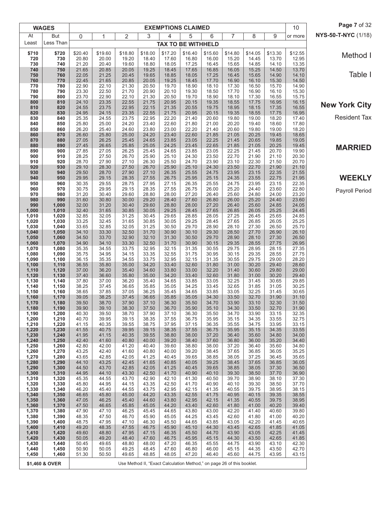|                | <b>WAGES</b>   |                |                |                |                | <b>EXEMPTIONS CLAIMED</b>                                              |                |                |                |                |                | 10             | Page 7 of 32         |
|----------------|----------------|----------------|----------------|----------------|----------------|------------------------------------------------------------------------|----------------|----------------|----------------|----------------|----------------|----------------|----------------------|
| At             | But            | 0              | 1              | 2              | 3              | 4                                                                      | 5              | 6              | 7              | 8              | 9              | or more        | NYS-50-T-NYC (1/18)  |
| Least          | Less Than      |                |                |                |                | <b>TAX TO BE WITHHELD</b>                                              |                |                |                |                |                |                |                      |
| \$710          | \$720          | \$20.40        | \$19.60        | \$18.80        | \$18.00        | \$17.20                                                                | \$16.40        | \$15.60        | \$14.80        | \$14.05        | \$13.30        | \$12.55        | Method I             |
| 720<br>730     | 730<br>740     | 20.80<br>21.20 | 20.00<br>20.40 | 19.20<br>19.60 | 18.40<br>18.80 | 17.60<br>18.05                                                         | 16.80<br>17.25 | 16.00<br>16.45 | 15.20<br>15.65 | 14.45<br>14.85 | 13.70<br>14.10 | 12.95<br>13.35 |                      |
| 740            | 750            | 21.65          | 20.85          | 20.05          | 19.25          | 18.45                                                                  | 17.65          | 16.85          | 16.05          | 15.25          | 14.50          | 13.70          |                      |
| 750            | 760            | 22.05          | 21.25          | 20.45          | 19.65          | 18.85                                                                  | 18.05          | 17.25          | 16.45          | 15.65          | 14.90          | 14.10          | Table I              |
| 760<br>770     | 770<br>780     | 22.45<br>22.90 | 21.65<br>22.10 | 20.85<br>21.30 | 20.05<br>20.50 | 19.25<br>19.70                                                         | 18.45<br>18.90 | 17.70<br>18.10 | 16.90<br>17.30 | 16.10<br>16.50 | 15.30<br>15.70 | 14.50<br>14.90 |                      |
| 780            | 790            | 23.30          | 22.50          | 21.70          | 20.90          | 20.10                                                                  | 19.30          | 18.50          | 17.70          | 16.90          | 16.10          | 15.30          |                      |
| 790<br>800     | 800<br>810     | 23.70<br>24.10 | 22.90<br>23.35 | 22.10<br>22.55 | 21.30<br>21.75 | 20.50<br>20.95                                                         | 19.70<br>20.15 | 18.90<br>19.35 | 18.10<br>18.55 | 17.30<br>17.75 | 16.55<br>16.95 | 15.75<br>16.15 |                      |
| 810            | 820            | 24.55          | 23.75          | 22.95          | 22.15          | 21.35                                                                  | 20.55          | 19.75          | 18.95          | 18.15          | 17.35          | 16.55          | <b>New York City</b> |
| 820<br>830     | 830<br>840     | 24.95<br>25.35 | 24.15<br>24.55 | 23.35<br>23.75 | 22.55<br>22.95 | 21.75<br>22.20                                                         | 20.95<br>21.40 | 20.15<br>20.60 | 19.35<br>19.80 | 18.55<br>19.00 | 17.75<br>18.20 | 16.95<br>17.40 | <b>Resident Tax</b>  |
| 840            | 850            | 25.80          | 25.00          | 24.20          | 23.40          | 22.60                                                                  | 21.80          | 21.00          | 20.20          | 19.40          | 18.60          | 17.80          |                      |
| 850            | 860            | 26.20          | 25.40          | 24.60          | 23.80          | 23.00                                                                  | 22.20          | 21.40          | 20.60          | 19.80          | 19.00          | 18.20          |                      |
| 860<br>870     | 870<br>880     | 26.60<br>27.05 | 25.80<br>26.25 | 25.00<br>25.45 | 24.20<br>24.65 | 23.40<br>23.85                                                         | 22.60<br>23.05 | 21.85<br>22.25 | 21.05<br>21.45 | 20.25<br>20.65 | 19.45<br>19.85 | 18.65<br>19.05 |                      |
| 880            | 890            | 27.45          | 26.65          | 25.85          | 25.05          | 24.25                                                                  | 23.45          | 22.65          | 21.85          | 21.05          | 20.25          | 19.45          | <b>MARRIED</b>       |
| 890<br>900     | 900<br>910     | 27.85<br>28.25 | 27.05<br>27.50 | 26.25<br>26.70 | 25.45<br>25.90 | 24.65<br>25.10                                                         | 23.85<br>24.30 | 23.05<br>23.50 | 22.25<br>22.70 | 21.45<br>21.90 | 20.70<br>21.10 | 19.90<br>20.30 |                      |
| 910            | 920            | 28.70          | 27.90          | 27.10          | 26.30          | 25.50                                                                  | 24.70          | 23.90          | 23.10          | 22.30          | 21.50          | 20.70          |                      |
| 920            | 930            | 29.10          | 28.30          | 27.50          | 26.70          | 25.90                                                                  | 25.10          | 24.30          | 23.50          | 22.70          | 21.90          | 21.10          |                      |
| 930<br>940     | 940<br>950     | 29.50<br>29.95 | 28.70<br>29.15 | 27.90<br>28.35 | 27.10<br>27.55 | 26.35<br>26.75                                                         | 25.55<br>25.95 | 24.75<br>25.15 | 23.95<br>24.35 | 23.15<br>23.55 | 22.35<br>22.75 | 21.55<br>21.95 | <b>WEEKLY</b>        |
| 950            | 960            | 30.35          | 29.55          | 28.75          | 27.95          | 27.15                                                                  | 26.35          | 25.55          | 24.75          | 23.95          | 23.15          | 22.35          |                      |
| 960<br>970     | 970<br>980     | 30.75<br>31.20 | 29.95<br>30.40 | 29.15<br>29.60 | 28.35<br>28.80 | 27.55<br>28.00                                                         | 26.75<br>27.20 | 26.00<br>26.40 | 25.20<br>25.60 | 24.40<br>24.80 | 23.60<br>24.00 | 22.80<br>23.20 | Payroll Period       |
| 980            | 990            | 31.60          | 30.80          | 30.00          | 29.20          | 28.40                                                                  | 27.60          | 26.80          | 26.00          | 25.20          | 24.40          | 23.60          |                      |
| 990<br>1,000   | 1,000<br>1,010 | 32.00          | 31.20          | 30.40<br>30.85 | 29.60          | 28.80                                                                  | 28.00          | 27.20<br>27.65 | 26.40<br>26.85 | 25.60          | 24.85          | 24.05          |                      |
| 1,010          | 1,020          | 32.40<br>32.85 | 31.65<br>32.05 | 31.25          | 30.05<br>30.45 | 29.25<br>29.65                                                         | 28.45<br>28.85 | 28.05          | 27.25          | 26.05<br>26.45 | 25.25<br>25.65 | 24.45<br>24.85 |                      |
| 1,020          | 1,030          | 33.25          | 32.45          | 31.65          | 30.85          | 30.05                                                                  | 29.25          | 28.45          | 27.65          | 26.85          | 26.05          | 25.25          |                      |
| 1,030<br>1,040 | 1,040<br>1,050 | 33.65<br>34.10 | 32.85<br>33.30 | 32.05<br>32.50 | 31.25<br>31.70 | 30.50<br>30.90                                                         | 29.70<br>30.10 | 28.90<br>29.30 | 28.10<br>28.50 | 27.30<br>27.70 | 26.50<br>26.90 | 25.70<br>26.10 |                      |
| 1,050          | 1,060          | 34.50          | 33.70          | 32.90          | 32.10          | 31.30                                                                  | 30.50          | 29.70          | 28.90          | 28.10          | 27.30          | 26.50          |                      |
| 1,060<br>1,070 | 1,070<br>1,080 | 34.90<br>35.35 | 34.10<br>34.55 | 33.30<br>33.75 | 32.50<br>32.95 | 31.70<br>32.15                                                         | 30.90<br>31.35 | 30.15<br>30.55 | 29.35<br>29.75 | 28.55<br>28.95 | 27.75<br>28.15 | 26.95<br>27.35 |                      |
| 1,080          | 1,090          | 35.75          | 34.95          | 34.15          | 33.35          | 32.55                                                                  | 31.75          | 30.95          | 30.15          | 29.35          | 28.55          | 27.75          |                      |
| 1,090          | 1,100          | 36.15          | 35.35          | 34.55          | 33.75          | 32.95                                                                  | 32.15          | 31.35          | 30.55          | 29.75          | 29.00          | 28.20          |                      |
| 1,100<br>1,110 | 1,110<br>1,120 | 36.55<br>37.00 | 35.80<br>36.20 | 35.00<br>35.40 | 34.20<br>34.60 | 33.40<br>33.80                                                         | 32.60<br>33.00 | 31.80<br>32.20 | 31.00<br>31.40 | 30.20<br>30.60 | 29.40<br>29.80 | 28.60<br>29.00 |                      |
| 1,120          | 1,130          | 37.40          | 36.60          | 35.80          | 35.00          | 34.20                                                                  | 33.40          | 32.60          | 31.80          | 31.00          | 30.20          | 29.40          |                      |
| 1,130<br>1,140 | 1,140<br>1,150 | 37.80<br>38.25 | 37.00<br>37.45 | 36.20<br>36.65 | 35.40<br>35.85 | 34.65<br>35.05                                                         | 33.85<br>34.25 | 33.05<br>33.45 | 32.25<br>32.65 | 31.45<br>31.85 | 30.65<br>31.05 | 29.85<br>30.25 |                      |
| 1,150          | 1,160          | 38.65          | 37.85          | 37.05          | 36.25          | 35.45                                                                  | 34.65          | 33.85          | 33.05          | 32.25          | 31.45          | 30.65          |                      |
| 1,160<br>1,170 | 1,170<br>1,180 | 39.05<br>39.50 | 38.25<br>38.70 | 37.45<br>37.90 | 36.65<br>37.10 | 35.85<br>36.30                                                         | 35.05          | 34.30<br>34.70 | 33.50<br>33.90 | 32.70<br>33.10 | 31.90<br>32.30 | 31.10<br>31.50 |                      |
| 1,180          | 1,190          | 39.90          | 39.10          | 38.30          | 37.50          | 36.70                                                                  | 35.50<br>35.90 | 35.10          | 34.30          | 33.50          | 32.70          | 31.90          |                      |
| 1,190          | 1,200          | 40.30          | 39.50          | 38.70          | 37.90          | 37.10                                                                  | 36.30          | 35.50          | 34.70          | 33.90          | 33.15          | 32.35          |                      |
| 1,200<br>1,210 | 1,210<br>1,220 | 40.70<br>41.15 | 39.95<br>40.35 | 39.15<br>39.55 | 38.35<br>38.75 | 37.55<br>37.95                                                         | 36.75<br>37.15 | 35.95<br>36.35 | 35.15<br>35.55 | 34.35<br>34.75 | 33.55<br>33.95 | 32.75<br>33.15 |                      |
| 1,220          | 1,230          | 41.55          | 40.75          | 39.95          | 39.15          | 38.35                                                                  | 37.55          | 36.75          | 35.95          | 35.15          | 34.35          | 33.55          |                      |
| 1,230<br>1,240 | 1,240<br>1,250 | 41.95<br>42.40 | 41.15<br>41.60 | 40.35<br>40.80 | 39.55<br>40.00 | 38.80<br>39.20                                                         | 38.00<br>38.40 | 37.20<br>37.60 | 36.40<br>36.80 | 35.60<br>36.00 | 34.80<br>35.20 | 34.00<br>34.40 |                      |
| 1,250          | 1,260          | 42.80          | 42.00          | 41.20          | 40.40          | 39.60                                                                  | 38.80          | 38.00          | 37.20          | 36.40          | 35.60          | 34.80          |                      |
| 1,260          | 1,270          | 43.25          | 42.40<br>42.85 | 41.60<br>42.05 | 40.80          | 40.00                                                                  | 39.20          | 38.45<br>38.85 | 37.65<br>38.05 | 36.85          | 36.05          | 35.25          |                      |
| 1,270<br>1,280 | 1,280<br>1,290 | 43.65<br>44.10 | 43.25          | 42.45          | 41.25<br>41.65 | 40.45<br>40.85                                                         | 39.65<br>40.05 | 39.25          | 38.45          | 37.25<br>37.65 | 36.45<br>36.85 | 35.65<br>36.05 |                      |
| 1,290          | 1,300          | 44.50          | 43.70          | 42.85          | 42.05          | 41.25                                                                  | 40.45          | 39.65          | 38.85          | 38.05          | 37.30          | 36.50          |                      |
| 1,300<br>1,310 | 1,310<br>1,320 | 44.95<br>45.35 | 44.10<br>44.55 | 43.30<br>43.70 | 42.50<br>42.90 | 41.70<br>42.10                                                         | 40.90<br>41.30 | 40.10<br>40.50 | 39.30<br>39.70 | 38.50<br>38.90 | 37.70<br>38.10 | 36.90<br>37.30 |                      |
| 1,320          | 1,330          | 45.80          | 44.95          | 44.15          | 43.35          | 42.50                                                                  | 41.70          | 40.90          | 40.10          | 39.30          | 38.50          | 37.70          |                      |
| 1,330<br>1,340 | 1,340<br>1,350 | 46.20<br>46.65 | 45.40<br>45.80 | 44.55<br>45.00 | 43.75<br>44.20 | 42.95<br>43.35                                                         | 42.15<br>42.55 | 41.35<br>41.75 | 40.55<br>40.95 | 39.75<br>40.15 | 38.95<br>39.35 | 38.15<br>38.55 |                      |
| 1,350          | 1,360          | 47.05          | 46.25          | 45.40          | 44.60          | 43.80                                                                  | 42.95          | 42.15          | 41.35          | 40.55          | 39.75          | 38.95          |                      |
| 1,360          | 1,370          | 47.50          | 46.65          | 45.85          | 45.05          | 44.20                                                                  | 43.40          | 42.60          | 41.80          | 41.00          | 40.20          | 39.40          |                      |
| 1,370<br>1,380 | 1,380<br>1,390 | 47.90<br>48.35 | 47.10<br>47.50 | 46.25<br>46.70 | 45.45<br>45.90 | 44.65<br>45.05                                                         | 43.80<br>44.25 | 43.00<br>43.45 | 42.20<br>42.60 | 41.40<br>41.80 | 40.60<br>41.00 | 39.80<br>40.20 |                      |
| 1,390          | 1,400          | 48.75          | 47.95          | 47.10          | 46.30          | 45.50                                                                  | 44.65          | 43.85          | 43.05          | 42.20          | 41.45          | 40.65          |                      |
| 1,400<br>1,410 | 1,410<br>1,420 | 49.20<br>49.60 | 48.35<br>48.80 | 47.55<br>47.95 | 46.75<br>47.15 | 45.90<br>46.35                                                         | 45.10<br>45.50 | 44.30<br>44.70 | 43.45<br>43.90 | 42.65<br>43.05 | 41.85<br>42.25 | 41.05<br>41.45 |                      |
| 1,420          | 1,430          | 50.05          | 49.20          | 48.40          | 47.60          | 46.75                                                                  | 45.95          | 45.15          | 44.30          | 43.50          | 42.65          | 41.85          |                      |
| 1,430<br>1,440 | 1,440<br>1,450 | 50.45<br>50.90 | 49.65<br>50.05 | 48.80<br>49.25 | 48.00<br>48.45 | 47.20<br>47.60                                                         | 46.35<br>46.80 | 45.55<br>46.00 | 44.75<br>45.15 | 43.90<br>44.35 | 43.10<br>43.50 | 42.30<br>42.70 |                      |
| 1,450          | 1,460          | 51.30          | 50.50          | 49.65          | 48.85          | 48.05                                                                  | 47.20          | 46.40          | 45.60          | 44.75          | 43.95          | 43.15          |                      |
|                | \$1,460 & OVER |                |                |                |                | Use Method II, "Exact Calculation Method," on page 26 of this booklet. |                |                |                |                |                |                |                      |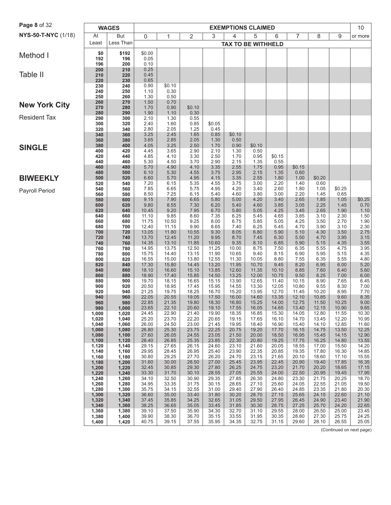| Page 8 of 32         | <b>WAGES</b><br><b>EXEMPTIONS CLAIMED</b> |                |                |                |                |                |                           |                |                | 10             |                |                |                          |
|----------------------|-------------------------------------------|----------------|----------------|----------------|----------------|----------------|---------------------------|----------------|----------------|----------------|----------------|----------------|--------------------------|
| NYS-50-T-NYC (1/18)  | At                                        | But            | 0              | 1              | $\overline{2}$ | 3              | 4                         | 5              | 6              | 7              | 8              | 9              | or more                  |
|                      | Least                                     | Less Than      |                |                |                |                | <b>TAX TO BE WITHHELD</b> |                |                |                |                |                |                          |
| Method I             | \$0                                       | \$192          | \$0.00         |                |                |                |                           |                |                |                |                |                |                          |
|                      | 192<br>196                                | 196<br>200     | 0.05<br>0.10   |                |                |                |                           |                |                |                |                |                |                          |
|                      | 200                                       | 210            | 0.25           |                |                |                |                           |                |                |                |                |                |                          |
| Table II             | 210<br>220                                | 220<br>230     | 0.45<br>0.65   |                |                |                |                           |                |                |                |                |                |                          |
|                      | 230                                       | 240            | 0.90           | \$0.10         |                |                |                           |                |                |                |                |                |                          |
|                      | 240<br>250                                | 250<br>260     | 1.10<br>1.30   | 0.30<br>0.50   |                |                |                           |                |                |                |                |                |                          |
|                      | 260                                       | 270            | 1.50           | 0.70           |                |                |                           |                |                |                |                |                |                          |
| <b>New York City</b> | 270                                       | 280            | 1.70           | 0.90           | \$0.10         |                |                           |                |                |                |                |                |                          |
| <b>Resident Tax</b>  | 280<br>290                                | 290<br>300     | 1.90<br>2.10   | 1.10<br>1.30   | 0.30<br>0.55   |                |                           |                |                |                |                |                |                          |
|                      | 300                                       | 320            | 2.40           | 1.60           | 0.85           | \$0.05         |                           |                |                |                |                |                |                          |
|                      | 320<br>340                                | 340<br>360     | 2.80<br>3.25   | 2.05<br>2.45   | 1.25<br>1.65   | 0.45<br>0.85   | \$0.10                    |                |                |                |                |                |                          |
|                      | 360                                       | 380            | 3.65           | 2.85           | 2.05           | 1.30           | 0.50                      |                |                |                |                |                |                          |
| <b>SINGLE</b>        | 380<br>400                                | 400<br>420     | 4.05<br>4.45   | 3.25<br>3.65   | 2.50<br>2.90   | 1.70<br>2.10   | 0.90<br>1.30              | \$0.10<br>0.50 |                |                |                |                |                          |
|                      | 420                                       | 440            | 4.85           | 4.10           | 3.30           | 2.50           | 1.70                      | 0.95           | \$0.15         |                |                |                |                          |
|                      | 440<br>460                                | 460<br>480     | 5.30<br>5.70   | 4.50<br>4.90   | 3.70<br>4.10   | 2.90<br>3.35   | 2.15<br>2.55              | 1.35<br>1.75   | 0.55<br>0.95   | \$0.15         |                |                |                          |
|                      | 480                                       | 500            | 6.10           | 5.30           | 4.55           | 3.75           | 2.95                      | 2.15           | 1.35           | 0.60           |                |                |                          |
| <b>BIWEEKLY</b>      | 500                                       | 520            | 6.60           | 5.70           | 4.95           | 4.15           | 3.35                      | 2.55           | 1.80           | 1.00           | \$0.20         |                |                          |
| Payroll Period       | 520<br>540                                | 540<br>560     | 7.20<br>7.85   | 6.15<br>6.65   | 5.35<br>5.75   | 4.55<br>4.95   | 3.75<br>4.20              | 3.00<br>3.40   | 2.20<br>2.60   | 1.40<br>1.80   | 0.60<br>1.05   | \$0.25         |                          |
|                      | 560                                       | 580            | 8.50           | 7.25           | 6.15           | 5.40           | 4.60                      | 3.80           | 3.00           | 2.20           | 1.45           | 0.65           |                          |
|                      | 580<br>600                                | 600<br>620     | 9.15<br>9.80   | 7.90<br>8.55   | 6.65<br>7.30   | 5.80<br>6.20   | 5.00<br>5.40              | 4.20<br>4.60   | 3.40<br>3.85   | 2.65<br>3.05   | 1.85<br>2.25   | 1.05<br>1.45   | \$0.25<br>0.70           |
|                      | 620                                       | 640            | 10.45          | 9.20           | 7.95           | 6.70           | 5.80                      | 5.05           | 4.25           | 3.45           | 2.65           | 1.90           | 1.10                     |
|                      | 640<br>660                                | 660<br>680     | 11.10<br>11.75 | 9.85<br>10.50  | 8.60<br>9.25   | 7.35<br>8.00   | 6.25<br>6.75              | 5.45<br>5.85   | 4.65<br>5.05   | 3.85<br>4.25   | 3.10<br>3.50   | 2.30<br>2.70   | 1.50<br>1.90             |
|                      | 680                                       | 700            | 12.40          | 11.15          | 9.90           | 8.65           | 7.40                      | 6.25           | 5.45           | 4.70           | 3.90           | 3.10           | 2.30                     |
|                      | 700                                       | 720            | 13.05          | 11.80          | 10.55          | 9.30           | 8.05                      | 6.80           | 5.90           | 5.10           | 4.30           | 3.50           | 2.75                     |
|                      | 720<br>740                                | 740<br>760     | 13.70<br>14.35 | 12.45<br>13.10 | 11.20<br>11.85 | 9.95<br>10.60  | 8.70<br>9.35              | 7.45<br>8.10   | 6.30<br>6.85   | 5.50<br>5.90   | 4.70<br>5.15   | 3.95<br>4.35   | 3.15<br>$3.55\,$         |
|                      | 760                                       | 780            | 14.95          | 13.75          | 12.50          | 11.25          | 10.00                     | 8.75           | 7.50           | 6.35           | 5.55           | 4.75           | 3.95                     |
|                      | 780<br>800                                | 800<br>820     | 15.75<br>16.55 | 14.40<br>15.00 | 13.15<br>13.80 | 11.90<br>12.55 | 10.65<br>11.30            | 9.40<br>10.05  | 8.15<br>8.80   | 6.90<br>7.55   | 5.95<br>6.35   | 5.15<br>5.55   | 4.35<br>4.80             |
|                      | 820                                       | 840            | 17.30          | 15.80          | 14.45          | 13.20          | 11.95                     | 10.70          | 9.45           | 8.20           | 6.95           | 6.00           | 5.20                     |
|                      | 840<br>860                                | 860<br>880     | 18.10<br>18.90 | 16.60<br>17.40 | 15.10<br>15.85 | 13.85<br>14.50 | 12.60<br>13.25            | 11.35<br>12.00 | 10.10<br>10.75 | 8.85<br>9.50   | 7.60<br>8.25   | 6.40<br>7.00   | 5.60<br>6.00             |
|                      | 880                                       | 900            | 19.70          | 18.15          | 16.65          | 15.15          | 13.90                     | 12.65          | 11.40          | 10.15          | 8.90           | 7.65           | 6.45                     |
|                      | 900<br>920                                | 920<br>940     | 20.50<br>21.25 | 18.95<br>19.75 | 17.45<br>18.25 | 15.95<br>16.70 | 14.55<br>15.20            | 13.30<br>13.95 | 12.05<br>12.70 | 10.80<br>11.45 | 9.55<br>10.20  | 8.30<br>8.95   | 7.00<br>7.70             |
|                      | 940                                       | 960            | 22.05          | 20.55          | 19.05          | 17.50          | 16.00                     | 14.60          | 13.35          | 12.10          | 10.85          | 9.60           | 8.35                     |
|                      | 960<br>980                                | 980            | 22.85<br>23.65 | 21.35<br>22.10 | 19.80<br>20.60 | 18.30<br>19.10 | 16.80                     | 15.25<br>16.05 | 14.00<br>14.65 | 12.75          | 11.50<br>12.15 | 10.25<br>10.90 | 9.00<br>9.65             |
|                      | 1,000                                     | 1,000<br>1,020 | 24.45          | 22.90          | 21.40          | 19.90          | 17.55<br>18.35            | 16.85          | 15.30          | 13.40<br>14.05 | 12.80          | 11.55          | 10.30                    |
|                      | 1,020                                     | 1,040          | 25.20          | 23.70          | 22.20          | 20.65          | 19.15                     | 17.65          | 16.10          | 14.70          | 13.45          | 12.20          | 10.95                    |
|                      | 1,040<br>1,060                            | 1,060<br>1,080 | 26.00<br>26.80 | 24.50<br>25.30 | 23.00<br>23.75 | 21.45<br>22.25 | 19.95<br>20.75            | 18.40<br>19.20 | 16.90<br>17.70 | 15.40<br>16.15 | 14.10<br>14.75 | 12.85<br>13.50 | 11.60<br>12.25           |
|                      | 1,080                                     | 1,100          | 27.60          | 26.05          | 24.55          | 23.05          | 21.50                     | 20.00          | 18.50          | 16.95          | 15.45          | 14.15          | 12.90                    |
|                      | 1,100<br>1,120                            | 1,120<br>1,140 | 28.40<br>29.15 | 26.85<br>27.65 | 25.35<br>26.15 | 23.85<br>24.60 | 22.30<br>23.10            | 20.80<br>21.60 | 19.25<br>20.05 | 17.75<br>18.55 | 16.25<br>17.00 | 14.80<br>15.50 | 13.55<br>14.20           |
|                      | 1,140                                     | 1,160          | 29.95          | 28.45          | 26.95          | 25.40          | 23.90                     | 22.35          | 20.85          | 19.35          | 17.80          | 16.30          | 14.85                    |
|                      | 1,160<br>1,180                            | 1,180<br>1,200 | 30.80<br>31.60 | 29.25<br>30.00 | 27.70<br>28.50 | 26.20<br>27.00 | 24.70<br>25.45            | 23.15<br>23.95 | 21.65<br>22.45 | 20.10<br>20.90 | 18.60<br>19.40 | 17.10<br>17.85 | 15.55<br>16.35           |
|                      | 1,200                                     | 1,220          | 32.45          | 30.85          | 29.30          | 27.80          | 26.25                     | 24.75          | 23.20          | 21.70          | 20.20          | 18.65          | 17.15                    |
|                      | 1,220<br>1,240                            | 1,240<br>1,260 | 33.30<br>34.10 | 31.70<br>32.50 | 30.10<br>30.90 | 28.55<br>29.35 | 27.05<br>27.85            | 25.55<br>26.30 | 24.00<br>24.80 | 22.50<br>23.30 | 20.95<br>21.75 | 19.45<br>20.25 | 17.95<br>18.70           |
|                      | 1,260                                     | 1,280          | 34.95          | 33.35          | 31.75          | 30.15          | 28.65                     | 27.10          | 25.60          | 24.05          | 22.55          | 21.05          | 19.50                    |
|                      | 1,280                                     | 1,300          | 35.75          | 34.15          | 32.55          | 31.00          | 29.40                     | 27.90          | 26.40          | 24.85          | 23.35          | 21.80          | 20.30                    |
|                      | 1,300<br>1,320                            | 1,320<br>1,340 | 36.60<br>37.45 | 35.00<br>35.85 | 33.40<br>34.25 | 31.80<br>32.65 | 30.20<br>31.05            | 28.70<br>29.50 | 27.15<br>27.95 | 25.65<br>26.45 | 24.15<br>24.90 | 22.60<br>23.40 | 21.10<br>21.90           |
|                      | 1,340                                     | 1,360          | 38.25          | 36.65          | 35.05          | 33.45          | 31.85                     | 30.30          | 28.75          | 27.25          | 25.70          | 24.20          | 22.65                    |
|                      | 1,360<br>1,380                            | 1,380<br>1,400 | 39.10<br>39.90 | 37.50<br>38.30 | 35.90<br>36.70 | 34.30<br>35.15 | 32.70<br>33.55            | 31.10<br>31.95 | 29.55<br>30.35 | 28.00<br>28.80 | 26.50<br>27.30 | 25.00<br>25.75 | 23.45<br>24.25           |
|                      | 1,400                                     | 1,420          | 40.75          | 39.15          | 37.55          | 35.95          | 34.35                     | 32.75          | 31.15          | 29.60          | 28.10          | 26.55          | 25.05                    |
|                      |                                           |                |                |                |                |                |                           |                |                |                |                |                | (Continued on next page) |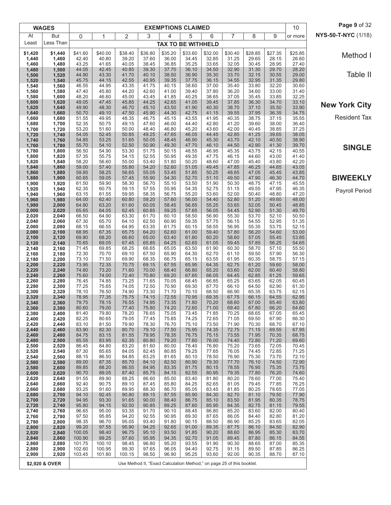|                | <b>WAGES</b>   |                  |                 |                |                |                | <b>EXEMPTIONS CLAIMED</b>                                              |                |                |                |                | 10             | Page 9 of 32         |
|----------------|----------------|------------------|-----------------|----------------|----------------|----------------|------------------------------------------------------------------------|----------------|----------------|----------------|----------------|----------------|----------------------|
| At             | But            | 0                | 1               | 2              | 3              | 4              | 5                                                                      | 6              | $\overline{7}$ | 8              | 9              | or more        | NYS-50-T-NYC (1/18)  |
| Least          | Less Than      |                  |                 |                |                |                | <b>TAX TO BE WITHHELD</b>                                              |                |                |                |                |                |                      |
| \$1,420        | \$1,440        | \$41.60          | \$40.00         | \$38.40        | \$36.80        | \$35.20        | \$33.60                                                                | \$32.00        | \$30.40        | \$28.85        | \$27.35        | \$25.85        | Method I             |
| 1,440<br>1,460 | 1,460<br>1,480 | 42.40<br>43.25   | 40.80<br>41.65  | 39.20<br>40.05 | 37.60<br>38.45 | 36.00<br>36.85 | 34.45<br>35.25                                                         | 32.85<br>33.65 | 31.25<br>32.05 | 29.65<br>30.45 | 28.15<br>28.95 | 26.60<br>27.40 |                      |
| 1,480          | 1,500          | 44.05            | 42.45           | 40.85          | 39.30          | 37.70          | 36.10                                                                  | 34.50          | 32.90          | 31.30          | 29.70          | 28.20          | Table II             |
| 1,500<br>1,520 | 1,520<br>1,540 | 44.90<br>45.75   | 43.30<br>44.15  | 41.70<br>42.55 | 40.10<br>40.95 | 38.50<br>39.35 | 36.90<br>37.75                                                         | 35.30<br>36.15 | 33.70<br>34.55 | 32.15<br>32.95 | 30.55<br>31.35 | 29.00<br>29.80 |                      |
| 1,540<br>1,560 | 1,560<br>1,580 | 46.55<br>47.40   | 44.95<br>45.80  | 43.35<br>44.20 | 41.75<br>42.60 | 40.15<br>41.00 | 38.60<br>39.40                                                         | 37.00<br>37.80 | 35.40<br>36.20 | 33.80<br>34.60 | 32.20<br>33.00 | 30.60<br>31.40 |                      |
| 1,580          | 1,600          | 48.20            | 46.60           | 45.00          | 43.45          | 41.85          | 40.25                                                                  | 38.65          | 37.05          | 35.45          | 33.85          | 32.25          |                      |
| 1,600<br>1,620 | 1,620<br>1,640 | 49.05<br>49.90   | 47.45<br>48.30  | 45.85<br>46.70 | 44.25<br>45.10 | 42.65<br>43.50 | 41.05<br>41.90                                                         | 39.45<br>40.30 | 37.85<br>38.70 | 36.30<br>37.10 | 34.70<br>35.50 | 33.10<br>33.90 | <b>New York City</b> |
| 1,640          | 1,660          | 50.70            | 49.10           | 47.50          | 45.90          | 44.30          | 42.75                                                                  | 41.15          | 39.55          | 37.95          | 36.35          | 34.75          |                      |
| 1,660<br>1,680 | 1,680<br>1,700 | 51.55<br>52.35   | 49.95<br>50.75  | 48.35<br>49.15 | 46.75<br>47.60 | 45.15<br>46.00 | 43.55<br>44.40                                                         | 41.95<br>42.80 | 40.35<br>41.20 | 38.75<br>39.60 | 37.15<br>38.00 | 35.55<br>36.40 | <b>Resident Tax</b>  |
| 1,700          | 1,720          | 53.20            | 51.60           | 50.00          | 48.40          | 46.80          | 45.20                                                                  | 43.60          | 42.00          | 40.45          | 38.85          | 37.25          |                      |
| 1,720<br>1,740 | 1,740<br>1,760 | 54.05<br>54.85   | 52.45<br>53.25  | 50.85<br>51.65 | 49.25<br>50.05 | 47.65<br>48.45 | 46.05<br>46.90                                                         | 44.45<br>45.30 | 42.85<br>43.70 | 41.25<br>42.10 | 39.65<br>40.50 | 38.05<br>38.90 |                      |
| 1,760          | 1,780          | 55.70            | 54.10           | 52.50          | 50.90          | 49.30          | 47.70                                                                  | 46.10          | 44.50          | 42.90          | 41.30          | 39.70          | <b>SINGLE</b>        |
| 1,780<br>1,800 | 1,800<br>1,820 | 56.50<br>57.35   | 54.90<br>55.75  | 53.30<br>54.15 | 51.75<br>52.55 | 50.15<br>50.95 | 48.55<br>49.35                                                         | 46.95<br>47.75 | 45.35<br>46.15 | 43.75<br>44.60 | 42.15<br>43.00 | 40.55<br>41.40 |                      |
| 1,820          | 1,840          | 58.20            | 56.60           | 55.00          | 53.40          | 51.80          | 50.20                                                                  | 48.60          | 47.00          | 45.40          | 43.80          | 42.20          |                      |
| 1,840<br>1,860 | 1,860<br>1,880 | 59.00<br>59.85   | 57.40<br>58.25  | 55.80<br>56.65 | 54.20<br>55.05 | 52.60<br>53.45 | 51.05<br>51.85                                                         | 49.45<br>50.25 | 47.85<br>48.65 | 46.25<br>47.05 | 44.65<br>45.45 | 43.05<br>43.85 |                      |
| 1,880          | 1,900          | 60.65            | 59.05           | 57.45          | 55.90          | 54.30          | 52.70                                                                  | 51.10          | 49.50          | 47.90          | 46.30          | 44.70          | <b>BIWEEKLY</b>      |
| 1,900<br>1,920 | 1,920<br>1,940 | 61.50<br>62.35   | 59.90<br>60.75  | 58.30<br>59.15 | 56.70<br>57.55 | 55.10<br>55.95 | 53.50<br>54.35                                                         | 51.90<br>52.75 | 50.30<br>51.15 | 48.75<br>49.55 | 47.15<br>47.95 | 45.55<br>46.35 |                      |
| 1,940          | 1,960          | 63.15            | 61.55           | 59.95          | 58.35          | 56.75          | 55.20                                                                  | 53.60          | 52.00          | 50.40          | 48.80          | 47.20          | Payroll Period       |
| 1,960<br>1,980 | 1,980<br>2,000 | 64.00<br>64.80   | 62.40<br>63.20  | 60.80<br>61.60 | 59.20<br>60.05 | 57.60<br>58.45 | 56.00<br>56.85                                                         | 54.40<br>55.25 | 52.80<br>53.65 | 51.20<br>52.05 | 49.60<br>50.45 | 48.00<br>48.85 |                      |
| 2,000          | 2,020          | 65.65            | 64.05           | 62.45          | 60.85          | 59.25          | 57.65                                                                  | 56.05          | 54.45          | 52.90          | 51.30          | 49.70          |                      |
| 2,020<br>2,040 | 2,040<br>2,060 | 66.50<br>67.30   | 64.90<br>65.70  | 63.30<br>64.10 | 61.70<br>62.50 | 60.10<br>60.90 | 58.50<br>59.35                                                         | 56.90<br>57.75 | 55.30<br>56.15 | 53.70<br>54.55 | 52.10<br>52.95 | 50.50<br>51.35 |                      |
| 2,060          | 2,080          | 68.15            | 66.55           | 64.95          | 63.35          | 61.75          | 60.15                                                                  | 58.55          | 56.95          | 55.35          | 53.75          | 52.15          |                      |
| 2,080<br>2,100 | 2,100<br>2,120 | 68.95<br>69.80   | 67.35<br>68.20  | 65.75<br>66.60 | 64.20<br>65.00 | 62.60<br>63.40 | 61.00<br>61.80                                                         | 59.40<br>60.20 | 57.80<br>58.60 | 56.20<br>57.05 | 54.60<br>55.45 | 53.00<br>53.85 |                      |
| 2,120          | 2,140          | 70.65            | 69.05           | 67.45          | 65.85          | 64.25          | 62.65                                                                  | 61.05          | 59.45          | 57.85          | 56.25          | 54.65          |                      |
| 2,140<br>2,160 | 2,160<br>2,180 | 71.45<br>72.30   | 69.85<br>70.70  | 68.25<br>69.10 | 66.65<br>67.50 | 65.05<br>65.90 | 63.50<br>64.30                                                         | 61.90<br>62.70 | 60.30<br>61.10 | 58.70<br>59.50 | 57.10<br>57.90 | 55.50<br>56.30 |                      |
| 2,180          | 2,200          | 73.10            | 71.50           | 69.90          | 68.35          | 66.75          | 65.15                                                                  | 63.55          | 61.95          | 60.35          | 58.75          | 57.15          |                      |
| 2,200<br>2,220 | 2,220<br>2,240 | 73.95<br>74.80   | 72.35<br>73.20  | 70.75<br>71.60 | 69.15<br>70.00 | 67.55<br>68.40 | 65.95<br>66.80                                                         | 64.35<br>65.20 | 62.75<br>63.60 | 61.20<br>62.00 | 59.60<br>60.40 | 58.00<br>58.80 |                      |
| 2,240          | 2,260          | 75.60            | 74.00           | 72.40          | 70.80          | 69.20          | 67.65                                                                  | 66.05          | 64.45          | 62.85          | 61.25          | 59.65          |                      |
| 2,260<br>2,280 | 2,280<br>2,300 | 76.45<br>77.25   | 74.85<br>75.65  | 73.25<br>74.05 | 71.65<br>72.50 | 70.05<br>70.90 | 68.45<br>69.30                                                         | 66.85<br>67.70 | 65.25<br>66.10 | 63.65<br>64.50 | 62.05<br>62.90 | 60.45<br>61.30 |                      |
| 2,300          | 2,320          | 78.10            | 76.50           | 74.90          | 73.30          | 71.70          | 70.10                                                                  | 68.50          | 66.90          | 65.35          | 63.75          | 62.15          |                      |
| 2,320<br>2,340 | 2,340<br>2,360 | 78.95<br>79.75   | 77.35<br>78.15  | 75.75<br>76.55 | 74.15<br>74.95 | 72.55<br>73.35 | 70.95<br>71.80                                                         | 69.35<br>70.20 | 67.75<br>68.60 | 66.15<br>67.00 | 64.55<br>65.40 | 62.95<br>63.80 |                      |
| 2,360          | 2,380          | 80.60            | 79.00           | 77.40          | 75.80          | 74.20          | 72.60                                                                  | 71.00          | 69.40          | 67.80          | 66.20          | 64.60          |                      |
| 2,380<br>2,400 | 2,400<br>2,420 | 81.40<br>82.25   | 79.80<br>80.65  | 78.20<br>79.05 | 76.65<br>77.45 | 75.05<br>75.85 | 73.45<br>74.25                                                         | 71.85<br>72.65 | 70.25<br>71.05 | 68.65<br>69.50 | 67.05<br>67.90 | 65.45<br>66.30 |                      |
| 2,420<br>2,440 | 2,440<br>2,460 | 83.10<br>83.90   | 81.50<br>82.30  | 79.90<br>80.70 | 78.30<br>79.10 | 76.70<br>77.50 | 75.10<br>75.95                                                         | 73.50<br>74.35 | 71.90<br>72.75 | 70.30<br>71.15 | 68.70<br>69.55 | 67.10<br>67.95 |                      |
| 2,460          | 2,480          | 84.75            | 83.15           | 81.55          | 79.95          | 78.35          | 76.75                                                                  | 75.15          | 73.55          | 71.95          | 70.35          | 68.75          |                      |
| 2,480<br>2,500 | 2,500<br>2,520 | 85.55<br>86.45   | 83.95<br>84.80  | 82.35<br>83.20 | 80.80<br>81.60 | 79.20<br>80.00 | 77.60<br>78.40                                                         | 76.00<br>76.80 | 74.40<br>75.20 | 72.80<br>73.65 | 71.20<br>72.05 | 69.60<br>70.45 |                      |
| 2,520          | 2,540          | 87.30            | 85.65           | 84.05          | 82.45          | 80.85          | 79.25                                                                  | 77.65          | 76.05          | 74.45          | 72.85          | 71.25          |                      |
| 2,540<br>2,560 | 2,560<br>2,580 | 88.15<br>89.00   | 86.50<br>87.35  | 84.85<br>85.70 | 83.25<br>84.10 | 81.65<br>82.50 | 80.10<br>80.90                                                         | 78.50<br>79.30 | 76.90<br>77.70 | 75.30<br>76.10 | 73.70<br>74.50 | 72.10<br>72.90 |                      |
| 2,580          | 2,600          | 89.85            | 88.20           | 86.55          | 84.95          | 83.35          | 81.75                                                                  | 80.15          | 78.55          | 76.95          | 75.35          | 73.75          |                      |
| 2,600<br>2,620 | 2,620<br>2,640 | 90.70<br>91.55   | 89.05<br>89.90  | 87.40<br>88.25 | 85.75<br>86.60 | 84.15<br>85.00 | 82.55<br>83.40                                                         | 80.95<br>81.80 | 79.35<br>80.20 | 77.80<br>78.60 | 76.20<br>77.00 | 74.60<br>75.40 |                      |
| 2,640          | 2,660          | 92.40            | 90.75           | 89.10          | 87.45          | 85.80          | 84.25                                                                  | 82.65          | 81.05          | 79.45          | 77.85          | 76.25          |                      |
| 2,660<br>2,680 | 2,680<br>2,700 | 93.25<br>94.10   | 91.60<br>92.45  | 89.95<br>90.80 | 88.30<br>89.15 | 86.70<br>87.55 | 85.05<br>85.90                                                         | 83.45<br>84.30 | 81.85<br>82.70 | 80.25<br>81.10 | 78.65<br>79.50 | 77.05<br>77.90 |                      |
| 2,700          | 2,720          | 94.95            | 93.30           | 91.65          | 90.00          | 88.40          | 86.75                                                                  | 85.10          | 83.50          | 81.95          | 80.35          | 78.75          |                      |
| 2,720<br>2,740 | 2,740<br>2,760 | 95.80<br>96.65   | 94.15<br>95.00  | 92.50<br>93.35 | 90.85<br>91.70 | 89.25<br>90.10 | 87.60<br>88.45                                                         | 85.95<br>86.80 | 84.35<br>85.20 | 82.75<br>83.60 | 81.15<br>82.00 | 79.55<br>80.40 |                      |
| 2,760          | 2,780          | 97.50            | 95.85           | 94.20          | 92.55          | 90.95          | 89.30                                                                  | 87.65          | 86.05          | 84.40          | 82.80          | 81.20          |                      |
| 2,780<br>2,800 | 2,800<br>2,820 | 98.35<br>99.20   | 96.70<br>97.55  | 95.05<br>95.90 | 93.40<br>94.25 | 91.80<br>92.65 | 90.15<br>91.00                                                         | 88.50<br>89.35 | 86.90<br>87.75 | 85.25<br>86.10 | 83.65<br>84.50 | 82.05<br>82.90 |                      |
| 2,820          | 2,840          | 100.05           | 98.40           | 96.75          | 95.10          | 93.50          | 91.85                                                                  | 90.20          | 88.60          | 86.95          | 85.30          | 83.70          |                      |
| 2,840<br>2,860 | 2,860<br>2,880 | 100.90<br>101.75 | 99.25<br>100.10 | 97.60<br>98.45 | 95.95<br>96.80 | 94.35<br>95.20 | 92.70<br>93.55                                                         | 91.05<br>91.90 | 89.45<br>90.30 | 87.80<br>88.65 | 86.15<br>87.00 | 84.55<br>85.35 |                      |
| 2,880          | 2,900          | 102.60           | 100.95          | 99.30          | 97.65          | 96.05          | 94.40                                                                  | 92.75          | 91.15          | 89.50          | 87.85          | 86.25          |                      |
| 2,900          | 2,920          | 103.45           | 101.80          | 100.15         | 98.50          | 96.90          | 95.25                                                                  | 93.60          | 92.00          | 90.35          | 88.70          | 87.10          |                      |
|                | \$2,920 & OVER |                  |                 |                |                |                | Use Method II, "Exact Calculation Method," on page 25 of this booklet. |                |                |                |                |                |                      |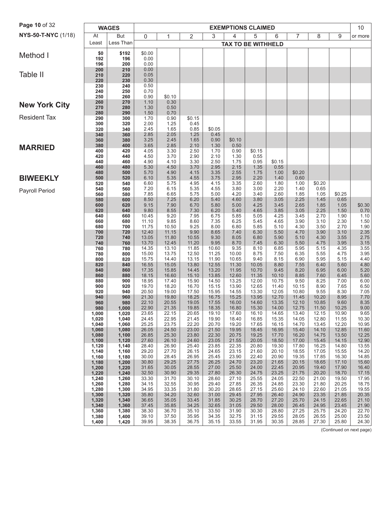| Page 10 of 32         | <b>WAGES</b><br><b>EXEMPTIONS CLAIMED</b> |                |                |                |                |                |                           |                |                | 10             |                |                |                                   |
|-----------------------|-------------------------------------------|----------------|----------------|----------------|----------------|----------------|---------------------------|----------------|----------------|----------------|----------------|----------------|-----------------------------------|
| NYS-50-T-NYC (1/18)   | At                                        | But            | $\mathbf 0$    | 1              | 2              | 3              | 4                         | 5              | 6              | 7              | 8              | 9              | or more                           |
|                       | Least                                     | Less Than      |                |                |                |                | <b>TAX TO BE WITHHELD</b> |                |                |                |                |                |                                   |
|                       | \$0                                       | \$192          | \$0.00         |                |                |                |                           |                |                |                |                |                |                                   |
| Method I              | 192                                       | 196            | 0.00           |                |                |                |                           |                |                |                |                |                |                                   |
|                       | 196<br>200                                | 200<br>210     | 0.00<br>0.00   |                |                |                |                           |                |                |                |                |                |                                   |
| Table II              | 210                                       | 220            | 0.05           |                |                |                |                           |                |                |                |                |                |                                   |
|                       | 220                                       | 230            | 0.30           |                |                |                |                           |                |                |                |                |                |                                   |
|                       | 230<br>240                                | 240<br>250     | 0.50<br>0.70   |                |                |                |                           |                |                |                |                |                |                                   |
|                       | 250                                       | 260            | 0.90           | \$0.10         |                |                |                           |                |                |                |                |                |                                   |
| <b>New York City</b>  | 260<br>270                                | 270<br>280     | 1.10<br>1.30   | 0.30<br>0.50   |                |                |                           |                |                |                |                |                |                                   |
|                       | 280                                       | 290            | 1.50           | 0.70           |                |                |                           |                |                |                |                |                |                                   |
| <b>Resident Tax</b>   | 290                                       | 300            | 1.70           | 0.90           | \$0.15         |                |                           |                |                |                |                |                |                                   |
|                       | 300<br>320                                | 320<br>340     | 2.00<br>2.45   | 1.25<br>1.65   | 0.45<br>0.85   | \$0.05         |                           |                |                |                |                |                |                                   |
|                       | 340                                       | 360            | 2.85           | 2.05           | 1.25           | 0.45           |                           |                |                |                |                |                |                                   |
|                       | 360<br>380                                | 380<br>400     | 3.25<br>3.65   | 2.45<br>2.85   | 1.65<br>2.10   | 0.90<br>1.30   | \$0.10<br>0.50            |                |                |                |                |                |                                   |
| <b>MARRIED</b>        | 400                                       | 420            | 4.05           | 3.30           | 2.50           | 1.70           | 0.90                      | \$0.15         |                |                |                |                |                                   |
|                       | 420                                       | 440            | 4.50           | 3.70           | 2.90           | 2.10           | 1.30                      | 0.55           |                |                |                |                |                                   |
|                       | 440<br>460                                | 460<br>480     | 4.90<br>5.30   | 4.10<br>4.50   | 3.30<br>3.70   | 2.50<br>2.95   | 1.75<br>2.15              | 0.95<br>1.35   | \$0.15<br>0.55 |                |                |                |                                   |
|                       | 480                                       | 500            | 5.70           | 4.90           | 4.15           | 3.35           | 2.55                      | 1.75           | 1.00           | \$0.20         |                |                |                                   |
| <b>BIWEEKLY</b>       | 500                                       | 520            | 6.10           | 5.35           | 4.55           | 3.75           | 2.95                      | 2.20           | 1.40           | 0.60           |                |                |                                   |
|                       | 520<br>540                                | 540<br>560     | 6.60<br>7.20   | 5.75<br>6.15   | 4.95<br>5.35   | 4.15<br>4.55   | 3.35<br>3.80              | 2.60<br>3.00   | 1.80<br>2.20   | 1.00<br>1.40   | \$0.20<br>0.65 |                |                                   |
| <b>Payroll Period</b> | 560                                       | 580            | 7.85           | 6.65           | 5.75           | 5.00           | 4.20                      | 3.40           | 2.60           | 1.85           | 1.05           | \$0.25         |                                   |
|                       | 580<br>600                                | 600            | 8.50           | 7.25           | 6.20           | 5.40<br>5.80   | 4.60                      | 3.80<br>4.25   | 3.05           | 2.25<br>2.65   | 1.45           | 0.65           |                                   |
|                       | 620                                       | 620<br>640     | 9.15<br>9.80   | 7.90<br>8.55   | 6.70<br>7.30   | 6.20           | 5.00<br>5.40              | 4.65           | 3.45<br>3.85   | 3.05           | 1.85<br>2.25   | 1.05<br>1.50   | $$0.300.70$                       |
|                       | 640                                       | 660            | 10.45          | 9.20           | 7.95           | 6.75           | 5.85                      | 5.05           | 4.25           | 3.45           | 2.70           | 1.90           | 1.10                              |
|                       | 660<br>680                                | 680<br>700     | 11.10<br>11.75 | 9.85<br>10.50  | 8.60<br>9.25   | 7.35<br>8.00   | 6.25<br>6.80              | 5.45<br>5.85   | 4.65<br>5.10   | 3.90<br>4.30   | 3.10<br>3.50   | 2.30<br>2.70   | $\frac{1.50}{1.90}$               |
|                       | 700                                       | 720            | 12.40          | 11.15          | 9.90           | 8.65           | 7.40                      | 6.30           | 5.50           | 4.70           | 3.90           | 3.10           | 2.35                              |
|                       | 720                                       | 740            | 13.05          | 11.80          | 10.55          | 9.30           | 8.05                      | 6.80           | 5.90           | 5.10           | 4.30           | 3.55           | 2.75                              |
|                       | 740<br>760                                | 760<br>780     | 13.70<br>14.35 | 12.45<br>13.10 | 11.20<br>11.85 | 9.95<br>10.60  | 8.70<br>9.35              | 7.45<br>8.10   | 6.30<br>6.85   | 5.50<br>5.95   | 4.75<br>5.15   | 3.95<br>4.35   | 3.15                              |
|                       | 780                                       | 800            | 15.00          | 13.75          | 12.50          | 11.25          | 10.00                     | 8.75           | 7.50           | 6.35           | 5.55           | 4.75           | $\frac{3.55}{3.95}$               |
|                       | 800<br>820                                | 820<br>840     | 15.75<br>16.55 | 14.40<br>15.05 | 13.15<br>13.80 | 11.90<br>12.55 | 10.65<br>11.30            | 9.40<br>10.05  | 8.15<br>8.80   | 6.90<br>7.55   | 5.95<br>6.40   | 5.15<br>5.60   | 4.40<br>4.80                      |
|                       | 840                                       | 860            | 17.35          | 15.85          | 14.45          | 13.20          | 11.95                     | 10.70          | 9.45           | 8.20           | 6.95           | 6.00           | 5.20                              |
|                       | 860                                       | 880            | 18.15          | 16.60          | 15.10          | 13.85          | 12.60                     | 11.35          | 10.10          | 8.85           | 7.60           | 6.45           | 5.60                              |
|                       | 880<br>900                                | 900<br>920     | 18.95<br>19.70 | 17.40<br>18.20 | 15.90<br>16.70 | 14.50<br>15.15 | 13.25<br>13.90            | 12.00<br>12.65 | 10.75<br>11.40 | 9.50<br>10.15  | 8.25<br>8.90   | 7.00<br>7.65   | 6.00                              |
|                       | 920                                       | 940            | 20.50          | 19.00          | 17.50          | 15.95          | 14.55                     | 13.30          | 12.05          | 10.80          | 9.55           | 8.30           | 6.50<br>7.05                      |
|                       | 940                                       | 960            | 21.30          | 19.80          | 18.25          | 16.75          | 15.25                     | 13.95          | 12.70          | 11.45<br>12.10 | 10.20          | 8.95           | 7.70<br>8.35                      |
|                       | 960<br>980                                | 980<br>1,000   | 22.10<br>22.90 | 20.55<br>21.35 | 19.05<br>19.85 | 17.55<br>18.35 | 16.00<br>16.80            | 14.60<br>15.30 | 13.35<br>14.00 | 12.75          | 10.85<br>11.50 | 9.60<br>10.25  | 9.00                              |
|                       | 1,000                                     | 1,020          | 23.65          | 22.15          | 20.65          | 19.10          | 17.60                     | 16.10          | 14.65          | 13.40          | 12.15          | 10.90          | 9.65                              |
|                       | 1,020<br>1,040                            | 1,040<br>1,060 | 24.45<br>25.25 | 22.95<br>23.75 | 21.45<br>22.20 | 19.90<br>20.70 | 18.40<br>19.20            | 16.85<br>17.65 | 15.35<br>16.15 | 14.05<br>14.70 | 12.80<br>13.45 | 11.55<br>12.20 | 10.30<br>10.95                    |
|                       | 1,060                                     | 1,080          | 26.05          | 24.50          | 23.00          | 21.50          | 19.95                     | 18.45          | 16.95          | 15.40          | 14.10          | 12.85          | 11.60                             |
|                       | 1,080                                     | 1,100          | 26.85          | 25.30          | 23.80          | 22.30          | 20.75                     | 19.25          | 17.70          | 16.20          | 14.75          | 13.50          | 12.25                             |
|                       | 1,100<br>1,120                            | 1,120<br>1,140 | 27.60<br>28.40 | 26.10<br>26.90 | 24.60<br>25.40 | 23.05<br>23.85 | 21.55<br>22.35            | 20.05<br>20.80 | 18.50<br>19.30 | 17.00<br>17.80 | 15.45<br>16.25 | 14.15<br>14.80 | 12.90<br>13.55                    |
|                       | 1,140                                     | 1,160          | 29.20          | 27.70          | 26.15          | 24.65          | 23.15                     | 21.60          | 20.10          | 18.55          | 17.05          | 15.55          | 14.20                             |
|                       | 1,160<br>1,180                            | 1,180<br>1,200 | 30.00<br>30.80 | 28.45<br>29.25 | 26.95<br>27.75 | 25.45<br>26.25 | 23.90<br>24.70            | 22.40<br>23.20 | 20.90<br>21.65 | 19.35<br>20.15 | 17.85<br>18.65 | 16.30<br>17.10 | 14.85<br>15.60                    |
|                       | 1,200                                     | 1,220          | 31.65          | 30.05          | 28.55          | 27.00          | 25.50                     | 24.00          | 22.45          | 20.95          | 19.40          | 17.90          | 16.40                             |
|                       | 1,220                                     | 1,240          | 32.50          | 30.90          | 29.35          | 27.80          | 26.30                     | 24.75          | 23.25          | 21.75          | 20.20          | 18.70          | 17.15                             |
|                       | 1,240<br>1,260                            | 1,260<br>1,280 | 33.30<br>34.15 | 31.70<br>32.55 | 30.10<br>30.95 | 28.60<br>29.40 | 27.10<br>27.85            | 25.55<br>26.35 | 24.05<br>24.85 | 22.50<br>23.30 | 21.00<br>21.80 | 19.50<br>20.25 | 17.95<br>18.75                    |
|                       | 1,280                                     | 1,300          | 34.95          | 33.35          | 31.80          | 30.20          | 28.65                     | 27.15          | 25.60          | 24.10          | 22.60          | 21.05          | 19.55                             |
|                       | 1,300                                     | 1,320          | 35.80          | 34.20          | 32.60          | 31.00          | 29.45                     | 27.95          | 26.40          | 24.90          | 23.35          | 21.85          | 20.35                             |
|                       | 1,320<br>1,340                            | 1,340<br>1,360 | 36.65<br>37.45 | 35.05<br>35.85 | 33.45<br>34.25 | 31.85<br>32.65 | 30.25<br>31.05            | 28.70<br>29.50 | 27.20<br>28.00 | 25.70<br>26.45 | 24.15<br>24.95 | 22.65<br>23.45 | 21.10<br>21.90                    |
|                       | 1,360                                     | 1,380          | 38.30          | 36.70          | 35.10          | 33.50          | 31.90                     | 30.30          | 28.80          | 27.25          | 25.75          | 24.20          | 22.70                             |
|                       | 1,380                                     | 1,400          | 39.10          | 37.50          | 35.95          | 34.35          | 32.75                     | 31.15          | 29.55          | 28.05          | 26.55          | 25.00          | 23.50                             |
|                       | 1,400                                     | 1,420          | 39.95          | 38.35          | 36.75          | 35.15          | 33.55                     | 31.95          | 30.35          | 28.85          | 27.30          | 25.80          | 24.30<br>(Continued on next mean) |

(Continued on next page)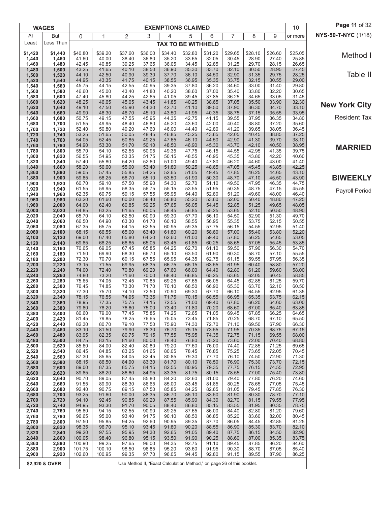|                | <b>WAGES</b>   |                  |                |                |                | <b>EXEMPTIONS CLAIMED</b> |                |                                                                        |                |                |                | 10             | Page 11 of 32        |
|----------------|----------------|------------------|----------------|----------------|----------------|---------------------------|----------------|------------------------------------------------------------------------|----------------|----------------|----------------|----------------|----------------------|
| At             | But            | 0                | 1              | 2              | 3              | 4                         | 5              | 6                                                                      | $\overline{7}$ | 8              | 9              | or more        | NYS-50-T-NYC (1/18)  |
| Least          | Less Than      |                  |                |                |                | <b>TAX TO BE WITHHELD</b> |                |                                                                        |                |                |                |                |                      |
| \$1,420        | \$1,440        | \$40.80          | \$39.20        | \$37.60        | \$36.00        | \$34.40                   | \$32.80        | \$31.20                                                                | \$29.65        | \$28.10        | \$26.60        | \$25.05        | Method I             |
| 1,440<br>1,460 | 1,460<br>1,480 | 41.60<br>42.45   | 40.00<br>40.85 | 38.40<br>39.25 | 36.80<br>37.65 | 35.20<br>36.05            | 33.65<br>34.45 | 32.05<br>32.85                                                         | 30.45<br>31.25 | 28.90<br>29.70 | 27.40<br>28.15 | 25.85<br>26.65 |                      |
| 1,480          | 1,500          | 43.25            | 41.65          | 40.10          | 38.50          | 36.90                     | 35.30          | 33.70                                                                  | 32.10          | 30.50          | 28.95          | 27.45          | Table II             |
| 1,500<br>1,520 | 1,520<br>1,540 | 44.10<br>44.95   | 42.50<br>43.35 | 40.90<br>41.75 | 39.30<br>40.15 | 37.70<br>38.55            | 36.10<br>36.95 | 34.50<br>35.35                                                         | 32.90<br>33.75 | 31.35<br>32.15 | 29.75<br>30.55 | 28.25<br>29.00 |                      |
| 1,540<br>1,560 | 1,560<br>1,580 | 45.75<br>46.60   | 44.15<br>45.00 | 42.55<br>43.40 | 40.95<br>41.80 | 39.35<br>40.20            | 37.80<br>38.60 | 36.20<br>37.00                                                         | 34.60<br>35.40 | 33.00<br>33.80 | 31.40<br>32.20 | 29.80<br>30.65 |                      |
| 1,580          | 1,600          | 47.40            | 45.80          | 44.25          | 42.65          | 41.05                     | 39.45          | 37.85                                                                  | 36.25          | 34.65          | 33.05          | 31.45          |                      |
| 1,600<br>1,620 | 1,620<br>1,640 | 48.25<br>49.10   | 46.65<br>47.50 | 45.05<br>45.90 | 43.45<br>44.30 | 41.85<br>42.70            | 40.25<br>41.10 | 38.65<br>39.50                                                         | 37.05<br>37.90 | 35.50<br>36.30 | 33.90<br>34.70 | 32.30<br>33.10 | <b>New York City</b> |
| 1,640          | 1,660          | 49.90            | 48.30          | 46.70          | 45.10          | 43.50                     | 41.95          | 40.35                                                                  | 38.75          | 37.15          | 35.55          | 33.95          |                      |
| 1,660<br>1,680 | 1,680<br>1,700 | 50.75<br>51.55   | 49.15<br>49.95 | 47.55<br>48.40 | 45.95<br>46.80 | 44.35<br>45.20            | 42.75<br>43.60 | 41.15<br>42.00                                                         | 39.55<br>40.40 | 37.95<br>38.80 | 36.35<br>37.20 | 34.80<br>35.60 | <b>Resident Tax</b>  |
| 1,700          | 1,720          | 52.40            | 50.80          | 49.20          | 47.60          | 46.00                     | 44.40          | 42.80                                                                  | 41.20          | 39.65          | 38.05          | 36.45          |                      |
| 1,720<br>1,740 | 1,740<br>1,760 | 53.25<br>54.05   | 51.65<br>52.45 | 50.05<br>50.85 | 48.45<br>49.25 | 46.85<br>47.65            | 45.25<br>46.10 | 43.65<br>44.50                                                         | 42.05<br>42.90 | 40.45<br>41.30 | 38.85<br>39.70 | 37.25<br>38.10 |                      |
| 1,760          | 1,780          | 54.90            | 53.30          | 51.70          | 50.10          | 48.50                     | 46.90          | 45.30                                                                  | 43.70          | 42.10          | 40.50          | 38.95          | <b>MARRIED</b>       |
| 1,780<br>1,800 | 1,800<br>1,820 | 55.70<br>56.55   | 54.10<br>54.95 | 52.55<br>53.35 | 50.95<br>51.75 | 49.35<br>50.15            | 47.75<br>48.55 | 46.15<br>46.95                                                         | 44.55<br>45.35 | 42.95<br>43.80 | 41.35<br>42.20 | 39.75<br>40.60 |                      |
| 1,820          | 1,840          | 57.40            | 55.80          | 54.20          | 52.60          | 51.00                     | 49.40          | 47.80                                                                  | 46.20          | 44.60          | 43.00          | 41.40          |                      |
| 1,840<br>1,860 | 1,860<br>1,880 | 58.20<br>59.05   | 56.60<br>57.45 | 55.00<br>55.85 | 53.40<br>54.25 | 51.80<br>52.65            | 50.25<br>51.05 | 48.65<br>49.45                                                         | 47.05<br>47.85 | 45.45<br>46.25 | 43.85<br>44.65 | 42.25<br>43.10 |                      |
| 1,880          | 1,900          | 59.85            | 58.25          | 56.70          | 55.10          | 53.50                     | 51.90          | 50.30                                                                  | 48.70          | 47.10          | 45.50          | 43.90          | <b>BIWEEKLY</b>      |
| 1,900<br>1,920 | 1,920<br>1,940 | 60.70<br>61.55   | 59.10<br>59.95 | 57.50<br>58.35 | 55.90<br>56.75 | 54.30<br>55.15            | 52.70<br>53.55 | 51.10<br>51.95                                                         | 49.50<br>50.35 | 47.95<br>48.75 | 46.35<br>47.15 | 44.75<br>45.55 |                      |
| 1,940          | 1,960          | 62.35            | 60.75          | 59.15          | 57.55          | 55.95                     | 54.40          | 52.80                                                                  | 51.20          | 49.60          | 48.00          | 46.40          | Payroll Period       |
| 1,960<br>1,980 | 1,980<br>2,000 | 63.20<br>64.00   | 61.60<br>62.40 | 60.00<br>60.85 | 58.40<br>59.25 | 56.80<br>57.65            | 55.20<br>56.05 | 53.60<br>54.45                                                         | 52.00<br>52.85 | 50.40<br>51.25 | 48.80<br>49.65 | 47.25<br>48.05 |                      |
| 2,000          | 2,020          | 64.85            | 63.25          | 61.65          | 60.05          | 58.45                     | 56.85          | 55.25                                                                  | 53.65          | 52.10          | 50.50          | 48.90          |                      |
| 2,020<br>2,040 | 2,040<br>2,060 | 65.70<br>66.50   | 64.10<br>64.90 | 62.50<br>63.30 | 60.90<br>61.70 | 59.30<br>60.10            | 57.70<br>58.55 | 56.10<br>56.95                                                         | 54.50<br>55.35 | 52.90<br>53.75 | 51.30<br>52.15 | 49.70<br>50.55 |                      |
| 2,060          | 2,080          | 67.35            | 65.75          | 64.15          | 62.55          | 60.95                     | 59.35          | 57.75                                                                  | 56.15          | 54.55          | 52.95          | 51.40          |                      |
| 2,080<br>2,100 | 2,100<br>2,120 | 68.15<br>69.00   | 66.55<br>67.40 | 65.00<br>65.80 | 63.40<br>64.20 | 61.80<br>62.60            | 60.20<br>61.00 | 58.60<br>59.40                                                         | 57.00<br>57.80 | 55.40<br>56.25 | 53.80<br>54.65 | 52.20<br>53.05 |                      |
| 2,120          | 2,140          | 69.85            | 68.25          | 66.65          | 65.05          | 63.45                     | 61.85          | 60.25                                                                  | 58.65          | 57.05          | 55.45          | 53.85          |                      |
| 2,140<br>2,160 | 2,160<br>2,180 | 70.65<br>71.50   | 69.05<br>69.90 | 67.45<br>68.30 | 65.85<br>66.70 | 64.25<br>65.10            | 62.70<br>63.50 | 61.10<br>61.90                                                         | 59.50<br>60.30 | 57.90<br>58.70 | 56.30<br>57.10 | 54.70<br>55.55 |                      |
| 2,180          | 2,200          | 72.30            | 70.70          | 69.15          | 67.55          | 65.95                     | 64.35          | 62.75                                                                  | 61.15          | 59.55          | 57.95          | 56.35          |                      |
| 2,200<br>2,220 | 2,220<br>2,240 | 73.15<br>74.00   | 71.55<br>72.40 | 69.95<br>70.80 | 68.35<br>69.20 | 66.75<br>67.60            | 65.15<br>66.00 | 63.55<br>64.40                                                         | 61.95<br>62.80 | 60.40<br>61.20 | 58.80<br>59.60 | 57.20<br>58.00 |                      |
| 2,240          | 2,260          | 74.80            | 73.20          | 71.60          | 70.00          | 68.40                     | 66.85          | 65.25                                                                  | 63.65          | 62.05          | 60.45          | 58.85          |                      |
| 2,260<br>2,280 | 2,280<br>2,300 | 75.65<br>76.45   | 74.05<br>74.85 | 72.45<br>73.30 | 70.85<br>71.70 | 69.25<br>70.10            | 67.65<br>68.50 | 66.05<br>66.90                                                         | 64.45<br>65.30 | 62.85<br>63.70 | 61.25<br>62.10 | 59.70<br>60.50 |                      |
| 2,300          | 2,320          | 77.30            | 75.70          | 74.10          | 72.50          | 70.90                     | 69.30          | 67.70                                                                  | 66.10          | 64.55          | 62.95          | 61.35          |                      |
| 2,320<br>2,340 | 2,340<br>2,360 | 78.15<br>78.95   | 76.55<br>77.35 | 74.95<br>75.75 | 73.35<br>74.15 | 71.75<br>72.55            | 70.15<br>71.00 | 68.55<br>69.40                                                         | 66.95<br>67.80 | 65.35<br>66.20 | 63.75<br>64.60 | 62.15<br>63.00 |                      |
| 2,360          | 2,380          | 79.80            | 78.20          | 76.60          | 75.00          | 73.40                     | 71.80          | 70.20                                                                  | 68.60          | 67.00          | 65.40          | 63.85          |                      |
| 2,380<br>2,400 | 2,400<br>2,420 | 80.60<br>81.45   | 79.00<br>79.85 | 77.45<br>78.25 | 75.85<br>76.65 | 74.25<br>75.05            | 72.65<br>73.45 | 71.05<br>71.85                                                         | 69.45<br>70.25 | 67.85<br>68.70 | 66.25<br>67.10 | 64.65<br>65.50 |                      |
| 2,420          | 2,440          | 82.30            | 80.70          | 79.10          | 77.50          | 75.90                     | 74.30          | 72.70                                                                  | 71.10          | 69.50          | 67.90          | 66.30          |                      |
| 2,440<br>2,460 | 2,460<br>2,480 | 83.10<br>83.95   | 81.50<br>82.35 | 79.90<br>80.75 | 78.30<br>79.15 | 76.70<br>77.55            | 75.15<br>75.95 | 73.55<br>74.35                                                         | 71.95<br>72.75 | 70.35<br>71.15 | 68.75<br>69.55 | 67.15<br>68.00 |                      |
| 2,480          | 2,500          | 84.75            | 83.15          | 81.60          | 80.00          | 78.40                     | 76.80          | 75.20                                                                  | 73.60          | 72.00          | 70.40          | 68.80          |                      |
| 2,500<br>2,520 | 2,520<br>2,540 | 85.60<br>86.45   | 84.00<br>84.85 | 82.40<br>83.25 | 80.80<br>81.65 | 79.20<br>80.05            | 77.60<br>78.45 | 76.00<br>76.85                                                         | 74.40<br>75.25 | 72.85<br>73.65 | 71.25<br>72.05 | 69.65<br>70.45 |                      |
| 2,540          | 2,560          | 87.30            | 85.65          | 84.05          | 82.45          | 80.85                     | 79.30          | 77.70                                                                  | 76.10          | 74.50          | 72.90          | 71.30          |                      |
| 2,560<br>2,580 | 2,580<br>2,600 | 88.15<br>89.00   | 86.50<br>87.35 | 84.90<br>85.75 | 83.30<br>84.15 | 81.70<br>82.55            | 80.10<br>80.95 | 78.50<br>79.35                                                         | 76.90<br>77.75 | 75.30<br>76.15 | 73.70<br>74.55 | 72.15<br>72.95 |                      |
| 2,600          | 2,620          | 89.85<br>90.70   | 88.20<br>89.05 | 86.60<br>87.45 | 84.95<br>85.80 | 83.35                     | 81.75<br>82.60 | 80.15                                                                  | 78.55<br>79.40 | 77.00          | 75.40          | 73.80<br>74.60 |                      |
| 2,620<br>2,640 | 2,640<br>2,660 | 91.55            | 89.90          | 88.30          | 86.65          | 84.20<br>85.00            | 83.45          | 81.00<br>81.85                                                         | 80.25          | 77.80<br>78.65 | 76.20<br>77.05 | 75.45          |                      |
| 2,660          | 2,680          | 92.40<br>93.25   | 90.75          | 89.15<br>90.00 | 87.50<br>88.35 | 85.85<br>86.70            | 84.25<br>85.10 | 82.65<br>83.50                                                         | 81.05<br>81.90 | 79.45<br>80.30 | 77.85          | 76.30          |                      |
| 2,680<br>2,700 | 2,700<br>2,720 | 94.10            | 91.60<br>92.45 | 90.85          | 89.20          | 87.55                     | 85.90          | 84.30                                                                  | 82.70          | 81.15          | 78.70<br>79.55 | 77.10<br>77.95 |                      |
| 2,720<br>2,740 | 2,740<br>2,760 | 94.95<br>95.80   | 93.30<br>94.15 | 91.70<br>92.55 | 90.05<br>90.90 | 88.40<br>89.25            | 86.80<br>87.65 | 85.15<br>86.00                                                         | 83.55<br>84.40 | 81.95<br>82.80 | 80.35<br>81.20 | 78.75<br>79.60 |                      |
| 2,760          | 2,780          | 96.65            | 95.00          | 93.40          | 91.75          | 90.10                     | 88.50          | 86.85                                                                  | 85.20          | 83.60          | 82.00          | 80.45          |                      |
| 2,780<br>2,800 | 2,800<br>2,820 | 97.50<br>98.35   | 95.85<br>96.70 | 94.25<br>95.10 | 92.60<br>93.45 | 90.95<br>91.80            | 89.35<br>90.20 | 87.70<br>88.55                                                         | 86.05<br>86.90 | 84.45<br>85.30 | 82.85<br>83.70 | 81.25<br>82.10 |                      |
| 2,820          | 2,840          | 99.20            | 97.55          | 95.95          | 94.30          | 92.65                     | 91.05          | 89.40                                                                  | 87.75          | 86.15          | 84.50          | 82.90          |                      |
| 2,840<br>2,860 | 2,860<br>2,880 | 100.05<br>100.90 | 98.40<br>99.25 | 96.80<br>97.65 | 95.15<br>96.00 | 93.50<br>94.35            | 91.90<br>92.75 | 90.25<br>91.10                                                         | 88.60<br>89.45 | 87.00<br>87.85 | 85.35<br>86.20 | 83.75<br>84.60 |                      |
| 2,880          | 2,900          | 101.75           | 100.10         | 98.50          | 96.85          | 95.20                     | 93.60          | 91.95                                                                  | 90.30          | 88.70          | 87.05          | 85.40          |                      |
| 2,900          | 2,920          | 102.60           | 100.95         | 99.35          | 97.70          | 96.05                     | 94.45          | 92.80                                                                  | 91.15          | 89.55          | 87.90          | 86.25          |                      |
|                | \$2,920 & OVER |                  |                |                |                |                           |                | Use Method II, "Exact Calculation Method," on page 26 of this booklet. |                |                |                |                |                      |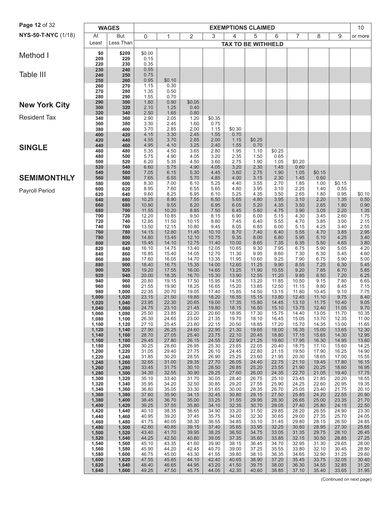| Page 12 of 32         |                | <b>WAGES</b>   |                |                |                |                | <b>EXEMPTIONS CLAIMED</b> |                |                |                |                |                | 10             |
|-----------------------|----------------|----------------|----------------|----------------|----------------|----------------|---------------------------|----------------|----------------|----------------|----------------|----------------|----------------|
| NYS-50-T-NYC (1/18)   | At             | <b>But</b>     | $\mathbf 0$    | 1              | 2              | 3              | 4                         | 5              | 6              | 7              | 8              | 9              | or more        |
|                       | Least          | Less Than      |                |                |                |                | <b>TAX TO BE WITHHELD</b> |                |                |                |                |                |                |
| Method I              | \$0<br>209     | \$209<br>220   | \$0.00<br>0.15 |                |                |                |                           |                |                |                |                |                |                |
|                       | 220            | 230            | 0.35           |                |                |                |                           |                |                |                |                |                |                |
| Table III             | 230<br>240     | 240<br>250     | 0.55<br>0.75   |                |                |                |                           |                |                |                |                |                |                |
|                       | 250<br>260     | 260<br>270     | 0.95<br>1.15   | \$0.10<br>0.30 |                |                |                           |                |                |                |                |                |                |
|                       | 270            | 280            | 1.35           | 0.50           |                |                |                           |                |                |                |                |                |                |
|                       | 280<br>290     | 290<br>300     | 1.55<br>1.80   | 0.70<br>0.90   | \$0.05         |                |                           |                |                |                |                |                |                |
| <b>New York City</b>  | 300<br>320     | 320<br>340     | 2.10<br>2.50   | 1.25<br>1.65   | 0.40<br>0.80   |                |                           |                |                |                |                |                |                |
| <b>Resident Tax</b>   | 340            | 360            | 2.90           | 2.05           | 1.20           | \$0.35         |                           |                |                |                |                |                |                |
|                       | 360<br>380     | 380<br>400     | 3.30<br>3.70   | 2.45<br>2.85   | 1.60<br>2.00   | 0.75<br>1.15   | \$0.30                    |                |                |                |                |                |                |
|                       | 400<br>420     | 420<br>440     | 4.15<br>4.55   | 3.30<br>3.70   | 2.45<br>2.85   | 1.55<br>2.00   | 0.70<br>1.15              | \$0.25         |                |                |                |                |                |
| <b>SINGLE</b>         | 440            | 460            | 4.95           | 4.10           | 3.25           | 2.40           | 1.55                      | 0.70           |                |                |                |                |                |
|                       | 460<br>480     | 480<br>500     | 5.35<br>5.75   | 4.50<br>4.90   | 3.65<br>4.05   | 2.80<br>3.20   | 1.95<br>2.35              | 1.10<br>1.50   | \$0.25<br>0.65 |                |                |                |                |
|                       | 500<br>520     | 520<br>540     | 6.20<br>6.60   | 5.35<br>5.75   | 4.50<br>4.90   | 3.60<br>4.05   | 2.75<br>3.20              | 1.90<br>2.30   | 1.05<br>1.45   | \$0.20<br>0.60 |                |                |                |
|                       | 540            | 560            | 7.05           | 6.15           | 5.30           | 4.45           | 3.60                      | 2.75           | 1.90           | 1.05           | \$0.15         |                |                |
| <b>SEMIMONTHLY</b>    | 560<br>580     | 580<br>600     | 7.65<br>8.30   | 6.55<br>7.00   | 5.70<br>6.10   | 4.85<br>5.25   | 4.00<br>4.40              | 3.15<br>3.55   | 2.30<br>2.70   | 1.45<br>1.85   | 0.60<br>1.00   | \$0.15         |                |
| <b>Payroll Period</b> | 600<br>620     | 620<br>640     | 8.95<br>9.60   | 7.60<br>8.25   | 6.55<br>6.95   | 5.65<br>6.10   | 4.80<br>5.25              | 3.95<br>4.35   | 3.10<br>3.50   | 2.25<br>2.65   | 1.40<br>1.80   | 0.55<br>0.95   | \$0.10         |
|                       | 640            | 660            | 10.25          | 8.90           | 7.55           | 6.50           | 5.65                      | 4.80           | 3.95           | 3.10           | 2.20           | 1.35           | 0.50           |
|                       | 660<br>680     | 680<br>700     | 10.90<br>11.55 | 9.55<br>10.20  | 8.20<br>8.85   | 6.95<br>7.50   | 6.05<br>6.45              | 5.20<br>5.60   | 4.35<br>4.75   | 3.50<br>3.90   | 2.65<br>3.05   | 1.80<br>2.20   | 0.90<br>1.35   |
|                       | 700<br>720     | 720<br>740     | 12.20<br>12.85 | 10.85<br>11.50 | 9.50<br>10.15  | 8.15<br>8.80   | 6.90<br>7.45              | 6.00<br>6.40   | 5.15<br>5.55   | 4.30<br>4.70   | 3.45<br>3.85   | 2.60<br>3.00   | 1.75<br>2.15   |
|                       | 740            | 760            | 13.50          | 12.15          | 10.80          | 9.45           | 8.05                      | 6.85           | 6.00           | 5.15           | 4.25           | 3.40           | 2.55           |
|                       | 760<br>780     | 780<br>800     | 14.15<br>14.80 | 12.80<br>13.45 | 11.45<br>12.10 | 10.10<br>10.75 | 8.70<br>9.35              | 7.40<br>8.00   | 6.40<br>6.80   | 5.55<br>5.95   | 4.70<br>5.10   | 3.85<br>4.25   | 2.95<br>3.40   |
|                       | 800<br>820     | 820<br>840     | 15.45<br>16.10 | 14.10<br>14.75 | 12.75<br>13.40 | 11.40<br>12.05 | 10.00<br>10.65            | 8.65<br>9.30   | 7.35<br>7.95   | 6.35<br>6.75   | 5.50<br>5.90   | 4.65<br>5.05   | 3.80<br>4.20   |
|                       | 840            | 860            | 16.85          | 15.40          | 14.05          | 12.70          | 11.30                     | 9.95           | 8.60           | 7.30           | 6.30           | 5.45           | 4.60           |
|                       | 860<br>880     | 880<br>900     | 17.60<br>18.40 | 16.05<br>16.75 | 14.70<br>15.35 | 13.35<br>14.00 | 11.95<br>12.60            | 10.60<br>11.25 | 9.25<br>9.90   | 7.90<br>8.55   | 6.75<br>7.25   | 5.90<br>6.30   | 5.00<br>5.45   |
|                       | 900<br>920     | 920<br>940     | 19.20<br>20.00 | 17.55<br>18.35 | 16.00<br>16.70 | 14.65<br>15.30 | 13.25<br>13.90            | 11.90<br>12.55 | 10.55<br>11.20 | 9.20<br>9.85   | 7.85<br>8.50   | 6.70<br>7.20   | 5.85<br>6.25   |
|                       | 940            | 960            | 20.80          | 19.15          | 17.50          | 15.95          | 14.55                     | 13.20          | 11.85          | 10.50          | 9.15           | 7.80           | 6.65           |
|                       | 960<br>980     | 980<br>1,000   | 21.55<br>22.35 | 19.90<br>20.70 | 18.25<br>19.05 | 16.65<br>17.40 | 15.20<br>15.85            | 13.85<br>14.50 | 12.50<br>13.15 | 11.15<br>11.80 | 9.80<br>10.45  | 8.45<br>9.10   | 7.15<br>7.75   |
|                       | 1,000          | 1,020          | 23.15<br>23.95 | 21.50<br>22.30 | 19.85<br>20.65 | 18.20<br>19.00 | 16.55<br>17.35            | 15.15<br>15.80 | 13.80<br>14.45 | 12.45<br>13.10 | 11.10<br>11.75 | 9.75<br>10.40  | 8.40<br>9.05   |
|                       | 1,020<br>1,040 | 1,040<br>1,060 | 24.75          | 23.10          | 21.45          | 19.80          | 18.15                     | 16.50          | 15.10          | 13.75          | 12.40          | 11.05          | 9.70           |
|                       | 1,060<br>1,080 | 1,080<br>1,100 | 25.50<br>26.30 | 23.85<br>24.65 | 22.20<br>23.00 | 20.60<br>21.35 | 18.95<br>19.70            | 17.30<br>18.10 | 15.75<br>16.45 | 14.40<br>15.05 | 13.05<br>13.70 | 11.70<br>12.35 | 10.35<br>11.00 |
|                       | 1,100<br>1,120 | 1,120<br>1,140 | 27.10<br>27.90 | 25.45<br>26.25 | 23.80<br>24.60 | 22.15<br>22.95 | 20.50<br>21.30            | 18.85<br>19.65 | 17.20<br>18.00 | 15.70<br>16.35 | 14.35<br>15.00 | 13.00<br>13.65 | 11.65          |
|                       | 1,140          | 1,160          | 28.70          | 27.05          | 25.40          | 23.75          | 22.10                     | 20.45          | 18.80          | 17.15          | 15.65          | 14.30          | 12.30<br>12.95 |
|                       | 1,160<br>1,180 | 1,180<br>1,200 | 29.45<br>30.25 | 27.80<br>28.60 | 26.15<br>26.95 | 24.55<br>25.30 | 22.90<br>23.65            | 21.25<br>22.05 | 19.60<br>20.40 | 17.95<br>18.75 | 16.30<br>17.10 | 14.95<br>15.60 | 13.60<br>14.25 |
|                       | 1,200<br>1,220 | 1,220<br>1,240 | 31.05<br>31.85 | 29.40<br>30.20 | 27.75<br>28.55 | 26.10<br>26.90 | 24.45<br>25.25            | 22.80<br>23.60 | 21.15<br>21.95 | 19.50<br>20.30 | 17.90<br>18.65 | 16.25<br>17.00 | 14.90<br>15.55 |
|                       | 1,240          | 1,260          | 32.65          | 31.00          | 29.35          | 27.70          | 26.05                     | 24.40          | 22.75          | 21.10          | 19.45          | 17.80          | 16.15          |
|                       | 1,260<br>1,280 | 1,280<br>1,300 | 33.45<br>34.30 | 31.75<br>32.55 | 30.10<br>30.90 | 28.50<br>29.25 | 26.85<br>27.60            | 25.20<br>26.00 | 23.55<br>24.35 | 21.90<br>22.70 | 20.25<br>21.05 | 18.60<br>19.40 | 16.95<br>17.75 |
|                       | 1,300<br>1,320 | 1,320<br>1,340 | 35.10<br>35.95 | 33.40<br>34.20 | 31.70<br>32.50 | 30.05<br>30.85 | 28.40<br>29.20            | 26.75<br>27.55 | 25.10<br>25.90 | 23.45<br>24.25 | 21.85<br>22.60 | 20.20<br>20.95 | 18.55<br>19.35 |
|                       | 1,340          | 1,360          | 36.80          | 35.05          | 33.30          | 31.65          | 30.00                     | 28.35          | 26.70          | 25.05          | 23.40          | 21.75          | 20.10          |
|                       | 1,360<br>1,380 | 1,380<br>1,400 | 37.60<br>38.45 | 35.90<br>36.70 | 34.15<br>35.00 | 32.45<br>33.25 | 30.80<br>31.55            | 29.15<br>29.95 | 27.50<br>28.30 | 25.85<br>26.65 | 24.20<br>25.00 | 22.55<br>23.35 | 20.90<br>21.70 |
|                       | 1,400          | 1,420          | 39.25<br>40.10 | 37.55          | 35.80          | 34.10          | 32.35                     | 30.70          | 29.05<br>29.85 | 27.40          | 25.80          | 24.15          | 22.50<br>23.30 |
|                       | 1,420<br>1,440 | 1,440<br>1,460 | 40.95          | 38.35<br>39.20 | 36.65<br>37.45 | 34.90<br>35.75 | 33.20<br>34.00            | 31.50<br>32.30 | 30.65          | 28.20<br>29.00 | 26.55<br>27.35 | 24.90<br>25.70 | 24.05          |
|                       | 1,460<br>1,480 | 1,480<br>1,500 | 41.75<br>42.60 | 40.05<br>40.85 | 38.30<br>39.15 | 36.55<br>37.40 | 34.85<br>35.65            | 33.10<br>33.95 | 31.45<br>32.25 | 29.80<br>30.60 | 28.15<br>28.95 | 26.50<br>27.30 | 24.85<br>25.65 |
|                       | 1,500          | 1,520          | 43.40<br>44.25 | 41.70          | 39.95          | 38.25          | 36.50                     | 34.75          | 33.05          | 31.35          | 29.75          | 28.10          | 26.45          |
|                       | 1,520<br>1,540 | 1,540<br>1,560 | 45.10          | 42.50<br>43.35 | 40.80<br>41.60 | 39.05<br>39.90 | 37.35<br>38.15            | 35.60<br>36.45 | 33.85<br>34.70 | 32.15<br>32.95 | 30.50<br>31.30 | 28.85<br>29.65 | 27.25<br>28.00 |
|                       | 1,560<br>1,580 | 1,580<br>1,600 | 45.90<br>46.75 | 44.20<br>45.00 | 42.45<br>43.30 | 40.70<br>41.55 | 39.00<br>39.80            | 37.25<br>38.10 | 35.55<br>36.35 | 33.80<br>34.65 | 32.10<br>32.90 | 30.45<br>31.25 | 28.80<br>29.60 |
|                       | 1,600          | 1,620          | 47.55          | 45.85          | 44.10          | 42.40          | 40.65                     | 38.90          | 37.20          | 35.45          | 33.75          | 32.05          | 30.40          |
|                       | 1,620<br>1,640 | 1,640<br>1,660 | 48.40<br>49.25 | 46.65<br>47.50 | 44.95<br>45.75 | 43.20<br>44.05 | 41.50<br>42.30            | 39.75<br>40.60 | 38.00<br>38.85 | 36.30<br>37.10 | 34.55<br>35.40 | 32.85<br>33.65 | 31.20<br>31.95 |
|                       |                |                |                |                |                |                |                           |                |                |                |                |                |                |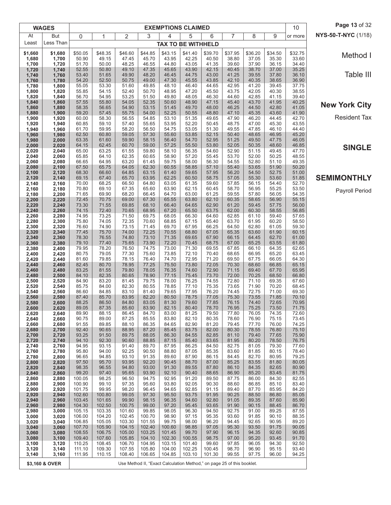|                | <b>WAGES</b>   |                  |                  |                  |                                                                        | <b>EXEMPTIONS CLAIMED</b> |                  |                |                |                |                | 10             | Page 13 of 32        |
|----------------|----------------|------------------|------------------|------------------|------------------------------------------------------------------------|---------------------------|------------------|----------------|----------------|----------------|----------------|----------------|----------------------|
| At             | <b>But</b>     | 0                | 1                | 2                | 3                                                                      | 4                         | 5                | 6              | $\overline{7}$ | 8              | 9              | or more        | NYS-50-T-NYC (1/18)  |
| Least          | Less Than      |                  |                  |                  |                                                                        | <b>TAX TO BE WITHHELD</b> |                  |                |                |                |                |                |                      |
| \$1,660        | \$1,680        | \$50.05          | \$48.35          | \$46.60          | \$44.85                                                                | \$43.15                   | \$41.40          | \$39.70        | \$37.95        | \$36.20        | \$34.50        | \$32.75        | Method I             |
| 1,680<br>1,700 | 1,700<br>1,720 | 50.90<br>51.70   | 49.15<br>50.00   | 47.45<br>48.25   | 45.70<br>46.55                                                         | 43.95<br>44.80            | 42.25<br>43.05   | 40.50<br>41.35 | 38.80<br>39.60 | 37.05<br>37.90 | 35.30<br>36.15 | 33.60<br>34.40 |                      |
| 1,720          | 1,740          | 52.55            | 50.80            | 49.10            | 47.35                                                                  | 45.65                     | 43.90            | 42.15          | 40.45          | 38.70          | 37.00          | 35.25          |                      |
| 1,740<br>1,760 | 1,760<br>1,780 | 53.40<br>54.20   | 51.65<br>52.50   | 49.90<br>50.75   | 48.20<br>49.00                                                         | 46.45<br>47.30            | 44.75<br>45.55   | 43.00<br>43.85 | 41.25<br>42.10 | 39.55<br>40.35 | 37.80<br>38.65 | 36.10<br>36.90 | Table III            |
| 1,780          | 1,800          | 55.05            | 53.30            | 51.60            | 49.85                                                                  | 48.10                     | 46.40            | 44.65          | 42.95          | 41.20          | 39.45          | 37.75          |                      |
| 1,800<br>1,820 | 1,820<br>1,840 | 55.85<br>56.70   | 54.15<br>54.95   | 52.40<br>53.25   | 50.70<br>51.50                                                         | 48.95<br>49.80            | 47.20<br>48.05   | 45.50<br>46.30 | 43.75<br>44.60 | 42.05<br>42.85 | 40.30<br>41.15 | 38.55<br>39.40 |                      |
| 1,840          | 1,860          | 57.55            | 55.80            | 54.05            | 52.35                                                                  | 50.60                     | 48.90            | 47.15          | 45.40          | 43.70          | 41.95          | 40.25          | <b>New York City</b> |
| 1,860          | 1,880          | 58.35<br>59.20   | 56.65            | 54.90            | 53.15<br>54.00                                                         | 51.45<br>52.25            | 49.70            | 48.00          | 46.25<br>47.10 | 44.50          | 42.80          | 41.05          |                      |
| 1,880<br>1,900 | 1,900<br>1,920 | 60.00            | 57.45<br>58.30   | 55.75<br>56.55   | 54.85                                                                  | 53.10                     | 50.55<br>51.35   | 48.80<br>49.65 | 47.90          | 45.35<br>46.20 | 43.60<br>44.45 | 41.90<br>42.70 | <b>Resident Tax</b>  |
| 1,920          | 1,940          | 60.85            | 59.10            | 57.40            | 55.65                                                                  | 53.95                     | 52.20            | 50.45          | 48.75          | 47.00          | 45.30          | 43.55          |                      |
| 1,940<br>1,960 | 1,960<br>1,980 | 61.70<br>62.50   | 59.95<br>60.80   | 58.20<br>59.05   | 56.50<br>57.30                                                         | 54.75<br>55.60            | 53.05<br>53.85   | 51.30<br>52.15 | 49.55<br>50.40 | 47.85<br>48.65 | 46.10<br>46.95 | 44.40<br>45.20 |                      |
| 1,980          | 2,000          | 63.35            | 61.60            | 59.90            | 58.15                                                                  | 56.40                     | 54.70            | 52.95          | 51.25          | 49.50          | 47.75          | 46.05          |                      |
| 2,000<br>2,020 | 2,020<br>2,040 | 64.15<br>65.00   | 62.45<br>63.25   | 60.70<br>61.55   | 59.00<br>59.80                                                         | 57.25<br>58.10            | 55.50<br>56.35   | 53.80<br>54.60 | 52.05<br>52.90 | 50.35<br>51.15 | 48.60<br>49.45 | 46.85<br>47.70 | <b>SINGLE</b>        |
| 2,040          | 2,060          | 65.85            | 64.10            | 62.35            | 60.65                                                                  | 58.90                     | 57.20            | 55.45          | 53.70          | 52.00          | 50.25          | 48.55          |                      |
| 2,060<br>2,080 | 2,080<br>2,100 | 66.65<br>67.50   | 64.95<br>65.75   | 63.20<br>64.05   | 61.45<br>62.30                                                         | 59.75<br>60.55            | 58.00<br>58.85   | 56.30<br>57.10 | 54.55<br>55.40 | 52.80<br>53.65 | 51.10<br>51.90 | 49.35<br>50.20 |                      |
| 2,100          | 2,120          | 68.30            | 66.60            | 64.85            | 63.15                                                                  | 61.40                     | 59.65            | 57.95          | 56.20          | 54.50          | 52.75          | 51.00          |                      |
| 2,120          | 2,140          | 69.15            | 67.40            | 65.70            | 63.95                                                                  | 62.25                     | 60.50            | 58.75          | 57.05          | 55.30          | 53.60          | 51.85<br>52.70 | <b>SEMIMONTHLY</b>   |
| 2,140<br>2,160 | 2,160<br>2,180 | 70.00<br>70.80   | 68.25<br>69.10   | 66.50<br>67.35   | 64.80<br>65.60                                                         | 63.05<br>63.90            | 61.35<br>62.15   | 59.60<br>60.45 | 57.85<br>58.70 | 56.15<br>56.95 | 54.40<br>55.25 | 53.50          | Payroll Period       |
| 2,180          | 2,200          | 71.65            | 69.90            | 68.20            | 66.45                                                                  | 64.70                     | 63.00            | 61.25          | 59.55          | 57.80          | 56.05          | 54.35          |                      |
| 2,200<br>2,220 | 2,220<br>2,240 | 72.45<br>73.30   | 70.75<br>71.55   | 69.00<br>69.85   | 67.30<br>68.10                                                         | 65.55<br>66.40            | 63.80<br>64.65   | 62.10<br>62.90 | 60.35<br>61.20 | 58.65<br>59.45 | 56.90<br>57.75 | 55.15<br>56.00 |                      |
| 2,240          | 2,260          | 74.15            | 72.40            | 70.65            | 68.95                                                                  | 67.20                     | 65.50            | 63.75          | 62.00          | 60.30          | 58.55          | 56.85          |                      |
| 2,260<br>2,280 | 2,280<br>2,300 | 74.95<br>75.80   | 73.25<br>74.05   | 71.50<br>72.35   | 69.75<br>70.60                                                         | 68.05<br>68.85            | 66.30<br>67.15   | 64.60<br>65.40 | 62.85<br>63.70 | 61.10<br>61.95 | 59.40<br>60.20 | 57.65<br>58.50 |                      |
| 2,300          | 2,320          | 76.60            | 74.90            | 73.15            | 71.45                                                                  | 69.70                     | 67.95            | 66.25          | 64.50          | 62.80          | 61.05          | 59.30          |                      |
| 2,320<br>2,340 | 2,340<br>2,360 | 77.45<br>78.30   | 75.70<br>76.55   | 74.00<br>74.80   | 72.25<br>73.10                                                         | 70.55<br>71.35            | 68.80<br>69.65   | 67.05<br>67.90 | 65.35<br>66.15 | 63.60<br>64.45 | 61.90<br>62.70 | 60.15<br>61.00 |                      |
| 2,360          | 2,380          | 79.10            | 77.40            | 75.65            | 73.90                                                                  | 72.20                     | 70.45            | 68.75          | 67.00          | 65.25          | 63.55          | 61.80          |                      |
| 2,380          | 2,400          | 79.95<br>80.75   | 78.20<br>79.05   | 76.50<br>77.30   | 74.75<br>75.60                                                         | 73.00<br>73.85            | 71.30<br>72.10   | 69.55<br>70.40 | 67.85<br>68.65 | 66.10<br>66.95 | 64.35<br>65.20 | 62.65<br>63.45 |                      |
| 2,400<br>2,420 | 2,420<br>2,440 | 81.60            | 79.85            | 78.15            | 76.40                                                                  | 74.70                     | 72.95            | 71.20          | 69.50          | 67.75          | 66.05          | 64.30          |                      |
| 2,440          | 2,460          | 82.45            | 80.70            | 78.95            | 77.25                                                                  | 75.50                     | 73.80            | 72.05          | 70.30          | 68.60          | 66.85          | 65.15          |                      |
| 2,460<br>2,480 | 2,480<br>2,500 | 83.25<br>84.10   | 81.55<br>82.35   | 79.80<br>80.65   | 78.05<br>78.90                                                         | 76.35<br>77.15            | 74.60<br>75.45   | 72.90<br>73.70 | 71.15<br>72.00 | 69.40<br>70.25 | 67.70<br>68.50 | 65.95<br>66.80 |                      |
| 2,500          | 2,520          | 84.90            | 83.20            | 81.45            | 79.75                                                                  | 78.00                     | 76.25            | 74.55          | 72.80          | 71.10          | 69.35          | 67.60          |                      |
| 2,520<br>2,540 | 2,540<br>2,560 | 85.75<br>86.60   | 84.00<br>84.85   | 82.30<br>83.10   | 80.55<br>81.40                                                         | 78.85<br>79.65            | 77.10<br>77.95   | 75.35<br>76.20 | 73.65<br>74.45 | 71.90<br>72.75 | 70.20<br>71.00 | 68.45<br>69.30 |                      |
| 2,560          | 2,580          | 87.40            | 85.70            | 83.95            | 82.20                                                                  | 80.50                     | 78.75            | 77.05          | 75.30          | 73.55          | 71.85          | 70.10          |                      |
| 2,580<br>2,600 | 2,600<br>2,620 | 88.25<br>89.05   | 86.50<br>87.35   | 84.80<br>85.60   | 83.05<br>83.90                                                         | 81.30<br>82.15            | 79.60<br>80.40   | 77.85<br>78.70 | 76.15<br>76.95 | 74.40<br>75.25 | 72.65<br>73.50 | 70.95<br>71.75 |                      |
| 2,620          | 2,640          | 89.90            | 88.15            | 86.45            | 84.70                                                                  | 83.00                     | 81.25            | 79.50          | 77.80          | 76.05          | 74.35          | 72.60          |                      |
| 2,640<br>2,660 | 2,660<br>2,680 | 90.75<br>91.55   | 89.00<br>89.85   | 87.25<br>88.10   | 85.55<br>86.35                                                         | 83.80<br>84.65            | 82.10<br>82.90   | 80.35<br>81.20 | 78.60<br>79.45 | 76.90<br>77.70 | 75.15<br>76.00 | 73.45<br>74.25 |                      |
| 2,680          | 2,700          | 92.40            | 90.65            | 88.95            | 87.20                                                                  | 85.45                     | 83.75            | 82.00          | 80.30          | 78.55          | 76.80          | 75.10          |                      |
| 2,700<br>2,720 | 2,720<br>2,740 | 93.25<br>94.10   | 91.50<br>92.30   | 89.75<br>90.60   | 88.05<br>88.85                                                         | 86.30<br>87.15            | 84.55<br>85.40   | 82.85<br>83.65 | 81.10<br>81.95 | 79.40<br>80.20 | 77.65<br>78.50 | 75.90<br>76.75 |                      |
| 2,740          | 2,760          | 94.95            | 93.15            | 91.40            | 89.70                                                                  | 87.95                     | 86.25            | 84.50          | 82.75          | 81.05          | 79.30          | 77.60          |                      |
| 2,760<br>2,780 | 2,780<br>2,800 | 95.80<br>96.65   | 94.00<br>94.85   | 92.25<br>93.10   | 90.50<br>91.35                                                         | 88.80<br>89.60            | 87.05<br>87.90   | 85.35<br>86.15 | 83.60<br>84.45 | 81.85<br>82.70 | 80.15<br>80.95 | 78.40<br>79.25 |                      |
| 2,800          | 2,820          | 97.50            | 95.70            | 93.95            | 92.20                                                                  | 90.45                     | 88.70            | 87.00          | 85.25          | 83.55          | 81.80          | 80.05          |                      |
| 2,820<br>2,840 | 2,840<br>2,860 | 98.35<br>99.20   | 96.55<br>97.40   | 94.80<br>95.65   | 93.00<br>93.90                                                         | 91.30<br>92.10            | 89.55<br>90.40   | 87.80<br>88.65 | 86.10<br>86.90 | 84.35<br>85.20 | 82.65<br>83.45 | 80.90<br>81.75 |                      |
| 2,860          | 2,880          | 100.05           | 98.25            | 96.50            | 94.75                                                                  | 92.95                     | 91.20            | 89.50          | 87.75          | 86.00          | 84.30          | 82.55          |                      |
| 2,880          | 2,900          | 100.90           | 99.10            | 97.35            | 95.60                                                                  | 93.80                     | 92.05            | 90.30          | 88.60          | 86.85          | 85.10          | 83.40          |                      |
| 2,900<br>2,920 | 2,920<br>2,940 | 101.75<br>102.60 | 99.95<br>100.80  | 98.20<br>99.05   | 96.45<br>97.30                                                         | 94.65<br>95.50            | 92.85<br>93.75   | 91.15<br>91.95 | 89.40<br>90.25 | 87.70<br>88.50 | 85.95<br>86.80 | 84.20<br>85.05 |                      |
| 2,940          | 2,960          | 103.45           | 101.65           | 99.90            | 98.15                                                                  | 96.35                     | 94.60            | 92.80          | 91.05          | 89.35          | 87.60          | 85.90          |                      |
| 2,960<br>2,980 | 2,980<br>3,000 | 104.30<br>105.15 | 102.50<br>103.35 | 100.75<br>101.60 | 99.00<br>99.85                                                         | 97.20<br>98.05            | 95.45<br>96.30   | 93.65<br>94.50 | 91.90<br>92.75 | 90.15<br>91.00 | 88.45<br>89.25 | 86.70<br>87.55 |                      |
| 3,000          | 3,020          | 106.00           | 104.20           | 102.45           | 100.70                                                                 | 98.90                     | 97.15            | 95.35          | 93.60          | 91.85          | 90.10          | 88.35          |                      |
| 3,020<br>3,040 | 3,040<br>3,060 | 106.85<br>107.70 | 105.05<br>105.90 | 103.30<br>104.15 | 101.55<br>102.40                                                       | 99.75<br>100.60           | 98.00<br>98.85   | 96.20<br>97.05 | 94.45<br>95.30 | 92.65<br>93.50 | 90.95<br>91.75 | 89.20<br>90.05 |                      |
| 3,060          | 3,080          | 108.55           | 106.75           | 105.00           | 103.25                                                                 | 101.45                    | 99.70            | 97.90          | 96.15          | 94.35          | 92.60          | 90.85          |                      |
| 3,080<br>3,100 | 3,100<br>3,120 | 109.40<br>110.25 | 107.60<br>108.45 | 105.85<br>106.70 | 104.10<br>104.95                                                       | 102.30<br>103.15          | 100.55<br>101.40 | 98.75<br>99.60 | 97.00<br>97.85 | 95.20<br>96.05 | 93.45<br>94.30 | 91.70<br>92.50 |                      |
| 3,120          | 3,140          | 111.10           | 109.30           | 107.55           | 105.80                                                                 | 104.00                    | 102.25           | 100.45         | 98.70          | 96.90          | 95.15          | 93.40          |                      |
| 3,140          | 3,160          | 111.95           | 110.15           | 108.40           | 106.65                                                                 | 104.85                    | 103.10           | 101.30         | 99.55          | 97.75          | 96.00          | 94.25          |                      |
|                | \$3,160 & OVER |                  |                  |                  | Use Method II, "Exact Calculation Method," on page 25 of this booklet. |                           |                  |                |                |                |                |                |                      |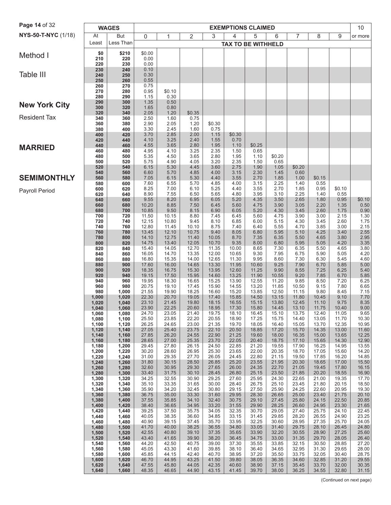| At<br>3<br>5<br>7<br>8<br>9<br><b>But</b><br>$\mathbf 0$<br>2<br>6<br>1<br>4<br>or more<br>Less Than<br>Least<br><b>TAX TO BE WITHHELD</b><br>\$0.00<br>\$0<br>\$210<br>210<br>220<br>0.00<br>0.00<br>220<br>230<br>230<br>0.10<br>240<br>Table III<br>240<br>250<br>0.30<br>0.55<br>250<br>260<br>0.75<br>260<br>270<br>270<br>280<br>0.95<br>\$0.10<br>1.15<br>0.30<br>280<br>290<br>290<br>300<br>1.35<br>0.50<br><b>New York City</b><br>300<br>320<br>1.65<br>0.80<br>2.05<br>320<br>1.20<br>\$0.35<br>340<br>340<br>2.50<br>1.60<br>0.75<br>360<br>360<br>2.90<br>2.05<br>1.20<br>\$0.30<br>380<br>3.30<br>2.45<br>1.60<br>0.75<br>380<br>400<br>400<br>420<br>3.70<br>2.85<br>2.00<br>1.15<br>\$0.30<br>420<br>440<br>4.10<br>3.25<br>2.40<br>1.55<br>0.70<br>4.55<br>3.65<br>2.80<br>1.95<br>1.10<br>\$0.25<br>440<br>460<br><b>MARRIED</b><br>460<br>4.95<br>4.10<br>3.25<br>2.35<br>480<br>1.50<br>0.65<br>480<br>500<br>5.35<br>4.50<br>3.65<br>2.80<br>1.95<br>1.10<br>\$0.20<br>5.75<br>4.90<br>4.05<br>3.20<br>2.35<br>500<br>520<br>1.50<br>0.65<br>520<br>4.45<br>540<br>6.15<br>5.30<br>3.60<br>2.75<br>1.90<br>1.05<br>\$0.20<br>540<br>6.60<br>0.60<br>560<br>5.70<br>4.85<br>4.00<br>3.15<br>2.30<br>1.45<br><b>SEMIMONTHLY</b><br>560<br>5.30<br>3.55<br>1.85<br>580<br>7.05<br>6.15<br>4.40<br>2.70<br>1.00<br>\$0.15<br>580<br>7.60<br>6.55<br>5.70<br>0.55<br>600<br>4.85<br>4.00<br>3.15<br>2.25<br>1.40<br>600<br>620<br>8.25<br>7.00<br>6.10<br>4.40<br>3.55<br>2.70<br>0.95<br>\$0.10<br>5.25<br>1.85<br>8.90<br>7.55<br>6.50<br>4.80<br>3.95<br>3.10<br>2.25<br>0.55<br>620<br>640<br>5.65<br>1.40<br>640<br>660<br>9.55<br>8.20<br>6.95<br>6.05<br>5.20<br>4.35<br>3.50<br>2.65<br>1.80<br>0.95<br>\$0.10<br>3.90<br>0.50<br>660<br>680<br>10.20<br>8.85<br>7.50<br>5.60<br>4.75<br>3.05<br>2.20<br>1.35<br>6.45<br>0.90<br>10.85<br>9.50<br>8.15<br>6.05<br>4.30<br>680<br>700<br>6.90<br>5.20<br>3.45<br>2.60<br>1.75<br>8.80<br>1.30<br>700<br>11.50<br>10.15<br>6.45<br>4.75<br>3.00<br>2.15<br>720<br>7.45<br>5.60<br>3.90<br>1.75<br>720<br>12.15<br>10.80<br>9.45<br>6.85<br>6.00<br>5.15<br>4.30<br>2.60<br>740<br>8.10<br>3.45<br>2.15<br>12.80<br>5.55<br>3.85<br>3.00<br>740<br>760<br>11.45<br>10.10<br>8.75<br>7.40<br>6.40<br>4.70<br>5.95<br>760<br>780<br>13.45<br>12.10<br>10.75<br>9.40<br>8.05<br>6.80<br>5.10<br>4.25<br>3.40<br>2.55<br>2.95<br>14.10<br>11.40<br>10.05<br>8.70<br>7.35<br>6.35<br>5.50<br>4.65<br>3.80<br>780<br>800<br>12.75<br>14.75<br>12.05<br>9.35<br>6.80<br>3.35<br>800<br>13.40<br>10.70<br>8.00<br>5.95<br>5.05<br>4.20<br>820<br>3.80<br>820<br>15.40<br>14.05<br>12.70<br>7.30<br>840<br>11.35<br>10.00<br>8.65<br>6.35<br>5.50<br>4.65<br>4.20<br>16.05<br>14.70<br>13.35<br>12.00<br>10.65<br>9.30<br>7.95<br>5.90<br>840<br>6.75<br>5.05<br>860<br>16.80<br>15.35<br>14.00<br>12.65<br>11.30<br>9.95<br>8.60<br>7.30<br>6.30<br>4.60<br>860<br>880<br>5.45<br>5.00<br>880<br>900<br>17.60<br>16.00<br>14.65<br>13.30<br>11.95<br>10.60<br>9.25<br>7.90<br>6.70<br>5.85<br>15.30<br>12.60<br>9.90<br>5.40<br>18.35<br>13.95<br>11.25<br>8.55<br>7.25<br>6.25<br>900<br>920<br>16.75<br>19.15<br>17.50<br>15.95<br>14.60<br>13.25<br>11.90<br>10.55<br>7.85<br>6.70<br>5.85<br>920<br>940<br>9.20<br>6.25<br>940<br>19.95<br>18.30<br>16.65<br>13.90<br>8.50<br>960<br>15.25<br>12.55<br>11.20<br>9.85<br>7.20<br>6.65<br>14.55<br>13.20<br>11.85<br>7.80<br>960<br>980<br>20.75<br>19.10<br>17.45<br>15.90<br>10.50<br>9.15<br>21.55<br>19.90<br>18.25<br>15.20<br>12.50<br>9.80<br>7.15<br>980<br>16.60<br>13.85<br>11.15<br>8.45<br>1,000<br>17.40<br>13.15<br>11.80<br>1,000<br>1,020<br>22.30<br>20.70<br>19.05<br>15.85<br>14.50<br>10.45<br>9.10<br>7.70<br>8.35<br>23.10<br>21.45<br>19.80<br>18.15<br>16.55<br>15.15<br>13.80<br>12.45<br>11.10<br>9.75<br>1,020<br>1,040<br>23.90<br>22.25<br>18.95<br>17.30<br>15.80<br>14.45<br>1,040<br>1,060<br>20.60<br>13.10<br>11.75<br>10.40<br>9.00<br>9.65<br>1,060<br>1,080<br>24.70<br>23.05<br>21.40<br>19.75<br>18.10<br>13.75<br>12.40<br>11.05<br>16.45<br>15.10<br>10.30<br>1,080<br>1,100<br>25.50<br>23.85<br>22.20<br>20.55<br>18.90<br>17.25<br>14.40<br>13.05<br>11.70<br>15.75<br>23.00<br>21.35<br>19.70<br>18.05<br>16.40<br>15.05<br>13.70<br>12.35<br>10.95<br>1,100<br>1,120<br>26.25<br>24.65<br>1,120<br>1,140<br>27.05<br>25.40<br>23.75<br>22.10<br>20.50<br>18.85<br>17.20<br>15.70<br>14.35<br>13.00<br>11.60<br>24.55<br>22.90<br>21.25<br>19.60<br>18.00<br>16.35<br>15.00<br>13.65<br>12.25<br>1,140<br>1,160<br>27.85<br>26.20<br>25.35<br>18.75<br>14.30<br>12.90<br>28.65<br>27.00<br>23.70<br>22.05<br>20.40<br>17.10<br>15.65<br>1,160<br>1,180<br>13.55<br>1,180<br>1,200<br>29.45<br>27.80<br>26.15<br>24.50<br>22.85<br>21.20<br>19.55<br>17.90<br>16.25<br>14.95<br>26.95<br>20.35<br>18.70<br>14.20<br>1,220<br>30.20<br>28.60<br>25.30<br>23.65<br>22.00<br>17.05<br>15.60<br>1,200<br>27.70<br>22.80<br>21.15<br>14.85<br>1,220<br>1,240<br>31.00<br>29.35<br>26.05<br>24.45<br>19.50<br>17.85<br>16.20<br>1,240<br>1,260<br>31.80<br>30.15<br>28.50<br>26.85<br>25.20<br>23.55<br>21.95<br>20.30<br>18.65<br>17.00<br>15.50<br>32.60<br>30.95<br>29.30<br>22.70<br>21.05<br>16.15<br>27.65<br>26.00<br>24.35<br>19.45<br>17.80<br>1,260<br>1,280<br>16.90<br>1,280<br>1,300<br>33.40<br>31.75<br>30.10<br>28.45<br>26.80<br>25.15<br>23.50<br>21.85<br>20.20<br>18.55<br>1,300<br>29.25<br>22.65<br>17.70<br>1,320<br>34.25<br>32.55<br>30.90<br>27.60<br>25.95<br>24.30<br>21.00<br>19.35<br>18.50<br>1,340<br>35.10<br>33.35<br>31.65<br>30.00<br>28.40<br>26.75<br>25.10<br>23.45<br>21.80<br>20.15<br>1,320<br>1,360<br>35.90<br>34.20<br>32.45<br>30.80<br>29.15<br>27.50<br>25.90<br>24.25<br>22.60<br>20.95<br>19.30<br>1,340<br>1,360<br>1,380<br>36.75<br>35.00<br>33.30<br>31.60<br>29.95<br>28.30<br>26.65<br>25.00<br>23.40<br>21.75<br>20.10<br>37.55<br>34.10<br>32.40<br>30.75<br>29.10<br>27.45<br>25.80<br>24.15<br>22.50<br>20.85<br>1,380<br>1,400<br>35.85<br>34.95<br>29.90<br>28.25<br>21.65<br>1,400<br>1,420<br>38.40<br>36.65<br>33.20<br>31.55<br>26.60<br>24.95<br>23.30<br>1,440<br>34.05<br>22.45<br>1,420<br>39.25<br>37.50<br>35.75<br>32.35<br>30.70<br>29.05<br>27.40<br>25.75<br>24.10<br>29.85<br>28.20<br>23.25<br>1,460<br>40.05<br>38.35<br>36.60<br>34.85<br>33.15<br>31.45<br>26.55<br>24.90<br>1,440<br>40.90<br>32.25<br>30.60<br>1,460<br>1,480<br>39.15<br>37.45<br>35.70<br>33.95<br>28.95<br>27.35<br>25.70<br>24.05<br>41.70<br>1,480<br>1,500<br>40.00<br>38.25<br>36.55<br>34.80<br>33.05<br>31.40<br>29.75<br>28.10<br>26.45<br>24.80<br>42.55<br>32.20<br>28.90<br>25.60<br>40.80<br>39.10<br>37.35<br>35.65<br>33.90<br>30.55<br>27.25<br>1,500<br>1,520<br>1,520<br>1,540<br>43.40<br>41.65<br>39.90<br>38.20<br>36.45<br>34.75<br>33.00<br>31.35<br>29.70<br>28.05<br>26.40<br>27.20<br>1,540<br>1,560<br>44.20<br>42.50<br>40.75<br>39.00<br>37.30<br>35.55<br>33.85<br>32.15<br>30.50<br>28.85<br>28.00<br>45.05<br>43.30<br>41.60<br>39.85<br>38.10<br>34.65<br>32.95<br>31.30<br>1,560<br>1,580<br>36.40<br>29.65<br>40.70<br>38.95<br>37.20<br>35.50<br>33.75<br>1,580<br>1,600<br>45.85<br>44.15<br>42.40<br>32.05<br>30.40<br>28.75<br>1,600<br>1,620<br>46.70<br>44.95<br>43.25<br>41.50<br>39.80<br>38.05<br>36.35<br>34.60<br>32.85<br>31.20<br>29.55<br>47.55<br>44.05<br>42.35<br>40.60<br>38.90<br>37.15<br>35.45<br>33.70<br>32.00<br>30.35<br>1,620<br>1,640<br>45.80<br>1,640<br>1,660<br>48.35<br>46.65<br>44.90<br>43.15<br>41.45<br>39.70<br>38.00<br>36.25<br>34.55<br>32.80<br>31.15 | Page 14 of 32         | <b>WAGES</b> |  |  | <b>EXEMPTIONS CLAIMED</b> |  |  | 10 |
|---------------------------------------------------------------------------------------------------------------------------------------------------------------------------------------------------------------------------------------------------------------------------------------------------------------------------------------------------------------------------------------------------------------------------------------------------------------------------------------------------------------------------------------------------------------------------------------------------------------------------------------------------------------------------------------------------------------------------------------------------------------------------------------------------------------------------------------------------------------------------------------------------------------------------------------------------------------------------------------------------------------------------------------------------------------------------------------------------------------------------------------------------------------------------------------------------------------------------------------------------------------------------------------------------------------------------------------------------------------------------------------------------------------------------------------------------------------------------------------------------------------------------------------------------------------------------------------------------------------------------------------------------------------------------------------------------------------------------------------------------------------------------------------------------------------------------------------------------------------------------------------------------------------------------------------------------------------------------------------------------------------------------------------------------------------------------------------------------------------------------------------------------------------------------------------------------------------------------------------------------------------------------------------------------------------------------------------------------------------------------------------------------------------------------------------------------------------------------------------------------------------------------------------------------------------------------------------------------------------------------------------------------------------------------------------------------------------------------------------------------------------------------------------------------------------------------------------------------------------------------------------------------------------------------------------------------------------------------------------------------------------------------------------------------------------------------------------------------------------------------------------------------------------------------------------------------------------------------------------------------------------------------------------------------------------------------------------------------------------------------------------------------------------------------------------------------------------------------------------------------------------------------------------------------------------------------------------------------------------------------------------------------------------------------------------------------------------------------------------------------------------------------------------------------------------------------------------------------------------------------------------------------------------------------------------------------------------------------------------------------------------------------------------------------------------------------------------------------------------------------------------------------------------------------------------------------------------------------------------------------------------------------------------------------------------------------------------------------------------------------------------------------------------------------------------------------------------------------------------------------------------------------------------------------------------------------------------------------------------------------------------------------------------------------------------------------------------------------------------------------------------------------------------------------------------------------------------------------------------------------------------------------------------------------------------------------------------------------------------------------------------------------------------------------------------------------------------------------------------------------------------------------------------------------------------------------------------------------------------------------------------------------------------------------------------------------------------------------------------------------------------------------------------------------------------------------------------------------------------------------------------------------------------------------------------------------------------------------------------------------------------------------------------------------------------------------------------------------------------------------------------------------------------------------------------------------------------------------------------------------------------------------------------------------------------------------------------------------------------------------------------------------------------------------------------------------------------------------------------------------------------------------------------------------------------------------------------------------------------------------------------------------------------------------------------------------------------------------------------------------------------------------------------------------------------------------------------------------------------------------------------------------------------------------------------------------------------------------------------------------------------------------------------------------------------------------------------------------------------------------------------------------------------------------------------------------------------------------------------------------------------------------------------------------------------------------------------------------------------------------------------------------------------------------------------------------------------------------------------------------------------------------------------------------------------------------------------------------------------------------------------------------------------------------------------------------------------------------------------------------------------------------------------------------------------------------------------------------------------------------------------------------------------------------------------------------------------------------------------------------------------------|-----------------------|--------------|--|--|---------------------------|--|--|----|
|                                                                                                                                                                                                                                                                                                                                                                                                                                                                                                                                                                                                                                                                                                                                                                                                                                                                                                                                                                                                                                                                                                                                                                                                                                                                                                                                                                                                                                                                                                                                                                                                                                                                                                                                                                                                                                                                                                                                                                                                                                                                                                                                                                                                                                                                                                                                                                                                                                                                                                                                                                                                                                                                                                                                                                                                                                                                                                                                                                                                                                                                                                                                                                                                                                                                                                                                                                                                                                                                                                                                                                                                                                                                                                                                                                                                                                                                                                                                                                                                                                                                                                                                                                                                                                                                                                                                                                                                                                                                                                                                                                                                                                                                                                                                                                                                                                                                                                                                                                                                                                                                                                                                                                                                                                                                                                                                                                                                                                                                                                                                                                                                                                                                                                                                                                                                                                                                                                                                                                                                                                                                                                                                                                                                                                                                                                                                                                                                                                                                                                                                                                                                                                                                                                                                                                                                                                                                                                                                                                                                                                                                                                                                                                                                                                                                                                                                                                                                                                                                                                                                                                                                                                             | NYS-50-T-NYC (1/18)   |              |  |  |                           |  |  |    |
|                                                                                                                                                                                                                                                                                                                                                                                                                                                                                                                                                                                                                                                                                                                                                                                                                                                                                                                                                                                                                                                                                                                                                                                                                                                                                                                                                                                                                                                                                                                                                                                                                                                                                                                                                                                                                                                                                                                                                                                                                                                                                                                                                                                                                                                                                                                                                                                                                                                                                                                                                                                                                                                                                                                                                                                                                                                                                                                                                                                                                                                                                                                                                                                                                                                                                                                                                                                                                                                                                                                                                                                                                                                                                                                                                                                                                                                                                                                                                                                                                                                                                                                                                                                                                                                                                                                                                                                                                                                                                                                                                                                                                                                                                                                                                                                                                                                                                                                                                                                                                                                                                                                                                                                                                                                                                                                                                                                                                                                                                                                                                                                                                                                                                                                                                                                                                                                                                                                                                                                                                                                                                                                                                                                                                                                                                                                                                                                                                                                                                                                                                                                                                                                                                                                                                                                                                                                                                                                                                                                                                                                                                                                                                                                                                                                                                                                                                                                                                                                                                                                                                                                                                                             |                       |              |  |  |                           |  |  |    |
|                                                                                                                                                                                                                                                                                                                                                                                                                                                                                                                                                                                                                                                                                                                                                                                                                                                                                                                                                                                                                                                                                                                                                                                                                                                                                                                                                                                                                                                                                                                                                                                                                                                                                                                                                                                                                                                                                                                                                                                                                                                                                                                                                                                                                                                                                                                                                                                                                                                                                                                                                                                                                                                                                                                                                                                                                                                                                                                                                                                                                                                                                                                                                                                                                                                                                                                                                                                                                                                                                                                                                                                                                                                                                                                                                                                                                                                                                                                                                                                                                                                                                                                                                                                                                                                                                                                                                                                                                                                                                                                                                                                                                                                                                                                                                                                                                                                                                                                                                                                                                                                                                                                                                                                                                                                                                                                                                                                                                                                                                                                                                                                                                                                                                                                                                                                                                                                                                                                                                                                                                                                                                                                                                                                                                                                                                                                                                                                                                                                                                                                                                                                                                                                                                                                                                                                                                                                                                                                                                                                                                                                                                                                                                                                                                                                                                                                                                                                                                                                                                                                                                                                                                                             | Method I              |              |  |  |                           |  |  |    |
|                                                                                                                                                                                                                                                                                                                                                                                                                                                                                                                                                                                                                                                                                                                                                                                                                                                                                                                                                                                                                                                                                                                                                                                                                                                                                                                                                                                                                                                                                                                                                                                                                                                                                                                                                                                                                                                                                                                                                                                                                                                                                                                                                                                                                                                                                                                                                                                                                                                                                                                                                                                                                                                                                                                                                                                                                                                                                                                                                                                                                                                                                                                                                                                                                                                                                                                                                                                                                                                                                                                                                                                                                                                                                                                                                                                                                                                                                                                                                                                                                                                                                                                                                                                                                                                                                                                                                                                                                                                                                                                                                                                                                                                                                                                                                                                                                                                                                                                                                                                                                                                                                                                                                                                                                                                                                                                                                                                                                                                                                                                                                                                                                                                                                                                                                                                                                                                                                                                                                                                                                                                                                                                                                                                                                                                                                                                                                                                                                                                                                                                                                                                                                                                                                                                                                                                                                                                                                                                                                                                                                                                                                                                                                                                                                                                                                                                                                                                                                                                                                                                                                                                                                                             |                       |              |  |  |                           |  |  |    |
|                                                                                                                                                                                                                                                                                                                                                                                                                                                                                                                                                                                                                                                                                                                                                                                                                                                                                                                                                                                                                                                                                                                                                                                                                                                                                                                                                                                                                                                                                                                                                                                                                                                                                                                                                                                                                                                                                                                                                                                                                                                                                                                                                                                                                                                                                                                                                                                                                                                                                                                                                                                                                                                                                                                                                                                                                                                                                                                                                                                                                                                                                                                                                                                                                                                                                                                                                                                                                                                                                                                                                                                                                                                                                                                                                                                                                                                                                                                                                                                                                                                                                                                                                                                                                                                                                                                                                                                                                                                                                                                                                                                                                                                                                                                                                                                                                                                                                                                                                                                                                                                                                                                                                                                                                                                                                                                                                                                                                                                                                                                                                                                                                                                                                                                                                                                                                                                                                                                                                                                                                                                                                                                                                                                                                                                                                                                                                                                                                                                                                                                                                                                                                                                                                                                                                                                                                                                                                                                                                                                                                                                                                                                                                                                                                                                                                                                                                                                                                                                                                                                                                                                                                                             |                       |              |  |  |                           |  |  |    |
|                                                                                                                                                                                                                                                                                                                                                                                                                                                                                                                                                                                                                                                                                                                                                                                                                                                                                                                                                                                                                                                                                                                                                                                                                                                                                                                                                                                                                                                                                                                                                                                                                                                                                                                                                                                                                                                                                                                                                                                                                                                                                                                                                                                                                                                                                                                                                                                                                                                                                                                                                                                                                                                                                                                                                                                                                                                                                                                                                                                                                                                                                                                                                                                                                                                                                                                                                                                                                                                                                                                                                                                                                                                                                                                                                                                                                                                                                                                                                                                                                                                                                                                                                                                                                                                                                                                                                                                                                                                                                                                                                                                                                                                                                                                                                                                                                                                                                                                                                                                                                                                                                                                                                                                                                                                                                                                                                                                                                                                                                                                                                                                                                                                                                                                                                                                                                                                                                                                                                                                                                                                                                                                                                                                                                                                                                                                                                                                                                                                                                                                                                                                                                                                                                                                                                                                                                                                                                                                                                                                                                                                                                                                                                                                                                                                                                                                                                                                                                                                                                                                                                                                                                                             |                       |              |  |  |                           |  |  |    |
|                                                                                                                                                                                                                                                                                                                                                                                                                                                                                                                                                                                                                                                                                                                                                                                                                                                                                                                                                                                                                                                                                                                                                                                                                                                                                                                                                                                                                                                                                                                                                                                                                                                                                                                                                                                                                                                                                                                                                                                                                                                                                                                                                                                                                                                                                                                                                                                                                                                                                                                                                                                                                                                                                                                                                                                                                                                                                                                                                                                                                                                                                                                                                                                                                                                                                                                                                                                                                                                                                                                                                                                                                                                                                                                                                                                                                                                                                                                                                                                                                                                                                                                                                                                                                                                                                                                                                                                                                                                                                                                                                                                                                                                                                                                                                                                                                                                                                                                                                                                                                                                                                                                                                                                                                                                                                                                                                                                                                                                                                                                                                                                                                                                                                                                                                                                                                                                                                                                                                                                                                                                                                                                                                                                                                                                                                                                                                                                                                                                                                                                                                                                                                                                                                                                                                                                                                                                                                                                                                                                                                                                                                                                                                                                                                                                                                                                                                                                                                                                                                                                                                                                                                                             |                       |              |  |  |                           |  |  |    |
|                                                                                                                                                                                                                                                                                                                                                                                                                                                                                                                                                                                                                                                                                                                                                                                                                                                                                                                                                                                                                                                                                                                                                                                                                                                                                                                                                                                                                                                                                                                                                                                                                                                                                                                                                                                                                                                                                                                                                                                                                                                                                                                                                                                                                                                                                                                                                                                                                                                                                                                                                                                                                                                                                                                                                                                                                                                                                                                                                                                                                                                                                                                                                                                                                                                                                                                                                                                                                                                                                                                                                                                                                                                                                                                                                                                                                                                                                                                                                                                                                                                                                                                                                                                                                                                                                                                                                                                                                                                                                                                                                                                                                                                                                                                                                                                                                                                                                                                                                                                                                                                                                                                                                                                                                                                                                                                                                                                                                                                                                                                                                                                                                                                                                                                                                                                                                                                                                                                                                                                                                                                                                                                                                                                                                                                                                                                                                                                                                                                                                                                                                                                                                                                                                                                                                                                                                                                                                                                                                                                                                                                                                                                                                                                                                                                                                                                                                                                                                                                                                                                                                                                                                                             |                       |              |  |  |                           |  |  |    |
|                                                                                                                                                                                                                                                                                                                                                                                                                                                                                                                                                                                                                                                                                                                                                                                                                                                                                                                                                                                                                                                                                                                                                                                                                                                                                                                                                                                                                                                                                                                                                                                                                                                                                                                                                                                                                                                                                                                                                                                                                                                                                                                                                                                                                                                                                                                                                                                                                                                                                                                                                                                                                                                                                                                                                                                                                                                                                                                                                                                                                                                                                                                                                                                                                                                                                                                                                                                                                                                                                                                                                                                                                                                                                                                                                                                                                                                                                                                                                                                                                                                                                                                                                                                                                                                                                                                                                                                                                                                                                                                                                                                                                                                                                                                                                                                                                                                                                                                                                                                                                                                                                                                                                                                                                                                                                                                                                                                                                                                                                                                                                                                                                                                                                                                                                                                                                                                                                                                                                                                                                                                                                                                                                                                                                                                                                                                                                                                                                                                                                                                                                                                                                                                                                                                                                                                                                                                                                                                                                                                                                                                                                                                                                                                                                                                                                                                                                                                                                                                                                                                                                                                                                                             |                       |              |  |  |                           |  |  |    |
|                                                                                                                                                                                                                                                                                                                                                                                                                                                                                                                                                                                                                                                                                                                                                                                                                                                                                                                                                                                                                                                                                                                                                                                                                                                                                                                                                                                                                                                                                                                                                                                                                                                                                                                                                                                                                                                                                                                                                                                                                                                                                                                                                                                                                                                                                                                                                                                                                                                                                                                                                                                                                                                                                                                                                                                                                                                                                                                                                                                                                                                                                                                                                                                                                                                                                                                                                                                                                                                                                                                                                                                                                                                                                                                                                                                                                                                                                                                                                                                                                                                                                                                                                                                                                                                                                                                                                                                                                                                                                                                                                                                                                                                                                                                                                                                                                                                                                                                                                                                                                                                                                                                                                                                                                                                                                                                                                                                                                                                                                                                                                                                                                                                                                                                                                                                                                                                                                                                                                                                                                                                                                                                                                                                                                                                                                                                                                                                                                                                                                                                                                                                                                                                                                                                                                                                                                                                                                                                                                                                                                                                                                                                                                                                                                                                                                                                                                                                                                                                                                                                                                                                                                                             | <b>Resident Tax</b>   |              |  |  |                           |  |  |    |
|                                                                                                                                                                                                                                                                                                                                                                                                                                                                                                                                                                                                                                                                                                                                                                                                                                                                                                                                                                                                                                                                                                                                                                                                                                                                                                                                                                                                                                                                                                                                                                                                                                                                                                                                                                                                                                                                                                                                                                                                                                                                                                                                                                                                                                                                                                                                                                                                                                                                                                                                                                                                                                                                                                                                                                                                                                                                                                                                                                                                                                                                                                                                                                                                                                                                                                                                                                                                                                                                                                                                                                                                                                                                                                                                                                                                                                                                                                                                                                                                                                                                                                                                                                                                                                                                                                                                                                                                                                                                                                                                                                                                                                                                                                                                                                                                                                                                                                                                                                                                                                                                                                                                                                                                                                                                                                                                                                                                                                                                                                                                                                                                                                                                                                                                                                                                                                                                                                                                                                                                                                                                                                                                                                                                                                                                                                                                                                                                                                                                                                                                                                                                                                                                                                                                                                                                                                                                                                                                                                                                                                                                                                                                                                                                                                                                                                                                                                                                                                                                                                                                                                                                                                             |                       |              |  |  |                           |  |  |    |
|                                                                                                                                                                                                                                                                                                                                                                                                                                                                                                                                                                                                                                                                                                                                                                                                                                                                                                                                                                                                                                                                                                                                                                                                                                                                                                                                                                                                                                                                                                                                                                                                                                                                                                                                                                                                                                                                                                                                                                                                                                                                                                                                                                                                                                                                                                                                                                                                                                                                                                                                                                                                                                                                                                                                                                                                                                                                                                                                                                                                                                                                                                                                                                                                                                                                                                                                                                                                                                                                                                                                                                                                                                                                                                                                                                                                                                                                                                                                                                                                                                                                                                                                                                                                                                                                                                                                                                                                                                                                                                                                                                                                                                                                                                                                                                                                                                                                                                                                                                                                                                                                                                                                                                                                                                                                                                                                                                                                                                                                                                                                                                                                                                                                                                                                                                                                                                                                                                                                                                                                                                                                                                                                                                                                                                                                                                                                                                                                                                                                                                                                                                                                                                                                                                                                                                                                                                                                                                                                                                                                                                                                                                                                                                                                                                                                                                                                                                                                                                                                                                                                                                                                                                             |                       |              |  |  |                           |  |  |    |
|                                                                                                                                                                                                                                                                                                                                                                                                                                                                                                                                                                                                                                                                                                                                                                                                                                                                                                                                                                                                                                                                                                                                                                                                                                                                                                                                                                                                                                                                                                                                                                                                                                                                                                                                                                                                                                                                                                                                                                                                                                                                                                                                                                                                                                                                                                                                                                                                                                                                                                                                                                                                                                                                                                                                                                                                                                                                                                                                                                                                                                                                                                                                                                                                                                                                                                                                                                                                                                                                                                                                                                                                                                                                                                                                                                                                                                                                                                                                                                                                                                                                                                                                                                                                                                                                                                                                                                                                                                                                                                                                                                                                                                                                                                                                                                                                                                                                                                                                                                                                                                                                                                                                                                                                                                                                                                                                                                                                                                                                                                                                                                                                                                                                                                                                                                                                                                                                                                                                                                                                                                                                                                                                                                                                                                                                                                                                                                                                                                                                                                                                                                                                                                                                                                                                                                                                                                                                                                                                                                                                                                                                                                                                                                                                                                                                                                                                                                                                                                                                                                                                                                                                                                             |                       |              |  |  |                           |  |  |    |
|                                                                                                                                                                                                                                                                                                                                                                                                                                                                                                                                                                                                                                                                                                                                                                                                                                                                                                                                                                                                                                                                                                                                                                                                                                                                                                                                                                                                                                                                                                                                                                                                                                                                                                                                                                                                                                                                                                                                                                                                                                                                                                                                                                                                                                                                                                                                                                                                                                                                                                                                                                                                                                                                                                                                                                                                                                                                                                                                                                                                                                                                                                                                                                                                                                                                                                                                                                                                                                                                                                                                                                                                                                                                                                                                                                                                                                                                                                                                                                                                                                                                                                                                                                                                                                                                                                                                                                                                                                                                                                                                                                                                                                                                                                                                                                                                                                                                                                                                                                                                                                                                                                                                                                                                                                                                                                                                                                                                                                                                                                                                                                                                                                                                                                                                                                                                                                                                                                                                                                                                                                                                                                                                                                                                                                                                                                                                                                                                                                                                                                                                                                                                                                                                                                                                                                                                                                                                                                                                                                                                                                                                                                                                                                                                                                                                                                                                                                                                                                                                                                                                                                                                                                             |                       |              |  |  |                           |  |  |    |
|                                                                                                                                                                                                                                                                                                                                                                                                                                                                                                                                                                                                                                                                                                                                                                                                                                                                                                                                                                                                                                                                                                                                                                                                                                                                                                                                                                                                                                                                                                                                                                                                                                                                                                                                                                                                                                                                                                                                                                                                                                                                                                                                                                                                                                                                                                                                                                                                                                                                                                                                                                                                                                                                                                                                                                                                                                                                                                                                                                                                                                                                                                                                                                                                                                                                                                                                                                                                                                                                                                                                                                                                                                                                                                                                                                                                                                                                                                                                                                                                                                                                                                                                                                                                                                                                                                                                                                                                                                                                                                                                                                                                                                                                                                                                                                                                                                                                                                                                                                                                                                                                                                                                                                                                                                                                                                                                                                                                                                                                                                                                                                                                                                                                                                                                                                                                                                                                                                                                                                                                                                                                                                                                                                                                                                                                                                                                                                                                                                                                                                                                                                                                                                                                                                                                                                                                                                                                                                                                                                                                                                                                                                                                                                                                                                                                                                                                                                                                                                                                                                                                                                                                                                             |                       |              |  |  |                           |  |  |    |
|                                                                                                                                                                                                                                                                                                                                                                                                                                                                                                                                                                                                                                                                                                                                                                                                                                                                                                                                                                                                                                                                                                                                                                                                                                                                                                                                                                                                                                                                                                                                                                                                                                                                                                                                                                                                                                                                                                                                                                                                                                                                                                                                                                                                                                                                                                                                                                                                                                                                                                                                                                                                                                                                                                                                                                                                                                                                                                                                                                                                                                                                                                                                                                                                                                                                                                                                                                                                                                                                                                                                                                                                                                                                                                                                                                                                                                                                                                                                                                                                                                                                                                                                                                                                                                                                                                                                                                                                                                                                                                                                                                                                                                                                                                                                                                                                                                                                                                                                                                                                                                                                                                                                                                                                                                                                                                                                                                                                                                                                                                                                                                                                                                                                                                                                                                                                                                                                                                                                                                                                                                                                                                                                                                                                                                                                                                                                                                                                                                                                                                                                                                                                                                                                                                                                                                                                                                                                                                                                                                                                                                                                                                                                                                                                                                                                                                                                                                                                                                                                                                                                                                                                                                             |                       |              |  |  |                           |  |  |    |
|                                                                                                                                                                                                                                                                                                                                                                                                                                                                                                                                                                                                                                                                                                                                                                                                                                                                                                                                                                                                                                                                                                                                                                                                                                                                                                                                                                                                                                                                                                                                                                                                                                                                                                                                                                                                                                                                                                                                                                                                                                                                                                                                                                                                                                                                                                                                                                                                                                                                                                                                                                                                                                                                                                                                                                                                                                                                                                                                                                                                                                                                                                                                                                                                                                                                                                                                                                                                                                                                                                                                                                                                                                                                                                                                                                                                                                                                                                                                                                                                                                                                                                                                                                                                                                                                                                                                                                                                                                                                                                                                                                                                                                                                                                                                                                                                                                                                                                                                                                                                                                                                                                                                                                                                                                                                                                                                                                                                                                                                                                                                                                                                                                                                                                                                                                                                                                                                                                                                                                                                                                                                                                                                                                                                                                                                                                                                                                                                                                                                                                                                                                                                                                                                                                                                                                                                                                                                                                                                                                                                                                                                                                                                                                                                                                                                                                                                                                                                                                                                                                                                                                                                                                             |                       |              |  |  |                           |  |  |    |
|                                                                                                                                                                                                                                                                                                                                                                                                                                                                                                                                                                                                                                                                                                                                                                                                                                                                                                                                                                                                                                                                                                                                                                                                                                                                                                                                                                                                                                                                                                                                                                                                                                                                                                                                                                                                                                                                                                                                                                                                                                                                                                                                                                                                                                                                                                                                                                                                                                                                                                                                                                                                                                                                                                                                                                                                                                                                                                                                                                                                                                                                                                                                                                                                                                                                                                                                                                                                                                                                                                                                                                                                                                                                                                                                                                                                                                                                                                                                                                                                                                                                                                                                                                                                                                                                                                                                                                                                                                                                                                                                                                                                                                                                                                                                                                                                                                                                                                                                                                                                                                                                                                                                                                                                                                                                                                                                                                                                                                                                                                                                                                                                                                                                                                                                                                                                                                                                                                                                                                                                                                                                                                                                                                                                                                                                                                                                                                                                                                                                                                                                                                                                                                                                                                                                                                                                                                                                                                                                                                                                                                                                                                                                                                                                                                                                                                                                                                                                                                                                                                                                                                                                                                             | <b>Payroll Period</b> |              |  |  |                           |  |  |    |
|                                                                                                                                                                                                                                                                                                                                                                                                                                                                                                                                                                                                                                                                                                                                                                                                                                                                                                                                                                                                                                                                                                                                                                                                                                                                                                                                                                                                                                                                                                                                                                                                                                                                                                                                                                                                                                                                                                                                                                                                                                                                                                                                                                                                                                                                                                                                                                                                                                                                                                                                                                                                                                                                                                                                                                                                                                                                                                                                                                                                                                                                                                                                                                                                                                                                                                                                                                                                                                                                                                                                                                                                                                                                                                                                                                                                                                                                                                                                                                                                                                                                                                                                                                                                                                                                                                                                                                                                                                                                                                                                                                                                                                                                                                                                                                                                                                                                                                                                                                                                                                                                                                                                                                                                                                                                                                                                                                                                                                                                                                                                                                                                                                                                                                                                                                                                                                                                                                                                                                                                                                                                                                                                                                                                                                                                                                                                                                                                                                                                                                                                                                                                                                                                                                                                                                                                                                                                                                                                                                                                                                                                                                                                                                                                                                                                                                                                                                                                                                                                                                                                                                                                                                             |                       |              |  |  |                           |  |  |    |
|                                                                                                                                                                                                                                                                                                                                                                                                                                                                                                                                                                                                                                                                                                                                                                                                                                                                                                                                                                                                                                                                                                                                                                                                                                                                                                                                                                                                                                                                                                                                                                                                                                                                                                                                                                                                                                                                                                                                                                                                                                                                                                                                                                                                                                                                                                                                                                                                                                                                                                                                                                                                                                                                                                                                                                                                                                                                                                                                                                                                                                                                                                                                                                                                                                                                                                                                                                                                                                                                                                                                                                                                                                                                                                                                                                                                                                                                                                                                                                                                                                                                                                                                                                                                                                                                                                                                                                                                                                                                                                                                                                                                                                                                                                                                                                                                                                                                                                                                                                                                                                                                                                                                                                                                                                                                                                                                                                                                                                                                                                                                                                                                                                                                                                                                                                                                                                                                                                                                                                                                                                                                                                                                                                                                                                                                                                                                                                                                                                                                                                                                                                                                                                                                                                                                                                                                                                                                                                                                                                                                                                                                                                                                                                                                                                                                                                                                                                                                                                                                                                                                                                                                                                             |                       |              |  |  |                           |  |  |    |
|                                                                                                                                                                                                                                                                                                                                                                                                                                                                                                                                                                                                                                                                                                                                                                                                                                                                                                                                                                                                                                                                                                                                                                                                                                                                                                                                                                                                                                                                                                                                                                                                                                                                                                                                                                                                                                                                                                                                                                                                                                                                                                                                                                                                                                                                                                                                                                                                                                                                                                                                                                                                                                                                                                                                                                                                                                                                                                                                                                                                                                                                                                                                                                                                                                                                                                                                                                                                                                                                                                                                                                                                                                                                                                                                                                                                                                                                                                                                                                                                                                                                                                                                                                                                                                                                                                                                                                                                                                                                                                                                                                                                                                                                                                                                                                                                                                                                                                                                                                                                                                                                                                                                                                                                                                                                                                                                                                                                                                                                                                                                                                                                                                                                                                                                                                                                                                                                                                                                                                                                                                                                                                                                                                                                                                                                                                                                                                                                                                                                                                                                                                                                                                                                                                                                                                                                                                                                                                                                                                                                                                                                                                                                                                                                                                                                                                                                                                                                                                                                                                                                                                                                                                             |                       |              |  |  |                           |  |  |    |
|                                                                                                                                                                                                                                                                                                                                                                                                                                                                                                                                                                                                                                                                                                                                                                                                                                                                                                                                                                                                                                                                                                                                                                                                                                                                                                                                                                                                                                                                                                                                                                                                                                                                                                                                                                                                                                                                                                                                                                                                                                                                                                                                                                                                                                                                                                                                                                                                                                                                                                                                                                                                                                                                                                                                                                                                                                                                                                                                                                                                                                                                                                                                                                                                                                                                                                                                                                                                                                                                                                                                                                                                                                                                                                                                                                                                                                                                                                                                                                                                                                                                                                                                                                                                                                                                                                                                                                                                                                                                                                                                                                                                                                                                                                                                                                                                                                                                                                                                                                                                                                                                                                                                                                                                                                                                                                                                                                                                                                                                                                                                                                                                                                                                                                                                                                                                                                                                                                                                                                                                                                                                                                                                                                                                                                                                                                                                                                                                                                                                                                                                                                                                                                                                                                                                                                                                                                                                                                                                                                                                                                                                                                                                                                                                                                                                                                                                                                                                                                                                                                                                                                                                                                             |                       |              |  |  |                           |  |  |    |
|                                                                                                                                                                                                                                                                                                                                                                                                                                                                                                                                                                                                                                                                                                                                                                                                                                                                                                                                                                                                                                                                                                                                                                                                                                                                                                                                                                                                                                                                                                                                                                                                                                                                                                                                                                                                                                                                                                                                                                                                                                                                                                                                                                                                                                                                                                                                                                                                                                                                                                                                                                                                                                                                                                                                                                                                                                                                                                                                                                                                                                                                                                                                                                                                                                                                                                                                                                                                                                                                                                                                                                                                                                                                                                                                                                                                                                                                                                                                                                                                                                                                                                                                                                                                                                                                                                                                                                                                                                                                                                                                                                                                                                                                                                                                                                                                                                                                                                                                                                                                                                                                                                                                                                                                                                                                                                                                                                                                                                                                                                                                                                                                                                                                                                                                                                                                                                                                                                                                                                                                                                                                                                                                                                                                                                                                                                                                                                                                                                                                                                                                                                                                                                                                                                                                                                                                                                                                                                                                                                                                                                                                                                                                                                                                                                                                                                                                                                                                                                                                                                                                                                                                                                             |                       |              |  |  |                           |  |  |    |
|                                                                                                                                                                                                                                                                                                                                                                                                                                                                                                                                                                                                                                                                                                                                                                                                                                                                                                                                                                                                                                                                                                                                                                                                                                                                                                                                                                                                                                                                                                                                                                                                                                                                                                                                                                                                                                                                                                                                                                                                                                                                                                                                                                                                                                                                                                                                                                                                                                                                                                                                                                                                                                                                                                                                                                                                                                                                                                                                                                                                                                                                                                                                                                                                                                                                                                                                                                                                                                                                                                                                                                                                                                                                                                                                                                                                                                                                                                                                                                                                                                                                                                                                                                                                                                                                                                                                                                                                                                                                                                                                                                                                                                                                                                                                                                                                                                                                                                                                                                                                                                                                                                                                                                                                                                                                                                                                                                                                                                                                                                                                                                                                                                                                                                                                                                                                                                                                                                                                                                                                                                                                                                                                                                                                                                                                                                                                                                                                                                                                                                                                                                                                                                                                                                                                                                                                                                                                                                                                                                                                                                                                                                                                                                                                                                                                                                                                                                                                                                                                                                                                                                                                                                             |                       |              |  |  |                           |  |  |    |
|                                                                                                                                                                                                                                                                                                                                                                                                                                                                                                                                                                                                                                                                                                                                                                                                                                                                                                                                                                                                                                                                                                                                                                                                                                                                                                                                                                                                                                                                                                                                                                                                                                                                                                                                                                                                                                                                                                                                                                                                                                                                                                                                                                                                                                                                                                                                                                                                                                                                                                                                                                                                                                                                                                                                                                                                                                                                                                                                                                                                                                                                                                                                                                                                                                                                                                                                                                                                                                                                                                                                                                                                                                                                                                                                                                                                                                                                                                                                                                                                                                                                                                                                                                                                                                                                                                                                                                                                                                                                                                                                                                                                                                                                                                                                                                                                                                                                                                                                                                                                                                                                                                                                                                                                                                                                                                                                                                                                                                                                                                                                                                                                                                                                                                                                                                                                                                                                                                                                                                                                                                                                                                                                                                                                                                                                                                                                                                                                                                                                                                                                                                                                                                                                                                                                                                                                                                                                                                                                                                                                                                                                                                                                                                                                                                                                                                                                                                                                                                                                                                                                                                                                                                             |                       |              |  |  |                           |  |  |    |
|                                                                                                                                                                                                                                                                                                                                                                                                                                                                                                                                                                                                                                                                                                                                                                                                                                                                                                                                                                                                                                                                                                                                                                                                                                                                                                                                                                                                                                                                                                                                                                                                                                                                                                                                                                                                                                                                                                                                                                                                                                                                                                                                                                                                                                                                                                                                                                                                                                                                                                                                                                                                                                                                                                                                                                                                                                                                                                                                                                                                                                                                                                                                                                                                                                                                                                                                                                                                                                                                                                                                                                                                                                                                                                                                                                                                                                                                                                                                                                                                                                                                                                                                                                                                                                                                                                                                                                                                                                                                                                                                                                                                                                                                                                                                                                                                                                                                                                                                                                                                                                                                                                                                                                                                                                                                                                                                                                                                                                                                                                                                                                                                                                                                                                                                                                                                                                                                                                                                                                                                                                                                                                                                                                                                                                                                                                                                                                                                                                                                                                                                                                                                                                                                                                                                                                                                                                                                                                                                                                                                                                                                                                                                                                                                                                                                                                                                                                                                                                                                                                                                                                                                                                             |                       |              |  |  |                           |  |  |    |
|                                                                                                                                                                                                                                                                                                                                                                                                                                                                                                                                                                                                                                                                                                                                                                                                                                                                                                                                                                                                                                                                                                                                                                                                                                                                                                                                                                                                                                                                                                                                                                                                                                                                                                                                                                                                                                                                                                                                                                                                                                                                                                                                                                                                                                                                                                                                                                                                                                                                                                                                                                                                                                                                                                                                                                                                                                                                                                                                                                                                                                                                                                                                                                                                                                                                                                                                                                                                                                                                                                                                                                                                                                                                                                                                                                                                                                                                                                                                                                                                                                                                                                                                                                                                                                                                                                                                                                                                                                                                                                                                                                                                                                                                                                                                                                                                                                                                                                                                                                                                                                                                                                                                                                                                                                                                                                                                                                                                                                                                                                                                                                                                                                                                                                                                                                                                                                                                                                                                                                                                                                                                                                                                                                                                                                                                                                                                                                                                                                                                                                                                                                                                                                                                                                                                                                                                                                                                                                                                                                                                                                                                                                                                                                                                                                                                                                                                                                                                                                                                                                                                                                                                                                             |                       |              |  |  |                           |  |  |    |
|                                                                                                                                                                                                                                                                                                                                                                                                                                                                                                                                                                                                                                                                                                                                                                                                                                                                                                                                                                                                                                                                                                                                                                                                                                                                                                                                                                                                                                                                                                                                                                                                                                                                                                                                                                                                                                                                                                                                                                                                                                                                                                                                                                                                                                                                                                                                                                                                                                                                                                                                                                                                                                                                                                                                                                                                                                                                                                                                                                                                                                                                                                                                                                                                                                                                                                                                                                                                                                                                                                                                                                                                                                                                                                                                                                                                                                                                                                                                                                                                                                                                                                                                                                                                                                                                                                                                                                                                                                                                                                                                                                                                                                                                                                                                                                                                                                                                                                                                                                                                                                                                                                                                                                                                                                                                                                                                                                                                                                                                                                                                                                                                                                                                                                                                                                                                                                                                                                                                                                                                                                                                                                                                                                                                                                                                                                                                                                                                                                                                                                                                                                                                                                                                                                                                                                                                                                                                                                                                                                                                                                                                                                                                                                                                                                                                                                                                                                                                                                                                                                                                                                                                                                             |                       |              |  |  |                           |  |  |    |
|                                                                                                                                                                                                                                                                                                                                                                                                                                                                                                                                                                                                                                                                                                                                                                                                                                                                                                                                                                                                                                                                                                                                                                                                                                                                                                                                                                                                                                                                                                                                                                                                                                                                                                                                                                                                                                                                                                                                                                                                                                                                                                                                                                                                                                                                                                                                                                                                                                                                                                                                                                                                                                                                                                                                                                                                                                                                                                                                                                                                                                                                                                                                                                                                                                                                                                                                                                                                                                                                                                                                                                                                                                                                                                                                                                                                                                                                                                                                                                                                                                                                                                                                                                                                                                                                                                                                                                                                                                                                                                                                                                                                                                                                                                                                                                                                                                                                                                                                                                                                                                                                                                                                                                                                                                                                                                                                                                                                                                                                                                                                                                                                                                                                                                                                                                                                                                                                                                                                                                                                                                                                                                                                                                                                                                                                                                                                                                                                                                                                                                                                                                                                                                                                                                                                                                                                                                                                                                                                                                                                                                                                                                                                                                                                                                                                                                                                                                                                                                                                                                                                                                                                                                             |                       |              |  |  |                           |  |  |    |
|                                                                                                                                                                                                                                                                                                                                                                                                                                                                                                                                                                                                                                                                                                                                                                                                                                                                                                                                                                                                                                                                                                                                                                                                                                                                                                                                                                                                                                                                                                                                                                                                                                                                                                                                                                                                                                                                                                                                                                                                                                                                                                                                                                                                                                                                                                                                                                                                                                                                                                                                                                                                                                                                                                                                                                                                                                                                                                                                                                                                                                                                                                                                                                                                                                                                                                                                                                                                                                                                                                                                                                                                                                                                                                                                                                                                                                                                                                                                                                                                                                                                                                                                                                                                                                                                                                                                                                                                                                                                                                                                                                                                                                                                                                                                                                                                                                                                                                                                                                                                                                                                                                                                                                                                                                                                                                                                                                                                                                                                                                                                                                                                                                                                                                                                                                                                                                                                                                                                                                                                                                                                                                                                                                                                                                                                                                                                                                                                                                                                                                                                                                                                                                                                                                                                                                                                                                                                                                                                                                                                                                                                                                                                                                                                                                                                                                                                                                                                                                                                                                                                                                                                                                             |                       |              |  |  |                           |  |  |    |
|                                                                                                                                                                                                                                                                                                                                                                                                                                                                                                                                                                                                                                                                                                                                                                                                                                                                                                                                                                                                                                                                                                                                                                                                                                                                                                                                                                                                                                                                                                                                                                                                                                                                                                                                                                                                                                                                                                                                                                                                                                                                                                                                                                                                                                                                                                                                                                                                                                                                                                                                                                                                                                                                                                                                                                                                                                                                                                                                                                                                                                                                                                                                                                                                                                                                                                                                                                                                                                                                                                                                                                                                                                                                                                                                                                                                                                                                                                                                                                                                                                                                                                                                                                                                                                                                                                                                                                                                                                                                                                                                                                                                                                                                                                                                                                                                                                                                                                                                                                                                                                                                                                                                                                                                                                                                                                                                                                                                                                                                                                                                                                                                                                                                                                                                                                                                                                                                                                                                                                                                                                                                                                                                                                                                                                                                                                                                                                                                                                                                                                                                                                                                                                                                                                                                                                                                                                                                                                                                                                                                                                                                                                                                                                                                                                                                                                                                                                                                                                                                                                                                                                                                                                             |                       |              |  |  |                           |  |  |    |
|                                                                                                                                                                                                                                                                                                                                                                                                                                                                                                                                                                                                                                                                                                                                                                                                                                                                                                                                                                                                                                                                                                                                                                                                                                                                                                                                                                                                                                                                                                                                                                                                                                                                                                                                                                                                                                                                                                                                                                                                                                                                                                                                                                                                                                                                                                                                                                                                                                                                                                                                                                                                                                                                                                                                                                                                                                                                                                                                                                                                                                                                                                                                                                                                                                                                                                                                                                                                                                                                                                                                                                                                                                                                                                                                                                                                                                                                                                                                                                                                                                                                                                                                                                                                                                                                                                                                                                                                                                                                                                                                                                                                                                                                                                                                                                                                                                                                                                                                                                                                                                                                                                                                                                                                                                                                                                                                                                                                                                                                                                                                                                                                                                                                                                                                                                                                                                                                                                                                                                                                                                                                                                                                                                                                                                                                                                                                                                                                                                                                                                                                                                                                                                                                                                                                                                                                                                                                                                                                                                                                                                                                                                                                                                                                                                                                                                                                                                                                                                                                                                                                                                                                                                             |                       |              |  |  |                           |  |  |    |
|                                                                                                                                                                                                                                                                                                                                                                                                                                                                                                                                                                                                                                                                                                                                                                                                                                                                                                                                                                                                                                                                                                                                                                                                                                                                                                                                                                                                                                                                                                                                                                                                                                                                                                                                                                                                                                                                                                                                                                                                                                                                                                                                                                                                                                                                                                                                                                                                                                                                                                                                                                                                                                                                                                                                                                                                                                                                                                                                                                                                                                                                                                                                                                                                                                                                                                                                                                                                                                                                                                                                                                                                                                                                                                                                                                                                                                                                                                                                                                                                                                                                                                                                                                                                                                                                                                                                                                                                                                                                                                                                                                                                                                                                                                                                                                                                                                                                                                                                                                                                                                                                                                                                                                                                                                                                                                                                                                                                                                                                                                                                                                                                                                                                                                                                                                                                                                                                                                                                                                                                                                                                                                                                                                                                                                                                                                                                                                                                                                                                                                                                                                                                                                                                                                                                                                                                                                                                                                                                                                                                                                                                                                                                                                                                                                                                                                                                                                                                                                                                                                                                                                                                                                             |                       |              |  |  |                           |  |  |    |
|                                                                                                                                                                                                                                                                                                                                                                                                                                                                                                                                                                                                                                                                                                                                                                                                                                                                                                                                                                                                                                                                                                                                                                                                                                                                                                                                                                                                                                                                                                                                                                                                                                                                                                                                                                                                                                                                                                                                                                                                                                                                                                                                                                                                                                                                                                                                                                                                                                                                                                                                                                                                                                                                                                                                                                                                                                                                                                                                                                                                                                                                                                                                                                                                                                                                                                                                                                                                                                                                                                                                                                                                                                                                                                                                                                                                                                                                                                                                                                                                                                                                                                                                                                                                                                                                                                                                                                                                                                                                                                                                                                                                                                                                                                                                                                                                                                                                                                                                                                                                                                                                                                                                                                                                                                                                                                                                                                                                                                                                                                                                                                                                                                                                                                                                                                                                                                                                                                                                                                                                                                                                                                                                                                                                                                                                                                                                                                                                                                                                                                                                                                                                                                                                                                                                                                                                                                                                                                                                                                                                                                                                                                                                                                                                                                                                                                                                                                                                                                                                                                                                                                                                                                             |                       |              |  |  |                           |  |  |    |
|                                                                                                                                                                                                                                                                                                                                                                                                                                                                                                                                                                                                                                                                                                                                                                                                                                                                                                                                                                                                                                                                                                                                                                                                                                                                                                                                                                                                                                                                                                                                                                                                                                                                                                                                                                                                                                                                                                                                                                                                                                                                                                                                                                                                                                                                                                                                                                                                                                                                                                                                                                                                                                                                                                                                                                                                                                                                                                                                                                                                                                                                                                                                                                                                                                                                                                                                                                                                                                                                                                                                                                                                                                                                                                                                                                                                                                                                                                                                                                                                                                                                                                                                                                                                                                                                                                                                                                                                                                                                                                                                                                                                                                                                                                                                                                                                                                                                                                                                                                                                                                                                                                                                                                                                                                                                                                                                                                                                                                                                                                                                                                                                                                                                                                                                                                                                                                                                                                                                                                                                                                                                                                                                                                                                                                                                                                                                                                                                                                                                                                                                                                                                                                                                                                                                                                                                                                                                                                                                                                                                                                                                                                                                                                                                                                                                                                                                                                                                                                                                                                                                                                                                                                             |                       |              |  |  |                           |  |  |    |
|                                                                                                                                                                                                                                                                                                                                                                                                                                                                                                                                                                                                                                                                                                                                                                                                                                                                                                                                                                                                                                                                                                                                                                                                                                                                                                                                                                                                                                                                                                                                                                                                                                                                                                                                                                                                                                                                                                                                                                                                                                                                                                                                                                                                                                                                                                                                                                                                                                                                                                                                                                                                                                                                                                                                                                                                                                                                                                                                                                                                                                                                                                                                                                                                                                                                                                                                                                                                                                                                                                                                                                                                                                                                                                                                                                                                                                                                                                                                                                                                                                                                                                                                                                                                                                                                                                                                                                                                                                                                                                                                                                                                                                                                                                                                                                                                                                                                                                                                                                                                                                                                                                                                                                                                                                                                                                                                                                                                                                                                                                                                                                                                                                                                                                                                                                                                                                                                                                                                                                                                                                                                                                                                                                                                                                                                                                                                                                                                                                                                                                                                                                                                                                                                                                                                                                                                                                                                                                                                                                                                                                                                                                                                                                                                                                                                                                                                                                                                                                                                                                                                                                                                                                             |                       |              |  |  |                           |  |  |    |
|                                                                                                                                                                                                                                                                                                                                                                                                                                                                                                                                                                                                                                                                                                                                                                                                                                                                                                                                                                                                                                                                                                                                                                                                                                                                                                                                                                                                                                                                                                                                                                                                                                                                                                                                                                                                                                                                                                                                                                                                                                                                                                                                                                                                                                                                                                                                                                                                                                                                                                                                                                                                                                                                                                                                                                                                                                                                                                                                                                                                                                                                                                                                                                                                                                                                                                                                                                                                                                                                                                                                                                                                                                                                                                                                                                                                                                                                                                                                                                                                                                                                                                                                                                                                                                                                                                                                                                                                                                                                                                                                                                                                                                                                                                                                                                                                                                                                                                                                                                                                                                                                                                                                                                                                                                                                                                                                                                                                                                                                                                                                                                                                                                                                                                                                                                                                                                                                                                                                                                                                                                                                                                                                                                                                                                                                                                                                                                                                                                                                                                                                                                                                                                                                                                                                                                                                                                                                                                                                                                                                                                                                                                                                                                                                                                                                                                                                                                                                                                                                                                                                                                                                                                             |                       |              |  |  |                           |  |  |    |
|                                                                                                                                                                                                                                                                                                                                                                                                                                                                                                                                                                                                                                                                                                                                                                                                                                                                                                                                                                                                                                                                                                                                                                                                                                                                                                                                                                                                                                                                                                                                                                                                                                                                                                                                                                                                                                                                                                                                                                                                                                                                                                                                                                                                                                                                                                                                                                                                                                                                                                                                                                                                                                                                                                                                                                                                                                                                                                                                                                                                                                                                                                                                                                                                                                                                                                                                                                                                                                                                                                                                                                                                                                                                                                                                                                                                                                                                                                                                                                                                                                                                                                                                                                                                                                                                                                                                                                                                                                                                                                                                                                                                                                                                                                                                                                                                                                                                                                                                                                                                                                                                                                                                                                                                                                                                                                                                                                                                                                                                                                                                                                                                                                                                                                                                                                                                                                                                                                                                                                                                                                                                                                                                                                                                                                                                                                                                                                                                                                                                                                                                                                                                                                                                                                                                                                                                                                                                                                                                                                                                                                                                                                                                                                                                                                                                                                                                                                                                                                                                                                                                                                                                                                             |                       |              |  |  |                           |  |  |    |
|                                                                                                                                                                                                                                                                                                                                                                                                                                                                                                                                                                                                                                                                                                                                                                                                                                                                                                                                                                                                                                                                                                                                                                                                                                                                                                                                                                                                                                                                                                                                                                                                                                                                                                                                                                                                                                                                                                                                                                                                                                                                                                                                                                                                                                                                                                                                                                                                                                                                                                                                                                                                                                                                                                                                                                                                                                                                                                                                                                                                                                                                                                                                                                                                                                                                                                                                                                                                                                                                                                                                                                                                                                                                                                                                                                                                                                                                                                                                                                                                                                                                                                                                                                                                                                                                                                                                                                                                                                                                                                                                                                                                                                                                                                                                                                                                                                                                                                                                                                                                                                                                                                                                                                                                                                                                                                                                                                                                                                                                                                                                                                                                                                                                                                                                                                                                                                                                                                                                                                                                                                                                                                                                                                                                                                                                                                                                                                                                                                                                                                                                                                                                                                                                                                                                                                                                                                                                                                                                                                                                                                                                                                                                                                                                                                                                                                                                                                                                                                                                                                                                                                                                                                             |                       |              |  |  |                           |  |  |    |
|                                                                                                                                                                                                                                                                                                                                                                                                                                                                                                                                                                                                                                                                                                                                                                                                                                                                                                                                                                                                                                                                                                                                                                                                                                                                                                                                                                                                                                                                                                                                                                                                                                                                                                                                                                                                                                                                                                                                                                                                                                                                                                                                                                                                                                                                                                                                                                                                                                                                                                                                                                                                                                                                                                                                                                                                                                                                                                                                                                                                                                                                                                                                                                                                                                                                                                                                                                                                                                                                                                                                                                                                                                                                                                                                                                                                                                                                                                                                                                                                                                                                                                                                                                                                                                                                                                                                                                                                                                                                                                                                                                                                                                                                                                                                                                                                                                                                                                                                                                                                                                                                                                                                                                                                                                                                                                                                                                                                                                                                                                                                                                                                                                                                                                                                                                                                                                                                                                                                                                                                                                                                                                                                                                                                                                                                                                                                                                                                                                                                                                                                                                                                                                                                                                                                                                                                                                                                                                                                                                                                                                                                                                                                                                                                                                                                                                                                                                                                                                                                                                                                                                                                                                             |                       |              |  |  |                           |  |  |    |
|                                                                                                                                                                                                                                                                                                                                                                                                                                                                                                                                                                                                                                                                                                                                                                                                                                                                                                                                                                                                                                                                                                                                                                                                                                                                                                                                                                                                                                                                                                                                                                                                                                                                                                                                                                                                                                                                                                                                                                                                                                                                                                                                                                                                                                                                                                                                                                                                                                                                                                                                                                                                                                                                                                                                                                                                                                                                                                                                                                                                                                                                                                                                                                                                                                                                                                                                                                                                                                                                                                                                                                                                                                                                                                                                                                                                                                                                                                                                                                                                                                                                                                                                                                                                                                                                                                                                                                                                                                                                                                                                                                                                                                                                                                                                                                                                                                                                                                                                                                                                                                                                                                                                                                                                                                                                                                                                                                                                                                                                                                                                                                                                                                                                                                                                                                                                                                                                                                                                                                                                                                                                                                                                                                                                                                                                                                                                                                                                                                                                                                                                                                                                                                                                                                                                                                                                                                                                                                                                                                                                                                                                                                                                                                                                                                                                                                                                                                                                                                                                                                                                                                                                                                             |                       |              |  |  |                           |  |  |    |
|                                                                                                                                                                                                                                                                                                                                                                                                                                                                                                                                                                                                                                                                                                                                                                                                                                                                                                                                                                                                                                                                                                                                                                                                                                                                                                                                                                                                                                                                                                                                                                                                                                                                                                                                                                                                                                                                                                                                                                                                                                                                                                                                                                                                                                                                                                                                                                                                                                                                                                                                                                                                                                                                                                                                                                                                                                                                                                                                                                                                                                                                                                                                                                                                                                                                                                                                                                                                                                                                                                                                                                                                                                                                                                                                                                                                                                                                                                                                                                                                                                                                                                                                                                                                                                                                                                                                                                                                                                                                                                                                                                                                                                                                                                                                                                                                                                                                                                                                                                                                                                                                                                                                                                                                                                                                                                                                                                                                                                                                                                                                                                                                                                                                                                                                                                                                                                                                                                                                                                                                                                                                                                                                                                                                                                                                                                                                                                                                                                                                                                                                                                                                                                                                                                                                                                                                                                                                                                                                                                                                                                                                                                                                                                                                                                                                                                                                                                                                                                                                                                                                                                                                                                             |                       |              |  |  |                           |  |  |    |
|                                                                                                                                                                                                                                                                                                                                                                                                                                                                                                                                                                                                                                                                                                                                                                                                                                                                                                                                                                                                                                                                                                                                                                                                                                                                                                                                                                                                                                                                                                                                                                                                                                                                                                                                                                                                                                                                                                                                                                                                                                                                                                                                                                                                                                                                                                                                                                                                                                                                                                                                                                                                                                                                                                                                                                                                                                                                                                                                                                                                                                                                                                                                                                                                                                                                                                                                                                                                                                                                                                                                                                                                                                                                                                                                                                                                                                                                                                                                                                                                                                                                                                                                                                                                                                                                                                                                                                                                                                                                                                                                                                                                                                                                                                                                                                                                                                                                                                                                                                                                                                                                                                                                                                                                                                                                                                                                                                                                                                                                                                                                                                                                                                                                                                                                                                                                                                                                                                                                                                                                                                                                                                                                                                                                                                                                                                                                                                                                                                                                                                                                                                                                                                                                                                                                                                                                                                                                                                                                                                                                                                                                                                                                                                                                                                                                                                                                                                                                                                                                                                                                                                                                                                             |                       |              |  |  |                           |  |  |    |
|                                                                                                                                                                                                                                                                                                                                                                                                                                                                                                                                                                                                                                                                                                                                                                                                                                                                                                                                                                                                                                                                                                                                                                                                                                                                                                                                                                                                                                                                                                                                                                                                                                                                                                                                                                                                                                                                                                                                                                                                                                                                                                                                                                                                                                                                                                                                                                                                                                                                                                                                                                                                                                                                                                                                                                                                                                                                                                                                                                                                                                                                                                                                                                                                                                                                                                                                                                                                                                                                                                                                                                                                                                                                                                                                                                                                                                                                                                                                                                                                                                                                                                                                                                                                                                                                                                                                                                                                                                                                                                                                                                                                                                                                                                                                                                                                                                                                                                                                                                                                                                                                                                                                                                                                                                                                                                                                                                                                                                                                                                                                                                                                                                                                                                                                                                                                                                                                                                                                                                                                                                                                                                                                                                                                                                                                                                                                                                                                                                                                                                                                                                                                                                                                                                                                                                                                                                                                                                                                                                                                                                                                                                                                                                                                                                                                                                                                                                                                                                                                                                                                                                                                                                             |                       |              |  |  |                           |  |  |    |
|                                                                                                                                                                                                                                                                                                                                                                                                                                                                                                                                                                                                                                                                                                                                                                                                                                                                                                                                                                                                                                                                                                                                                                                                                                                                                                                                                                                                                                                                                                                                                                                                                                                                                                                                                                                                                                                                                                                                                                                                                                                                                                                                                                                                                                                                                                                                                                                                                                                                                                                                                                                                                                                                                                                                                                                                                                                                                                                                                                                                                                                                                                                                                                                                                                                                                                                                                                                                                                                                                                                                                                                                                                                                                                                                                                                                                                                                                                                                                                                                                                                                                                                                                                                                                                                                                                                                                                                                                                                                                                                                                                                                                                                                                                                                                                                                                                                                                                                                                                                                                                                                                                                                                                                                                                                                                                                                                                                                                                                                                                                                                                                                                                                                                                                                                                                                                                                                                                                                                                                                                                                                                                                                                                                                                                                                                                                                                                                                                                                                                                                                                                                                                                                                                                                                                                                                                                                                                                                                                                                                                                                                                                                                                                                                                                                                                                                                                                                                                                                                                                                                                                                                                                             |                       |              |  |  |                           |  |  |    |
|                                                                                                                                                                                                                                                                                                                                                                                                                                                                                                                                                                                                                                                                                                                                                                                                                                                                                                                                                                                                                                                                                                                                                                                                                                                                                                                                                                                                                                                                                                                                                                                                                                                                                                                                                                                                                                                                                                                                                                                                                                                                                                                                                                                                                                                                                                                                                                                                                                                                                                                                                                                                                                                                                                                                                                                                                                                                                                                                                                                                                                                                                                                                                                                                                                                                                                                                                                                                                                                                                                                                                                                                                                                                                                                                                                                                                                                                                                                                                                                                                                                                                                                                                                                                                                                                                                                                                                                                                                                                                                                                                                                                                                                                                                                                                                                                                                                                                                                                                                                                                                                                                                                                                                                                                                                                                                                                                                                                                                                                                                                                                                                                                                                                                                                                                                                                                                                                                                                                                                                                                                                                                                                                                                                                                                                                                                                                                                                                                                                                                                                                                                                                                                                                                                                                                                                                                                                                                                                                                                                                                                                                                                                                                                                                                                                                                                                                                                                                                                                                                                                                                                                                                                             |                       |              |  |  |                           |  |  |    |
|                                                                                                                                                                                                                                                                                                                                                                                                                                                                                                                                                                                                                                                                                                                                                                                                                                                                                                                                                                                                                                                                                                                                                                                                                                                                                                                                                                                                                                                                                                                                                                                                                                                                                                                                                                                                                                                                                                                                                                                                                                                                                                                                                                                                                                                                                                                                                                                                                                                                                                                                                                                                                                                                                                                                                                                                                                                                                                                                                                                                                                                                                                                                                                                                                                                                                                                                                                                                                                                                                                                                                                                                                                                                                                                                                                                                                                                                                                                                                                                                                                                                                                                                                                                                                                                                                                                                                                                                                                                                                                                                                                                                                                                                                                                                                                                                                                                                                                                                                                                                                                                                                                                                                                                                                                                                                                                                                                                                                                                                                                                                                                                                                                                                                                                                                                                                                                                                                                                                                                                                                                                                                                                                                                                                                                                                                                                                                                                                                                                                                                                                                                                                                                                                                                                                                                                                                                                                                                                                                                                                                                                                                                                                                                                                                                                                                                                                                                                                                                                                                                                                                                                                                                             |                       |              |  |  |                           |  |  |    |
|                                                                                                                                                                                                                                                                                                                                                                                                                                                                                                                                                                                                                                                                                                                                                                                                                                                                                                                                                                                                                                                                                                                                                                                                                                                                                                                                                                                                                                                                                                                                                                                                                                                                                                                                                                                                                                                                                                                                                                                                                                                                                                                                                                                                                                                                                                                                                                                                                                                                                                                                                                                                                                                                                                                                                                                                                                                                                                                                                                                                                                                                                                                                                                                                                                                                                                                                                                                                                                                                                                                                                                                                                                                                                                                                                                                                                                                                                                                                                                                                                                                                                                                                                                                                                                                                                                                                                                                                                                                                                                                                                                                                                                                                                                                                                                                                                                                                                                                                                                                                                                                                                                                                                                                                                                                                                                                                                                                                                                                                                                                                                                                                                                                                                                                                                                                                                                                                                                                                                                                                                                                                                                                                                                                                                                                                                                                                                                                                                                                                                                                                                                                                                                                                                                                                                                                                                                                                                                                                                                                                                                                                                                                                                                                                                                                                                                                                                                                                                                                                                                                                                                                                                                             |                       |              |  |  |                           |  |  |    |
|                                                                                                                                                                                                                                                                                                                                                                                                                                                                                                                                                                                                                                                                                                                                                                                                                                                                                                                                                                                                                                                                                                                                                                                                                                                                                                                                                                                                                                                                                                                                                                                                                                                                                                                                                                                                                                                                                                                                                                                                                                                                                                                                                                                                                                                                                                                                                                                                                                                                                                                                                                                                                                                                                                                                                                                                                                                                                                                                                                                                                                                                                                                                                                                                                                                                                                                                                                                                                                                                                                                                                                                                                                                                                                                                                                                                                                                                                                                                                                                                                                                                                                                                                                                                                                                                                                                                                                                                                                                                                                                                                                                                                                                                                                                                                                                                                                                                                                                                                                                                                                                                                                                                                                                                                                                                                                                                                                                                                                                                                                                                                                                                                                                                                                                                                                                                                                                                                                                                                                                                                                                                                                                                                                                                                                                                                                                                                                                                                                                                                                                                                                                                                                                                                                                                                                                                                                                                                                                                                                                                                                                                                                                                                                                                                                                                                                                                                                                                                                                                                                                                                                                                                                             |                       |              |  |  |                           |  |  |    |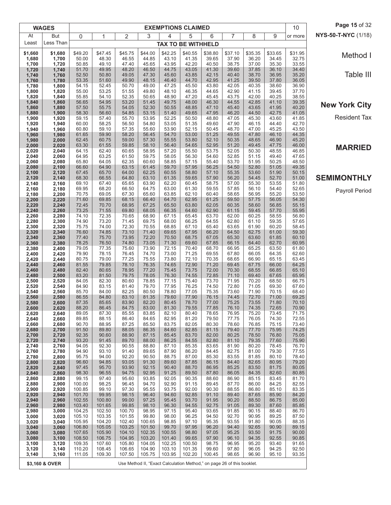|                | <b>WAGES</b>   |                  |                  |                  |                  |                  | <b>EXEMPTIONS CLAIMED</b>                                              |                 |                |                |                | 10             | Page 15 of 32        |
|----------------|----------------|------------------|------------------|------------------|------------------|------------------|------------------------------------------------------------------------|-----------------|----------------|----------------|----------------|----------------|----------------------|
| At             | <b>But</b>     | 0                | 1                | 2                | 3                | 4                | 5                                                                      | 6               | $\overline{7}$ | 8              | 9              | or more        | NYS-50-T-NYC (1/18)  |
| Least          | Less Than      |                  |                  |                  |                  |                  | <b>TAX TO BE WITHHELD</b>                                              |                 |                |                |                |                |                      |
| \$1,660        | \$1,680        | \$49.20          | \$47.45          | \$45.75          | \$44.00          | \$42.25          | \$40.55                                                                | \$38.80         | \$37.10        | \$35.35        | \$33.65        | \$31.95        | Method I             |
| 1,680<br>1,700 | 1,700<br>1,720 | 50.00<br>50.85   | 48.30<br>49.10   | 46.55<br>47.40   | 44.85<br>45.65   | 43.10<br>43.95   | 41.35<br>42.20                                                         | 39.65<br>40.50  | 37.90<br>38.75 | 36.20<br>37.00 | 34.45<br>35.30 | 32.75<br>33.55 |                      |
| 1,720          | 1,740          | 51.70            | 49.95            | 48.20            | 46.50            | 44.75            | 43.05                                                                  | 41.30           | 39.60          | 37.85          | 36.10          | 34.40          |                      |
| 1,740<br>1,760 | 1,760<br>1,780 | 52.50<br>53.35   | 50.80<br>51.60   | 49.05<br>49.90   | 47.30<br>48.15   | 45.60<br>46.40   | 43.85<br>44.70                                                         | 42.15<br>42.95  | 40.40<br>41.25 | 38.70<br>39.50 | 36.95<br>37.80 | 35.20<br>36.05 | Table III            |
| 1,780          | 1,800          | 54.15            | 52.45            | 50.70            | 49.00            | 47.25            | 45.50                                                                  | 43.80           | 42.05          | 40.35          | 38.60          | 36.90          |                      |
| 1,800<br>1,820 | 1,820<br>1,840 | 55.00<br>55.85   | 53.25<br>54.10   | 51.55<br>52.35   | 49.80<br>50.65   | 48.10<br>48.90   | 46.35<br>47.20                                                         | 44.65<br>45.45  | 42.90<br>43.75 | 41.15<br>42.00 | 39.45<br>40.25 | 37.70<br>38.55 |                      |
| 1,840          | 1,860          | 56.65            | 54.95            | 53.20            | 51.45            | 49.75            | 48.00                                                                  | 46.30           | 44.55          | 42.85          | 41.10          | 39.35          | <b>New York City</b> |
| 1,860<br>1,880 | 1,880<br>1,900 | 57.50<br>58.30   | 55.75<br>56.60   | 54.05<br>54.85   | 52.30<br>53.15   | 50.55<br>51.40   | 48.85<br>49.65                                                         | 47.10<br>47.95  | 45.40<br>46.20 | 43.65<br>44.50 | 41.95<br>42.75 | 40.20<br>41.05 |                      |
| 1,900          | 1,920          | 59.15            | 57.40            | 55.70            | 53.95            | 52.25            | 50.50                                                                  | 48.80           | 47.05          | 45.30          | 43.60          | 41.85          | <b>Resident Tax</b>  |
| 1,920<br>1,940 | 1,940<br>1,960 | 60.00<br>60.80   | 58.25<br>59.10   | 56.50<br>57.35   | 54.80<br>55.60   | 53.05<br>53.90   | 51.35<br>52.15                                                         | 49.60<br>50.45  | 47.90<br>48.70 | 46.15<br>47.00 | 44.40<br>45.25 | 42.70<br>43.50 |                      |
| 1,960          | 1,980          | 61.65            | 59.90            | 58.20            | 56.45            | 54.70            | 53.00                                                                  | 51.25           | 49.55          | 47.80          | 46.10          | 44.35          |                      |
| 1,980          | 2,000          | 62.45            | 60.75            | 59.00<br>59.85   | 57.30            | 55.55            | 53.80                                                                  | 52.10           | 50.35          | 48.65          | 46.90          | 45.20<br>46.00 |                      |
| 2,000<br>2,020 | 2,020<br>2,040 | 63.30<br>64.15   | 61.55<br>62.40   | 60.65            | 58.10<br>58.95   | 56.40<br>57.20   | 54.65<br>55.50                                                         | 52.95<br>53.75  | 51.20<br>52.05 | 49.45<br>50.30 | 47.75<br>48.55 | 46.85          | <b>MARRIED</b>       |
| 2,040          | 2,060          | 64.95            | 63.25            | 61.50            | 59.75            | 58.05            | 56.30                                                                  | 54.60           | 52.85          | 51.15          | 49.40          | 47.65          |                      |
| 2,060<br>2,080 | 2,080<br>2,100 | 65.80<br>66.60   | 64.05<br>64.90   | 62.35<br>63.15   | 60.60<br>61.45   | 58.85<br>59.70   | 57.15<br>57.95                                                         | 55.40<br>56.25  | 53.70<br>54.50 | 51.95<br>52.80 | 50.25<br>51.05 | 48.50<br>49.35 |                      |
| 2,100          | 2,120          | 67.45            | 65.70            | 64.00            | 62.25            | 60.55            | 58.80                                                                  | 57.10           | 55.35          | 53.60          | 51.90          | 50.15          |                      |
| 2,120<br>2,140 | 2,140<br>2,160 | 68.30<br>69.10   | 66.55<br>67.40   | 64.80<br>65.65   | 63.10<br>63.90   | 61.35<br>62.20   | 59.65<br>60.45                                                         | 57.90<br>58.75  | 56.20<br>57.00 | 54.45<br>55.30 | 52.70<br>53.55 | 51.00<br>51.80 | <b>SEMIMONTHLY</b>   |
| 2,160          | 2,180          | 69.95            | 68.20            | 66.50            | 64.75            | 63.00            | 61.30                                                                  | 59.55           | 57.85          | 56.10          | 54.40          | 52.65          | Payroll Period       |
| 2,180<br>2,200 | 2,200<br>2,220 | 70.75<br>71.60   | 69.05<br>69.85   | 67.30<br>68.15   | 65.60<br>66.40   | 63.85<br>64.70   | 62.10<br>62.95                                                         | 60.40<br>61.25  | 58.65<br>59.50 | 56.95<br>57.75 | 55.20<br>56.05 | 53.50<br>54.30 |                      |
| 2,220          | 2,240          | 72.45            | 70.70            | 68.95            | 67.25            | 65.50            | 63.80                                                                  | 62.05           | 60.35          | 58.60          | 56.85          | 55.15          |                      |
| 2,240<br>2,260 | 2,260<br>2,280 | 73.25<br>74.10   | 71.55<br>72.35   | 69.80<br>70.65   | 68.05<br>68.90   | 66.35<br>67.15   | 64.60<br>65.45                                                         | 62.90<br>63.70  | 61.15<br>62.00 | 59.45<br>60.25 | 57.70<br>58.55 | 55.95<br>56.80 |                      |
| 2,280          | 2,300          | 74.90            | 73.20            | 71.45            | 69.75            | 68.00            | 66.25                                                                  | 64.55           | 62.80          | 61.10          | 59.35          | 57.65          |                      |
| 2,300          | 2,320          | 75.75            | 74.00            | 72.30<br>73.10   | 70.55<br>71.40   | 68.85            | 67.10                                                                  | 65.40<br>66.20  | 63.65          | 61.90<br>62.75 | 60.20          | 58.45<br>59.30 |                      |
| 2,320<br>2,340 | 2,340<br>2,360 | 76.60<br>77.40   | 74.85<br>75.70   | 73.95            | 72.20            | 69.65<br>70.50   | 67.95<br>68.75                                                         | 67.05           | 64.50<br>65.30 | 63.60          | 61.00<br>61.85 | 60.10          |                      |
| 2,360          | 2,380          | 78.25            | 76.50            | 74.80            | 73.05            | 71.30            | 69.60                                                                  | 67.85           | 66.15          | 64.40          | 62.70          | 60.95          |                      |
| 2,380<br>2,400 | 2,400<br>2,420 | 79.05<br>79.90   | 77.35<br>78.15   | 75.60<br>76.45   | 73.90<br>74.70   | 72.15<br>73.00   | 70.40<br>71.25                                                         | 68.70<br>69.55  | 66.95<br>67.80 | 65.25<br>66.05 | 63.50<br>64.35 | 61.80<br>62.60 |                      |
| 2,420          | 2,440          | 80.75            | 79.00            | 77.25            | 75.55            | 73.80            | 72.10                                                                  | 70.35           | 68.65          | 66.90          | 65.15          | 63.45          |                      |
| 2,440<br>2,460 | 2,460<br>2,480 | 81.55<br>82.40   | 79.85<br>80.65   | 78.10<br>78.95   | 76.35<br>77.20   | 74.65<br>75.45   | 72.90<br>73.75                                                         | 71.20<br>72.00  | 69.45<br>70.30 | 67.75<br>68.55 | 66.00<br>66.85 | 64.25<br>65.10 |                      |
| 2,480          | 2,500          | 83.20            | 81.50            | 79.75            | 78.05            | 76.30            | 74.55                                                                  | 72.85           | 71.10          | 69.40          | 67.65          | 65.95          |                      |
| 2,500<br>2,520 | 2,520<br>2,540 | 84.05<br>84.90   | 82.30<br>83.15   | 80.60<br>81.40   | 78.85<br>79.70   | 77.15<br>77.95   | 75.40<br>76.25                                                         | 73.70<br>74.50  | 71.95<br>72.80 | 70.20<br>71.05 | 68.50<br>69.30 | 66.75<br>67.60 |                      |
| 2,540          | 2,560          | 85.70            | 84.00            | 82.25            | 80.50            | 78.80            | 77.05                                                                  | 75.35           | 73.60          | 71.90          | 70.15          | 68.40          |                      |
| 2,560<br>2,580 | 2,580<br>2,600 | 86.55<br>87.35   | 84.80<br>85.65   | 83.10<br>83.90   | 81.35<br>82.20   | 79.60<br>80.45   | 77.90<br>78.70                                                         | 76.15<br>77.00  | 74.45<br>75.25 | 72.70<br>73.55 | 71.00<br>71.80 | 69.25<br>70.10 |                      |
| 2,600          | 2,620          | 88.20            | 86.45            | 84.75            | 83.00            | 81.30            | 79.55                                                                  | 77.85           | 76.10          | 74.35          | 72.65          | 70.90          |                      |
| 2,620<br>2,640 | 2,640<br>2,660 | 89.05<br>89.85   | 87.30<br>88.15   | 85.55<br>86.40   | 83.85<br>84.65   | 82.10<br>82.95   | 80.40<br>81.20                                                         | 78.65<br>79.50  | 76.95<br>77.75 | 75.20<br>76.05 | 73.45<br>74.30 | 71.75<br>72.55 |                      |
| 2,660          | 2,680          | 90.70            | 88.95            | 87.25            | 85.50            | 83.75            | 82.05                                                                  | 80.30           | 78.60          | 76.85          | 75.15          | 73.40          |                      |
| 2,680<br>2,700 | 2,700<br>2,720 | 91.50<br>92.35   | 89.80<br>90.60   | 88.05<br>88.90   | 86.35<br>87.15   | 84.60<br>85.45   | 82.85<br>83.70                                                         | 81.15<br>82.00  | 79.40<br>80.25 | 77.70<br>78.50 | 75.95<br>76.80 | 74.25<br>75.05 |                      |
| 2,720          | 2,740          | 93.20            | 91.45            | 89.70            | 88.00            | 86.25            | 84.55                                                                  | 82.80           | 81.10          | 79.35          | 77.60          | 75.90          |                      |
| 2,740<br>2,760 | 2,760<br>2,780 | 94.05<br>94.90   | 92.30<br>93.10   | 90.55<br>91.40   | 88.80<br>89.65   | 87.10<br>87.90   | 85.35<br>86.20                                                         | 83.65<br>84.45  | 81.90<br>82.75 | 80.20<br>81.00 | 78.45<br>79.30 | 76.70<br>77.55 |                      |
| 2,780          | 2,800          | 95.75            | 94.00            | 92.20            | 90.50            | 88.75            | 87.00                                                                  | 85.30           | 83.55          | 81.85          | 80.10          | 78.40          |                      |
| 2,800<br>2,820 | 2,820<br>2,840 | 96.60<br>97.45   | 94.85<br>95.70   | 93.05<br>93.90   | 91.30<br>92.15   | 89.60<br>90.40   | 87.85<br>88.70                                                         | 86.15<br>86.95  | 84.40<br>85.25 | 82.65<br>83.50 | 80.95<br>81.75 | 79.20<br>80.05 |                      |
| 2,840          | 2,860          | 98.30            | 96.55            | 94.75            | 92.95            | 91.25            | 89.50                                                                  | 87.80           | 86.05          | 84.35          | 82.60          | 80.85          |                      |
| 2,860<br>2,880 | 2,880<br>2,900 | 99.15<br>100.00  | 97.40<br>98.25   | 95.60<br>96.45   | 93.85<br>94.70   | 92.05<br>92.90   | 90.35<br>91.15                                                         | 88.60<br>89.45  | 86.90<br>87.70 | 85.15<br>86.00 | 83.45<br>84.25 | 81.70<br>82.55 |                      |
| 2,900          | 2,920          | 100.85           | 99.10            | 97.30            | 95.55            | 93.75            | 92.00                                                                  | 90.30           | 88.55          | 86.80          | 85.10          | 83.35          |                      |
| 2,920          | 2,940          | 101.70           | 99.95            | 98.15            | 96.40            | 94.60            | 92.85                                                                  | 91.10           | 89.40          | 87.65          | 85.90          | 84.20          |                      |
| 2,940<br>2,960 | 2,960<br>2,980 | 102.55<br>103.40 | 100.80<br>101.65 | 99.00<br>99.85   | 97.25<br>98.10   | 95.45<br>96.30   | 93.70<br>94.55                                                         | 91.95<br>92.75  | 90.20<br>91.05 | 88.50<br>89.30 | 86.75<br>87.60 | 85.00<br>85.85 |                      |
| 2,980          | 3,000          | 104.25           | 102.50           | 100.70           | 98.95            | 97.15            | 95.40                                                                  | 93.65           | 91.85          | 90.15          | 88.40          | 86.70          |                      |
| 3,000<br>3,020 | 3,020<br>3,040 | 105.10<br>105.95 | 103.35<br>104.20 | 101.55<br>102.40 | 99.80<br>100.65  | 98.00<br>98.85   | 96.25<br>97.10                                                         | 94.50<br>95.35  | 92.70<br>93.55 | 90.95<br>91.80 | 89.25<br>90.05 | 87.50<br>88.35 |                      |
| 3,040          | 3,060          | 106.80           | 105.05           | 103.25           | 101.50           | 99.70            | 97.95                                                                  | 96.20           | 94.40          | 92.65          | 90.90          | 89.15          |                      |
| 3,060<br>3,080 | 3,080<br>3,100 | 107.65<br>108.50 | 105.90<br>106.75 | 104.10<br>104.95 | 102.35<br>103.20 | 100.55<br>101.40 | 98.80<br>99.65                                                         | 97.05<br>97.90  | 95.25<br>96.10 | 93.50<br>94.35 | 91.75<br>92.55 | 90.00<br>90.85 |                      |
| 3,100          | 3,120          | 109.35           | 107.60           | 105.80           | 104.05           | 102.25           | 100.50                                                                 | 98.75           | 96.95          | 95.20          | 93.40          | 91.65          |                      |
| 3,120<br>3,140 | 3,140<br>3,160 | 110.20<br>111.05 | 108.45<br>109.30 | 106.65<br>107.50 | 104.90<br>105.75 | 103.10<br>103.95 | 101.35<br>102.20                                                       | 99.60<br>100.45 | 97.80<br>98.65 | 96.05<br>96.90 | 94.25<br>95.10 | 92.50<br>93.35 |                      |
|                |                |                  |                  |                  |                  |                  |                                                                        |                 |                |                |                |                |                      |
|                | \$3,160 & OVER |                  |                  |                  |                  |                  | Use Method II, "Exact Calculation Method," on page 26 of this booklet. |                 |                |                |                |                |                      |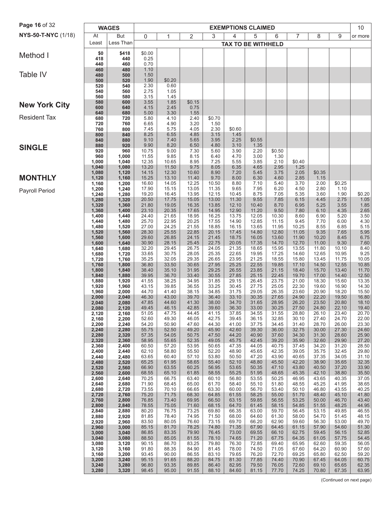| Page 16 of 32        |                | <b>WAGES</b>   |                |                |                |                |                | <b>EXEMPTIONS CLAIMED</b> |                |                |                |                | 10             |
|----------------------|----------------|----------------|----------------|----------------|----------------|----------------|----------------|---------------------------|----------------|----------------|----------------|----------------|----------------|
| NYS-50-T-NYC (1/18)  | At             | But            | $\mathbf 0$    | 1              | 2              | 3              | 4              | 5                         | 6              | 7              | 8              | 9              | or more        |
|                      | Least          | Less Than      |                |                |                |                |                | <b>TAX TO BE WITHHELD</b> |                |                |                |                |                |
| Method I             | \$0            | \$418          | \$0.00         |                |                |                |                |                           |                |                |                |                |                |
|                      | 418<br>440     | 440<br>460     | 0.25<br>0.70   |                |                |                |                |                           |                |                |                |                |                |
| Table IV             | 460            | 480            | 1.10           |                |                |                |                |                           |                |                |                |                |                |
|                      | 480<br>500     | 500<br>520     | 1.50<br>1.90   | \$0.20         |                |                |                |                           |                |                |                |                |                |
|                      | 520<br>540     | 540<br>560     | 2.30<br>2.75   | 0.60<br>1.05   |                |                |                |                           |                |                |                |                |                |
|                      | 560            | 580            | 3.15           | 1.45           |                |                |                |                           |                |                |                |                |                |
| <b>New York City</b> | 580<br>600     | 600<br>640     | 3.55<br>4.15   | 1.85<br>2.45   | \$0.15<br>0.75 |                |                |                           |                |                |                |                |                |
| <b>Resident Tax</b>  | 640<br>680     | 680<br>720     | 5.00<br>5.80   | 3.30<br>4.10   | 1.55<br>2.40   | \$0.70         |                |                           |                |                |                |                |                |
|                      | 720            | 760            | 6.65           | 4.90           | 3.20           | 1.50           |                |                           |                |                |                |                |                |
|                      | 760<br>800     | 800<br>840     | 7.45<br>8.25   | 5.75<br>6.55   | 4.05<br>4.85   | 2.30<br>3.15   | \$0.60<br>1.45 |                           |                |                |                |                |                |
|                      | 840            | 880            | 9.10           | 7.40           | 5.65           | 3.95           | 2.25           | \$0.55                    |                |                |                |                |                |
| <b>SINGLE</b>        | 880<br>920     | 920<br>960     | 9.90<br>10.75  | 8.20<br>9.00   | 6.50<br>7.30   | 4.80<br>5.60   | 3.10<br>3.90   | 1.35<br>2.20              | \$0.50         |                |                |                |                |
|                      | 960<br>1,000   | 1,000<br>1,040 | 11.55<br>12.35 | 9.85<br>10.65  | 8.15<br>8.95   | 6.40<br>7.25   | 4.70<br>5.55   | 3.00<br>3.85              | 1.30<br>2.10   | \$0.40         |                |                |                |
|                      | 1,040          | 1,080          | 13.20          | 11.50          | 9.75           | 8.05           | 6.35           | 4.65                      | 2.95           | 1.25           |                |                |                |
| <b>MONTHLY</b>       | 1,080<br>1,120 | 1,120<br>1,160 | 14.15<br>15.25 | 12.30<br>13.10 | 10.60<br>11.40 | 8.90<br>9.70   | 7.20<br>8.00   | 5.45<br>6.30              | 3.75<br>4.60   | 2.05<br>2.85   | \$0.35<br>1.15 |                |                |
|                      | 1,160          | 1,200<br>1,240 | 16.60          | 14.05          | 12.25<br>13.05 | 10.50<br>11.35 | 8.80<br>9.65   | 7.10<br>7.95              | 5.40<br>6.20   | 3.70           | 2.00           | \$0.25         |                |
| Payroll Period       | 1,200<br>1,240 | 1,280          | 17.90<br>19.20 | 15.15<br>16.45 | 13.95          | 12.15          | 10.45          | 8.75                      | 7.05           | 4.50<br>5.35   | 2.80<br>3.60   | 1.10<br>1.90   | \$0.20         |
|                      | 1,280<br>1,320 | 1,320<br>1,360 | 20.50<br>21.80 | 17.75<br>19.05 | 15.05<br>16.35 | 13.00<br>13.85 | 11.30<br>12.10 | 9.55<br>10.40             | 7.85<br>8.70   | 6.15<br>6.95   | 4.45<br>5.25   | 2.75<br>3.55   | 1.05<br>1.85   |
|                      | 1,360          | 1,400          | 23.10          | 20.35          | 17.65          | 14.95          | 12.90          | 11.20                     | 9.50           | 7.80           | 6.10           | 4.35           | 2.65           |
|                      | 1,400<br>1,440 | 1,440<br>1,480 | 24.40<br>25.70 | 21.65<br>22.95 | 18.95<br>20.25 | 16.25<br>17.55 | 13.75<br>14.90 | 12.05<br>12.85            | 10.30<br>11.15 | 8.60<br>9.45   | 6.90<br>7.70   | 5.20<br>6.00   | 3.50           |
|                      | 1,480          | 1,520          | 27.00<br>28.30 | 24.25<br>25.55 | 21.55<br>22.85 | 18.85<br>20.15 | 16.15<br>17.45 | 13.65<br>14.80            | 11.95<br>12.80 | 10.25<br>11.05 | 8.55<br>9.35   | 6.85<br>7.65   | 4.30<br>5.15   |
|                      | 1,520<br>1,560 | 1,560<br>1,600 | 29.60          | 26.85          | 24.15          | 21.45          | 18.75          | 16.05                     | 13.60          | 11.90          | 10.20          | 8.45           | 5.95<br>6.75   |
|                      | 1,600<br>1,640 | 1,640<br>1,680 | 30.90<br>32.20 | 28.15<br>29.45 | 25.45<br>26.75 | 22.75<br>24.05 | 20.05<br>21.35 | 17.35<br>18.65            | 14.70<br>15.95 | 12.70<br>13.55 | 11.00<br>11.80 | 9.30<br>10.10  | 7.60<br>8.40   |
|                      | 1,680          | 1,720          | 33.65          | 30.75          | 28.05          | 25.35          | 22.65          | 19.95                     | 17.25          | 14.60          | 12.65          | 10.95          | 9.25           |
|                      | 1,720<br>1,760 | 1,760<br>1,800 | 35.25<br>36.80 | 32.05<br>33.50 | 29.35<br>30.65 | 26.65<br>27.95 | 23.95<br>25.25 | 21.25<br>22.55            | 18.55<br>19.85 | 15.80<br>17.10 | 13.45<br>14.50 | 11.75<br>12.55 | 10.05<br>10.85 |
|                      | 1,800<br>1,840 | 1,840<br>1,880 | 38.40<br>39.95 | 35.10<br>36.70 | 31.95<br>33.40 | 29.25<br>30.55 | 26.55<br>27.85 | 23.85<br>25.15            | 21.15<br>22.45 | 18.40<br>19.70 | 15.70<br>17.00 | 13.40<br>14.40 | 11.70<br>12.50 |
|                      | 1,880          | 1,920          | 41.55          | 38.25          | 34.95          | 31.85          | 29.15          | 26.45                     | 23.75          | 21.00          | 18.30          | 15.60          | 13.35          |
|                      | 1,920<br>1,960 | 1,960<br>2,000 | 43.15<br>44.70 | 39.85<br>41.40 | 36.55<br>38.15 | 33.25<br>34.85 | 30.45<br>31.75 | 27.75<br>29.05            | 25.05<br>26.35 | 22.30<br>23.60 | 19.60<br>20.90 | 16.90<br>18.20 | 14.30<br>15.50 |
|                      | 2,000          | 2,040          | 46.30          | 43.00          | 39.70          | 36.40          | 33.10          | 30.35                     | 27.65          | 24.90          | 22.20          | 19.50          | 16.80          |
|                      | 2,040<br>2,080 | 2,080<br>2,120 | 47.85<br>49.45 | 44.60<br>46.15 | 41.30<br>42.85 | 38.00<br>39.60 | 34.70<br>36.30 | 31.65<br>33.00            | 28.95<br>30.25 | 26.20<br>27.50 | 23.50<br>24.80 | 20.80<br>22.10 | 18.10<br>19.40 |
|                      | 2,120<br>2,160 | 2,160<br>2,200 | 51.05<br>52.60 | 47.75<br>49.30 | 44.45<br>46.05 | 41.15<br>42.75 | 37.85<br>39.45 | 34.55<br>36.15            | 31.55<br>32.85 | 28.80<br>30.10 | 26.10<br>27.40 | 23.40<br>24.70 | 20.70<br>22.00 |
|                      | 2,200          | 2,240          | 54.20          | 50.90          | 47.60          | 44.30          | 41.00          | 37.75                     | 34.45          | 31.40          | 28.70          | 26.00          | 23.30          |
|                      | 2,240<br>2,280 | 2,280<br>2,320 | 55.75<br>57.35 | 52.50<br>54.05 | 49.20<br>50.75 | 45.90<br>47.50 | 42.60<br>44.20 | 39.30<br>40.90            | 36.00<br>37.60 | 32.75<br>34.30 | 30.00<br>31.30 | 27.30<br>28.60 | 24.60<br>25.90 |
|                      | 2,320<br>2,360 | 2,360<br>2,400 | 58.95<br>60.50 | 55.65<br>57.20 | 52.35<br>53.95 | 49.05<br>50.65 | 45.75<br>47.35 | 42.45<br>44.05            | 39.20<br>40.75 | 35.90<br>37.45 | 32.60<br>34.20 | 29.90<br>31.20 | 27.20<br>28.50 |
|                      | 2,400          | 2,440          | 62.10          | 58.80          | 55.50          | 52.20          | 48.90          | 45.65                     | 42.35          | 39.05          | 35.75          | 32.45          | 29.80          |
|                      | 2,440<br>2,480 | 2,480<br>2,520 | 63.65<br>65.25 | 60.40<br>61.95 | 57.10<br>58.65 | 53.80<br>55.40 | 50.50<br>52.10 | 47.20<br>48.80            | 43.90<br>45.50 | 40.65<br>42.20 | 37.35<br>38.90 | 34.05<br>35.65 | 31.10<br>32.35 |
|                      | 2,520          | 2,560          | 66.90<br>68.55 | 63.55          | 60.25<br>61.85 | 56.95<br>58.55 | 53.65<br>55.25 | 50.35<br>51.95            | 47.10<br>48.65 | 43.80<br>45.35 | 40.50<br>42.10 | 37.20<br>38.80 | 33.90<br>35.50 |
|                      | 2,560<br>2,600 | 2,600<br>2,640 | 70.25          | 65.10<br>66.75 | 63.40          | 60.10          | 56.80          | 53.55                     | 50.25          | 46.95          | 43.65          | 40.35          | 37.05          |
|                      | 2,640<br>2,680 | 2,680<br>2,720 | 71.90<br>73.55 | 68.45<br>70.10 | 65.00<br>66.65 | 61.70<br>63.30 | 58.40<br>60.00 | 55.10<br>56.70            | 51.80<br>53.40 | 48.55<br>50.10 | 45.25<br>46.80 | 41.95<br>43.55 | 38.65<br>40.25 |
|                      | 2,720          | 2,760          | 75.20          | 71.75          | 68.30          | 64.85          | 61.55          | 58.25                     | 55.00          | 51.70          | 48.40          | 45.10          | 41.80          |
|                      | 2,760<br>2,800 | 2,800<br>2,840 | 76.85<br>78.55 | 73.40<br>75.05 | 69.95<br>71.60 | 66.50<br>68.15 | 63.15<br>64.70 | 59.85<br>61.45            | 56.55<br>58.15 | 53.25<br>54.85 | 50.00<br>51.55 | 46.70<br>48.25 | 43.40<br>44.95 |
|                      | 2,840<br>2,880 | 2,880<br>2,920 | 80.20<br>81.85 | 76.75<br>78.40 | 73.25<br>74.95 | 69.80<br>71.50 | 66.35<br>68.00 | 63.00<br>64.60            | 59.70<br>61.30 | 56.45<br>58.00 | 53.15<br>54.70 | 49.85<br>51.45 | 46.55<br>48.15 |
|                      | 2,920          | 2,960          | 83.50          | 80.05          | 76.60          | 73.15          | 69.70          | 66.20                     | 62.90          | 59.60          | 56.30          | 53.00          | 49.70          |
|                      | 2,960<br>3,000 | 3,000<br>3,040 | 85.15<br>86.85 | 81.70<br>83.35 | 78.25<br>79.90 | 74.80<br>76.45 | 71.35<br>73.00 | 67.90<br>69.55            | 64.45<br>66.10 | 61.15<br>62.75 | 57.90<br>59.45 | 54.60<br>56.15 | 51.30<br>52.85 |
|                      | 3,040          | 3,080          | 88.50          | 85.05          | 81.55          | 78.10          | 74.65          | 71.20                     | 67.75          | 64.35          | 61.05          | 57.75          | 54.45          |
|                      | 3,080<br>3,120 | 3,120<br>3,160 | 90.15<br>91.80 | 86.70<br>88.35 | 83.25<br>84.90 | 79.80<br>81.45 | 76.30<br>78.00 | 72.85<br>74.50            | 69.40<br>71.05 | 65.95<br>67.60 | 62.60<br>64.20 | 59.35<br>60.90 | 56.05<br>57.60 |
|                      | 3,160<br>3,200 | 3,200<br>3,240 | 93.45<br>95.15 | 90.00<br>91.65 | 86.55<br>88.20 | 83.10<br>84.75 | 79.65<br>81.30 | 76.20<br>77.85            | 72.70<br>74.40 | 69.25<br>70.90 | 65.80<br>67.45 | 62.50<br>64.05 | 59.20<br>60.75 |
|                      | 3,240          | 3,280          | 96.80          | 93.35          | 89.85          | 86.40          | 82.95          | 79.50                     | 76.05          | 72.60          | 69.10          | 65.65          | 62.35          |
|                      | 3,280          | 3,320          | 98.45          | 95.00          | 91.55          | 88.10          | 84.60          | 81.15                     | 77.70          | 74.25          | 70.80          | 67.35          | 63.95          |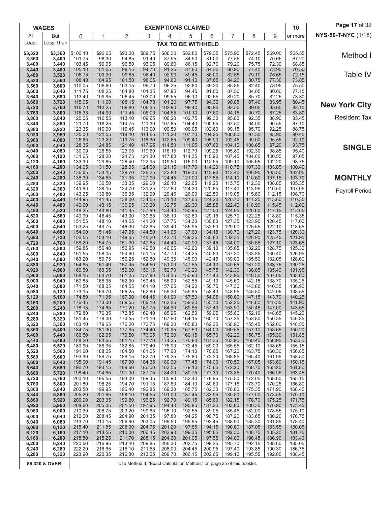|                | <b>WAGES</b>   |                  |                  |                  |                  |                  | <b>EXEMPTIONS CLAIMED</b>                                              |                  |                  |                  |                  | 10               | Page 17 of 32        |
|----------------|----------------|------------------|------------------|------------------|------------------|------------------|------------------------------------------------------------------------|------------------|------------------|------------------|------------------|------------------|----------------------|
| At             | <b>But</b>     | 0                | 1                | 2                | 3                | 4                | 5                                                                      | 6                | 7                | 8                | 9                | or more          | NYS-50-T-NYC (1/18)  |
| Least          | Less Than      |                  |                  |                  |                  |                  | <b>TAX TO BE WITHHELD</b>                                              |                  |                  |                  |                  |                  |                      |
| \$3,320        | \$3,360        | \$100.10         | \$96.65          | \$93.20          | \$89.75          | \$86.30          | \$82.80                                                                | \$79.35          | \$75.90          | \$72.45          | \$69.00          | \$65.55          | Method I             |
| 3,360<br>3,400 | 3,400<br>3,440 | 101.75<br>103.45 | 98.30<br>99.95   | 94.85<br>96.50   | 91.40<br>93.05   | 87.95<br>89.60   | 84.50<br>86.15                                                         | 81.00<br>82.70   | 77.55<br>79.20   | 74.10<br>75.75   | 70.65<br>72.30   | 67.20<br>68.85   |                      |
| 3,440          | 3,480          | 105.10           | 101.65           | 98.15            | 94.70            | 91.25            | 87.80                                                                  | 84.35            | 80.90            | 77.40            | 73.95            | 70.50            |                      |
| 3,480<br>3,520 | 3,520<br>3,560 | 106.75<br>108.40 | 103.30<br>104.95 | 99.85<br>101.50  | 96.40<br>98.05   | 92.90<br>94.60   | 89.45<br>91.10                                                         | 86.00<br>87.65   | 82.55<br>84.20   | 79.10<br>80.75   | 75.65<br>77.30   | 72.15<br>73.85   | Table IV             |
| 3,560          | 3,600          | 110.05           | 106.60           | 103.15           | 99.70            | 96.25            | 92.80                                                                  | 89.30            | 85.85            | 82.40            | 78.95            | 75.50            |                      |
| 3,600<br>3,640 | 3,640<br>3,680 | 111.75<br>113.40 | 108.25<br>109.95 | 104.80<br>106.45 | 101.35<br>103.00 | 97.90<br>99.55   | 94.45<br>96.10                                                         | 91.00<br>92.65   | 87.50<br>89.20   | 84.05<br>85.70   | 80.60<br>82.25   | 77.15<br>78.80   |                      |
| 3,680          | 3,720          | 115.05           | 111.60           | 108.15           | 104.70           | 101.20           | 97.75                                                                  | 94.30            | 90.85            | 87.40            | 83.95            | 80.45            | <b>New York City</b> |
| 3,720          | 3,760<br>3,800 | 116.70<br>118.35 | 113.25<br>114.90 | 109.80<br>111.45 | 106.35<br>108.00 | 102.90<br>104.55 | 99.40<br>101.10                                                        | 95.95<br>97.60   | 92.50<br>94.15   | 89.05<br>90.70   | 85.60<br>87.25   | 82.15<br>83.80   |                      |
| 3,760<br>3,800 | 3,840          | 120.05           | 116.55           | 113.10           | 109.65           | 106.20           | 102.75                                                                 | 99.30            | 95.80            | 92.35            | 88.90            | 85.45            | <b>Resident Tax</b>  |
| 3,840          | 3,880          | 121.70           | 118.25           | 114.75           | 111.30           | 107.85           | 104.40                                                                 | 100.95           | 97.50            | 94.00            | 90.55            | 87.10            |                      |
| 3,880<br>3,920 | 3,920<br>3,960 | 123.35<br>125.00 | 119.90<br>121.55 | 116.45<br>118.10 | 113.00<br>114.65 | 109.50<br>111.20 | 106.05<br>107.70                                                       | 102.60<br>104.25 | 99.15<br>100.80  | 95.70<br>97.35   | 92.25<br>93.90   | 88.75<br>90.45   |                      |
| 3,960          | 4,000          | 126.65           | 123.20           | 119.75           | 116.30           | 112.85           | 109.40                                                                 | 105.90           | 102.45           | 99.00            | 95.55            | 92.10            |                      |
| 4,000<br>4,040 | 4,040<br>4,080 | 128.35<br>130.00 | 124.85<br>126.55 | 121.40<br>123.05 | 117.95<br>119.60 | 114.50<br>116.15 | 111.05<br>112.70                                                       | 107.60<br>109.25 | 104.10<br>105.80 | 100.65<br>102.30 | 97.20<br>98.85   | 93.75<br>95.40   | <b>SINGLE</b>        |
| 4,080          | 4,120          | 131.65           | 128.20           | 124.75           | 121.30           | 117.80           | 114.35                                                                 | 110.90           | 107.45           | 104.00           | 100.55           | 97.05            |                      |
| 4,120<br>4,160 | 4,160<br>4,200 | 133.30<br>134.95 | 129.85<br>131.50 | 126.40<br>128.05 | 122.95<br>124.60 | 119.50<br>121.15 | 116.00<br>117.70                                                       | 112.55<br>114.20 | 109.10<br>110.75 | 105.65<br>107.30 | 102.20<br>103.85 | 98.75<br>100.40  |                      |
| 4,200          | 4,240          | 136.65           | 133.15           | 129.70           | 126.25           | 122.80           | 119.35                                                                 | 115.90           | 112.40           | 108.95           | 105.50           | 102.05           |                      |
| 4,240<br>4,280 | 4,280<br>4,320 | 138.30<br>139.95 | 134.85<br>136.50 | 131.35<br>133.05 | 127.90<br>129.60 | 124.45<br>126.10 | 121.00<br>122.65                                                       | 117.55<br>119.20 | 114.10<br>115.75 | 110.60<br>112.30 | 107.15<br>108.85 | 103.70<br>105.35 | <b>MONTHLY</b>       |
| 4,320          | 4,360          | 141.60           | 138.15           | 134.70           | 131.25           | 127.80           | 124.30                                                                 | 120.85           | 117.40           | 113.95           | 110.50           | 107.05           | Payroll Period       |
| 4,360<br>4,400 | 4,400<br>4,440 | 143.25<br>144.95 | 139.80<br>141.45 | 136.35<br>138.00 | 132.90<br>134.55 | 129.45<br>131.10 | 126.00<br>127.65                                                       | 122.50<br>124.20 | 119.05<br>120.70 | 115.60<br>117.25 | 112.15<br>113.80 | 108.70<br>110.35 |                      |
| 4,440          | 4,480          | 146.60           | 143.15           | 139.65           | 136.20           | 132.75           | 129.30                                                                 | 125.85           | 122.40           | 118.90           | 115.45           | 112.00           |                      |
| 4,480          | 4,520          | 148.25           | 144.80           | 141.35           | 137.90           | 134.40           | 130.95                                                                 | 127.50           | 124.05           | 120.60           | 117.15           | 113.65           |                      |
| 4,520<br>4,560 | 4,560<br>4,600 | 149.90<br>151.55 | 146.45<br>148.10 | 143.00<br>144.65 | 139.55<br>141.20 | 136.10<br>137.75 | 132.60<br>134.30                                                       | 129.15<br>130.80 | 125.70<br>127.35 | 122.25<br>123.90 | 118.80<br>120.45 | 115.35<br>117.00 |                      |
| 4,600          | 4,640          | 153.25           | 149.75           | 146.30           | 142.85           | 139.40           | 135.95                                                                 | 132.50           | 129.00           | 125.55           | 122.10           | 118.65           |                      |
| 4,640<br>4,680 | 4,680<br>4,720 | 154.90<br>156.55 | 151.45<br>153.10 | 147.95<br>149.65 | 144.50<br>146.20 | 141.05<br>142.70 | 137.60<br>139.25                                                       | 134.15<br>135.80 | 130.70<br>132.35 | 127.20<br>128.90 | 123.75<br>125.45 | 120.30<br>121.95 |                      |
| 4,720          | 4,760          | 158.20           | 154.75           | 151.30           | 147.85           | 144.40           | 140.90                                                                 | 137.45           | 134.00           | 130.55           | 127.10           | 123.65           |                      |
| 4,760<br>4,800 | 4,800<br>4,840 | 159.85<br>161.55 | 156.40<br>158.05 | 152.95<br>154.60 | 149.50<br>151.15 | 146.05<br>147.70 | 142.60<br>144.25                                                       | 139.10<br>140.80 | 135.65<br>137.30 | 132.20<br>133.85 | 128.75<br>130.40 | 125.30<br>126.95 |                      |
| 4,840          | 4,880          | 163.20           | 159.75           | 156.25           | 152.80           | 149.35           | 145.90                                                                 | 142.45           | 139.00           | 135.50           | 132.05           | 128.60           |                      |
| 4,880<br>4,920 | 4,920<br>4,960 | 164.85<br>166.50 | 161.40<br>163.05 | 157.95<br>159.60 | 154.50<br>156.15 | 151.00<br>152.70 | 147.55<br>149.20                                                       | 144.10<br>145.75 | 140.65<br>142.30 | 137.20<br>138.85 | 133.75<br>135.40 | 130.25<br>131.95 |                      |
| 4,960          | 5,000          | 168.15           | 164.70           | 161.25           | 157.80           | 154.35           | 150.90                                                                 | 147.40           | 143.95           | 140.50           | 137.05           | 133.60           |                      |
| 5,000<br>5,040 | 5,040<br>5,080 | 169.85<br>171.50 | 166.35<br>168.05 | 162.90<br>164.55 | 159.45<br>161.10 | 156.00<br>157.65 | 152.55<br>154.20                                                       | 149.10<br>150.75 | 145.60<br>147.30 | 142.15<br>143.80 | 138.70<br>140.35 | 135.25<br>136.90 |                      |
| 5,080          | 5,120          | 173.15           | 169.70           | 166.25           | 162.80           | 159.30           | 155.85                                                                 | 152.40           | 148.95           | 145.50           | 142.05           | 138.55           |                      |
| 5,120<br>5,160 | 5,160<br>5,200 | 174.80<br>176.45 | 171.35<br>173.00 | 167.90<br>169.55 | 164.45<br>166.10 | 161.00<br>162.65 | 157.50<br>159.20                                                       | 154.05<br>155.70 | 150.60<br>152.25 | 147.15<br>148.80 | 143.70<br>145.35 | 140.25<br>141.90 |                      |
| 5,200          | 5,240          | 178.15           | 174.65           | 171.20           | 167.75           | 164.30           | 160.85                                                                 | 157.40           | 153.90           | 150.45           | 147.00           | 143.55           |                      |
| 5,240<br>5,280 | 5,280<br>5,320 | 179.80<br>181.45 | 176.35<br>178.00 | 172.85<br>174.55 | 169.40<br>171.10 | 165.95<br>167.60 | 162.50<br>164.15                                                       | 159.05<br>160.70 | 155.60<br>157.25 | 152.10<br>153.80 | 148.65<br>150.35 | 145.20<br>146.85 |                      |
| 5,320          | 5,360          | 183.10           | 179.65           | 176.20           | 172.75           | 169.30           | 165.80                                                                 | 162.35           | 158.90           | 155.45           | 152.00           | 148.55           |                      |
| 5,360<br>5,400 | 5,400<br>5,440 | 184.75<br>186.50 | 181.30<br>182.95 | 177.85<br>179.50 | 174.40<br>176.05 | 170.95<br>172.60 | 167.50<br>169.15                                                       | 164.00<br>165.70 | 160.55<br>162.20 | 157.10<br>158.75 | 153.65<br>155.30 | 150.20<br>151.85 |                      |
| 5,440          | 5,480          | 188.20           | 184.65           | 181.15           | 177.70           | 174.25           | 170.80                                                                 | 167.35           | 163.90           | 160.40           | 156.95           | 153.50           |                      |
| 5,480          | 5,520          | 189.90<br>191.60 | 186.35<br>188.05 | 182.85<br>184.50 | 179.40<br>181.05 | 175.90<br>177.60 | 172.45<br>174.10                                                       | 169.00<br>170.65 | 165.55<br>167.20 | 162.10<br>163.75 | 158.65<br>160.30 | 155.15<br>156.85 |                      |
| 5,520<br>5,560 | 5,560<br>5,600 | 193.30           | 189.75           | 186.15           | 182.70           | 179.25           | 175.80                                                                 | 172.30           | 168.85           | 165.40           | 161.95           | 158.50           |                      |
| 5,600          | 5,640          | 195.00           | 191.45           | 187.90<br>189.60 | 184.35           | 180.90           | 177.45                                                                 | 174.00           | 170.50<br>172.20 | 167.05           | 163.60           | 160.15           |                      |
| 5,640<br>5,680 | 5,680<br>5,720 | 196.70<br>198.40 | 193.15<br>194.85 | 191.30           | 186.00<br>187.75 | 182.55<br>184.20 | 179.10<br>180.75                                                       | 175.65<br>177.30 | 173.85           | 168.70<br>170.40 | 165.25<br>166.95 | 161.80<br>163.45 |                      |
| 5,720          | 5,760          | 200.10           | 196.55           | 193.00           | 189.45           | 185.90           | 182.40                                                                 | 178.95           | 175.50           | 172.05           | 168.60           | 165.15           |                      |
| 5,760<br>5,800 | 5,800<br>5,840 | 201.80<br>203.50 | 198.25<br>199.95 | 194.70<br>196.40 | 191.15<br>192.85 | 187.60<br>189.30 | 184.10<br>185.75                                                       | 180.60<br>182.30 | 177.15<br>178.80 | 173.70<br>175.35 | 170.25<br>171.90 | 166.80<br>168.45 |                      |
| 5,840          | 5,880          | 205.20           | 201.65           | 198.10           | 194.55           | 191.00           | 187.45                                                                 | 183.95           | 180.50           | 177.00           | 173.55           | 170.10           |                      |
| 5,880<br>5,920 | 5,920<br>5,960 | 206.90<br>208.60 | 203.35<br>205.05 | 199.80<br>201.50 | 196.25<br>197.95 | 192.70<br>194.40 | 189.15<br>190.85                                                       | 185.60<br>187.35 | 182.15<br>183.80 | 178.70<br>180.35 | 175.25<br>176.90 | 171.75<br>173.45 |                      |
| 5,960          | 6,000          | 210.30           | 206.75           | 203.20           | 199.65           | 196.10           | 192.55                                                                 | 189.05           | 185.45           | 182.00           | 178.55           | 175.10           |                      |
| 6,000<br>6,040 | 6,040<br>6,080 | 212.00<br>213.70 | 208.45<br>210.15 | 204.90<br>206.60 | 201.35<br>203.05 | 197.80<br>199.50 | 194.25<br>195.95                                                       | 190.75<br>192.45 | 187.20<br>188.90 | 183.65<br>185.30 | 180.20<br>181.85 | 176.75<br>178.40 |                      |
| 6,080          | 6,120          | 215.40           | 211.85           | 208.30           | 204.75           | 201.20           | 197.65                                                                 | 194.15           | 190.60           | 187.05           | 183.55           | 180.05           |                      |
| 6,120<br>6,160 | 6,160<br>6,200 | 217.10<br>218.80 | 213.55<br>215.25 | 210.00<br>211.70 | 206.45<br>208.15 | 202.90<br>204.60 | 199.35<br>201.05                                                       | 195.85<br>197.55 | 192.30<br>194.00 | 188.75<br>190.45 | 185.20<br>186.90 | 181.75<br>183.40 |                      |
| 6,200          | 6,240          | 220.50           | 216.95           | 213.40           | 209.85           | 206.30           | 202.75                                                                 | 199.25           | 195.70           | 192.15           | 188.60           | 185.05           |                      |
| 6,240<br>6,280 | 6,280<br>6,320 | 222.20<br>223.90 | 218.65<br>220.35 | 215.10<br>216.80 | 211.55<br>213.25 | 208.00<br>209.70 | 204.45<br>206.15                                                       | 200.95<br>202.65 | 197.40<br>199.10 | 193.85<br>195.55 | 190.30<br>192.00 | 186.75<br>188.45 |                      |
|                |                |                  |                  |                  |                  |                  |                                                                        |                  |                  |                  |                  |                  |                      |
|                | \$6,320 & OVER |                  |                  |                  |                  |                  | Use Method II, "Exact Calculation Method," on page 25 of this booklet. |                  |                  |                  |                  |                  |                      |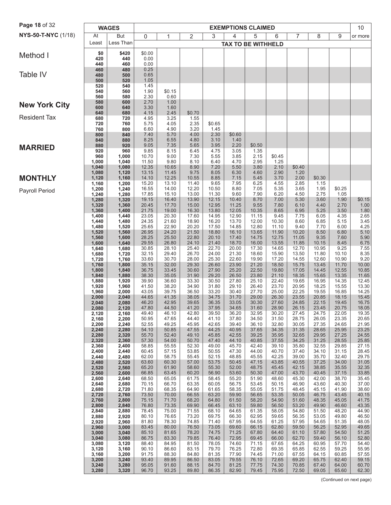| Page 18 of 32        |                | <b>WAGES</b>   |                |                |                |                |                | <b>EXEMPTIONS CLAIMED</b> |                |                |                |                | 10             |
|----------------------|----------------|----------------|----------------|----------------|----------------|----------------|----------------|---------------------------|----------------|----------------|----------------|----------------|----------------|
| NYS-50-T-NYC (1/18)  | At             | But            | 0              | 1              | 2              | 3              | 4              | 5                         | 6              | 7              | 8              | 9              | or more        |
|                      | Least          | Less Than      |                |                |                |                |                | <b>TAX TO BE WITHHELD</b> |                |                |                |                |                |
| Method I             | \$0            | \$420          | \$0.00         |                |                |                |                |                           |                |                |                |                |                |
|                      | 420<br>440     | 440<br>460     | 0.00<br>0.00   |                |                |                |                |                           |                |                |                |                |                |
|                      | 460            | 480            | 0.25           |                |                |                |                |                           |                |                |                |                |                |
| Table IV             | 480            | 500            | 0.65           |                |                |                |                |                           |                |                |                |                |                |
|                      | 500<br>520     | 520<br>540     | 1.05<br>1.45   |                |                |                |                |                           |                |                |                |                |                |
|                      | 540            | 560            | 1.90<br>2.30   | \$0.15<br>0.60 |                |                |                |                           |                |                |                |                |                |
|                      | 560<br>580     | 580<br>600     | 2.70           | 1.00           |                |                |                |                           |                |                |                |                |                |
| <b>New York City</b> | 600            | 640            | 3.30           | 1.60           |                |                |                |                           |                |                |                |                |                |
| <b>Resident Tax</b>  | 640<br>680     | 680<br>720     | 4.15<br>4.95   | 2.45<br>3.25   | \$0.70<br>1.55 |                |                |                           |                |                |                |                |                |
|                      | 720            | 760            | 5.75           | 4.05           | 2.35           | \$0.65         |                |                           |                |                |                |                |                |
|                      | 760<br>800     | 800<br>840     | 6.60<br>7.40   | 4.90<br>5.70   | 3.20<br>4.00   | 1.45<br>2.30   | \$0.60         |                           |                |                |                |                |                |
|                      | 840            | 880            | 8.25           | 6.55           | 4.80           | 3.10           | 1.40           |                           |                |                |                |                |                |
| <b>MARRIED</b>       | 880<br>920     | 920<br>960     | 9.05<br>9.85   | 7.35<br>8.15   | 5.65<br>6.45   | 3.95<br>4.75   | 2.20<br>3.05   | \$0.50<br>1.35            |                |                |                |                |                |
|                      | 960            | 1,000          | 10.70          | 9.00           | 7.30           | 5.55           | 3.85           | 2.15                      | \$0.45         |                |                |                |                |
|                      | 1,000<br>1,040 | 1,040<br>1,080 | 11.50<br>12.35 | 9.80<br>10.65  | 8.10<br>8.90   | 6.40<br>7.20   | 4.70<br>5.50   | 2.95<br>3.80              | 1.25<br>2.10   | \$0.40         |                |                |                |
|                      | 1,080          | 1,120          | 13.15          | 11.45          | 9.75           | 8.05           | 6.30           | 4.60                      | 2.90           | 1.20           |                |                |                |
| <b>MONTHLY</b>       | 1,120<br>1,160 | 1,160<br>1,200 | 14.10<br>15.20 | 12.25<br>13.10 | 10.55<br>11.40 | 8.85<br>9.65   | 7.15<br>7.95   | 5.45<br>6.25              | 3.70<br>4.55   | 2.00<br>2.85   | \$0.30<br>1.15 |                |                |
| Payroll Period       | 1,200          | 1,240          | 16.55          | 14.00          | 12.20          | 10.50          | 8.80           | 7.05                      | 5.35           | 3.65           | 1.95           | \$0.25         |                |
|                      | 1,240<br>1,280 | 1,280<br>1,320 | 17.85<br>19.15 | 15.10<br>16.40 | 13.00<br>13.90 | 11.30<br>12.15 | 9.60<br>10.40  | 7.90<br>8.70              | 6.20<br>7.00   | 4.50<br>5.30   | 2.75<br>3.60   | 1.05<br>1.90   | \$0.15         |
|                      | 1,320          | 1,360          | 20.45          | 17.70          | 15.00          | 12.95          | 11.25          | 9.55                      | 7.80           | 6.10           | 4.40           | 2.70           | 1.00           |
|                      | 1,360<br>1,400 | 1,400<br>1,440 | 21.75<br>23.05 | 19.00<br>20.30 | 16.30<br>17.60 | 13.80<br>14.95 | 12.05<br>12.90 | 10.35<br>11.15            | 8.65<br>9.45   | 6.95           | 5.25<br>6.05   | 3.50<br>4.35   | $1.80$<br>2.65 |
|                      | 1,440          | 1,480          | 24.35          | 21.60          | 18.90          | 16.20          | 13.70          | 12.00                     | 10.30          | 7.75<br>8.60   | 6.85           | 5.15           | 3.45           |
|                      | 1,480          | 1,520          | 25.65          | 22.90          | 20.20          | 17.50          | 14.85          | 12.80                     | 11.10          | 9.40           | 7.70           | 6.00           | 4.25           |
|                      | 1,520<br>1,560 | 1,560<br>1,600 | 26.95<br>28.25 | 24.20<br>25.50 | 21.50<br>22.80 | 18.80<br>20.10 | 16.10<br>17.40 | 13.65<br>14.75            | 11.90<br>12.75 | 10.20<br>11.05 | 8.50<br>9.35   | 6.80<br>7.60   | 5.10<br>5.90   |
|                      | 1,600          | 1,640          | 29.55          | 26.80          | 24.10          | 21.40          | 18.70          | 16.00                     | 13.55          | 11.85          | 10.15          | 8.45           | 6.75           |
|                      | 1,640<br>1,680 | 1,680<br>1,720 | 30.85<br>32.15 | 28.10<br>29.40 | 25.40<br>26.70 | 22.70<br>24.00 | 20.00<br>21.30 | 17.30<br>18.60            | 14.65<br>15.90 | 12.70<br>13.50 | 10.95<br>11.80 | 9.25<br>10.10  | 7.55<br>8.35   |
|                      | 1,720          | 1,760          | 33.60          | 30.70          | 28.00          | 25.30          | 22.60          | 19.90                     | 17.20          | 14.55          | 12.60          | 10.90          | 9.20           |
|                      | 1,760<br>1,800 | 1,800<br>1,840 | 35.15<br>36.75 | 32.00<br>33.45 | 29.30<br>30.60 | 26.60<br>27.90 | 23.90<br>25.20 | 21.20<br>22.50            | 18.50<br>19.80 | 15.75<br>17.05 | 13.45<br>14.45 | 11.70<br>12.55 | 10.00<br>10.85 |
|                      | 1,840          | 1,880          | 38.30          | 35.05          | 31.90          | 29.20          | 26.50          | 23.80                     | 21.10          | 18.35          | 15.65          | 13.35          | 11.65          |
|                      | 1,880<br>1,920 | 1,920<br>1,960 | 39.90<br>41.50 | 36.60<br>38.20 | 33.30<br>34.90 | 30.50<br>31.80 | 27.80<br>29.10 | 25.10<br>26.40            | 22.40<br>23.70 | 19.65<br>20.95 | 16.95<br>18.25 | 14.35<br>15.55 | 12.45<br>13.30 |
|                      | 1,960          | 2,000          | 43.05          | 39.75          | 36.50          | 33.20          | 30.40          | 27.70                     | 25.00          | 22.25          | 19.55          | 16.85          | 14.25          |
|                      | 2,000          | 2,040          | 44.65<br>46.20 | 41.35<br>42.95 | 38.05<br>39.65 | 34.75<br>36.35 | 31.70<br>33.05 | 29.00<br>30.30            | 26.30<br>27.60 | 23.55<br>24.85 | 20.85<br>22.15 | 18.15<br>19.45 | 15.45<br>16.75 |
|                      | 2,040<br>2,080 | 2,080<br>2,120 | 47.80          | 44.50          | 41.20          | 37.95          | 34.65          | 31.60                     | 28.90          | 26.15          | 23.45          | 20.75          | 18.05          |
|                      | 2,120          | 2,160          | 49.40          | 46.10          | 42.80          | 39.50          | 36.20          | 32.95                     | 30.20          | 27.45          | 24.75          | 22.05          | 19.35          |
|                      | 2,160<br>2,200 | 2,200<br>2,240 | 50.95<br>52.55 | 47.65<br>49.25 | 44.40<br>45.95 | 41.10<br>42.65 | 37.80<br>39.40 | 34.50<br>36.10            | 31.50<br>32.80 | 28.75<br>30.05 | 26.05<br>27.35 | 23.35<br>24.65 | 20.65<br>21.95 |
|                      | 2,240          | 2,280          | 54.10          | 50.85          | 47.55          | 44.25          | 40.95          | 37.65                     | 34.35          | 31.35          | 28.65          | 25.95          | 23.25          |
|                      | 2,280<br>2,320 | 2,320<br>2,360 | 55.70<br>57.30 | 52.40<br>54.00 | 49.10<br>50.70 | 45.85<br>47.40 | 42.55<br>44.10 | 39.25<br>40.85            | 35.95<br>37.55 | 32.65<br>34.25 | 29.95<br>31.25 | 27.25<br>28.55 | 24.55<br>25.85 |
|                      | 2,360          | 2,400          | 58.85          | 55.55          | 52.30          | 49.00          | 45.70          | 42.40                     | 39.10          | 35.80          | 32.55          | 29.85          | 27.15          |
|                      | 2,400<br>2,440 | 2,440<br>2,480 | 60.45<br>62.00 | 57.15<br>58.75 | 53.85<br>55.45 | 50.55<br>52.15 | 47.30<br>48.85 | 44.00<br>45.55            | 40.70<br>42.25 | 37.40<br>39.00 | 34.10<br>35.70 | 31.15<br>32.40 | 28.45<br>29.75 |
|                      | 2,480          | 2,520          | 63.60          | 60.30          | 57.00          | 53.75          | 50.45          | 47.15                     | 43.85          | 40.55          | 37.25          | 34.00          | 31.05          |
|                      | 2,520<br>2,560 | 2,560<br>2,600 | 65.20<br>66.85 | 61.90<br>63.45 | 58.60<br>60.20 | 55.30<br>56.90 | 52.00<br>53.60 | 48.75<br>50.30            | 45.45<br>47.00 | 42.15<br>43.70 | 38.85<br>40.45 | 35.55<br>37.15 | 32.35<br>33.85 |
|                      | 2,600          | 2,640          | 68.50          | 65.05          | 61.75          | 58.45          | 55.20          | 51.90                     | 48.60          | 45.30          | 42.00          | 38.70          | 35.45          |
|                      | 2,640<br>2,680 | 2,680<br>2,720 | 70.15<br>71.80 | 66.70<br>68.35 | 63.35<br>64.90 | 60.05<br>61.65 | 56.75<br>58.35 | 53.45<br>55.05            | 50.15<br>51.75 | 46.90<br>48.45 | 43.60<br>45.15 | 40.30<br>41.90 | 37.00<br>38.60 |
|                      | 2,720          | 2,760          | 73.50          | 70.00          | 66.55          | 63.20          | 59.90          | 56.65                     | 53.35          | 50.05          | 46.75          | 43.45          | 40.15          |
|                      | 2,760          | 2,800          | 75.15          | 71.70          | 68.20          | 64.80          | 61.50          | 58.20                     | 54.90          | 51.60          | 48.35          | 45.05          | 41.75          |
|                      | 2,800<br>2,840 | 2,840<br>2,880 | 76.80<br>78.45 | 73.35<br>75.00 | 69.90<br>71.55 | 66.45<br>68.10 | 63.10<br>64.65 | 59.80<br>61.35            | 56.50<br>58.05 | 53.20<br>54.80 | 49.90<br>51.50 | 46.60<br>48.20 | 43.35<br>44.90 |
|                      | 2,880          | 2,920          | 80.10          | 76.65          | 73.20          | 69.75          | 66.30          | 62.95                     | 59.65<br>61.25 | 56.35          | 53.05          | 49.80          | 46.50          |
|                      | 2,920<br>2,960 | 2,960<br>3,000 | 81.80<br>83.45 | 78.30<br>80.00 | 74.85<br>76.50 | 71.40<br>73.05 | 67.95<br>69.60 | 64.55<br>66.15            | 62.80          | 57.95<br>59.50 | 54.65<br>56.25 | 51.35<br>52.95 | 48.05<br>49.65 |
|                      | 3,000          | 3,040          | 85.10          | 81.65          | 78.20          | 74.75          | 71.25          | 67.80                     | 64.40          | 61.10          | 57.80          | 54.50          | 51.25          |
|                      | 3,040<br>3,080 | 3,080<br>3,120 | 86.75<br>88.40 | 83.30<br>84.95 | 79.85<br>81.50 | 76.40<br>78.05 | 72.95<br>74.60 | 69.45<br>71.15            | 66.00<br>67.65 | 62.70<br>64.25 | 59.40<br>60.95 | 56.10<br>57.70 | 52.80<br>54.40 |
|                      | 3,120          | 3,160          | 90.10          | 86.60          | 83.15          | 79.70          | 76.25          | 72.80                     | 69.35          | 65.85          | 62.55          | 59.25          | 55.95          |
|                      | 3,160<br>3,200 | 3,200<br>3,240 | 91.75<br>93.40 | 88.30<br>89.95 | 84.80<br>86.50 | 81.35<br>83.05 | 77.90<br>79.55 | 74.45<br>76.10            | 71.00<br>72.65 | 67.55<br>69.20 | 64.15<br>65.75 | 60.85<br>62.40 | 57.55<br>59.15 |
|                      | 3,240          | 3,280          | 95.05          | 91.60          | 88.15          | 84.70          | 81.25          | 77.75                     | 74.30          | 70.85          | 67.40          | 64.00          | 60.70          |
|                      | 3,280          | 3,320          | 96.70          | 93.25          | 89.80          | 86.35          | 82.90          | 79.45                     | 75.95          | 72.50          | 69.05          | 65.60          | 62.30          |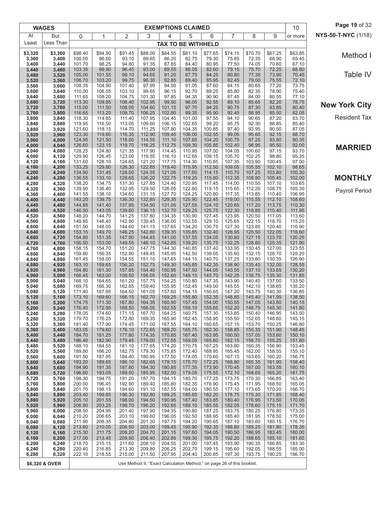|                | <b>WAGES</b>   |                  |                  |                  |                  |                  | <b>EXEMPTIONS CLAIMED</b>                                              |                  |                  |                  |                  | 10               | Page 19 of 32        |
|----------------|----------------|------------------|------------------|------------------|------------------|------------------|------------------------------------------------------------------------|------------------|------------------|------------------|------------------|------------------|----------------------|
| At             | <b>But</b>     | 0                | 1                | 2                | 3                | 4                | 5                                                                      | 6                | 7                | 8                | 9                | or more          | NYS-50-T-NYC (1/18)  |
| Least          | Less Than      |                  |                  |                  |                  |                  | <b>TAX TO BE WITHHELD</b>                                              |                  |                  |                  |                  |                  |                      |
| \$3,320        | \$3,360        | \$98.40          | \$94.90          | \$91.45          | \$88.00          | \$84.55          | \$81.10                                                                | \$77.65          | \$74.15          | \$70.70          | \$67.25          | \$63.85          | Method I             |
| 3,360<br>3,400 | 3,400<br>3,440 | 100.05<br>101.70 | 96.60<br>98.25   | 93.10<br>94.80   | 89.65<br>91.35   | 86.20<br>87.85   | 82.75<br>84.40                                                         | 79.30<br>80.95   | 75.85<br>77.50   | 72.35<br>74.05   | 68.90<br>70.60   | 65.45<br>67.10   |                      |
| 3,440          | 3,480          | 103.35           | 99.90            | 96.45            | 93.00            | 89.55            | 86.05                                                                  | 82.60            | 79.15            | 75.70            | 72.25            | 68.80            |                      |
| 3,480<br>3,520 | 3,520<br>3,560 | 105.00<br>106.70 | 101.55<br>103.20 | 98.10<br>99.75   | 94.65<br>96.30   | 91.20<br>92.85   | 87.75<br>89.40                                                         | 84.25<br>85.95   | 80.80<br>82.45   | 77.35<br>79.00   | 73.90<br>75.55   | 70.45<br>72.10   | Table IV             |
| 3,560          | 3,600          | 108.35           | 104.90           | 101.40           | 97.95            | 94.50            | 91.05                                                                  | 87.60            | 84.15            | 80.65            | 77.20            | 73.75            |                      |
| 3,600<br>3,640 | 3,640<br>3,680 | 110.00<br>111.65 | 106.55<br>108.20 | 103.10<br>104.75 | 99.65<br>101.30  | 96.15<br>97.85   | 92.70<br>94.35                                                         | 89.25<br>90.90   | 85.80<br>87.45   | 82.35<br>84.00   | 78.90<br>80.55   | 75.40<br>77.10   |                      |
| 3,680          | 3,720          | 113.30           | 109.85           | 106.40           | 102.95           | 99.50            | 96.05                                                                  | 92.55            | 89.10            | 85.65            | 82.20            | 78.75            | <b>New York City</b> |
| 3,720          | 3,760          | 115.00           | 111.50           | 108.05           | 104.60<br>106.25 | 101.15<br>102.80 | 97.70<br>99.35                                                         | 94.25<br>95.90   | 90.75<br>92.45   | 87.30<br>88.95   | 83.85<br>85.50   | 80.40<br>82.05   |                      |
| 3,760<br>3,800 | 3,800<br>3,840 | 116.65<br>118.30 | 113.20<br>114.85 | 109.70<br>111.40 | 107.95           | 104.45           | 101.00                                                                 | 97.55            | 94.10            | 90.65            | 87.20            | 83.70            | <b>Resident Tax</b>  |
| 3,840          | 3,880          | 119.95           | 116.50           | 113.05           | 109.60           | 106.15           | 102.65                                                                 | 99.20            | 95.75            | 92.30            | 88.85            | 85.40            |                      |
| 3,880<br>3,920 | 3,920<br>3,960 | 121.60<br>123.30 | 118.15<br>119.80 | 114.70<br>116.35 | 111.25<br>112.90 | 107.80<br>109.45 | 104.35<br>106.00                                                       | 100.85<br>102.55 | 97.40<br>99.05   | 93.95<br>95.60   | 90.50<br>92.15   | 87.05<br>88.70   |                      |
| 3,960          | 4,000          | 124.95           | 121.50           | 118.00           | 114.55           | 111.10           | 107.65                                                                 | 104.20           | 100.75           | 97.25            | 93.80            | 90.35            |                      |
| 4,000<br>4,040 | 4,040<br>4,080 | 126.60<br>128.25 | 123.15<br>124.80 | 119.70<br>121.35 | 116.25<br>117.90 | 112.75<br>114.45 | 109.30<br>110.95                                                       | 105.85<br>107.50 | 102.40<br>104.05 | 98.95<br>100.60  | 95.50<br>97.15   | 92.00<br>93.70   | <b>MARRIED</b>       |
| 4,080          | 4,120          | 129.90           | 126.45           | 123.00           | 119.55           | 116.10           | 112.65                                                                 | 109.15           | 105.70           | 102.25           | 98.80            | 95.35            |                      |
| 4,120          | 4,160          | 131.60           | 128.10           | 124.65           | 121.20           | 117.75           | 114.30                                                                 | 110.85           | 107.35           | 103.90           | 100.45           | 97.00            |                      |
| 4,160<br>4,200 | 4,200<br>4,240 | 133.25<br>134.90 | 129.80<br>131.45 | 126.30<br>128.00 | 122.85<br>124.55 | 119.40<br>121.05 | 115.95<br>117.60                                                       | 112.50<br>114.15 | 109.05<br>110.70 | 105.55<br>107.25 | 102.10<br>103.80 | 98.65<br>100.30  |                      |
| 4,240          | 4,280          | 136.55           | 133.10           | 129.65           | 126.20           | 122.75           | 119.25                                                                 | 115.80           | 112.35           | 108.90           | 105.45           | 102.00           | <b>MONTHLY</b>       |
| 4,280<br>4,320 | 4,320<br>4,360 | 138.20<br>139.90 | 134.75<br>136.40 | 131.30<br>132.95 | 127.85<br>129.50 | 124.40<br>126.05 | 120.95<br>122.60                                                       | 117.45<br>119.15 | 114.00<br>115.65 | 110.55<br>112.20 | 107.10<br>108.75 | 103.65<br>105.30 |                      |
| 4,360          | 4,400          | 141.55           | 138.10           | 134.60           | 131.15           | 127.70           | 124.25                                                                 | 120.80           | 117.35           | 113.85           | 110.40           | 106.95           | Payroll Period       |
| 4,400          | 4,440          | 143.20           | 139.75           | 136.30           | 132.85           | 129.35           | 125.90                                                                 | 122.45           | 119.00           | 115.55           | 112.10           | 108.60           |                      |
| 4,440<br>4,480 | 4,480<br>4,520 | 144.85<br>146.50 | 141.40<br>143.05 | 137.95<br>139.60 | 134.50<br>136.15 | 131.05<br>132.70 | 127.55<br>129.25                                                       | 124.10<br>125.75 | 120.65<br>122.30 | 117.20<br>118.85 | 113.75<br>115.40 | 110.30<br>111.95 |                      |
| 4,520          | 4,560          | 148.20           | 144.70           | 141.25           | 137.80           | 134.35           | 130.90                                                                 | 127.45           | 123.95           | 120.50           | 117.05           | 113.60           |                      |
| 4,560<br>4,600 | 4,600<br>4,640 | 149.85<br>151.50 | 146.40<br>148.05 | 142.90<br>144.60 | 139.45<br>141.15 | 136.00<br>137.65 | 132.55<br>134.20                                                       | 129.10<br>130.75 | 125.65<br>127.30 | 122.15<br>123.85 | 118.70<br>120.40 | 115.25<br>116.90 |                      |
| 4,640          | 4,680          | 153.15           | 149.70           | 146.25           | 142.80           | 139.35           | 135.85                                                                 | 132.40           | 128.95           | 125.50           | 122.05           | 118.60           |                      |
| 4,680          | 4,720          | 154.80<br>156.50 | 151.35           | 147.90<br>149.55 | 144.45<br>146.10 | 141.00<br>142.65 | 137.55<br>139.20                                                       | 134.05<br>135.75 | 130.60<br>132.25 | 127.15<br>128.80 | 123.70<br>125.35 | 120.25           |                      |
| 4,720<br>4,760 | 4,760<br>4,800 | 158.15           | 153.00<br>154.70 | 151.20           | 147.75           | 144.30           | 140.85                                                                 | 137.40           | 133.95           | 130.45           | 127.00           | 121.90<br>123.55 |                      |
| 4,800          | 4,840          | 159.80           | 156.35           | 152.90           | 149.45           | 145.95           | 142.50                                                                 | 139.05           | 135.60           | 132.15           | 128.70           | 125.20           |                      |
| 4,840<br>4,880 | 4,880<br>4,920 | 161.45<br>163.10 | 158.00<br>159.65 | 154.55<br>156.20 | 151.10<br>152.75 | 147.65<br>149.30 | 144.15<br>145.85                                                       | 140.70<br>142.35 | 137.25<br>138.90 | 133.80<br>135.45 | 130.35<br>132.00 | 126.90<br>128.55 |                      |
| 4,920          | 4,960          | 164.80           | 161.30           | 157.85           | 154.40           | 150.95           | 147.50                                                                 | 144.05           | 140.55           | 137.10           | 133.65           | 130.20           |                      |
| 4,960<br>5,000 | 5,000<br>5,040 | 166.45<br>168.10 | 163.00<br>164.65 | 159.50<br>161.20 | 156.05<br>157.75 | 152.60<br>154.25 | 149.15<br>150.80                                                       | 145.70<br>147.35 | 142.25<br>143.90 | 138.75<br>140.45 | 135.30<br>137.00 | 131.85<br>133.50 |                      |
| 5,040          | 5,080          | 169.75           | 166.30           | 162.85           | 159.40           | 155.95           | 152.45                                                                 | 149.00           | 145.55           | 142.10           | 138.65           | 135.20           |                      |
| 5,080          | 5,120          | 171.40           | 167.95           | 164.50           | 161.05           | 157.60           | 154.15                                                                 | 150.65           | 147.20           | 143.75           | 140.30           | 136.85           |                      |
| 5,120<br>5,160 | 5,160<br>5,200 | 173.10<br>174.75 | 169.60<br>171.30 | 166.15<br>167.80 | 162.70<br>164.35 | 159.25<br>160.90 | 155.80<br>157.45                                                       | 152.35<br>154.00 | 148.85<br>150.55 | 145.40<br>147.05 | 141.95<br>143.60 | 138.50<br>140.15 |                      |
| 5,200          | 5,240          | 176.40           | 172.95           | 169.50           | 166.05           | 162.55           | 159.10                                                                 | 155.65           | 152.20           | 148.75           | 145.30           | 141.80           |                      |
| 5,240<br>5,280 | 5,280<br>5,320 | 178.05<br>179.70 | 174.60<br>176.25 | 171.15<br>172.80 | 167.70<br>169.35 | 164.25<br>165.90 | 160.75<br>162.45                                                       | 157.30<br>158.95 | 153.85<br>155.50 | 150.40<br>152.05 | 146.95<br>148.60 | 143.50<br>145.15 |                      |
| 5,320          | 5,360          | 181.40           | 177.90           | 174.45           | 171.00           | 167.55           | 164.10                                                                 | 160.65           | 157.15           | 153.70           | 150.25           | 146.80           |                      |
| 5,360<br>5,400 | 5,400<br>5,440 | 183.05<br>184.70 | 179.60<br>181.25 | 176.10<br>177.80 | 172.65<br>174.35 | 169.20<br>170.85 | 165.75<br>167.40                                                       | 162.30<br>163.95 | 158.85<br>160.50 | 155.35<br>157.05 | 151.90<br>153.60 | 148.45<br>150.10 |                      |
| 5,440          | 5,480          | 186.40           | 182.90           | 179.45           | 176.00           | 172.55           | 169.05                                                                 | 165.60           | 162.15           | 158.70           | 155.25           | 151.80           |                      |
| 5,480          | 5,520          | 188.10           | 184.55           | 181.10           | 177.65           | 174.20           | 170.75                                                                 | 167.25           | 163.80           | 160.35           | 156.90           | 153.45           |                      |
| 5,520<br>5,560 | 5,560<br>5,600 | 189.80<br>191.50 | 186.20<br>187.95 | 182.75<br>184.40 | 179.30<br>180.95 | 175.85<br>177.50 | 172.40<br>174.05                                                       | 168.95<br>170.60 | 165.45<br>167.15 | 162.00<br>163.65 | 158.55<br>160.20 | 155.10<br>156.75 |                      |
| 5,600          | 5,640          | 193.20           | 189.65           | 186.10           | 182.65           | 179.15           | 175.70                                                                 | 172.25           | 168.80           | 165.35           | 161.90           | 158.40           |                      |
| 5,640<br>5,680 | 5,680<br>5,720 | 194.90<br>196.60 | 191.35<br>193.05 | 187.80<br>189.50 | 184.30<br>185.95 | 180.85<br>182.50 | 177.35<br>179.05                                                       | 173.90<br>175.55 | 170.45<br>172.10 | 167.00<br>168.65 | 163.55<br>165.20 | 160.10<br>161.75 |                      |
| 5,720          | 5,760          | 198.30           | 194.75           | 191.20           | 187.70           | 184.15           | 180.70                                                                 | 177.25           | 173.75           | 170.30           | 166.85           | 163.40           |                      |
| 5,760<br>5,800 | 5,800<br>5,840 | 200.00<br>201.70 | 196.45<br>198.15 | 192.90<br>194.60 | 189.40<br>191.10 | 185.80<br>187.55 | 182.35<br>184.00                                                       | 178.90<br>180.55 | 175.45<br>177.10 | 171.95<br>173.65 | 168.50<br>170.20 | 165.05<br>166.70 |                      |
| 5,840          | 5,880          | 203.40           | 199.85           | 196.30           | 192.80           | 189.25           | 185.65                                                                 | 182.20           | 178.75           | 175.30           | 171.85           | 168.40           |                      |
| 5,880          | 5,920          | 205.10           | 201.55           | 198.00           | 194.50           | 190.95           | 187.40                                                                 | 183.85<br>185.55 | 180.40           | 176.95           | 173.50           | 170.05           |                      |
| 5,920<br>5,960 | 5,960<br>6,000 | 206.80<br>208.50 | 203.25<br>204.95 | 199.70<br>201.40 | 196.20<br>197.90 | 192.65<br>194.35 | 189.10<br>190.80                                                       | 187.25           | 182.05<br>183.75 | 178.60<br>180.25 | 175.15<br>176.80 | 171.70<br>173.35 |                      |
| 6,000          | 6,040          | 210.20           | 206.65           | 203.10           | 199.60           | 196.05           | 192.50                                                                 | 188.95           | 185.40           | 181.95           | 178.50           | 175.00           |                      |
| 6,040<br>6,080 | 6,080<br>6,120 | 211.90<br>213.60 | 208.35<br>210.05 | 204.80<br>206.50 | 201.30<br>203.00 | 197.75<br>199.45 | 194.20<br>195.90                                                       | 190.65<br>192.35 | 187.10<br>188.80 | 183.60<br>185.25 | 180.15<br>181.80 | 176.70<br>178.35 |                      |
| 6,120          | 6,160          | 215.30           | 211.75           | 208.20           | 204.70           | 201.15           | 197.60                                                                 | 194.05           | 190.50           | 186.95           | 183.45           | 180.00           |                      |
| 6,160<br>6,200 | 6,200<br>6,240 | 217.00<br>218.70 | 213.45<br>215.15 | 209.90<br>211.60 | 206.40<br>208.10 | 202.85<br>204.55 | 199.30<br>201.00                                                       | 195.75<br>197.45 | 192.20<br>193.90 | 188.65<br>190.35 | 185.10<br>186.85 | 181.65<br>183.30 |                      |
| 6,240          | 6,280          | 220.40           | 216.85           | 213.30           | 209.80           | 206.25           | 202.70                                                                 | 199.15           | 195.60           | 192.05           | 188.55           | 185.00           |                      |
| 6,280          | 6,320          | 222.10           | 218.55           | 215.00           | 211.50           | 207.95           | 204.40                                                                 | 200.85           | 197.30           | 193.75           | 190.25           | 186.70           |                      |
|                | \$6,320 & OVER |                  |                  |                  |                  |                  | Use Method II, "Exact Calculation Method," on page 26 of this booklet. |                  |                  |                  |                  |                  |                      |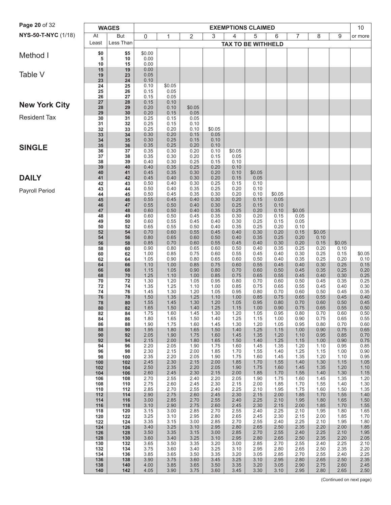| <b>Page 20 of 32</b> |            | <b>WAGES</b> |                |              |                |              |                | <b>EXEMPTIONS CLAIMED</b> |              |              |              |                | 10             |
|----------------------|------------|--------------|----------------|--------------|----------------|--------------|----------------|---------------------------|--------------|--------------|--------------|----------------|----------------|
| NYS-50-T-NYC (1/18)  | At         | But          | 0              | 1            | 2              | 3            | 4              | 5                         | 6            | 7            | 8            | 9              | or more        |
|                      | Least      | Less Than    |                |              |                |              |                | <b>TAX TO BE WITHHELD</b> |              |              |              |                |                |
| Method I             | \$0<br>5   | \$5<br>10    | \$0.00<br>0.00 |              |                |              |                |                           |              |              |              |                |                |
|                      | 10         | 15           | 0.00           |              |                |              |                |                           |              |              |              |                |                |
| Table V              | 15<br>19   | 19<br>23     | 0.00<br>0.05   |              |                |              |                |                           |              |              |              |                |                |
|                      | 23<br>24   | 24<br>25     | 0.10<br>0.10   | \$0.05       |                |              |                |                           |              |              |              |                |                |
|                      | 25         | 26           | 0.15           | 0.05         |                |              |                |                           |              |              |              |                |                |
| <b>New York City</b> | 26<br>27   | 27<br>28     | 0.15<br>0.15   | 0.05<br>0.10 |                |              |                |                           |              |              |              |                |                |
|                      | 28<br>29   | 29<br>30     | 0.20<br>0.20   | 0.10<br>0.15 | \$0.05<br>0.05 |              |                |                           |              |              |              |                |                |
| <b>Resident Tax</b>  | 30         | 31           | 0.25           | 0.15         | 0.05           |              |                |                           |              |              |              |                |                |
|                      | 31<br>32   | 32<br>33     | 0.25<br>0.25   | 0.15<br>0.20 | 0.10<br>0.10   | \$0.05       |                |                           |              |              |              |                |                |
|                      | 33<br>34   | 34<br>35     | 0.30<br>0.30   | 0.20<br>0.25 | 0.15<br>0.15   | 0.05<br>0.10 |                |                           |              |              |              |                |                |
| <b>SINGLE</b>        | 35         | 36           | 0.35           | 0.25         | 0.20           | 0.10         |                |                           |              |              |              |                |                |
|                      | 36<br>37   | 37<br>38     | 0.35<br>0.35   | 0.30<br>0.30 | 0.20<br>0.20   | 0.10<br>0.15 | \$0.05<br>0.05 |                           |              |              |              |                |                |
|                      | 38<br>39   | 39<br>40     | 0.40<br>0.40   | 0.30<br>0.35 | 0.25<br>0.25   | 0.15<br>0.20 | 0.10<br>0.10   |                           |              |              |              |                |                |
| <b>DAILY</b>         | 40         | 41<br>42     | 0.45<br>0.45   | 0.35<br>0.40 | 0.30<br>0.30   | 0.20<br>0.20 | 0.10<br>0.15   | \$0.05<br>0.05            |              |              |              |                |                |
|                      | 41<br>42   | 43           | 0.50           | 0.40         | 0.30           | 0.25         | 0.15           | 0.10                      |              |              |              |                |                |
| Payroll Period       | 43<br>44   | 44<br>45     | 0.50<br>0.50   | 0.40<br>0.45 | 0.35<br>0.35   | 0.25<br>0.30 | 0.20<br>0.20   | 0.10<br>0.10              | \$0.05       |              |              |                |                |
|                      | 45<br>46   | 46<br>47     | 0.55<br>0.55   | 0.45<br>0.50 | 0.40<br>0.40   | 0.30<br>0.30 | 0.20<br>0.25   | 0.15<br>0.15              | 0.05<br>0.10 |              |              |                |                |
|                      | 47         | 48           | 0.60           | 0.50         | 0.40           | 0.35         | 0.25           | 0.20                      | 0.10         | \$0.05       |              |                |                |
|                      | 48<br>49   | 49<br>50     | 0.60<br>0.60   | 0.50<br>0.55 | 0.45<br>0.45   | 0.35<br>0.40 | 0.30<br>0.30   | 0.20<br>0.25              | 0.15<br>0.15 | 0.05<br>0.05 |              |                |                |
|                      | 50<br>52   | 52<br>54     | 0.65<br>0.70   | 0.55<br>0.60 | 0.50<br>0.55   | 0.40<br>0.45 | 0.35<br>0.40   | 0.25<br>0.30              | 0.20<br>0.20 | 0.10<br>0.15 | \$0.05       |                |                |
|                      | 54         | 56           | 0.80           | 0.65         | 0.60           | 0.50         | 0.40           | 0.35                      | 0.25         | 0.20         | 0.10         |                |                |
|                      | 56<br>58   | 58<br>60     | 0.85<br>0.90   | 0.70<br>0.80 | 0.60<br>0.65   | 0.55<br>0.60 | 0.45<br>0.50   | 0.40<br>0.40              | 0.30<br>0.35 | 0.20<br>0.25 | 0.15<br>0.20 | \$0.05<br>0.10 |                |
|                      | 60<br>62   | 62<br>64     | 1.00<br>1.05   | 0.85<br>0.90 | 0.75<br>0.80   | 0.60<br>0.65 | 0.55<br>0.60   | 0.45<br>0.50              | 0.40<br>0.40 | 0.30<br>0.35 | 0.25<br>0.25 | 0.15<br>0.20   | \$0.05<br>0.10 |
|                      | 64         | 66           | 1.10           | 1.00         | 0.85           | 0.75         | 0.60           | 0.55                      | 0.45         | 0.40         | 0.30         | 0.25           | 0.15           |
|                      | 66<br>68   | 68<br>70     | 1.15<br>1.25   | 1.05<br>1.10 | 0.90<br>1.00   | 0.80<br>0.85 | 0.70<br>0.75   | 0.60<br>0.65              | 0.50<br>0.55 | 0.45<br>0.45 | 0.35<br>0.40 | 0.25<br>0.30   | 0.20<br>0.25   |
|                      | 70<br>72   | 72<br>74     | 1.30<br>1.35   | 1.20<br>1.25 | 1.05<br>1.10   | 0.95<br>1.00 | 0.80<br>0.85   | 0.70<br>0.75              | 0.60<br>0.65 | 0.50<br>0.55 | 0.45<br>0.45 | 0.35<br>0.40   | 0.25<br>0.30   |
|                      | 74<br>76   | 76<br>78     | 1.45<br>1.50   | 1.30<br>1.35 | 1.20<br>1.25   | 1.05<br>1.10 | 0.95<br>1.00   | 0.80<br>0.85              | 0.70<br>0.75 | 0.60<br>0.65 | 0.50<br>0.55 | 0.45<br>0.45   | 0.35<br>0.40   |
|                      | 78         | 80           | 1.55           | 1.45         | 1.30           | 1.20         | 1.05           | 0.95                      | 0.80         | 0.70         | 0.60         | 0.50           | 0.45           |
|                      | 80<br>82   | 82<br>84     | 1.65<br>1.75   | 1.50<br>1.60 | 1.40<br>1.45   | 1.25<br>1.30 | 1.15<br>1.20   | 1.00<br>1.05              | 0.90<br>0.95 | 0.75<br>0.80 | 0.65<br>0.70 | 0.55<br>0.60   | 0.50<br>0.50   |
|                      | 84<br>86   | 86<br>88     | 1.80<br>1.90   | 1.65<br>1.75 | 1.50<br>1.60   | 1.40<br>1.45 | 1.25<br>1.30   | 1.15<br>1.20              | 1.00<br>1.05 | 0.90<br>0.95 | 0.75<br>0.80 | 0.65<br>0.70   | 0.55<br>0.60   |
|                      | 88         | 90           | 1.95           | 1.80         | 1.65           | 1.50         | 1.40           | 1.25                      | 1.15         | 1.00         | 0.90         | 0.75           | 0.65           |
|                      | 90<br>92   | 92<br>94     | 2.05<br>2.15   | 1.90<br>2.00 | 1.75<br>1.80   | 1.60<br>1.65 | 1.45<br>1.50   | 1.35<br>1.40              | 1.20<br>1.25 | 1.10<br>1.15 | 0.95<br>1.00 | 0.85<br>0.90   | 0.70<br>0.75   |
|                      | 94<br>96   | 96<br>98     | 2.20<br>2.30   | 2.05<br>2.15 | 1.90<br>2.00   | 1.75<br>1.85 | 1.60<br>1.70   | 1.45<br>1.55              | 1.35<br>1.40 | 1.20<br>1.25 | 1.10<br>1.15 | 0.95<br>1.00   | 0.85<br>0.90   |
|                      | 98<br>100  | 100<br>102   | 2.35<br>2.45   | 2.20<br>2.30 | 2.05<br>2.15   | 1.90<br>2.00 | 1.75<br>1.85   | 1.60<br>1.70              | 1.45<br>1.55 | 1.35<br>1.40 | 1.20<br>1.30 | 1.10<br>1.15   | 0.95<br>1.05   |
|                      | 102        | 104          | 2.50           | 2.35         | 2.20           | 2.05         | 1.90           | 1.75                      | 1.60         | 1.45         | 1.35         | 1.20           | 1.10           |
|                      | 104<br>106 | 106<br>108   | 2.60<br>2.70   | 2.45<br>2.55 | 2.30<br>2.40   | 2.15<br>2.20 | 2.00<br>2.05   | 1.85<br>1.90              | 1.70<br>1.75 | 1.55<br>1.60 | 1.40<br>1.45 | 1.30<br>1.35   | 1.15<br>1.20   |
|                      | 108<br>110 | 110<br>112   | 2.75<br>2.85   | 2.60<br>2.70 | 2.45<br>2.55   | 2.30<br>2.40 | 2.15<br>2.25   | 2.00<br>2.10              | 1.85<br>1.95 | 1.70<br>1.75 | 1.55<br>1.60 | 1.40<br>1.50   | 1.30<br>1.35   |
|                      | 112        | 114          | 2.90           | 2.75         | 2.60           | 2.45         | 2.30           | 2.15                      | 2.00         | 1.85         | 1.70         | 1.55           | 1.40           |
|                      | 114<br>116 | 116<br>118   | 3.00<br>3.10   | 2.85<br>2.90 | 2.70<br>2.75   | 2.55<br>2.60 | 2.40<br>2.45   | 2.25<br>2.30              | 2.10<br>2.15 | 1.95<br>2.00 | 1.80<br>1.85 | 1.65<br>1.70   | 1.50<br>1.55   |
|                      | 118<br>120 | 120<br>122   | 3.15<br>3.25   | 3.00<br>3.10 | 2.85<br>2.95   | 2.70<br>2.80 | 2.55<br>2.65   | 2.40<br>2.45              | 2.25<br>2.30 | 2.10<br>2.15 | 1.95<br>2.00 | 1.80<br>1.85   | 1.65<br>1.70   |
|                      | 122<br>124 | 124<br>126   | 3.35           | 3.15<br>3.25 | 3.00           | 2.85<br>2.95 | 2.70           | 2.55<br>2.65              | 2.40<br>2.50 | 2.25<br>2.35 | 2.10<br>2.20 | 1.95           | 1.80<br>1.85   |
|                      | 126        | 128          | 3.40<br>3.50   | 3.35         | 3.10<br>3.15   | 3.00         | 2.80<br>2.85   | 2.70                      | 2.55         | 2.40         | 2.25         | 2.00<br>2.10   | 1.95           |
|                      | 128<br>130 | 130<br>132   | 3.60<br>3.65   | 3.40<br>3.50 | 3.25<br>3.35   | 3.10<br>3.20 | 2.95<br>3.00   | 2.80<br>2.85              | 2.65<br>2.70 | 2.50<br>2.55 | 2.35<br>2.40 | 2.20<br>2.25   | 2.05<br>2.10   |
|                      | 132<br>134 | 134<br>136   | 3.75<br>3.85   | 3.60<br>3.65 | 3.40<br>3.50   | 3.25<br>3.35 | 3.10<br>3.20   | 2.95<br>3.05              | 2.80<br>2.85 | 2.65<br>2.70 | 2.50<br>2.55 | 2.35<br>2.40   | 2.20<br>2.25   |
|                      | 136        | 138          | 3.90           | 3.75         | 3.60           | 3.45         | 3.25           | 3.10                      | 2.95         | 2.80         | 2.65         | 2.50           | 2.35<br>2.45   |
|                      | 138<br>140 | 140<br>142   | 4.00<br>4.05   | 3.85<br>3.90 | 3.65<br>3.75   | 3.50<br>3.60 | 3.35<br>3.45   | 3.20<br>3.30              | 3.05<br>3.10 | 2.90<br>2.95 | 2.75<br>2.80 | 2.60<br>2.65   | 2.50           |
|                      |            |              |                |              |                |              |                |                           |              |              |              |                |                |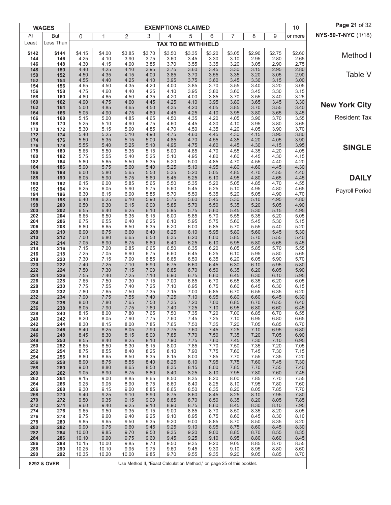|            | <b>WAGES</b> |                |                |               |                                                                        | <b>EXEMPTIONS CLAIMED</b> |              |              |              |              |              | 10           | Page 21 of 32        |
|------------|--------------|----------------|----------------|---------------|------------------------------------------------------------------------|---------------------------|--------------|--------------|--------------|--------------|--------------|--------------|----------------------|
| At         | But          | 0              | 1              | 2             | 3                                                                      | 4                         | 5            | 6            | 7            | 8            | 9            | or more      | NYS-50-T-NYC (1/18)  |
| Least      | Less Than    |                |                |               |                                                                        | <b>TAX TO BE WITHHELD</b> |              |              |              |              |              |              |                      |
| \$142      | \$144        | \$4.15         | \$4.00         | \$3.85        | \$3.70                                                                 | \$3.50                    | \$3.35       | \$3.20       | \$3.05       | \$2.90       | \$2.75       | \$2.60       | Method I             |
| 144<br>146 | 146<br>148   | 4.25<br>4.30   | 4.10<br>4.15   | 3.90<br>4.00  | 3.75<br>3.85                                                           | 3.60<br>3.70              | 3.45<br>3.55 | 3.30<br>3.35 | 3.10<br>3.20 | 2.95<br>3.05 | 2.80<br>2.90 | 2.65<br>2.75 |                      |
| 148        | 150          | 4.40           | 4.25           | 4.10          | 3.95                                                                   | 3.75                      | 3.60         | 3.45         | 3.30         | 3.15         | 2.95         | 2.80         | Table V              |
| 150<br>152 | 152<br>154   | 4.50<br>4.55   | 4.35<br>4.40   | 4.15<br>4.25  | 4.00<br>4.10                                                           | 3.85<br>3.95              | 3.70<br>3.75 | 3.55<br>3.60 | 3.35<br>3.45 | 3.20<br>3.30 | 3.05<br>3.15 | 2.90<br>3.00 |                      |
| 154        | 156          | 4.65           | 4.50           | 4.35          | 4.20                                                                   | 4.00                      | 3.85         | 3.70         | 3.55         | 3.40         | 3.20         | 3.05         |                      |
| 156<br>158 | 158<br>160   | 4.75<br>4.80   | 4.60<br>4.65   | 4.40<br>4.50  | 4.25<br>4.35                                                           | 4.10<br>4.20              | 3.95<br>4.00 | 3.80<br>3.85 | 3.60<br>3.70 | 3.45<br>3.55 | 3.30<br>3.40 | 3.15<br>3.25 |                      |
| 160<br>162 | 162          | 4.90           | 4.75           | 4.60<br>4.65  | 4.45<br>4.50                                                           | 4.25<br>4.35              | 4.10         | 3.95         | 3.80<br>3.85 | 3.65         | 3.45<br>3.55 | 3.30<br>3.40 | <b>New York City</b> |
| 164        | 164<br>166   | 5.00<br>5.05   | 4.85<br>4.90   | 4.75          | 4.60                                                                   | 4.45                      | 4.20<br>4.25 | 4.05<br>4.10 | 3.95         | 3.70<br>3.80 | 3.65         | 3.45         |                      |
| 166<br>168 | 168<br>170   | 5.15<br>5.25   | 5.00<br>5.10   | 4.85<br>4.90  | 4.65<br>4.75                                                           | 4.50<br>4.60              | 4.35<br>4.45 | 4.20<br>4.30 | 4.05<br>4.10 | 3.90<br>3.95 | 3.70<br>3.80 | 3.55<br>3.65 | <b>Resident Tax</b>  |
| 170        | 172          | 5.30           | 5.15           | 5.00          | 4.85                                                                   | 4.70                      | 4.50         | 4.35         | 4.20         | 4.05         | 3.90         | 3.70         |                      |
| 172<br>174 | 174<br>176   | 5.40<br>5.50   | 5.25<br>5.35   | 5.10<br>5.15  | 4.90<br>5.00                                                           | 4.75<br>4.85              | 4.60<br>4.70 | 4.45<br>4.55 | 4.30<br>4.35 | 4.15<br>4.20 | 3.95<br>4.05 | 3.80<br>3.90 |                      |
| 176        | 178          | 5.55           | 5.40           | 5.25          | 5.10                                                                   | 4.95                      | 4.75         | 4.60         | 4.45         | 4.30         | 4.15         | 3.95         | <b>SINGLE</b>        |
| 178<br>180 | 180<br>182   | 5.65<br>5.75   | 5.50<br>5.55   | 5.35<br>5.40  | 5.15<br>5.25                                                           | 5.00<br>5.10              | 4.85<br>4.95 | 4.70<br>4.80 | 4.55<br>4.60 | 4.35<br>4.45 | 4.20<br>4.30 | 4.05<br>4.15 |                      |
| 182        | 184          | 5.80           | 5.65           | 5.50          | 5.35                                                                   | 5.20                      | 5.00         | 4.85         | 4.70         | 4.55         | 4.40         | 4.20         |                      |
| 184<br>186 | 186<br>188   | 5.90<br>6.00   | 5.75<br>5.80   | 5.60<br>5.65  | 5.40<br>5.50                                                           | 5.25<br>5.35              | 5.10<br>5.20 | 4.95<br>5.05 | 4.80<br>4.85 | 4.60<br>4.70 | 4.45<br>4.55 | 4.30<br>4.40 |                      |
| 188        | 190          | 6.05           | 5.90           | 5.75          | 5.60                                                                   | 5.45                      | 5.25         | 5.10         | 4.95         | 4.80         | 4.65         | 4.45         | <b>DAILY</b>         |
| 190<br>192 | 192<br>194   | 6.15<br>6.25   | 6.00<br>6.05   | 5.85<br>5.90  | 5.65<br>5.75                                                           | 5.50<br>5.60              | 5.35<br>5.45 | 5.20<br>5.25 | 5.05<br>5.10 | 4.85<br>4.95 | 4.70<br>4.80 | 4.55<br>4.65 |                      |
| 194        | 196          | 6.30           | 6.15           | 6.00          | 5.85                                                                   | 5.70                      | 5.50         | 5.35         | 5.20         | 5.05         | 4.90         | 4.70         | Payroll Period       |
| 196<br>198 | 198<br>200   | 6.40<br>6.50   | 6.25<br>6.30   | 6.10<br>6.15  | 5.90<br>6.00                                                           | 5.75<br>5.85              | 5.60<br>5.70 | 5.45<br>5.50 | 5.30<br>5.35 | 5.10<br>5.20 | 4.95<br>5.05 | 4.80<br>4.90 |                      |
| 200        | 202          | 6.55           | 6.40           | 6.25          | 6.10                                                                   | 5.95                      | 5.75         | 5.60         | 5.45         | 5.30         | 5.15         | 4.95         |                      |
| 202<br>204 | 204<br>206   | 6.65<br>6.75   | 6.50<br>6.55   | 6.35<br>6.40  | 6.15<br>6.25                                                           | 6.00<br>6.10              | 5.85<br>5.95 | 5.70<br>5.75 | 5.55<br>5.60 | 5.35<br>5.45 | 5.20<br>5.30 | 5.05<br>5.15 |                      |
| 206        | 208          | 6.80           | 6.65           | 6.50          | 6.35                                                                   | 6.20                      | 6.00         | 5.85         | 5.70         | 5.55         | 5.40         | 5.20         |                      |
| 208<br>210 | 210<br>212   | 6.90<br>7.00   | 6.75<br>6.80   | 6.60<br>6.65  | 6.40<br>6.50                                                           | 6.25<br>6.35              | 6.10<br>6.20 | 5.95<br>6.00 | 5.80<br>5.85 | 5.60<br>5.70 | 5.45<br>5.55 | 5.30<br>5.40 |                      |
| 212        | 214          | 7.05           | 6.90           | 6.75          | 6.60                                                                   | 6.40                      | 6.25         | 6.10         | 5.95         | 5.80         | 5.65         | 5.45         |                      |
| 214<br>216 | 216<br>218   | 7.15<br>7.25   | 7.00<br>7.05   | 6.85<br>6.90  | 6.65<br>6.75                                                           | 6.50<br>6.60              | 6.35<br>6.45 | 6.20<br>6.25 | 6.05<br>6.10 | 5.85<br>5.95 | 5.70<br>5.80 | 5.55<br>5.65 |                      |
| 218        | 220          | 7.30           | 7.15           | 7.00          | 6.85                                                                   | 6.65                      | 6.50         | 6.35         | 6.20         | 6.05         | 5.90         | 5.70         |                      |
| 220<br>222 | 222<br>224   | 7.40<br>7.50   | 7.25<br>7.30   | 7.10<br>7.15  | 6.90<br>7.00                                                           | 6.75<br>6.85              | 6.60<br>6.70 | 6.45<br>6.50 | 6.30<br>6.35 | 6.10<br>6.20 | 5.95<br>6.05 | 5.80<br>5.90 |                      |
| 224<br>226 | 226<br>228   | 7.55<br>7.65   | 7.40<br>7.50   | 7.25<br>7.30  | 7.10<br>7.15                                                           | 6.90<br>7.00              | 6.75<br>6.85 | 6.60<br>6.70 | 6.45<br>6.55 | 6.30<br>6.35 | 6.10<br>6.20 | 5.95         |                      |
| 228        | 230          | 7.75           | 7.55           | 7.40          | 7.25                                                                   | 7.10                      | 6.95         | 6.75         | 6.60         | 6.45         | 6.30         | 6.05<br>6.15 |                      |
| 230<br>232 | 232<br>234   | 7.80<br>7.90   | 7.65<br>7.75   | 7.50<br>7.55  | 7.35<br>7.40                                                           | 7.15<br>7.25              | 7.00<br>7.10 | 6.85<br>6.95 | 6.70<br>6.80 | 6.55<br>6.60 | 6.35<br>6.45 | 6.20<br>6.30 |                      |
| 234        | 236          | 8.00           | 7.80           | 7.65          | 7.50                                                                   | 7.35                      | 7.20         | 7.00         | 6.85         | 6.70         | 6.55         | 6.40         |                      |
| 236<br>238 | 238<br>240   | 8.05<br>8.15   | 7.90<br>8.00   | 7.75<br>7.80  | 7.60<br>7.65                                                           | 7.40<br>7.50              | 7.25<br>7.35 | 7.10<br>7.20 | 6.95<br>7.00 | 6.80<br>6.85 | 6.60<br>6.70 | 6.45<br>6.55 |                      |
| 240        | 242          | 8.20           | 8.05           | 7.90          | 7.75                                                                   | 7.60                      | 7.45         | 7.25         | 7.10         | 6.95         | 6.80         | 6.65         |                      |
| 242<br>244 | 244<br>246   | 8.30<br>8.40   | 8.15<br>8.25   | 8.00<br>8.05  | 7.85<br>7.90                                                           | 7.65<br>7.75              | 7.50<br>7.60 | 7.35<br>7.45 | 7.20<br>7.25 | 7.05<br>7.10 | 6.85<br>6.95 | 6.70<br>6.80 |                      |
| 246        | 248          | 8.45           | 8.30           | 8.15          | 8.00                                                                   | 7.85                      | 7.70         | 7.50         | 7.35         | 7.20         | 7.05         | 6.90         |                      |
| 248<br>250 | 250<br>252   | 8.55<br>8.65   | 8.40<br>8.50   | 8.25<br>8.30  | 8.10<br>8.15                                                           | 7.90<br>8.00              | 7.75<br>7.85 | 7.60<br>7.70 | 7.45<br>7.50 | 7.30<br>7.35 | 7.10<br>7.20 | 6.95<br>7.05 |                      |
| 252        | 254          | 8.75           | 8.55           | 8.40          | 8.25                                                                   | 8.10                      | 7.90         | 7.75         | 7.60         | 7.45         | 7.30         | 7.15         |                      |
| 254<br>256 | 256<br>258   | 8.80<br>8.90   | 8.65<br>8.75   | 8.50<br>8.55  | 8.35<br>8.40                                                           | 8.15<br>8.25              | 8.00<br>8.10 | 7.85<br>7.95 | 7.70<br>7.75 | 7.55<br>7.60 | 7.35<br>7.45 | 7.20<br>7.30 |                      |
| 258        | 260          | 9.00           | 8.80           | 8.65          | 8.50                                                                   | 8.35                      | 8.15         | 8.00         | 7.85         | 7.70         | 7.55         | 7.40         |                      |
| 260<br>262 | 262<br>264   | 9.05<br>9.15   | 8.90<br>9.00   | 8.75<br>8.85  | 8.60<br>8.65                                                           | 8.40<br>8.50              | 8.25<br>8.35 | 8.10<br>8.20 | 7.95<br>8.00 | 7.80<br>7.85 | 7.60<br>7.70 | 7.45<br>7.55 |                      |
| 264        | 266          | 9.25           | 9.05           | 8.90          | 8.75                                                                   | 8.60                      | 8.40         | 8.25         | 8.10         | 7.95         | 7.80         | 7.60         |                      |
| 266<br>268 | 268<br>270   | 9.30<br>9.40   | 9.15<br>9.25   | 9.00<br>9.10  | 8.85<br>8.90                                                           | 8.65<br>8.75              | 8.50<br>8.60 | 8.35<br>8.45 | 8.20<br>8.25 | 8.05<br>8.10 | 7.85<br>7.95 | 7.70<br>7.80 |                      |
| 270        | 272          | 9.50           | 9.35           | 9.15          | 9.00                                                                   | 8.85                      | 8.70         | 8.50         | 8.35         | 8.20         | 8.05         | 7.85<br>7.95 |                      |
| 272<br>274 | 274<br>276   | 9.60<br>9.65   | 9.40<br>9.50   | 9.25<br>9.35  | 9.10<br>9.15                                                           | 8.90<br>9.00              | 8.75<br>8.85 | 8.60<br>8.70 | 8.45<br>8.50 | 8.30<br>8.35 | 8.10<br>8.20 | 8.05         |                      |
| 276<br>278 | 278<br>280   | 9.75<br>9.85   | 9.60<br>9.65   | 9.40<br>9.50  | 9.25<br>9.35                                                           | 9.10<br>9.20              | 8.95<br>9.00 | 8.75<br>8.85 | 8.60<br>8.70 | 8.45<br>8.50 | 8.30<br>8.35 | 8.10<br>8.20 |                      |
| 280        | 282          | 9.90           | 9.75           | 9.60          | 9.45                                                                   | 9.25                      | 9.10         | 8.95         | 8.75         | 8.60         | 8.45         | 8.30         |                      |
| 282<br>284 | 284<br>286   | 10.00<br>10.10 | 9.85<br>9.90   | 9.70<br>9.75  | 9.50<br>9.60                                                           | 9.35<br>9.45              | 9.20<br>9.25 | 9.00<br>9.10 | 8.85<br>8.95 | 8.70<br>8.80 | 8.55<br>8.60 | 8.35<br>8.45 |                      |
| 286        | 288          | 10.15          | 10.00          | 9.85          | 9.70                                                                   | 9.50                      | 9.35         | 9.20         | 9.05         | 8.85         | 8.70         | 8.55         |                      |
| 288<br>290 | 290<br>292   | 10.25<br>10.35 | 10.10<br>10.20 | 9.95<br>10.00 | 9.75<br>9.85                                                           | 9.60<br>9.70              | 9.45<br>9.55 | 9.30<br>9.35 | 9.10<br>9.20 | 8.95<br>9.05 | 8.80<br>8.85 | 8.60<br>8.70 |                      |
|            | \$292 & OVER |                |                |               | Use Method II, "Exact Calculation Method," on page 25 of this booklet. |                           |              |              |              |              |              |              |                      |
|            |              |                |                |               |                                                                        |                           |              |              |              |              |              |              |                      |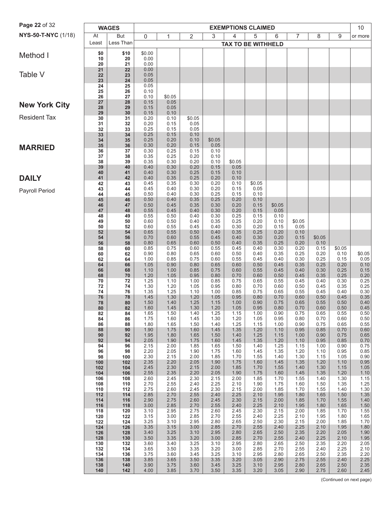| Page 22 of 32        |            | <b>WAGES</b> |                |                |                |              |                | <b>EXEMPTIONS CLAIMED</b> |                  |              |              |              | 10             |
|----------------------|------------|--------------|----------------|----------------|----------------|--------------|----------------|---------------------------|------------------|--------------|--------------|--------------|----------------|
| NYS-50-T-NYC (1/18)  | At         | But          | $\mathbf 0$    | 1              | 2              | 3            | 4              | 5                         | 6                | 7            | 8            | 9            | or more        |
|                      | Least      | Less Than    |                |                |                |              |                | <b>TAX TO BE WITHHELD</b> |                  |              |              |              |                |
| Method I             | \$0<br>10  | \$10<br>20   | \$0.00<br>0.00 |                |                |              |                |                           |                  |              |              |              |                |
|                      | 20         | 21           | 0.00           |                |                |              |                |                           |                  |              |              |              |                |
| Table V              | 21<br>22   | 22<br>23     | 0.00<br>0.05   |                |                |              |                |                           |                  |              |              |              |                |
|                      | 23<br>24   | 24<br>25     | 0.05<br>0.05   |                |                |              |                |                           |                  |              |              |              |                |
|                      | 25         | 26           | 0.10           |                |                |              |                |                           |                  |              |              |              |                |
| <b>New York City</b> | 26<br>27   | 27<br>28     | 0.10<br>0.15   | \$0.05<br>0.05 |                |              |                |                           |                  |              |              |              |                |
|                      | 28<br>29   | 29<br>30     | 0.15<br>0.15   | 0.05<br>0.10   |                |              |                |                           |                  |              |              |              |                |
| <b>Resident Tax</b>  | 30         | 31           | 0.20           | 0.10           | \$0.05         |              |                |                           |                  |              |              |              |                |
|                      | 31<br>32   | 32<br>33     | 0.20<br>0.25   | 0.15<br>0.15   | 0.05<br>0.05   |              |                |                           |                  |              |              |              |                |
|                      | 33<br>34   | 34<br>35     | 0.25<br>0.25   | 0.15<br>0.20   | 0.10<br>0.10   | \$0.05       |                |                           |                  |              |              |              |                |
| <b>MARRIED</b>       | 35<br>36   | 36<br>37     | 0.30<br>0.30   | 0.20<br>0.25   | 0.15<br>0.15   | 0.05<br>0.10 |                |                           |                  |              |              |              |                |
|                      | 37         | 38           | 0.35           | 0.25           | 0.20           | 0.10         |                |                           |                  |              |              |              |                |
|                      | 38<br>39   | 39<br>40     | 0.35<br>0.40   | 0.30<br>0.30   | 0.20<br>0.20   | 0.10<br>0.15 | \$0.05<br>0.05 |                           |                  |              |              |              |                |
| <b>DAILY</b>         | 40<br>41   | 41<br>42     | 0.40<br>0.40   | 0.30<br>0.35   | 0.25<br>0.25   | 0.15<br>0.20 | 0.10<br>0.10   |                           |                  |              |              |              |                |
|                      | 42         | 43           | 0.45           | 0.35           | 0.30           | 0.20         | 0.10           | \$0.05                    |                  |              |              |              |                |
| Payroll Period       | 43<br>44   | 44<br>45     | 0.45<br>0.50   | 0.40<br>0.40   | 0.30<br>0.30   | 0.20<br>0.25 | 0.15<br>0.15   | 0.05<br>0.10              |                  |              |              |              |                |
|                      | 45<br>46   | 46<br>47     | 0.50<br>0.50   | 0.40<br>0.45   | 0.35<br>0.35   | 0.25<br>0.30 | 0.20<br>0.20   | 0.10<br>0.15              | \$0.05           |              |              |              |                |
|                      | 47         | 48           | 0.55           | 0.45           | 0.40           | 0.30         | 0.20           | 0.15                      | 0.05             |              |              |              |                |
|                      | 48<br>49   | 49<br>50     | 0.55<br>0.60   | 0.50<br>0.50   | 0.40<br>0.40   | 0.30<br>0.35 | 0.25<br>0.25   | 0.15<br>0.20              | 0.10<br>0.10     | \$0.05       |              |              |                |
|                      | 50<br>52   | 52<br>54     | 0.60<br>0.65   | 0.55<br>0.55   | 0.45<br>0.50   | 0.40<br>0.40 | 0.30<br>0.35   | 0.20<br>0.25              | 0.15<br>0.20     | 0.05<br>0.10 |              |              |                |
|                      | 54         | 56           | 0.70           | 0.60           | 0.55           | 0.45         | 0.40           | 0.30                      | 0.20             | 0.15         | \$0.05       |              |                |
|                      | 56<br>58   | 58<br>60     | 0.80<br>0.85   | 0.65<br>0.75   | 0.60<br>0.60   | 0.50<br>0.55 | 0.40<br>0.45   | 0.35<br>0.40              | 0.25<br>0.30     | 0.20<br>0.20 | 0.10<br>0.15 | \$0.05       |                |
|                      | 60<br>62   | 62<br>64     | 0.90<br>1.00   | 0.80<br>0.85   | 0.65<br>0.75   | 0.60<br>0.60 | 0.50<br>0.55   | 0.40<br>0.45              | 0.35<br>0.40     | 0.25<br>0.30 | 0.20<br>0.25 | 0.10<br>0.15 | \$0.05<br>0.05 |
|                      | 64         | 66           | 1.05           | 0.90           | 0.80           | 0.65         | 0.60           | 0.50                      | 0.45<br>0.45     | 0.35         | 0.25         | 0.20<br>0.25 | 0.10           |
|                      | 66<br>68   | 68<br>70     | 1.10<br>1.20   | 1.00<br>1.05   | 0.85<br>0.95   | 0.75<br>0.80 | 0.60<br>0.70   | 0.55<br>0.60              | 0.50             | 0.40<br>0.45 | 0.30<br>0.35 | 0.25         | 0.15<br>0.20   |
|                      | 70<br>72   | 72<br>74     | 1.25<br>1.30   | 1.10<br>1.20   | 1.00<br>1.05   | 0.85<br>0.95 | 0.75<br>0.80   | 0.65<br>0.70              | 0.55<br>0.60     | 0.45<br>0.50 | 0.40<br>0.45 | 0.30<br>0.35 | 0.25<br>0.25   |
|                      | 74<br>76   | 76<br>78     | 1.35<br>1.45   | 1.25<br>1.30   | 1.10<br>1.20   | 1.00<br>1.05 | 0.85<br>0.95   | 0.75<br>0.80              | 0.65<br>0.70     | 0.55<br>0.60 | 0.45<br>0.50 | 0.40<br>0.45 | 0.30<br>0.35   |
|                      | 78         | 80           | 1.50           | 1.40           | 1.25           | 1.15         | 1.00           | 0.90                      | 0.75             | 0.65         | 0.55         | 0.50         | 0.40           |
|                      | 80<br>82   | 82<br>84     | 1.60<br>1.65   | 1.45<br>1.50   | $1.30$<br>1.40 | 1.20<br>1.25 | $1.05$<br>1.15 | 0.95<br>1.00              | $0.80\,$<br>0.90 | 0.70<br>0.75 | 0.60<br>0.65 | 0.50<br>0.55 | 0.45<br>0.50   |
|                      | 84<br>86   | 86<br>88     | 1.75<br>1.80   | 1.60<br>1.65   | 1.45<br>1.50   | 1.30<br>1.40 | 1.20<br>1.25   | 1.05<br>1.15              | 0.95<br>1.00     | 0.80<br>0.90 | 0.70<br>0.75 | 0.60<br>0.65 | 0.50<br>0.55   |
|                      | 88<br>90   | 90<br>92     | 1.90<br>1.95   | 1.75<br>1.80   | 1.60<br>1.65   | 1.45<br>1.50 | 1.35<br>1.40   | 1.20<br>1.25              | 1.10<br>1.15     | 0.95<br>1.00 | 0.85<br>0.90 | 0.70<br>0.75 | 0.60<br>0.65   |
|                      | 92         | 94           | 2.05           | 1.90           | 1.75           | 1.60         | 1.45           | 1.35                      | 1.20             | 1.10         | 0.95         | 0.85         | 0.70           |
|                      | 94<br>96   | 96<br>98     | 2.15<br>2.20   | 2.00<br>2.05   | 1.85<br>1.90   | 1.65<br>1.75 | 1.50<br>1.60   | 1.40<br>1.45              | 1.25<br>1.35     | 1.15<br>1.20 | 1.00<br>1.10 | 0.90<br>0.95 | 0.75<br>0.85   |
|                      | 98<br>100  | 100<br>102   | 2.30<br>2.35   | 2.15<br>2.20   | 2.00<br>2.05   | 1.85<br>1.90 | 1.70<br>1.75   | 1.55<br>1.60              | 1.40<br>1.45     | 1.30<br>1.35 | 1.15<br>1.20 | 1.05<br>1.10 | 0.90<br>0.95   |
|                      | 102        | 104          | 2.45           | 2.30           | 2.15           | 2.00         | 1.85           | 1.70                      | 1.55             | 1.40         | 1.30         | 1.15         | $1.05$         |
|                      | 104<br>106 | 106<br>108   | 2.55<br>2.60   | 2.35<br>2.45   | 2.20<br>2.30   | 2.05<br>2.15 | 1.90<br>2.00   | 1.75<br>1.85              | 1.60<br>1.70     | 1.45<br>1.55 | 1.35<br>1.40 | 1.20<br>1.30 | 1.10<br>1.15   |
|                      | 108<br>110 | 110<br>112   | 2.70<br>2.75   | 2.55<br>2.60   | 2.40<br>2.45   | 2.25<br>2.30 | 2.10<br>2.15   | 1.90<br>2.00              | 1.75<br>1.85     | 1.60<br>1.70 | 1.50<br>1.55 | 1.35<br>1.40 | 1.25<br>1.30   |
|                      | 112<br>114 | 114<br>116   | 2.85<br>2.90   | 2.70<br>2.75   | 2.55<br>2.60   | 2.40<br>2.45 | 2.25<br>2.30   | 2.10<br>2.15              | 1.95<br>2.00     | 1.80<br>1.85 | 1.65<br>1.70 | 1.50<br>1.55 | 1.35<br>1.40   |
|                      | 116        | 118          | 3.00           | 2.85           | 2.70           | 2.55         | 2.40           | 2.25                      | 2.10             | 1.95         | 1.80         | 1.65         | $1.50\,$       |
|                      | 118<br>120 | 120<br>122   | 3.10<br>3.15   | 2.95<br>3.00   | 2.75<br>2.85   | 2.60<br>2.70 | 2.45<br>2.55   | 2.30<br>2.40              | 2.15<br>2.25     | 2.00<br>2.10 | 1.85<br>1.95 | 1.70<br>1.80 | $1.55$<br>1.65 |
|                      | 122<br>124 | 124<br>126   | 3.25<br>3.35   | 3.10<br>3.15   | 2.95<br>3.00   | 2.80<br>2.85 | 2.65<br>2.70   | 2.50<br>2.55              | 2.30<br>2.40     | 2.15<br>2.25 | 2.00<br>2.10 | 1.85<br>1.95 | 1.70<br>1.80   |
|                      | 126        | 128          | 3.40           | 3.25           | 3.10           | 2.95         | 2.80           | 2.65                      | 2.50             | 2.35         | 2.20         | 2.05         | 1.90           |
|                      | 128<br>130 | 130<br>132   | 3.50<br>3.60   | 3.35<br>3.40   | 3.20<br>3.25   | 3.00<br>3.10 | 2.85<br>2.95   | 2.70<br>2.80              | 2.55<br>2.65     | 2.40<br>2.50 | 2.25<br>2.35 | 2.10<br>2.20 | 1.95<br>2.05   |
|                      | 132<br>134 | 134<br>136   | 3.65<br>3.75   | 3.50<br>3.60   | 3.35<br>3.45   | 3.20<br>3.25 | 3.00<br>3.10   | 2.85<br>2.95              | 2.70<br>2.80     | 2.55<br>2.65 | 2.40<br>2.50 | 2.25<br>2.35 | 2.10<br>2.20   |
|                      | 136        | 138          | 3.85           | 3.65           | 3.50           | 3.35         | 3.20           | 3.05                      | 2.90             | 2.75         | 2.55         | 2.40         | 2.25           |
|                      | 138<br>140 | 140<br>142   | 3.90<br>4.00   | 3.75<br>3.85   | 3.60<br>3.70   | 3.45<br>3.50 | 3.25<br>3.35   | 3.10<br>3.20              | 2.95<br>3.05     | 2.80<br>2.90 | 2.65<br>2.75 | 2.50<br>2.60 | 2.35<br>2.45   |
|                      |            |              |                |                |                |              |                |                           |                  |              |              |              |                |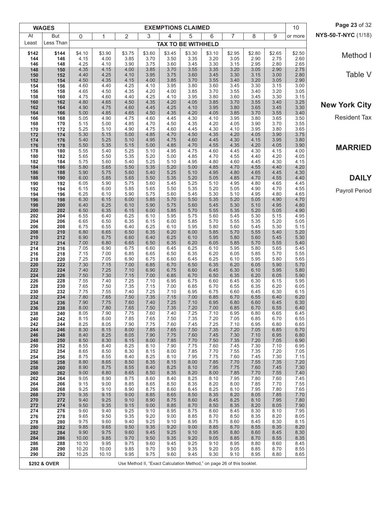|              | <b>WAGES</b> |                |                |                |                |                | <b>EXEMPTIONS CLAIMED</b> |                |                                                                        |                |                | 10             | Page 23 of 32        |
|--------------|--------------|----------------|----------------|----------------|----------------|----------------|---------------------------|----------------|------------------------------------------------------------------------|----------------|----------------|----------------|----------------------|
| At           | But          | 0              | 1              | $\overline{2}$ | 3              | 4              | 5                         | 6              | 7                                                                      | 8              | 9              | or more        | NYS-50-T-NYC (1/18)  |
| Least        | Less Than    |                |                |                |                |                | <b>TAX TO BE WITHHELD</b> |                |                                                                        |                |                |                |                      |
| \$142<br>144 | \$144<br>146 | \$4.10<br>4.15 | \$3.90<br>4.00 | \$3.75<br>3.85 | \$3.60<br>3.70 | \$3.45<br>3.50 | \$3.30<br>3.35            | \$3.10<br>3.20 | \$2.95<br>3.05                                                         | \$2.80<br>2.90 | \$2.65<br>2.75 | \$2.50<br>2.60 | Method I             |
| 146          | 148          | 4.25           | 4.10           | 3.90           | 3.75           | 3.60           | 3.45                      | 3.30           | 3.15                                                                   | 2.95           | 2.80           | 2.65           |                      |
| 148<br>150   | 150<br>152   | 4.35<br>4.40   | 4.15<br>4.25   | 4.00<br>4.10   | 3.85<br>3.95   | 3.70<br>3.75   | 3.55<br>3.60              | 3.35<br>3.45   | 3.20<br>3.30                                                           | 3.05<br>3.15   | 2.90<br>3.00   | 2.75<br>2.80   | Table V              |
| 152          | 154          | 4.50           | 4.35           | 4.15           | 4.00           | 3.85           | 3.70                      | 3.55           | 3.40                                                                   | 3.20           | 3.05           | 2.90           |                      |
| 154<br>156   | 156<br>158   | 4.60<br>4.65   | 4.40<br>4.50   | 4.25<br>4.35   | 4.10<br>4.20   | 3.95<br>4.00   | 3.80<br>3.85              | 3.60<br>3.70   | 3.45<br>3.55                                                           | 3.30<br>3.40   | 3.15<br>3.20   | 3.00<br>3.05   |                      |
| 158          | 160          | 4.75           | 4.60           | 4.40           | 4.25           | 4.10           | 3.95                      | 3.80           | 3.60                                                                   | 3.45           | 3.30           | 3.15           |                      |
| 160<br>162   | 162<br>164   | 4.80<br>4.90   | 4.65<br>4.75   | 4.50<br>4.60   | 4.35<br>4.45   | 4.20<br>4.25   | 4.05<br>4.10              | 3.85<br>3.95   | 3.70<br>3.80                                                           | 3.55<br>3.65   | 3.40<br>3.45   | 3.25<br>3.30   | <b>New York City</b> |
| 164          | 166          | 5.00           | 4.85           | 4.65           | 4.50           | 4.35           | 4.20                      | 4.05           | 3.85                                                                   | 3.70           | 3.55           | 3.40           |                      |
| 166<br>168   | 168<br>170   | 5.05<br>5.15   | 4.90<br>5.00   | 4.75<br>4.85   | 4.60<br>4.70   | 4.45<br>4.50   | 4.30<br>4.35              | 4.10<br>4.20   | 3.95<br>4.05                                                           | 3.80<br>3.90   | 3.65<br>3.70   | 3.50<br>3.55   | <b>Resident Tax</b>  |
| 170          | 172          | 5.25           | 5.10           | 4.90           | 4.75           | 4.60           | 4.45                      | 4.30           | 4.10                                                                   | 3.95           | 3.80           | 3.65           |                      |
| 172<br>174   | 174<br>176   | 5.30<br>5.40   | 5.15<br>5.25   | 5.00<br>5.10   | 4.85<br>4.95   | 4.70<br>4.75   | 4.50<br>4.60              | 4.35<br>4.45   | 4.20<br>4.30                                                           | 4.05<br>4.15   | 3.90<br>3.95   | 3.75<br>3.80   |                      |
| 176          | 178          | 5.50           | 5.35           | 5.15           | 5.00           | 4.85           | 4.70                      | 4.55           | 4.35                                                                   | 4.20           | 4.05           | 3.90           | <b>MARRIED</b>       |
| 178<br>180   | 180<br>182   | 5.55<br>5.65   | 5.40<br>5.50   | 5.25<br>5.35   | 5.10<br>5.20   | 4.95<br>5.00   | 4.75<br>4.85              | 4.60<br>4.70   | 4.45<br>4.55                                                           | 4.30<br>4.40   | 4.15<br>4.20   | 4.00<br>4.05   |                      |
| 182          | 184          | 5.75           | 5.60           | 5.40           | 5.25           | 5.10           | 4.95                      | 4.80           | 4.60                                                                   | 4.45           | 4.30           | 4.15           |                      |
| 184<br>186   | 186<br>188   | 5.80<br>5.90   | 5.65<br>5.75   | 5.50<br>5.60   | 5.35<br>5.40   | 5.20<br>5.25   | 5.00<br>5.10              | 4.85<br>4.95   | 4.70<br>4.80                                                           | 4.55<br>4.65   | 4.40<br>4.45   | 4.20<br>4.30   |                      |
| 188          | 190          | 6.00           | 5.85           | 5.65           | 5.50           | 5.35           | 5.20                      | 5.05           | 4.85                                                                   | 4.70           | 4.55           | 4.40           | <b>DAILY</b>         |
| 190<br>192   | 192<br>194   | 6.05<br>6.15   | 5.90<br>6.00   | 5.75<br>5.85   | 5.60<br>5.65   | 5.45<br>5.50   | 5.25<br>5.35              | 5.10<br>5.20   | 4.95<br>5.05                                                           | 4.80<br>4.90   | 4.65<br>4.70   | 4.45<br>4.55   |                      |
| 194          | 196          | 6.25           | 6.10           | 5.90           | 5.75           | 5.60           | 5.45                      | 5.30           | 5.10                                                                   | 4.95           | 4.80           | 4.65           | Payroll Period       |
| 196          | 198          | 6.30           | 6.15           | 6.00           | 5.85           | 5.70           | 5.50                      | 5.35           | 5.20                                                                   | 5.05           | 4.90           | 4.70           |                      |
| 198<br>200   | 200<br>202   | 6.40<br>6.50   | 6.25<br>6.35   | 6.10<br>6.15   | 5.90<br>6.00   | 5.75<br>5.85   | 5.60<br>5.70              | 5.45<br>5.55   | 5.30<br>5.35                                                           | 5.10<br>5.20   | 4.95<br>5.05   | 4.80<br>4.90   |                      |
| 202          | 204          | 6.55           | 6.40           | 6.25           | 6.10           | 5.95           | 5.75                      | 5.60           | 5.45                                                                   | 5.30           | 5.15           | 4.95           |                      |
| 204<br>206   | 206<br>208   | 6.65<br>6.75   | 6.50<br>6.55   | 6.35<br>6.40   | 6.15<br>6.25   | 6.00<br>6.10   | 5.85<br>5.95              | 5.70<br>5.80   | 5.55<br>5.60                                                           | 5.35<br>5.45   | 5.20<br>5.30   | 5.05<br>5.15   |                      |
| 208          | 210          | 6.80           | 6.65           | 6.50           | 6.35           | 6.20           | 6.00                      | 5.85           | 5.70                                                                   | 5.55           | 5.40           | 5.20           |                      |
| 210<br>212   | 212<br>214   | 6.90<br>7.00   | 6.75<br>6.80   | 6.60<br>6.65   | 6.40<br>6.50   | 6.25<br>6.35   | 6.10<br>6.20              | 5.95<br>6.05   | 5.80<br>5.85                                                           | 5.60<br>5.70   | 5.45<br>5.55   | 5.30<br>5.40   |                      |
| 214          | 216          | 7.05           | 6.90           | 6.75           | 6.60           | 6.45           | 6.25                      | 6.10           | 5.95                                                                   | 5.80           | 5.65           | 5.45           |                      |
| 216<br>218   | 218<br>220   | 7.15<br>7.25   | 7.00<br>7.05   | 6.85<br>6.90   | 6.65<br>6.75   | 6.50<br>6.60   | 6.35<br>6.45              | 6.20<br>6.25   | 6.05<br>6.10                                                           | 5.85<br>5.95   | 5.70<br>5.80   | 5.55<br>5.65   |                      |
| 220          | 222          | 7.30           | 7.15           | 7.00           | 6.85           | 6.70           | 6.50                      | 6.35           | 6.20                                                                   | 6.05           | 5.90           | 5.70           |                      |
| 222<br>224   | 224<br>226   | 7.40<br>7.50   | 7.25<br>7.30   | 7.10<br>7.15   | 6.90<br>7.00   | 6.75<br>6.85   | 6.60<br>6.70              | 6.45<br>6.50   | 6.30<br>6.35                                                           | 6.10<br>6.20   | 5.95<br>6.05   | 5.80<br>5.90   |                      |
| 226          | 228          | 7.55           | 7.40           | 7.25           | 7.10           | 6.95           | 6.75                      | 6.60           | 6.45                                                                   | 6.30           | 6.15           | 5.95           |                      |
| 228<br>230   | 230<br>232   | 7.65<br>7.75   | 7.50<br>7.55   | 7.35<br>7.40   | 7.15<br>7.25   | 7.00<br>7.10   | 6.85<br>6.95              | 6.70<br>6.75   | 6.55<br>6.60                                                           | 6.35<br>6.45   | 6.20<br>6.30   | 6.05<br>6.15   |                      |
| 232          | 234          | 7.80           | 7.65           | 7.50           | 7.35           | 7.15           | 7.00                      | 6.85           | 6.70                                                                   | 6.55           | 6.40           | 6.20           |                      |
| 234<br>236   | 236<br>238   | 7.90<br>8.00   | 7.75<br>7.80   | 7.60<br>7.65   | 7.40<br>7.50   | 7.25<br>7.35   | 7.10<br>7.20              | 6.95<br>7.00   | 6.80<br>6.85                                                           | 6.60<br>6.70   | 6.45<br>6.55   | 6.30<br>6.40   |                      |
| 238          | 240          | 8.05           | 7.90           | 7.75           | 7.60           | 7.40           | 7.25                      | 7.10           | 6.95                                                                   | 6.80           | 6.65           | 6.45           |                      |
| 240<br>242   | 242<br>244   | 8.15<br>8.25   | 8.00<br>8.05   | 7.85<br>7.90   | 7.65<br>7.75   | 7.50<br>7.60   | 7.35<br>7.45              | 7.20<br>7.25   | 7.05<br>7.10                                                           | 6.85<br>6.95   | 6.70<br>6.80   | 6.55<br>6.65   |                      |
| 244          | 246          | 8.30           | 8.15           | 8.00           | 7.85           | 7.65           | 7.50                      | 7.35           | 7.20                                                                   | 7.05           | 6.85           | 6.70           |                      |
| 246<br>248   | 248<br>250   | 8.40<br>8.50   | 8.25<br>8.30   | 8.05<br>8.15   | 7.90<br>8.00   | 7.75<br>7.85   | 7.60<br>7.70              | 7.45<br>7.50   | 7.30<br>7.35                                                           | 7.10<br>7.20   | 6.95<br>7.05   | 6.80<br>6.90   |                      |
| 250          | 252          | 8.55           | 8.40           | 8.25           | 8.10           | 7.90           | 7.75                      | 7.60           | 7.45                                                                   | 7.30           | 7.10           | 6.95           |                      |
| 252<br>254   | 254<br>256   | 8.65<br>8.75   | 8.50<br>8.55   | 8.30<br>8.40   | 8.15<br>8.25   | 8.00<br>8.10   | 7.85<br>7.95              | 7.70<br>7.75   | 7.55<br>7.60                                                           | 7.35<br>7.45   | 7.20<br>7.30   | 7.05<br>7.15   |                      |
| 256          | 258          | 8.80           | 8.65           | 8.50           | 8.35           | 8.15           | 8.00                      | 7.85           | 7.70                                                                   | 7.55           | 7.35           | 7.20           |                      |
| 258<br>260   | 260<br>262   | 8.90<br>9.00   | 8.75<br>8.80   | 8.55<br>8.65   | 8.40<br>8.50   | 8.25<br>8.35   | 8.10<br>8.20              | 7.95<br>8.00   | 7.75<br>7.85                                                           | 7.60<br>7.70   | 7.45<br>7.55   | 7.30<br>7.40   |                      |
| 262          | 264          | 9.05           | 8.90           | 8.75           | 8.60           | 8.40           | 8.25                      | 8.10           | 7.95                                                                   | 7.80           | 7.60           | 7.45           |                      |
| 264<br>266   | 266<br>268   | 9.15<br>9.25   | 9.00<br>9.10   | 8.85<br>8.90   | 8.65<br>8.75   | 8.50<br>8.60   | 8.35<br>8.45              | 8.20<br>8.25   | 8.00<br>8.10                                                           | 7.85<br>7.95   | 7.70<br>7.80   | 7.55<br>7.65   |                      |
| 268          | 270          | 9.35           | 9.15           | 9.00           | 8.85           | 8.65           | 8.50                      | 8.35           | 8.20                                                                   | 8.05           | 7.85           | 7.70           |                      |
| 270<br>272   | 272<br>274   | 9.40<br>9.50   | 9.25<br>9.35   | 9.10<br>9.15   | 8.90<br>9.00   | 8.75<br>8.85   | 8.60<br>8.70              | 8.45<br>8.50   | 8.25<br>8.35                                                           | 8.10<br>8.20   | 7.95<br>8.05   | 7.80<br>7.90   |                      |
| 274          | 276          | 9.60           | 9.40           | 9.25           | 9.10           | 8.95           | 8.75                      | 8.60           | 8.45                                                                   | 8.30           | 8.10           | 7.95           |                      |
| 276<br>278   | 278<br>280   | 9.65<br>9.75   | 9.50<br>9.60   | 9.35<br>9.40   | 9.20<br>9.25   | 9.00<br>9.10   | 8.85<br>8.95              | 8.70<br>8.75   | 8.50<br>8.60                                                           | 8.35<br>8.45   | 8.20<br>8.30   | 8.05<br>8.15   |                      |
| 280          | 282          | 9.85           | 9.65           | 9.50           | 9.35           | 9.20           | 9.00                      | 8.85           | 8.70                                                                   | 8.55           | 8.35           | 8.20           |                      |
| 282<br>284   | 284<br>286   | 9.90<br>10.00  | 9.75<br>9.85   | 9.60<br>9.70   | 9.45<br>9.50   | 9.25<br>9.35   | 9.10<br>9.20              | 8.95<br>9.05   | 8.80<br>8.85                                                           | 8.60<br>8.70   | 8.45<br>8.55   | 8.30<br>8.35   |                      |
| 286          | 288          | 10.10          | 9.95           | 9.75           | 9.60           | 9.45           | 9.25                      | 9.10           | 8.95                                                                   | 8.80           | 8.60           | 8.45           |                      |
| 288<br>290   | 290<br>292   | 10.20<br>10.25 | 10.00<br>10.10 | 9.85<br>9.95   | 9.70<br>9.75   | 9.50<br>9.60   | 9.35<br>9.45              | 9.20<br>9.30   | 9.05<br>9.10                                                           | 8.85<br>8.95   | 8.70<br>8.80   | 8.55<br>8.65   |                      |
|              | \$292 & OVER |                |                |                |                |                |                           |                | Use Method II, "Exact Calculation Method," on page 26 of this booklet. |                |                |                |                      |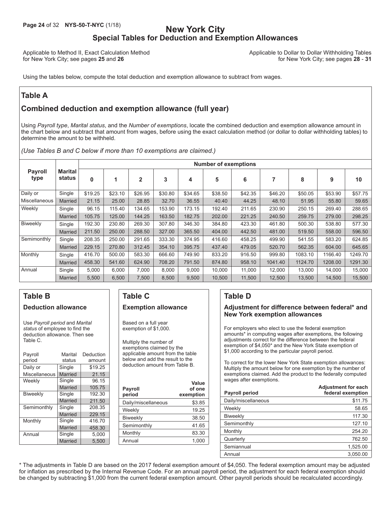### **Page 24** of 32 **NYS-50-T-NYC** (1/18) **New York City Special Tables for Deduction and Exemption Allowances**

Applicable to Method II, Exact Calculation Method Applicable to Dollar to Dollar Withholding Tables<br>18 - 18 - 18 for New York City; see pages 28 - 18 for New York City; see pages 25 and 26

Using the tables below, compute the total deduction and exemption allowance to subtract from wages.

### **Table A**

### **Combined deduction and exemption allowance (full year)**

Using *Payroll type*, *Marital status*, and the *Number of exemptions*, locate the combined deduction and exemption allowance amount in the chart below and subtract that amount from wages, before using the exact calculation method (or dollar to dollar withholding tables) to determine the amount to be withheld.

*(Use Tables B and C below if more than 10 exemptions are claimed.)*

|                        |                   |          |         |              |         |         | <b>Number of exemptions</b> |         |         |         |         |         |
|------------------------|-------------------|----------|---------|--------------|---------|---------|-----------------------------|---------|---------|---------|---------|---------|
| <b>Payroll</b><br>type | Marital<br>status | $\bf{0}$ | 1       | $\mathbf{2}$ | 3       | 4       | 5                           | 6       |         | 8       | 9       | 10      |
| Daily or               | Single            | \$19.25  | \$23.10 | \$26.95      | \$30.80 | \$34.65 | \$38.50                     | \$42.35 | \$46.20 | \$50.05 | \$53.90 | \$57.75 |
| Miscellaneous          | <b>Married</b>    | 21.15    | 25.00   | 28.85        | 32.70   | 36.55   | 40.40                       | 44.25   | 48.10   | 51.95   | 55.80   | 59.65   |
| Weekly                 | Single            | 96.15    | 115.40  | 134.65       | 153.90  | 173.15  | 192.40                      | 211.65  | 230.90  | 250.15  | 269.40  | 288.65  |
|                        | <b>Married</b>    | 105.75   | 125.00  | 144.25       | 163.50  | 182.75  | 202.00                      | 221.25  | 240.50  | 259.75  | 279.00  | 298.25  |
| Biweekly               | Single            | 192.30   | 230.80  | 269.30       | 307.80  | 346.30  | 384.80                      | 423.30  | 461.80  | 500.30  | 538.80  | 577.30  |
|                        | <b>Married</b>    | 211.50   | 250.00  | 288.50       | 327.00  | 365.50  | 404.00                      | 442.50  | 481.00  | 519.50  | 558.00  | 596.50  |
| Semimonthly            | Single            | 208.35   | 250.00  | 291.65       | 333.30  | 374.95  | 416.60                      | 458.25  | 499.90  | 541.55  | 583.20  | 624.85  |
|                        | <b>Married</b>    | 229.15   | 270.80  | 312.45       | 354.10  | 395.75  | 437.40                      | 479.05  | 520.70  | 562.35  | 604.00  | 645.65  |
| Monthly                | Single            | 416.70   | 500.00  | 583.30       | 666.60  | 749.90  | 833.20                      | 916.50  | 999.80  | 1083.10 | 1166.40 | 1249.70 |
|                        | <b>Married</b>    | 458.30   | 541.60  | 624.90       | 708.20  | 791.50  | 874.80                      | 958.10  | 1041.40 | 1124.70 | 1208.00 | 1291.30 |
| Annual                 | Single            | 5,000    | 6,000   | 7,000        | 8,000   | 9,000   | 10,000                      | 11,000  | 12,000  | 13,000  | 14,000  | 15,000  |
|                        | <b>Married</b>    | 5.500    | 6,500   | 7.500        | 8,500   | 9,500   | 10.500                      | 11.500  | 12.500  | 13.500  | 14.500  | 15,500  |

### **Table B Deduction allowance**

Use *Payroll period* and *Marital status* of employee to find the deduction allowance. Then see Table C.

| Payroll<br>period | Marital<br>status | Deduction<br>amount |
|-------------------|-------------------|---------------------|
| Daily or          | Single            | \$19.25             |
| Miscellaneous     | Married           | 21.15               |
| Weekly            | Single            | 96.15               |
|                   | Married           | 105.75              |
| <b>Biweekly</b>   | Single            | 192.30              |
|                   | Married           | 211.50              |
| Semimonthly       | Single            | 208.35              |
|                   | Married           | 229.15              |
| Monthly           | Single            | 416.70              |
|                   | Married           | 458.30              |
| Annual            | Single            | 5.000               |
|                   | <b>Married</b>    | 5.500               |

### **Table C Exemption allowance**

Based on a full year exemption of \$1,000.

Multiply the number of exemptions claimed by the applicable amount from the table below and add the result to the deduction amount from Table B.

| <b>Payroll</b><br>period | Value<br>of one<br>exemption |
|--------------------------|------------------------------|
| Daily/miscellaneous      | \$3.85                       |
| Weekly                   | 19.25                        |
| <b>Biweekly</b>          | 38.50                        |
| Semimonthly              | 41.65                        |
| Monthly                  | 83.30                        |
| Annual                   | 1.000                        |
|                          |                              |

### **Table D**

#### **Adjustment for difference between federal\* and New York exemption allowances**

For employers who elect to use the federal exemption amounts\* in computing wages after exemptions, the following adjustments correct for the difference between the federal exemption of \$4,050\* and the New York State exemption of \$1,000 according to the particular payroll period.

To correct for the lower New York State exemption allowances: Multiply the amount below for one exemption by the number of exemptions claimed. Add the product to the federally computed wages after exemptions.

| <b>Payroll period</b> | <b>Adjustment for each</b><br>federal exemption |
|-----------------------|-------------------------------------------------|
| Daily/miscellaneous   | \$11.75                                         |
| Weekly                | 58.65                                           |
| <b>Biweekly</b>       | 117.30                                          |
| Semimonthly           | 127.10                                          |
| Monthly               | 254.20                                          |
| Quarterly             | 762.50                                          |
| Semiannual            | 1,525.00                                        |
| Annual                | 3.050.00                                        |

\* The adjustments in Table D are based on the 2017 federal exemption amount of \$4,050. The federal exemption amount may be adjusted for inflation as prescribed by the Internal Revenue Code. For an annual payroll period, the adjustment for each federal exemption should be changed by subtracting \$1,000 from the current federal exemption amount. Other payroll periods should be recalculated accordingly.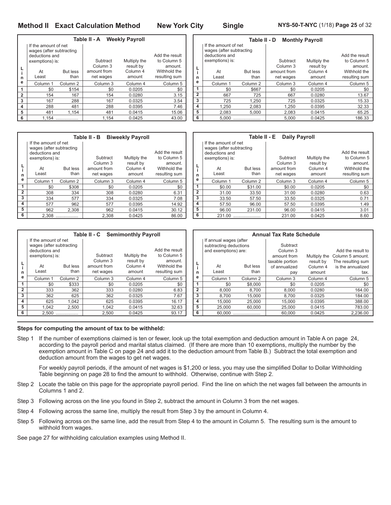#### **Method II Exact Calculation Method New York City Single NYS-50-T-NYC** (1/18) **Page 25** of 32

**Table II - A Weekly Payroll L i n e** If the amount of net wages (after subtracting deductions and exemptions) is: At But less<br>
rest than Least Add the result<br>to Column 5 Subtract Multiply the<br>Column 3 result by Column 3 result by amount.<br>amount from Column 4 Withhold the mount from Column 4 Withhold the<br>net wages amount resulting sum resulting sum **1 2 3 4 5 6** Column 1 Column 2 Column 3 Column 4 Column 5 \$0 \$154 \$0 0.0205 \$0 154 167 154 0.0280 3.15 167 288 167 0.0325 3.54 288 481 288 0.0395 7.46 481 1,154 481 0.0415 15.06 1,154 .................. 1,154 0.0425 43.00

|                | Table II - B<br><b>Biweekly Payroll</b>          |                     |                     |                     |                |  |  |  |
|----------------|--------------------------------------------------|---------------------|---------------------|---------------------|----------------|--|--|--|
|                | If the amount of net<br>wages (after subtracting |                     |                     |                     |                |  |  |  |
|                | deductions and                                   |                     |                     |                     | Add the result |  |  |  |
|                | exemptions) is:                                  |                     | Subtract            | Multiply the        | to Column 5    |  |  |  |
|                |                                                  |                     | Column <sub>3</sub> | result by           | amount.        |  |  |  |
|                | At                                               | But less            | amount from         | Column <sub>4</sub> | Withhold the   |  |  |  |
| n              | Least                                            | than                | net wages           | amount              | resulting sum  |  |  |  |
| e              | Column <sub>1</sub>                              | Column <sub>2</sub> | Column <sub>3</sub> | Column 4            | Column 5       |  |  |  |
| 1              | \$0                                              | \$308               | \$0                 | 0.0205              | \$0            |  |  |  |
| $\overline{2}$ | 308                                              | 334                 | 308                 | 0.0280              | 6.31           |  |  |  |
| 3              | 334                                              | 577                 | 334                 | 0.0325              | 7.08           |  |  |  |
| 4              | 577                                              | 962                 | 577                 | 0.0395              | 14.92          |  |  |  |
| 5              | 962                                              | 2.308               | 962                 | 0.0415              | 30.12          |  |  |  |
| 6              | 2.308                                            |                     | 2.308               | 0.0425              | 86.00          |  |  |  |

|                | Table II - C Semimonthly Payroll                                                                     |                     |                                                             |                                                 |                                                                           |  |  |  |
|----------------|------------------------------------------------------------------------------------------------------|---------------------|-------------------------------------------------------------|-------------------------------------------------|---------------------------------------------------------------------------|--|--|--|
| L<br>n         | If the amount of net<br>wages (after subtracting<br>deductions and<br>exemptions) is:<br>At<br>Least | But less<br>than    | Subtract<br>Column <sub>3</sub><br>amount from<br>net wages | Multiply the<br>result by<br>Column 4<br>amount | Add the result<br>to Column 5<br>amount.<br>Withhold the<br>resulting sum |  |  |  |
| е              | Column <sub>1</sub>                                                                                  | Column <sub>2</sub> | Column 3                                                    | Column 4                                        | Column 5                                                                  |  |  |  |
| 1              | \$0                                                                                                  | \$333               | \$0                                                         | 0.0205                                          | \$0                                                                       |  |  |  |
| $\overline{2}$ | 333                                                                                                  | 362                 | 333                                                         | 0.0280                                          | 6.83                                                                      |  |  |  |
| 3              | 362                                                                                                  | 625                 | 362                                                         | 0.0325                                          | 7.67                                                                      |  |  |  |
| 4              | 625                                                                                                  | 1,042               | 625                                                         | 0.0395                                          | 16.17                                                                     |  |  |  |
| 5              | 1.042                                                                                                | 2.500               | 1.042                                                       | 0.0415                                          | 32.63                                                                     |  |  |  |
| 6              | 2.500                                                                                                |                     | 2.500                                                       | 0.0425                                          | 93.17                                                                     |  |  |  |

|  |  |  |  | Steps for computing the amount of tax to be withheld: |
|--|--|--|--|-------------------------------------------------------|
|--|--|--|--|-------------------------------------------------------|

Step 1 If the number of exemptions claimed is ten or fewer, look up the total exemption and deduction amount in Table A on page 24, according to the payroll period and marital status claimed. (If there are more than 10 exemptions, multiply the number by the exemption amount in Table C on page 24 and add it to the deduction amount from Table B.) Subtract the total exemption and deduction amount from the wages to get net wages.

For weekly payroll periods, if the amount of net wages is \$1,200 or less, you may use the simplified Dollar to Dollar Withholding Table beginning on page 28 to find the amount to withhold. Otherwise, continue with Step 2.

- Step 2 Locate the table on this page for the appropriate payroll period. Find the line on which the net wages fall between the amounts in Columns 1 and 2.
- Step 3 Following across on the line you found in Step 2, subtract the amount in Column 3 from the net wages.
- Step 4 Following across the same line, multiply the result from Step 3 by the amount in Column 4.
- Step 5 Following across on the same line, add the result from Step 4 to the amount in Column 5. The resulting sum is the amount to withhold from wages.

See page 27 for withholding calculation examples using Method II.

|                | Table II - D<br><b>Monthly Payroll</b>                                                |                     |                                 |                           |                                          |  |  |
|----------------|---------------------------------------------------------------------------------------|---------------------|---------------------------------|---------------------------|------------------------------------------|--|--|
|                | If the amount of net<br>wages (after subtracting<br>deductions and<br>exemptions) is: |                     | Subtract<br>Column <sub>3</sub> | Multiply the<br>result by | Add the result<br>to Column 5<br>amount. |  |  |
|                | At                                                                                    | <b>But less</b>     | amount from                     | Column <sub>4</sub>       | Withhold the                             |  |  |
| n              | Least                                                                                 | than                | net wages                       | amount                    | resulting sum                            |  |  |
| e              | Column <sub>1</sub>                                                                   | Column <sub>2</sub> | Column 3                        | Column 4                  | Column <sub>5</sub>                      |  |  |
| 1              | \$0                                                                                   | \$667               | \$0                             | 0.0205                    | \$0                                      |  |  |
| $\overline{2}$ | 667                                                                                   | 725                 | 667                             | 0.0280                    | 13.67                                    |  |  |
| 3              | 725                                                                                   | 1,250               | 725                             | 0.0325                    | 15.33                                    |  |  |
| 4              | 1.250                                                                                 | 2.083               | 1.250                           | 0.0395                    | 32.33                                    |  |  |
| 5              | 2.083                                                                                 | 5.000               | 2.083                           | 0.0415                    | 65.25                                    |  |  |
| 6              | 5.000                                                                                 |                     | 5.000                           | 0.0425                    | 186.33                                   |  |  |

|                | Table II - E<br><b>Daily Payroll</b>       |                     |                     |              |                     |  |  |  |
|----------------|--------------------------------------------|---------------------|---------------------|--------------|---------------------|--|--|--|
|                | If the amount of net                       |                     |                     |              |                     |  |  |  |
|                | wages (after subtracting<br>deductions and |                     |                     |              | Add the result      |  |  |  |
|                | exemptions) is:                            |                     | Subtract            | Multiply the | to Column 5         |  |  |  |
| L              |                                            |                     | Column <sub>3</sub> | result by    | amount.             |  |  |  |
|                | At                                         | <b>But less</b>     | amount from         | Column 4     | Withhold the        |  |  |  |
| n              | Least                                      | than                | net wages           | amount       | resulting sum       |  |  |  |
| e              | Column 1                                   | Column <sub>2</sub> | Column 3            | Column 4     | Column <sub>5</sub> |  |  |  |
| 1              | \$0.00                                     | \$31.00             | \$0.00              | 0.0205       | \$0                 |  |  |  |
| $\overline{2}$ | 31.00                                      | 33.50               | 31.00               | 0.0280       | 0.63                |  |  |  |
| 3              | 33.50                                      | 57.50               | 33.50               | 0.0325       | 0.71                |  |  |  |
| 4              | 57.50                                      | 96.00               | 57.50               | 0.0395       | 1.49                |  |  |  |
| 5              | 96.00                                      | 231.00              | 96.00               | 0.0415       | 3.01                |  |  |  |
| 6              | 231.00                                     |                     | 231.00              | 0.0425       | 8.60                |  |  |  |

|                                                                          | <b>Annual Tax Rate Schedule</b> |                         |                                                |                                 |                                                |  |  |  |
|--------------------------------------------------------------------------|---------------------------------|-------------------------|------------------------------------------------|---------------------------------|------------------------------------------------|--|--|--|
| If annual wages (after<br>subtracting deductions<br>and exemptions) are: |                                 |                         | Subtract<br>Column <sub>3</sub><br>amount from | Multiply the                    | Add the result to<br>Column 5 amount.          |  |  |  |
| n                                                                        | At<br>Least                     | <b>But less</b><br>than | taxable portion<br>of annualized<br>pay        | result by<br>Column 4<br>amount | The resulting sum<br>is the annualized<br>tax. |  |  |  |
| е                                                                        | Column <sub>1</sub>             | Column <sub>2</sub>     | Column 3                                       | Column 4                        | Column <sub>5</sub>                            |  |  |  |
| 1                                                                        | \$0                             | \$8,000                 | \$0                                            | 0.0205                          | \$0                                            |  |  |  |
| $\overline{2}$                                                           | 8.000                           | 8.700                   | 8,000                                          | 0.0280                          | 164.00                                         |  |  |  |
| 3                                                                        | 8.700                           | 15.000                  | 8,700                                          | 0.0325                          | 184.00                                         |  |  |  |
| 4                                                                        | 15.000                          | 25,000                  | 15.000                                         | 0.0395                          | 388.00                                         |  |  |  |
| 5                                                                        | 25.000                          | 60,000                  | 25,000                                         | 0.0415                          | 783.00                                         |  |  |  |
| 6                                                                        | 60.000                          |                         | 60.000                                         | 0.0425                          | 2.236.00                                       |  |  |  |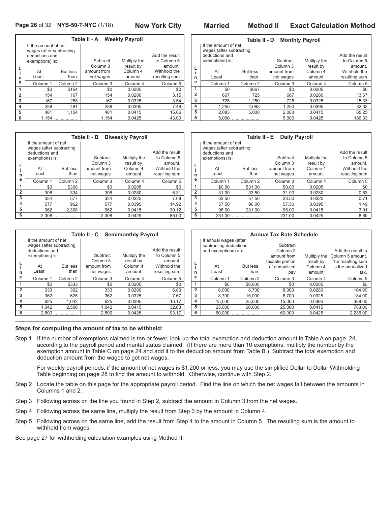|                | Table II - A Weekly Payroll                                                                          |                         |                                                  |                                                 |                                                                           |  |  |  |
|----------------|------------------------------------------------------------------------------------------------------|-------------------------|--------------------------------------------------|-------------------------------------------------|---------------------------------------------------------------------------|--|--|--|
| L<br>i<br>n    | If the amount of net<br>wages (after subtracting<br>deductions and<br>exemptions) is:<br>At<br>Least | <b>But less</b><br>than | Subtract<br>Column 3<br>amount from<br>net wages | Multiply the<br>result by<br>Column 4<br>amount | Add the result<br>to Column 5<br>amount.<br>Withhold the<br>resulting sum |  |  |  |
| е              | Column <sub>1</sub>                                                                                  | Column <sub>2</sub>     | Column <sub>3</sub>                              | Column 4                                        | Column <sub>5</sub>                                                       |  |  |  |
| 1              | \$0                                                                                                  | \$154                   | \$0                                              | 0.0205                                          | \$0                                                                       |  |  |  |
| $\overline{2}$ | 154                                                                                                  | 167                     | 154                                              | 0.0280                                          | 3.15                                                                      |  |  |  |
| 3              | 167                                                                                                  | 288                     | 167                                              | 0.0325                                          | 3.54                                                                      |  |  |  |
| 4              | 288                                                                                                  | 481                     | 288                                              | 0.0395                                          | 7.46                                                                      |  |  |  |
| 5              | 481                                                                                                  | 1.154                   | 481                                              | 0.0415                                          | 15.06                                                                     |  |  |  |
| 6              | 1.154                                                                                                |                         | 1.154                                            | 0.0425                                          | 43.00                                                                     |  |  |  |

|                | Table II - B<br><b>Biweekly Payroll</b> |                     |                     |                     |                     |  |  |  |
|----------------|-----------------------------------------|---------------------|---------------------|---------------------|---------------------|--|--|--|
|                | If the amount of net                    |                     |                     |                     |                     |  |  |  |
|                | wages (after subtracting                |                     |                     |                     |                     |  |  |  |
|                | deductions and                          |                     |                     |                     | Add the result      |  |  |  |
|                | exemptions) is:                         |                     | Subtract            | Multiply the        | to Column 5         |  |  |  |
|                |                                         |                     | Column <sub>3</sub> | result by           | amount.             |  |  |  |
|                | At                                      | <b>But less</b>     | amount from         | Column <sub>4</sub> | Withhold the        |  |  |  |
| n              | Least                                   | than                | net wages           | amount              | resulting sum       |  |  |  |
| e              | Column 1                                | Column <sub>2</sub> | Column <sub>3</sub> | Column <sub>4</sub> | Column <sub>5</sub> |  |  |  |
| 1              | \$0                                     | \$308               | \$0                 | 0.0205              | \$0                 |  |  |  |
| $\overline{2}$ | 308                                     | 334                 | 308                 | 0.0280              | 6.31                |  |  |  |
| 3              | 334                                     | 577                 | 334                 | 0.0325              | 7.08                |  |  |  |
| 4              | 577                                     | 962                 | 577                 | 0.0395              | 14.92               |  |  |  |
| 5              | 962                                     | 2.308               | 962                 | 0.0415              | 30.12               |  |  |  |
| 6              | 2.308                                   |                     | 2,308               | 0.0425              | 86.00               |  |  |  |

|                | Table II - D<br><b>Monthly Payroll</b>                        |                 |                     |              |                               |  |  |  |  |  |  |  |  |  |
|----------------|---------------------------------------------------------------|-----------------|---------------------|--------------|-------------------------------|--|--|--|--|--|--|--|--|--|
|                | If the amount of net                                          |                 |                     |              |                               |  |  |  |  |  |  |  |  |  |
|                | wages (after subtracting<br>deductions and<br>exemptions) is: |                 | Subtract            | Multiply the | Add the result<br>to Column 5 |  |  |  |  |  |  |  |  |  |
| L              |                                                               |                 | Column <sub>3</sub> | result by    | amount.                       |  |  |  |  |  |  |  |  |  |
| i              | At                                                            | <b>But less</b> | amount from         | Column 4     | Withhold the                  |  |  |  |  |  |  |  |  |  |
| n              | Least                                                         | than            | net wages           | amount       | resulting sum                 |  |  |  |  |  |  |  |  |  |
| е              | Column 1                                                      | Column 2        | Column 3            | Column 4     | Column <sub>5</sub>           |  |  |  |  |  |  |  |  |  |
| 1              | \$0                                                           | \$667           | \$0                 | 0.0205       | \$0                           |  |  |  |  |  |  |  |  |  |
| $\overline{2}$ | 667                                                           | 725             | 667                 | 0.0280       | 13.67                         |  |  |  |  |  |  |  |  |  |
| 3              | 725                                                           | 1.250           | 725                 | 0.0325       | 15.33                         |  |  |  |  |  |  |  |  |  |
| 4              | 1.250                                                         | 2.083           | 1.250               | 0.0395       | 32.33                         |  |  |  |  |  |  |  |  |  |
| 5              | 2,083                                                         | 5.000           | 2,083               | 0.0415       | 65.25                         |  |  |  |  |  |  |  |  |  |
| 6              | 5.000                                                         |                 | 5.000               | 0.0425       | 186.33                        |  |  |  |  |  |  |  |  |  |

|                | Table II - E<br><b>Daily Payroll</b>                                                  |                         |                                      |                                 |                                          |  |  |  |  |  |  |  |  |  |
|----------------|---------------------------------------------------------------------------------------|-------------------------|--------------------------------------|---------------------------------|------------------------------------------|--|--|--|--|--|--|--|--|--|
|                | If the amount of net<br>wages (after subtracting<br>deductions and<br>exemptions) is: |                         | Subtract                             | Multiply the                    | Add the result<br>to Column 5            |  |  |  |  |  |  |  |  |  |
| L<br>n         | At<br>Least                                                                           | <b>But less</b><br>than | Column 3<br>amount from<br>net wages | result by<br>Column 4<br>amount | amount.<br>Withhold the<br>resulting sum |  |  |  |  |  |  |  |  |  |
| е              | Column <sub>1</sub>                                                                   | Column <sub>2</sub>     | Column 3                             | Column 4                        | Column <sub>5</sub>                      |  |  |  |  |  |  |  |  |  |
| 1              | \$0.00                                                                                | \$31.00                 | \$0.00                               | 0.0205                          | \$0                                      |  |  |  |  |  |  |  |  |  |
| $\overline{2}$ | 31.00                                                                                 | 33.50                   | 31.00<br>0.0280                      |                                 | 0.63                                     |  |  |  |  |  |  |  |  |  |
| 3              | 33.50                                                                                 | 57.50                   | 33.50                                | 0.0325                          | 0.71                                     |  |  |  |  |  |  |  |  |  |
| 4              | 57.50                                                                                 | 96.00                   | 57.50                                | 0.0395                          | 1.49                                     |  |  |  |  |  |  |  |  |  |
| 5              | 96.00                                                                                 | 231.00                  | 96.00                                | 0.0415                          | 3.01                                     |  |  |  |  |  |  |  |  |  |
| 6              | 231.00                                                                                |                         | 231.00                               | 0.0425                          | 8.60                                     |  |  |  |  |  |  |  |  |  |

|                |                          |                     | Table II - C        | <b>Semimonthly Payroll</b> |                |                | <b>Annual Tax Rate Schedule</b> |                 |                 |                     |                   |  |  |
|----------------|--------------------------|---------------------|---------------------|----------------------------|----------------|----------------|---------------------------------|-----------------|-----------------|---------------------|-------------------|--|--|
|                | If the amount of net     |                     |                     |                            |                |                | If annual wages (after          |                 |                 |                     |                   |  |  |
|                | wages (after subtracting |                     |                     |                            |                |                | subtracting deductions          |                 | Subtract        |                     |                   |  |  |
|                | deductions and           |                     |                     |                            | Add the result |                | and exemptions) are:            |                 | Column 3        |                     | Add the result to |  |  |
|                | exemptions) is:          |                     | Subtract            | Multiply the               | to Column 5    |                |                                 |                 | amount from     | Multiply the        | Column 5 amount.  |  |  |
|                |                          |                     | Column 3            | result by                  | amount.        |                |                                 |                 | taxable portion | result by           | The resulting sum |  |  |
|                | At                       | <b>But less</b>     | amount from         | Withhold the<br>Column 4   |                | ч<br>$\cdot$   | At                              | <b>But less</b> | of annualized   | Column <sub>4</sub> | is the annualized |  |  |
| n              | Least                    | than                | net wages<br>amount |                            | resulting sum  | n              | Least                           | than            | pay             | amount              | tax.              |  |  |
| е              | Column 1                 | Column <sub>2</sub> | Column 3            | Column 5<br>Column 4       |                | е              | Column 1                        | Column 2        | Column 3        | Column 4            | Column 5          |  |  |
|                | \$0                      | \$333               | \$0                 | 0.0205                     | \$0            | 1              | \$0                             | \$8,000         | \$0             | 0.0205              | \$0               |  |  |
| $\overline{2}$ | 333                      | 362                 | 333                 | 0.0280                     | 6.83           | $\overline{2}$ | 8.000                           | 8.700           | 8.000           | 0.0280              | 164.00            |  |  |
| 3              | 362                      | 625                 | 362                 | 0.0325                     | 7.67           | 3              | 8.700                           | 15.000          | 8.700           | 0.0325              | 184.00            |  |  |
| 4              | 625                      | 1.042               | 625                 | 0.0395                     | 16.17          | 4              | 15.000                          | 25,000          | 15.000          | 0.0395              | 388.00            |  |  |
| 5              | 1.042                    | 2.500               | 1.042               | 0.0415                     | 32.63          | 5              | 25,000                          | 60.000          | 25,000          | 0.0415              | 783.00            |  |  |
| 6<br>2.500<br> |                          | 2,500               | 0.0425              | 93.17                      | 6              | 60.000         |                                 | 60,000          | 0.0425          | 2,236.00            |                   |  |  |

#### **Steps for computing the amount of tax to be withheld:**

Step 1 If the number of exemptions claimed is ten or fewer, look up the total exemption and deduction amount in Table A on page 24, according to the payroll period and marital status claimed. (If there are more than 10 exemptions, multiply the number by the exemption amount in Table C on page 24 and add it to the deduction amount from Table B.) Subtract the total exemption and deduction amount from the wages to get net wages.

For weekly payroll periods, if the amount of net wages is \$1,200 or less, you may use the simplified Dollar to Dollar Withholding Table beginning on page 28 to find the amount to withhold. Otherwise, continue with Step 2.

- Step 2 Locate the table on this page for the appropriate payroll period. Find the line on which the net wages fall between the amounts in Columns 1 and 2.
- Step 3 Following across on the line you found in Step 2, subtract the amount in Column 3 from the net wages.
- Step 4 Following across the same line, multiply the result from Step 3 by the amount in Column 4.
- Step 5 Following across on the same line, add the result from Step 4 to the amount in Column 5. The resulting sum is the amount to withhold from wages.

See page 27 for withholding calculation examples using Method II.

#### **Page 26** of 32 **NYS-50-T-NYC** (1/18) **New York City Married Method II Exact Calculation Method**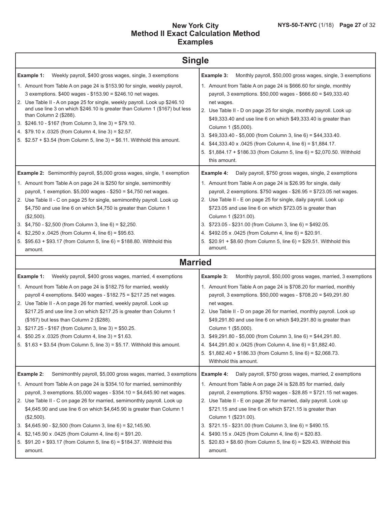#### **New York City Method II Exact Calculation Method Examples**

| <b>Single</b>                                                                                                                                                                                                                                                                                                                                                                                                                                                                                                                                                                                                                                                                                                                                                                                                                                                                                                                                                                                                                                                                                                                                                                                                                         |                                                                                                                                                                                                                                                                                                                                                                                                                                                                                                                                                                                                                                                                                                                                                                                                                                                                                                                                                                                                                                                                                                                                                                                                                       |  |  |  |  |  |  |  |  |
|---------------------------------------------------------------------------------------------------------------------------------------------------------------------------------------------------------------------------------------------------------------------------------------------------------------------------------------------------------------------------------------------------------------------------------------------------------------------------------------------------------------------------------------------------------------------------------------------------------------------------------------------------------------------------------------------------------------------------------------------------------------------------------------------------------------------------------------------------------------------------------------------------------------------------------------------------------------------------------------------------------------------------------------------------------------------------------------------------------------------------------------------------------------------------------------------------------------------------------------|-----------------------------------------------------------------------------------------------------------------------------------------------------------------------------------------------------------------------------------------------------------------------------------------------------------------------------------------------------------------------------------------------------------------------------------------------------------------------------------------------------------------------------------------------------------------------------------------------------------------------------------------------------------------------------------------------------------------------------------------------------------------------------------------------------------------------------------------------------------------------------------------------------------------------------------------------------------------------------------------------------------------------------------------------------------------------------------------------------------------------------------------------------------------------------------------------------------------------|--|--|--|--|--|--|--|--|
| Weekly payroll, \$400 gross wages, single, 3 exemptions<br>Example 1:<br>1. Amount from Table A on page 24 is \$153.90 for single, weekly payroll,<br>3 exemptions. \$400 wages - \$153.90 = \$246.10 net wages.<br>2. Use Table II - A on page 25 for single, weekly payroll. Look up \$246.10<br>and use line 3 on which \$246.10 is greater than Column 1 (\$167) but less<br>than Column 2 (\$288).<br>3. \$246.10 - \$167 (from Column 3, line 3) = \$79.10.<br>4. \$79.10 x .0325 (from Column 4, line 3) = \$2.57.<br>5. $$2.57 + $3.54$ (from Column 5, line 3) = \$6.11. Withhold this amount.                                                                                                                                                                                                                                                                                                                                                                                                                                                                                                                                                                                                                               | Example 3:<br>Monthly payroll, \$50,000 gross wages, single, 3 exemptions<br>1. Amount from Table A on page 24 is \$666.60 for single, monthly<br>payroll, 3 exemptions. \$50,000 wages - \$666.60 = \$49,333.40<br>net wages.<br>2. Use Table II - D on page 25 for single, monthly payroll. Look up<br>\$49,333.40 and use line 6 on which \$49,333.40 is greater than<br>Column 1 (\$5,000).<br>3. \$49,333.40 - \$5,000 (from Column 3, line 6) = \$44,333.40.<br>4. \$44,333.40 x .0425 (from Column 4, line 6) = \$1,884.17.<br>5. \$1,884.17 + \$186.33 (from Column 5, line 6) = \$2,070.50. Withhold<br>this amount.                                                                                                                                                                                                                                                                                                                                                                                                                                                                                                                                                                                         |  |  |  |  |  |  |  |  |
| <b>Example 2:</b> Semimonthly payroll, \$5,000 gross wages, single, 1 exemption<br>1. Amount from Table A on page 24 is \$250 for single, semimonthly<br>payroll, 1 exemption. \$5,000 wages - \$250 = \$4,750 net wages.<br>2. Use Table II - C on page 25 for single, semimonthly payroll. Look up<br>\$4,750 and use line 6 on which \$4,750 is greater than Column 1<br>(\$2,500).<br>3. $$4,750 - $2,500$ (from Column 3, line 6) = \$2,250.<br>4. \$2,250 x .0425 (from Column 4, line 6) = \$95.63.<br>5. \$95.63 + \$93.17 (from Column 5, line 6) = \$188.80. Withhold this<br>amount.<br><b>Married</b><br>Example 1:<br>Weekly payroll, \$400 gross wages, married, 4 exemptions<br>1. Amount from Table A on page 24 is \$182.75 for married, weekly<br>payroll 4 exemptions. $$400$ wages - $$182.75 = $217.25$ net wages.<br>2. Use Table II - A on page 26 for married, weekly payroll. Look up<br>\$217.25 and use line 3 on which \$217.25 is greater than Column 1<br>(\$167) but less than Column 2 (\$288).<br>3. \$217.25 - \$167 (from Column 3, line 3) = \$50.25.<br>4. $$50.25 \times .0325$ (from Column 4, line 3) = \$1.63.<br>5. \$1.63 + \$3.54 (from Column 5, line 3) = \$5.17. Withhold this amount. | Daily payroll, \$750 gross wages, single, 2 exemptions<br>Example 4:<br>1. Amount from Table A on page 24 is \$26.95 for single, daily<br>payroll, 2 exemptions. \$750 wages - \$26.95 = \$723.05 net wages.<br>2. Use Table II - E on page 25 for single, daily payroll. Look up<br>\$723.05 and use line 6 on which \$723.05 is greater than<br>Column 1 (\$231.00).<br>3. \$723.05 - \$231.00 (from Column 3, line 6) = \$492.05.<br>4. \$492.05 x .0425 (from Column 4, line 6) = \$20.91.<br>5. \$20.91 + \$8.60 (from Column 5, line 6) = \$29.51. Withhold this<br>amount.<br>Example 3:<br>Monthly payroll, \$50,000 gross wages, married, 3 exemptions<br>1. Amount from Table A on page 24 is \$708.20 for married, monthly<br>payroll, 3 exemptions. \$50,000 wages - \$708.20 = \$49,291.80<br>net wages.<br>2. Use Table II - D on page 26 for married, monthly payroll. Look up<br>\$49,291.80 and use line 6 on which \$49,291.80 is greater than<br>Column 1 (\$5,000).<br>3. \$49,291.80 - \$5,000 (from Column 3, line 6) = \$44,291.80.<br>4. \$44,291.80 x .0425 (from Column 4, line 6) = \$1,882.40.<br>5. \$1,882.40 + \$186.33 (from Column 5, line 6) = \$2,068.73.<br>Withhold this amount. |  |  |  |  |  |  |  |  |
| Semimonthly payroll, \$5,000 gross wages, married, 3 exemptions<br>Example 2:<br>1. Amount from Table A on page 24 is \$354.10 for married, semimonthly<br>payroll, 3 exemptions. \$5,000 wages - \$354.10 = \$4,645.90 net wages.<br>2. Use Table II - C on page 26 for married, semimonthly payroll. Look up<br>\$4,645.90 and use line 6 on which \$4,645.90 is greater than Column 1<br>(\$2,500).<br>3. \$4,645.90 - \$2,500 (from Column 3, line 6) = \$2,145.90.<br>4. \$2,145.90 x .0425 (from Column 4, line 6) = \$91.20.<br>5. \$91.20 + \$93.17 (from Column 5, line 6) = \$184.37. Withhold this<br>amount.                                                                                                                                                                                                                                                                                                                                                                                                                                                                                                                                                                                                              | Example 4:<br>Daily payroll, \$750 gross wages, married, 2 exemptions<br>1. Amount from Table A on page 24 is \$28.85 for married, daily<br>payroll, 2 exemptions. $$750$ wages - $$28.85 = $721.15$ net wages.<br>2. Use Table II - E on page 26 for married, daily payroll. Look up<br>\$721.15 and use line 6 on which \$721.15 is greater than<br>Column 1 (\$231.00).<br>3. \$721.15 - \$231.00 (from Column 3, line 6) = \$490.15.<br>4. \$490.15 x .0425 (from Column 4, line 6) = \$20.83.<br>5. \$20.83 + \$8.60 (from Column 5, line 6) = \$29.43. Withhold this<br>amount.                                                                                                                                                                                                                                                                                                                                                                                                                                                                                                                                                                                                                                 |  |  |  |  |  |  |  |  |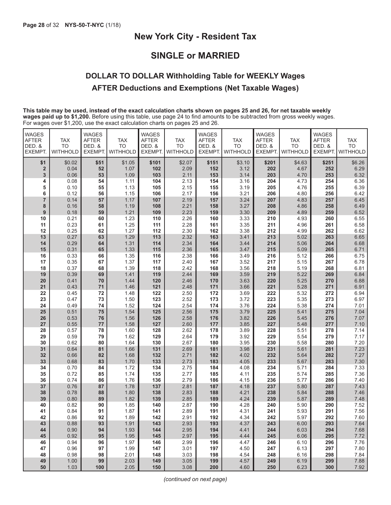### **SINGLE or MARRIED**

### **DOLLAR TO DOLLAR Withholding Table for WEEKLY Wages AFTER Deductions and Exemptions (Net Taxable Wages)**

**This table may be used, instead of the exact calculation charts shown on pages 25 and 26, for net taxable weekly wages paid up to \$1,200.** Before using this table, use page 24 to find amounts to be subtracted from gross weekly wages. For wages over \$1,200, use the exact calculation charts on pages 25 and 26.

| <b>WAGES</b><br><b>AFTER</b><br>DED. &<br>EXEMPT. | <b>TAX</b><br><b>TO</b><br><b>WITHHOLD</b> | <b>WAGES</b><br><b>AFTER</b><br>DED. &<br>EXEMPT. | <b>TAX</b><br><b>TO</b><br><b>WITHHOLD</b> | <b>WAGES</b><br><b>AFTER</b><br>DED. &<br><b>EXEMPT</b> | <b>TAX</b><br><b>TO</b><br><b>WITHHOLD</b> | <b>WAGES</b><br><b>AFTER</b><br>DED. &<br><b>EXEMPT.</b> | <b>TAX</b><br><b>TO</b><br><b>WITHHOLD</b> | <b>WAGES</b><br><b>AFTER</b><br>DED. &<br><b>EXEMPT.</b> | <b>TAX</b><br><b>TO</b><br><b>WITHHOLD</b> | <b>WAGES</b><br><b>AFTER</b><br>DED. &<br>EXEMPT. | <b>TAX</b><br><b>TO</b><br><b>WITHHOLD</b> |
|---------------------------------------------------|--------------------------------------------|---------------------------------------------------|--------------------------------------------|---------------------------------------------------------|--------------------------------------------|----------------------------------------------------------|--------------------------------------------|----------------------------------------------------------|--------------------------------------------|---------------------------------------------------|--------------------------------------------|
| \$1                                               | \$0.02                                     | \$51                                              | \$1.05                                     | \$101                                                   | \$2.07                                     | \$151                                                    | \$3.10                                     | \$201                                                    | \$4.63                                     | \$251                                             | \$6.26                                     |
| $\overline{\mathbf{2}}$                           | 0.04                                       | 52                                                | 1.07                                       | 102                                                     | 2.09                                       | 152                                                      | 3.12                                       | 202                                                      | 4.67                                       | 252                                               | 6.29                                       |
| 3                                                 | 0.06                                       | 53                                                | 1.09                                       | 103                                                     | 2.11                                       | 153                                                      | 3.14                                       | 203                                                      | 4.70                                       | 253                                               | 6.32                                       |
| 4                                                 | 0.08                                       | 54                                                | 1.11                                       | 104                                                     | 2.13                                       | 154                                                      | 3.16                                       | 204                                                      | 4.73                                       | 254                                               | 6.36                                       |
| 5                                                 | 0.10                                       | 55                                                | 1.13                                       | 105                                                     | 2.15                                       | 155                                                      | 3.19                                       | 205                                                      | 4.76                                       | 255                                               | 6.39                                       |
| 6                                                 | 0.12                                       | 56                                                | 1.15                                       | 106                                                     | 2.17                                       | 156                                                      | 3.21                                       | 206                                                      | 4.80                                       | 256                                               | 6.42                                       |
| $\overline{7}$                                    | 0.14                                       | 57                                                | 1.17                                       | 107                                                     | 2.19                                       | 157                                                      | 3.24                                       | 207                                                      | 4.83                                       | 257                                               | 6.45                                       |
| 8                                                 | 0.16                                       | 58                                                | 1.19                                       | 108                                                     | 2.21                                       | 158                                                      | 3.27                                       | 208                                                      | 4.86                                       | 258                                               | 6.49                                       |
| 9                                                 | 0.18                                       | 59                                                | 1.21                                       | 109                                                     | 2.23                                       | 159                                                      | 3.30                                       | 209                                                      | 4.89                                       | 259                                               | 6.52                                       |
| 10                                                | 0.21                                       | 60                                                | 1.23                                       | 110                                                     | 2.26                                       | 160                                                      | 3.33                                       | 210                                                      | 4.93                                       | 260                                               | 6.55                                       |
| 11<br>12                                          | 0.23<br>0.25                               | 61<br>62                                          | 1.25<br>1.27                               | 111<br>112                                              | 2.28<br>2.30                               | 161<br>162                                               | 3.35<br>3.38                               | 211<br>212                                               | 4.96<br>4.99                               | 261<br>262                                        | 6.58<br>6.62                               |
| 13                                                | 0.27                                       | 63                                                | 1.29                                       | 113                                                     | 2.32                                       | 163                                                      | 3.41                                       | 213                                                      | 5.02                                       | 263                                               | 6.65                                       |
| 14                                                | 0.29                                       | 64                                                | 1.31                                       | 114                                                     | 2.34                                       | 164                                                      | 3.44                                       | 214                                                      | 5.06                                       | 264                                               | 6.68                                       |
| 15                                                | 0.31                                       | 65                                                | 1.33                                       | 115                                                     | 2.36                                       | 165                                                      | 3.47                                       | 215                                                      | 5.09                                       | 265                                               | 6.71                                       |
| 16                                                | 0.33                                       | 66                                                | 1.35                                       | 116                                                     | 2.38                                       | 166                                                      | 3.49                                       | 216                                                      | 5.12                                       | 266                                               | 6.75                                       |
| 17                                                | 0.35                                       | 67                                                | 1.37                                       | 117                                                     | 2.40                                       | 167                                                      | 3.52                                       | 217                                                      | 5.15                                       | 267                                               | 6.78                                       |
| 18                                                | 0.37                                       | 68                                                | 1.39                                       | 118                                                     | 2.42                                       | 168                                                      | 3.56                                       | 218                                                      | 5.19                                       | 268                                               | 6.81                                       |
| 19                                                | 0.39                                       | 69                                                | 1.41                                       | 119                                                     | 2.44                                       | 169                                                      | 3.59                                       | 219                                                      | 5.22                                       | 269                                               | 6.84                                       |
| 20                                                | 0.41                                       | 70                                                | 1.44                                       | 120                                                     | 2.46                                       | 170                                                      | 3.63                                       | 220                                                      | 5.25                                       | 270                                               | 6.88                                       |
| 21                                                | 0.43                                       | 71                                                | 1.46                                       | 121                                                     | 2.48                                       | 171                                                      | 3.66                                       | 221                                                      | 5.28                                       | 271                                               | 6.91                                       |
| 22                                                | 0.45                                       | 72                                                | 1.48                                       | 122                                                     | 2.50                                       | 172                                                      | 3.69                                       | 222                                                      | 5.32                                       | 272                                               | 6.94                                       |
| 23                                                | 0.47                                       | 73                                                | 1.50                                       | 123                                                     | 2.52                                       | 173                                                      | 3.72                                       | 223                                                      | 5.35                                       | 273                                               | 6.97                                       |
| 24                                                | 0.49                                       | 74                                                | 1.52                                       | 124                                                     | 2.54                                       | 174                                                      | 3.76                                       | 224                                                      | 5.38                                       | 274                                               | 7.01                                       |
| 25<br>26                                          | 0.51<br>0.53                               | 75<br>76                                          | 1.54<br>1.56                               | 125<br>126                                              | 2.56<br>2.58                               | 175<br>176                                               | 3.79<br>3.82                               | 225<br>226                                               | 5.41<br>5.45                               | 275<br>276                                        | 7.04<br>7.07                               |
| 27                                                | 0.55                                       | 77                                                | 1.58                                       | 127                                                     | 2.60                                       | 177                                                      | 3.85                                       | 227                                                      | 5.48                                       | 277                                               | 7.10                                       |
| 28                                                | 0.57                                       | 78                                                | 1.60                                       | 128                                                     | 2.62                                       | 178                                                      | 3.89                                       | 228                                                      | 5.51                                       | 278                                               | 7.14                                       |
| 29                                                | 0.59                                       | 79                                                | 1.62                                       | 129                                                     | 2.64                                       | 179                                                      | 3.92                                       | 229                                                      | 5.54                                       | 279                                               | 7.17                                       |
| 30                                                | 0.62                                       | 80                                                | 1.64                                       | 130                                                     | 2.67                                       | 180                                                      | 3.95                                       | 230                                                      | 5.58                                       | 280                                               | 7.20                                       |
| 31                                                | 0.64                                       | 81                                                | 1.66                                       | 131                                                     | 2.69                                       | 181                                                      | 3.98                                       | 231                                                      | 5.61                                       | 281                                               | 7.23                                       |
| 32                                                | 0.66                                       | 82                                                | 1.68                                       | 132                                                     | 2.71                                       | 182                                                      | 4.02                                       | 232                                                      | 5.64                                       | 282                                               | 7.27                                       |
| 33                                                | 0.68                                       | 83                                                | 1.70                                       | 133                                                     | 2.73                                       | 183                                                      | 4.05                                       | 233                                                      | 5.67                                       | 283                                               | 7.30                                       |
| 34                                                | 0.70                                       | 84                                                | 1.72                                       | 134                                                     | 2.75                                       | 184                                                      | 4.08                                       | 234                                                      | 5.71                                       | 284                                               | 7.33                                       |
| 35                                                | 0.72                                       | 85                                                | 1.74                                       | 135                                                     | 2.77                                       | 185                                                      | 4.11                                       | 235                                                      | 5.74                                       | 285                                               | 7.36                                       |
| 36                                                | 0.74                                       | 86                                                | 1.76                                       | 136                                                     | 2.79                                       | 186                                                      | 4.15                                       | 236                                                      | 5.77                                       | 286                                               | 7.40                                       |
| 37                                                | 0.76                                       | 87<br>88                                          | 1.78                                       | 137                                                     | 2.81                                       | 187                                                      | 4.18                                       | 237                                                      | 5.80                                       | 287                                               | 7.43                                       |
| 38<br>39                                          | 0.78<br>0.80                               | 89                                                | 1.80<br>1.82                               | 138<br>139                                              | 2.83<br>2.85                               | 188<br>189                                               | 4.21<br>4.24                               | 238<br>239                                               | 5.84<br>5.87                               | 288<br>289                                        | 7.46<br>7.48                               |
| 40                                                | 0.82                                       | 90                                                | 1.85                                       | 140                                                     | 2.87                                       | 190                                                      | 4.28                                       | 240                                                      | 5.90                                       | 290                                               | 7.52                                       |
| 41                                                | 0.84                                       | 91                                                | 1.87                                       | 141                                                     | 2.89                                       | 191                                                      | 4.31                                       | 241                                                      | 5.93                                       | 291                                               | 7.56                                       |
| 42                                                | 0.86                                       | 92                                                | 1.89                                       | 142                                                     | 2.91                                       | 192                                                      | 4.34                                       | 242                                                      | 5.97                                       | 292                                               | 7.60                                       |
| 43                                                | 0.88                                       | 93                                                | 1.91                                       | 143                                                     | 2.93                                       | 193                                                      | 4.37                                       | 243                                                      | 6.00                                       | 293                                               | 7.64                                       |
| 44                                                | 0.90                                       | 94                                                | 1.93                                       | 144                                                     | 2.95                                       | 194                                                      | 4.41                                       | 244                                                      | 6.03                                       | 294                                               | 7.68                                       |
| 45                                                | 0.92                                       | 95                                                | 1.95                                       | 145                                                     | 2.97                                       | 195                                                      | 4.44                                       | 245                                                      | 6.06                                       | 295                                               | 7.72                                       |
| 46                                                | 0.94                                       | 96                                                | 1.97                                       | 146                                                     | 2.99                                       | 196                                                      | 4.47                                       | 246                                                      | 6.10                                       | 296                                               | 7.76                                       |
| 47                                                | 0.96                                       | 97                                                | 1.99                                       | 147                                                     | 3.01                                       | 197                                                      | 4.50                                       | 247                                                      | 6.13                                       | 297                                               | 7.80                                       |
| 48                                                | 0.98                                       | 98                                                | 2.01                                       | 148                                                     | 3.03                                       | 198                                                      | 4.54                                       | 248                                                      | 6.16                                       | 298                                               | 7.84                                       |
| 49                                                | 1.00                                       | 99                                                | 2.03                                       | 149                                                     | 3.05                                       | 199                                                      | 4.57                                       | 249                                                      | 6.19                                       | 299                                               | 7.88                                       |
| 50                                                | 1.03                                       | 100                                               | 2.05                                       | 150                                                     | 3.08                                       | 200                                                      | 4.60                                       | 250                                                      | 6.23                                       | 300                                               | 7.92                                       |

*(continued on next page)*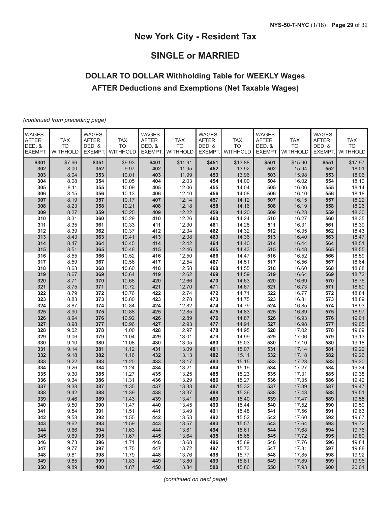# **SINGLE or MARRIED**

# **DOLLAR TO DOLLAR Withholding Table for WEEKLY Wages AFTER Deductions and Exemptions (Net Taxable Wages)**

*(continued from preceding page)*

| <b>WAGES</b><br><b>AFTER</b><br>DED. &<br>EXEMPT. | <b>TAX</b><br><b>TO</b><br><b>WITHHOLD</b> | <b>WAGES</b><br><b>AFTER</b><br>DED. &<br>EXEMPT. | <b>TAX</b><br><b>TO</b><br>WITHHOLD | <b>WAGES</b><br><b>AFTER</b><br>DED. &<br><b>EXEMPT</b> | <b>TAX</b><br><b>TO</b><br>WITHHOLD | <b>WAGES</b><br><b>AFTER</b><br>DED. &<br>EXEMPT. | <b>TAX</b><br><b>TO</b><br>WITHHOLD | <b>WAGES</b><br><b>AFTER</b><br>DED. &<br><b>EXEMPT.</b> | <b>TAX</b><br><b>TO</b><br>WITHHOLD | <b>WAGES</b><br><b>AFTER</b><br>DED. &<br>EXEMPT. | <b>TAX</b><br><b>TO</b><br>WITHHOLD |
|---------------------------------------------------|--------------------------------------------|---------------------------------------------------|-------------------------------------|---------------------------------------------------------|-------------------------------------|---------------------------------------------------|-------------------------------------|----------------------------------------------------------|-------------------------------------|---------------------------------------------------|-------------------------------------|
| \$301                                             |                                            | \$351                                             |                                     | \$401                                                   | \$11.91                             | \$451                                             |                                     | \$501                                                    |                                     | \$551                                             | \$17.97                             |
| 302                                               | \$7.96<br>8.00                             | 352                                               | \$9.93<br>9.97                      | 402                                                     | 11.95                               | 452                                               | \$13.88<br>13.92                    | 502                                                      | \$15.90<br>15.94                    | 552                                               | 18.01                               |
| 303                                               | 8.04                                       | 353                                               | 10.01                               | 403                                                     | 11.99                               | 453                                               | 13.96                               | 503                                                      | 15.98                               | 553                                               | 18.06                               |
| 304                                               | 8.08                                       | 354                                               | 10.05                               | 404                                                     | 12.03                               | 454                                               | 14.00                               | 504                                                      | 16.02                               | 554                                               | 18.10                               |
| 305                                               | 8.11                                       | 355                                               | 10.09                               | 405                                                     | 12.06                               | 455                                               | 14.04                               | 505                                                      | 16.06                               | 555                                               | 18.14                               |
| 306                                               | 8.15                                       | 356                                               | 10.13                               | 406                                                     | 12.10                               | 456                                               | 14.08                               | 506                                                      | 16.10                               | 556                                               | 18.18                               |
| 307                                               | 8.19                                       | 357                                               | 10.17                               | 407                                                     | 12.14                               | 457                                               | 14.12                               | 507                                                      | 16.15                               | 557                                               | 18.22                               |
| 308                                               | 8.23                                       | 358                                               | 10.21                               | 408                                                     | 12.18                               | 458                                               | 14.16                               | 508                                                      | 16.19                               | 558                                               | 18.26                               |
| 309                                               | 8.27                                       | 359                                               | 10.25                               | 409                                                     | 12.22                               | 459                                               | 14.20                               | 509                                                      | 16.23                               | 559                                               | 18.30                               |
| 310                                               | 8.31                                       | 360                                               | 10.29                               | 410                                                     | 12.26                               | 460                                               | 14.24                               | 510                                                      | 16.27                               | 560                                               | 18.35                               |
| 311                                               | 8.35                                       | 361                                               | 10.33                               | 411                                                     | 12.30                               | 461                                               | 14.28                               | 511                                                      | 16.31                               | 561                                               | 18.39                               |
| 312                                               | 8.39                                       | 362                                               | 10.37                               | 412                                                     | 12.34                               | 462                                               | 14.32                               | 512                                                      | 16.35                               | 562                                               | 18.43                               |
| 313                                               | 8.43                                       | 363                                               | 10.41                               | 413                                                     | 12.38                               | 463                                               | 14.36                               | 513                                                      | 16.40                               | 563                                               | 18.47                               |
| 314                                               | 8.47                                       | 364                                               | 10.45                               | 414                                                     | 12.42                               | 464                                               | 14.40                               | 514                                                      | 16.44                               | 564                                               | 18.51                               |
| 315                                               | 8.51                                       | 365                                               | 10.48                               | 415                                                     | 12.46                               | 465                                               | 14.43                               | 515                                                      | 16.48                               | 565                                               | 18.55                               |
| 316                                               | 8.55                                       | 366                                               | 10.52                               | 416                                                     | 12.50                               | 466                                               | 14.47                               | 516                                                      | 16.52                               | 566                                               | 18.59                               |
| 317<br>318                                        | 8.59<br>8.63                               | 367                                               | 10.56                               | 417<br>418                                              | 12.54<br>12.58                      | 467<br>468                                        | 14.51<br>14.55                      | 517<br>518                                               | 16.56                               | 567                                               | 18.64<br>18.68                      |
| 319                                               | 8.67                                       | 368<br>369                                        | 10.60<br>10.64                      | 419                                                     | 12.62                               | 469                                               | 14.59                               | 519                                                      | 16.60<br>16.64                      | 568<br>569                                        | 18.72                               |
| 320                                               | 8.71                                       | 370                                               | 10.68                               | 420                                                     | 12.66                               | 470                                               | 14.63                               | 520                                                      | 16.69                               | 570                                               | 18.76                               |
| 321                                               | 8.75                                       | 371                                               | 10.72                               | 421                                                     | 12.70                               | 471                                               | 14.67                               | 521                                                      | 16.73                               | 571                                               | 18.80                               |
| 322                                               | 8.79                                       | 372                                               | 10.76                               | 422                                                     | 12.74                               | 472                                               | 14.71                               | 522                                                      | 16.77                               | 572                                               | 18.84                               |
| 323                                               | 8.83                                       | 373                                               | 10.80                               | 423                                                     | 12.78                               | 473                                               | 14.75                               | 523                                                      | 16.81                               | 573                                               | 18.89                               |
| 324                                               | 8.87                                       | 374                                               | 10.84                               | 424                                                     | 12.82                               | 474                                               | 14.79                               | 524                                                      | 16.85                               | 574                                               | 18.93                               |
| 325                                               | 8.90                                       | 375                                               | 10.88                               | 425                                                     | 12.85                               | 475                                               | 14.83                               | 525                                                      | 16.89                               | 575                                               | 18.97                               |
| 326                                               | 8.94                                       | 376                                               | 10.92                               | 426                                                     | 12.89                               | 476                                               | 14.87                               | 526                                                      | 16.93                               | 576                                               | 19.01                               |
| 327                                               | 8.98                                       | 377                                               | 10.96                               | 427                                                     | 12.93                               | 477                                               | 14.91                               | 527                                                      | 16.98                               | 577                                               | 19.05                               |
| 328                                               | 9.02                                       | 378                                               | 11.00                               | 428                                                     | 12.97                               | 478                                               | 14.95                               | 528                                                      | 17.02                               | 578                                               | 19.09                               |
| 329                                               | 9.06                                       | 379                                               | 11.04                               | 429                                                     | 13.01                               | 479                                               | 14.99                               | 529                                                      | 17.06                               | 579                                               | 19.13                               |
| 330                                               | 9.10                                       | 380                                               | 11.08                               | 430                                                     | 13.05                               | 480                                               | 15.03                               | 530                                                      | 17.10                               | 580                                               | 19.18                               |
| 331                                               | 9.14                                       | 381                                               | 11.12                               | 431                                                     | 13.09                               | 481                                               | 15.07                               | 531                                                      | 17.14                               | 581                                               | 19.22                               |
| 332                                               | 9.18                                       | 382                                               | 11.16                               | 432                                                     | 13.13                               | 482                                               | 15.11                               | 532                                                      | 17.18                               | 582                                               | 19.26                               |
| 333                                               | 9.22                                       | 383                                               | 11.20                               | 433                                                     | 13.17                               | 483                                               | 15.15                               | 533                                                      | 17.23                               | 583                                               | 19.30                               |
| 334<br>335                                        | 9.26<br>9.30                               | 384<br>385                                        | 11.24<br>11.27                      | 434<br>435                                              | 13.21<br>13.25                      | 484<br>485                                        | 15.19<br>15.23                      | 534<br>535                                               | 17.27<br>17.31                      | 584<br>585                                        | 19.34<br>19.38                      |
| 336                                               | 9.34                                       | 386                                               | 11.31                               | 436                                                     | 13.29                               | 486                                               | 15.27                               | 536                                                      | 17.35                               | 586                                               | 19.42                               |
| 337                                               | 9.38                                       | 387                                               | 11.35                               | 437                                                     | 13.33                               | 487                                               | 15.32                               | 537                                                      | 17.39                               | 587                                               | 19.47                               |
| 338                                               | 9.42                                       | 388                                               | 11.39                               | 438                                                     | 13.37                               | 488                                               | 15.36                               | 538                                                      | 17.43                               | 588                                               | 19.51                               |
| 339                                               | 9.46                                       | 389                                               | 11.43                               | 439                                                     | 13.41                               | 489                                               | 15.40                               | 539                                                      | 17.47                               | 589                                               | 19.55                               |
| 340                                               | 9.50                                       | 390                                               | 11.47                               | 440                                                     | 13.45                               | 490                                               | 15.44                               | 540                                                      | 17.52                               | 590                                               | 19.59                               |
| 341                                               | 9.54                                       | 391                                               | 11.51                               | 441                                                     | 13.49                               | 491                                               | 15.48                               | 541                                                      | 17.56                               | 591                                               | 19.63                               |
| 342                                               | 9.58                                       | 392                                               | 11.55                               | 442                                                     | 13.53                               | 492                                               | 15.52                               | 542                                                      | 17.60                               | 592                                               | 19.67                               |
| 343                                               | 9.62                                       | 393                                               | 11.59                               | 443                                                     | 13.57                               | 493                                               | 15.57                               | 543                                                      | 17.64                               | 593                                               | 19.72                               |
| 344                                               | 9.66                                       | 394                                               | 11.63                               | 444                                                     | 13.61                               | 494                                               | 15.61                               | 544                                                      | 17.68                               | 594                                               | 19.76                               |
| 345                                               | 9.69                                       | 395                                               | 11.67                               | 445                                                     | 13.64                               | 495                                               | 15.65                               | 545                                                      | 17.72                               | 595                                               | 19.80                               |
| 346                                               | 9.73                                       | 396                                               | 11.71                               | 446                                                     | 13.68                               | 496                                               | 15.69                               | 546                                                      | 17.76                               | 596                                               | 19.84                               |
| 347                                               | 9.77                                       | 397                                               | 11.75                               | 447                                                     | 13.72                               | 497                                               | 15.73                               | 547                                                      | 17.81                               | 597                                               | 19.88                               |
| 348                                               | 9.81                                       | 398                                               | 11.79                               | 448                                                     | 13.76                               | 498                                               | 15.77                               | 548                                                      | 17.85                               | 598                                               | 19.92                               |
| 349                                               | 9.85                                       | 399                                               | 11.83                               | 449                                                     | 13.80                               | 499                                               | 15.81                               | 549                                                      | 17.89                               | 599                                               | 19.96                               |
| 350                                               | 9.89                                       | 400                                               | 11.87                               | 450                                                     | 13.84                               | 500                                               | 15.86                               | 550                                                      | 17.93                               | 600                                               | 20.01                               |

*(continued on next page)*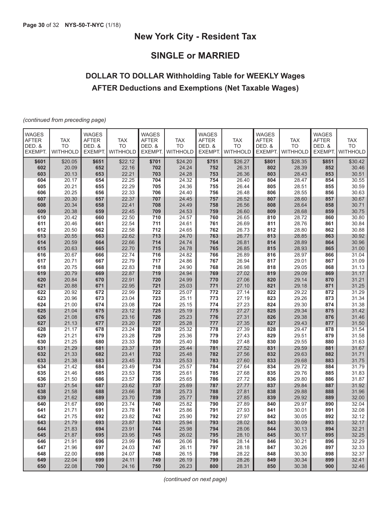# **SINGLE or MARRIED**

# **DOLLAR TO DOLLAR Withholding Table for WEEKLY Wages AFTER Deductions and Exemptions (Net Taxable Wages)**

*(continued from preceding page)*

| <b>WAGES</b><br><b>AFTER</b><br>DED. &<br>EXEMPT. | <b>TAX</b><br><b>TO</b><br><b>WITHHOLD</b> | <b>WAGES</b><br><b>AFTER</b><br>DED. &<br>EXEMPT. | TAX<br><b>TO</b><br><b>WITHHOLD</b> | <b>WAGES</b><br><b>AFTER</b><br>DED. &<br><b>EXEMPT.</b> | <b>TAX</b><br><b>TO</b><br><b>WITHHOLD</b> | <b>WAGES</b><br><b>AFTER</b><br>DED. &<br>EXEMPT. | <b>TAX</b><br><b>TO</b><br><b>WITHHOLD</b> | <b>WAGES</b><br><b>AFTER</b><br>DED. &<br>EXEMPT. | <b>TAX</b><br><b>TO</b><br><b>WITHHOLD</b> | <b>WAGES</b><br><b>AFTER</b><br>DED. &<br>EXEMPT. | <b>TAX</b><br><b>TO</b><br><b>WITHHOLD</b> |
|---------------------------------------------------|--------------------------------------------|---------------------------------------------------|-------------------------------------|----------------------------------------------------------|--------------------------------------------|---------------------------------------------------|--------------------------------------------|---------------------------------------------------|--------------------------------------------|---------------------------------------------------|--------------------------------------------|
| \$601                                             | \$20.05                                    | \$651                                             | \$22.12                             | \$701                                                    | \$24.20                                    | \$751                                             | \$26.27                                    | \$801                                             | \$28.35                                    | \$851                                             | \$30.42                                    |
| 602                                               | 20.09                                      | 652                                               | 22.16                               | 702                                                      | 24.24                                      | 752                                               | 26.31                                      | 802                                               | 28.39                                      | 852                                               | 30.46                                      |
| 603                                               | 20.13                                      | 653                                               | 22.21                               | 703                                                      | 24.28                                      | 753                                               | 26.36                                      | 803                                               | 28.43                                      | 853                                               | 30.51                                      |
| 604                                               | 20.17                                      | 654                                               | 22.25                               | 704                                                      | 24.32                                      | 754                                               | 26.40                                      | 804                                               | 28.47                                      | 854                                               | 30.55                                      |
| 605                                               | 20.21                                      | 655                                               | 22.29                               | 705                                                      | 24.36                                      | 755                                               | 26.44                                      | 805                                               | 28.51                                      | 855                                               | 30.59                                      |
| 606                                               | 20.25                                      | 656                                               | 22.33                               | 706                                                      | 24.40                                      | 756                                               | 26.48                                      | 806                                               | 28.55                                      | 856                                               | 30.63                                      |
| 607<br>608                                        | 20.30<br>20.34                             | 657<br>658                                        | 22.37<br>22.41                      | 707<br>708                                               | 24.45<br>24.49                             | 757<br>758                                        | 26.52<br>26.56                             | 807<br>808                                        | 28.60<br>28.64                             | 857<br>858                                        | 30.67<br>30.71                             |
| 609                                               | 20.38                                      | 659                                               | 22.45                               | 709                                                      | 24.53                                      | 759                                               | 26.60                                      | 809                                               | 28.68                                      | 859                                               | 30.75                                      |
| 610                                               | 20.42                                      | 660                                               | 22.50                               | 710                                                      | 24.57                                      | 760                                               | 26.65                                      | 810                                               | 28.72                                      | 860                                               | 30.80                                      |
| 611                                               | 20.46                                      | 661                                               | 22.54                               | 711                                                      | 24.61                                      | 761                                               | 26.69                                      | 811                                               | 28.76                                      | 861                                               | 30.84                                      |
| 612                                               | 20.50                                      | 662                                               | 22.58                               | 712                                                      | 24.65                                      | 762                                               | 26.73                                      | 812                                               | 28.80                                      | 862                                               | 30.88                                      |
| 613                                               | 20.55                                      | 663                                               | 22.62                               | 713                                                      | 24.70                                      | 763                                               | 26.77                                      | 813                                               | 28.85                                      | 863                                               | 30.92                                      |
| 614                                               | 20.59                                      | 664                                               | 22.66                               | 714                                                      | 24.74                                      | 764                                               | 26.81                                      | 814                                               | 28.89                                      | 864                                               | 30.96                                      |
| 615                                               | 20.63                                      | 665                                               | 22.70                               | 715                                                      | 24.78                                      | 765                                               | 26.85                                      | 815                                               | 28.93                                      | 865                                               | 31.00                                      |
| 616                                               | 20.67                                      | 666                                               | 22.74                               | 716                                                      | 24.82                                      | 766                                               | 26.89                                      | 816                                               | 28.97                                      | 866                                               | 31.04                                      |
| 617                                               | 20.71                                      | 667                                               | 22.79                               | 717                                                      | 24.86                                      | 767                                               | 26.94                                      | 817                                               | 29.01                                      | 867                                               | 31.09                                      |
| 618                                               | 20.75                                      | 668                                               | 22.83                               | 718                                                      | 24.90                                      | 768                                               | 26.98                                      | 818                                               | 29.05                                      | 868                                               | 31.13                                      |
| 619                                               | 20.79                                      | 669                                               | 22.87                               | 719                                                      | 24.94                                      | 769                                               | 27.02                                      | 819                                               | 29.09                                      | 869                                               | 31.17                                      |
| 620                                               | 20.84                                      | 670                                               | 22.91                               | 720                                                      | 24.99                                      | 770                                               | 27.06                                      | 820                                               | 29.14                                      | 870                                               | 31.21                                      |
| 621                                               | 20.88                                      | 671                                               | 22.95                               | 721                                                      | 25.03                                      | 771                                               | 27.10                                      | 821                                               | 29.18                                      | 871                                               | 31.25                                      |
| 622                                               | 20.92                                      | 672                                               | 22.99                               | 722                                                      | 25.07                                      | 772                                               | 27.14                                      | 822                                               | 29.22                                      | 872                                               | 31.29                                      |
| 623<br>624                                        | 20.96<br>21.00                             | 673<br>674                                        | 23.04<br>23.08                      | 723<br>724                                               | 25.11                                      | 773                                               | 27.19<br>27.23                             | 823                                               | 29.26<br>29.30                             | 873                                               | 31.34<br>31.38                             |
| 625                                               | 21.04                                      | 675                                               | 23.12                               | 725                                                      | 25.15<br>25.19                             | 774<br>775                                        | 27.27                                      | 824<br>825                                        | 29.34                                      | 874<br>875                                        | 31.42                                      |
| 626                                               | 21.08                                      | 676                                               | 23.16                               | 726                                                      | 25.23                                      | 776                                               | 27.31                                      | 826                                               | 29.38                                      | 876                                               | 31.46                                      |
| 627                                               | 21.13                                      | 677                                               | 23.20                               | 727                                                      | 25.28                                      | 777                                               | 27.35                                      | 827                                               | 29.43                                      | 877                                               | 31.50                                      |
| 628                                               | 21.17                                      | 678                                               | 23.24                               | 728                                                      | 25.32                                      | 778                                               | 27.39                                      | 828                                               | 29.47                                      | 878                                               | 31.54                                      |
| 629                                               | 21.21                                      | 679                                               | 23.28                               | 729                                                      | 25.36                                      | 779                                               | 27.43                                      | 829                                               | 29.51                                      | 879                                               | 31.58                                      |
| 630                                               | 21.25                                      | 680                                               | 23.33                               | 730                                                      | 25.40                                      | 780                                               | 27.48                                      | 830                                               | 29.55                                      | 880                                               | 31.63                                      |
| 631                                               | 21.29                                      | 681                                               | 23.37                               | 731                                                      | 25.44                                      | 781                                               | 27.52                                      | 831                                               | 29.59                                      | 881                                               | 31.67                                      |
| 632                                               | 21.33                                      | 682                                               | 23.41                               | 732                                                      | 25.48                                      | 782                                               | 27.56                                      | 832                                               | 29.63                                      | 882                                               | 31.71                                      |
| 633                                               | 21.38                                      | 683                                               | 23.45                               | 733                                                      | 25.53                                      | 783                                               | 27.60                                      | 833                                               | 29.68                                      | 883                                               | 31.75                                      |
| 634                                               | 21.42                                      | 684                                               | 23.49                               | 734                                                      | 25.57                                      | 784                                               | 27.64                                      | 834                                               | 29.72                                      | 884                                               | 31.79                                      |
| 635                                               | 21.46                                      | 685                                               | 23.53                               | 735                                                      | 25.61                                      | 785                                               | 27.68                                      | 835                                               | 29.76                                      | 885                                               | 31.83                                      |
| 636<br>637                                        | 21.50<br>21.54                             | 686                                               | 23.57<br>23.62                      | 736                                                      | 25.65                                      | 786<br>787                                        | 27.72<br>27.77                             | 836<br>837                                        | 29.80<br>29.84                             | 886                                               | 31.87<br>31.92                             |
| 638                                               | 21.58                                      | 687<br>688                                        | 23.66                               | 737<br>738                                               | 25.69<br>25.73                             | 788                                               | 27.81                                      | 838                                               | 29.88                                      | 887<br>888                                        | 31.96                                      |
| 639                                               | 21.62                                      | 689                                               | 23.70                               | 739                                                      | 25.77                                      | 789                                               | 27.85                                      | 839                                               | 29.92                                      | 889                                               | 32.00                                      |
| 640                                               | 21.67                                      | 690                                               | 23.74                               | 740                                                      | 25.82                                      | 790                                               | 27.89                                      | 840                                               | 29.97                                      | 890                                               | 32.04                                      |
| 641                                               | 21.71                                      | 691                                               | 23.78                               | 741                                                      | 25.86                                      | 791                                               | 27.93                                      | 841                                               | 30.01                                      | 891                                               | 32.08                                      |
| 642                                               | 21.75                                      | 692                                               | 23.82                               | 742                                                      | 25.90                                      | 792                                               | 27.97                                      | 842                                               | 30.05                                      | 892                                               | 32.12                                      |
| 643                                               | 21.79                                      | 693                                               | 23.87                               | 743                                                      | 25.94                                      | 793                                               | 28.02                                      | 843                                               | 30.09                                      | 893                                               | 32.17                                      |
| 644                                               | 21.83                                      | 694                                               | 23.91                               | 744                                                      | 25.98                                      | 794                                               | 28.06                                      | 844                                               | 30.13                                      | 894                                               | 32.21                                      |
| 645                                               | 21.87                                      | 695                                               | 23.95                               | 745                                                      | 26.02                                      | 795                                               | 28.10                                      | 845                                               | 30.17                                      | 895                                               | 32.25                                      |
| 646                                               | 21.91                                      | 696                                               | 23.99                               | 746                                                      | 26.06                                      | 796                                               | 28.14                                      | 846                                               | 30.21                                      | 896                                               | 32.29                                      |
| 647                                               | 21.96                                      | 697                                               | 24.03                               | 747                                                      | 26.11                                      | 797                                               | 28.18                                      | 847                                               | 30.26                                      | 897                                               | 32.33                                      |
| 648                                               | 22.00                                      | 698                                               | 24.07                               | 748                                                      | 26.15                                      | 798                                               | 28.22                                      | 848                                               | 30.30                                      | 898                                               | 32.37                                      |
| 649                                               | 22.04                                      | 699                                               | 24.11                               | 749                                                      | 26.19                                      | 799                                               | 28.26                                      | 849                                               | 30.34                                      | 899                                               | 32.41                                      |
| 650                                               | 22.08                                      | 700                                               | 24.16                               | 750                                                      | 26.23                                      | 800                                               | 28.31                                      | 850                                               | 30.38                                      | 900                                               | 32.46                                      |

*(continued on next page)*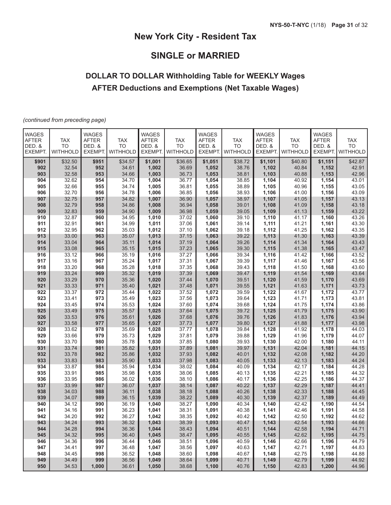# **SINGLE or MARRIED**

# **DOLLAR TO DOLLAR Withholding Table for WEEKLY Wages AFTER Deductions and Exemptions (Net Taxable Wages)**

*(continued from preceding page)*

| <b>WAGES</b><br><b>AFTER</b> | <b>TAX</b>            | <b>WAGES</b><br><b>AFTER</b> | <b>TAX</b>                   | <b>WAGES</b><br><b>AFTER</b> | <b>TAX</b>                   | <b>WAGES</b><br><b>AFTER</b> | <b>TAX</b>            | <b>WAGES</b><br><b>AFTER</b> | <b>TAX</b>                   | <b>WAGES</b><br><b>AFTER</b> | <b>TAX</b>            |
|------------------------------|-----------------------|------------------------------|------------------------------|------------------------------|------------------------------|------------------------------|-----------------------|------------------------------|------------------------------|------------------------------|-----------------------|
| DED. &<br>EXEMPT.            | <b>TO</b><br>WITHHOLD | DED. &<br>EXEMPT.            | <b>TO</b><br><b>WITHHOLD</b> | DED. &<br><b>EXEMPT</b>      | <b>TO</b><br><b>WITHHOLD</b> | DED. &<br>EXEMPT.            | <b>TO</b><br>WITHHOLD | DED. &<br>EXEMPT.            | <b>TO</b><br><b>WITHHOLD</b> | DED. &<br>EXEMPT.            | <b>TO</b><br>WITHHOLD |
| \$901                        | \$32.50               | \$951                        | \$34.57                      | \$1,001                      | \$36.65                      | \$1,051                      | \$38.72               | \$1,101                      | \$40.80                      | \$1,151                      | \$42.87               |
| 902                          | 32.54                 | 952                          | 34.61                        | 1,002                        | 36.69                        | 1,052                        | 38.76                 | 1,102                        | 40.84                        | 1,152                        | 42.91                 |
| 903                          | 32.58                 | 953                          | 34.66                        | 1,003                        | 36.73                        | 1,053                        | 38.81                 | 1,103                        | 40.88                        | 1,153                        | 42.96                 |
| 904                          | 32.62                 | 954                          | 34.70                        | 1,004                        | 36.77                        | 1,054                        | 38.85                 | 1,104                        | 40.92                        | 1,154                        | 43.01                 |
| 905                          | 32.66                 | 955                          | 34.74                        | 1,005                        | 36.81                        | 1,055                        | 38.89                 | 1,105                        | 40.96                        | 1,155                        | 43.05                 |
| 906                          | 32.70                 | 956                          | 34.78                        | 1,006                        | 36.85                        | 1,056                        | 38.93                 | 1,106                        | 41.00                        | 1,156                        | 43.09                 |
| 907                          | 32.75                 | 957                          | 34.82                        | 1,007                        | 36.90                        | 1,057                        | 38.97                 | 1,107                        | 41.05                        | 1,157                        | 43.13                 |
| 908                          | 32.79                 | 958                          | 34.86                        | 1,008                        | 36.94                        | 1,058                        | 39.01                 | 1,108                        | 41.09                        | 1,158                        | 43.18                 |
| 909                          | 32.83                 | 959                          | 34.90                        | 1,009                        | 36.98                        | 1,059                        | 39.05                 | 1,109                        | 41.13                        | 1,159                        | 43.22                 |
| 910<br>911                   | 32.87<br>32.91        | 960<br>961                   | 34.95<br>34.99               | 1,010                        | 37.02                        | 1,060<br>1,061               | 39.10<br>39.14        | 1,110                        | 41.17                        | 1,160                        | 43.26<br>43.30        |
| 912                          | 32.95                 | 962                          | 35.03                        | 1,011<br>1,012               | 37.06<br>37.10               | 1,062                        | 39.18                 | 1,111<br>1,112               | 41.21<br>41.25               | 1,161<br>1,162               | 43.35                 |
| 913                          | 33.00                 | 963                          | 35.07                        | 1,013                        | 37.15                        | 1,063                        | 39.22                 | 1,113                        | 41.30                        | 1,163                        | 43.39                 |
| 914                          | 33.04                 | 964                          | 35.11                        | 1,014                        | 37.19                        | 1,064                        | 39.26                 | 1,114                        | 41.34                        | 1,164                        | 43.43                 |
| 915                          | 33.08                 | 965                          | 35.15                        | 1,015                        | 37.23                        | 1,065                        | 39.30                 | 1,115                        | 41.38                        | 1,165                        | 43.47                 |
| 916                          | 33.12                 | 966                          | 35.19                        | 1,016                        | 37.27                        | 1,066                        | 39.34                 | 1,116                        | 41.42                        | 1,166                        | 43.52                 |
| 917                          | 33.16                 | 967                          | 35.24                        | 1,017                        | 37.31                        | 1,067                        | 39.39                 | 1,117                        | 41.46                        | 1,167                        | 43.56                 |
| 918                          | 33.20                 | 968                          | 35.28                        | 1,018                        | 37.35                        | 1,068                        | 39.43                 | 1,118                        | 41.50                        | 1,168                        | 43.60                 |
| 919                          | 33.24                 | 969                          | 35.32                        | 1,019                        | 37.39                        | 1,069                        | 39.47                 | 1,119                        | 41.54                        | 1,169                        | 43.64                 |
| 920                          | 33.29                 | 970                          | 35.36                        | 1,020                        | 37.44                        | 1,070                        | 39.51                 | 1,120                        | 41.59                        | 1,170                        | 43.69                 |
| 921                          | 33.33                 | 971                          | 35.40                        | 1,021                        | 37.48                        | 1,071                        | 39.55                 | 1,121                        | 41.63                        | 1,171                        | 43.73                 |
| 922                          | 33.37                 | 972                          | 35.44                        | 1,022                        | 37.52                        | 1,072                        | 39.59                 | 1,122                        | 41.67                        | 1,172                        | 43.77                 |
| 923                          | 33.41                 | 973                          | 35.49                        | 1,023                        | 37.56                        | 1,073                        | 39.64                 | 1,123                        | 41.71                        | 1,173                        | 43.81                 |
| 924                          | 33.45                 | 974                          | 35.53                        | 1,024                        | 37.60                        | 1,074                        | 39.68                 | 1,124                        | 41.75                        | 1,174                        | 43.86                 |
| 925                          | 33.49                 | 975                          | 35.57                        | 1,025                        | 37.64                        | 1,075                        | 39.72                 | 1,125                        | 41.79                        | 1,175                        | 43.90                 |
| 926                          | 33.53                 | 976                          | 35.61                        | 1,026                        | 37.68                        | 1,076                        | 39.76                 | 1,126                        | 41.83                        | 1,176                        | 43.94                 |
| 927                          | 33.58                 | 977                          | 35.65                        | 1,027                        | 37.73                        | 1,077                        | 39.80                 | 1,127                        | 41.88                        | 1,177                        | 43.98                 |
| 928                          | 33.62                 | 978                          | 35.69                        | 1,028                        | 37.77                        | 1,078                        | 39.84                 | 1,128                        | 41.92                        | 1,178                        | 44.03                 |
| 929                          | 33.66                 | 979                          | 35.73                        | 1,029                        | 37.81                        | 1,079                        | 39.88                 | 1,129                        | 41.96                        | 1,179                        | 44.07                 |
| 930<br>931                   | 33.70<br>33.74        | 980<br>981                   | 35.78<br>35.82               | 1,030                        | 37.85                        | 1,080                        | 39.93<br>39.97        | 1,130                        | 42.00<br>42.04               | 1,180                        | 44.11<br>44.15        |
| 932                          | 33.78                 | 982                          | 35.86                        | 1,031<br>1,032               | 37.89<br>37.93               | 1,081<br>1,082               | 40.01                 | 1,131<br>1,132               | 42.08                        | 1,181<br>1,182               | 44.20                 |
| 933                          | 33.83                 | 983                          | 35.90                        | 1,033                        | 37.98                        | 1,083                        | 40.05                 | 1,133                        | 42.13                        | 1,183                        | 44.24                 |
| 934                          | 33.87                 | 984                          | 35.94                        | 1,034                        | 38.02                        | 1,084                        | 40.09                 | 1,134                        | 42.17                        | 1,184                        | 44.28                 |
| 935                          | 33.91                 | 985                          | 35.98                        | 1,035                        | 38.06                        | 1,085                        | 40.13                 | 1,135                        | 42.21                        | 1,185                        | 44.32                 |
| 936                          | 33.95                 | 986                          | 36.02                        | 1,036                        | 38.10                        | 1,086                        | 40.17                 | 1,136                        | 42.25                        | 1,186                        | 44.37                 |
| 937                          | 33.99                 | 987                          | 36.07                        | 1,037                        | 38.14                        | 1,087                        | 40.22                 | 1,137                        | 42.29                        | 1,187                        | 44.41                 |
| 938                          | 34.03                 | 988                          | 36.11                        | 1,038                        | 38.18                        | 1,088                        | 40.26                 | 1,138                        | 42.33                        | 1,188                        | 44.45                 |
| 939                          | 34.07                 | 989                          | 36.15                        | 1,039                        | 38.22                        | 1,089                        | 40.30                 | 1,139                        | 42.37                        | 1,189                        | 44.49                 |
| 940                          | 34.12                 | 990                          | 36.19                        | 1,040                        | 38.27                        | 1,090                        | 40.34                 | 1,140                        | 42.42                        | 1,190                        | 44.54                 |
| 941                          | 34.16                 | 991                          | 36.23                        | 1,041                        | 38.31                        | 1,091                        | 40.38                 | 1,141                        | 42.46                        | 1,191                        | 44.58                 |
| 942                          | 34.20                 | 992                          | 36.27                        | 1,042                        | 38.35                        | 1,092                        | 40.42                 | 1,142                        | 42.50                        | 1,192                        | 44.62                 |
| 943                          | 34.24                 | 993                          | 36.32                        | 1,043                        | 38.39                        | 1,093                        | 40.47                 | 1,143                        | 42.54                        | 1,193                        | 44.66                 |
| 944                          | 34.28                 | 994                          | 36.36                        | 1,044                        | 38.43                        | 1,094                        | 40.51                 | 1,144                        | 42.58                        | 1,194                        | 44.71                 |
| 945                          | 34.32                 | 995                          | 36.40                        | 1,045                        | 38.47                        | 1,095                        | 40.55                 | 1,145                        | 42.62                        | 1,195                        | 44.75                 |
| 946                          | 34.36                 | 996                          | 36.44                        | 1,046                        | 38.51                        | 1,096                        | 40.59                 | 1,146                        | 42.66                        | 1,196                        | 44.79                 |
| 947                          | 34.41                 | 997                          | 36.48                        | 1,047                        | 38.56                        | 1,097                        | 40.63                 | 1,147                        | 42.71                        | 1,197                        | 44.83                 |
| 948<br>949                   | 34.45<br>34.49        | 998<br>999                   | 36.52<br>36.56               | 1,048<br>1,049               | 38.60<br>38.64               | 1,098<br>1,099               | 40.67<br>40.71        | 1,148<br>1,149               | 42.75<br>42.79               | 1,198<br>1,199               | 44.88<br>44.92        |
| 950                          | 34.53                 | 1,000                        | 36.61                        | 1,050                        | 38.68                        | 1,100                        | 40.76                 | 1,150                        | 42.83                        | 1,200                        | 44.96                 |